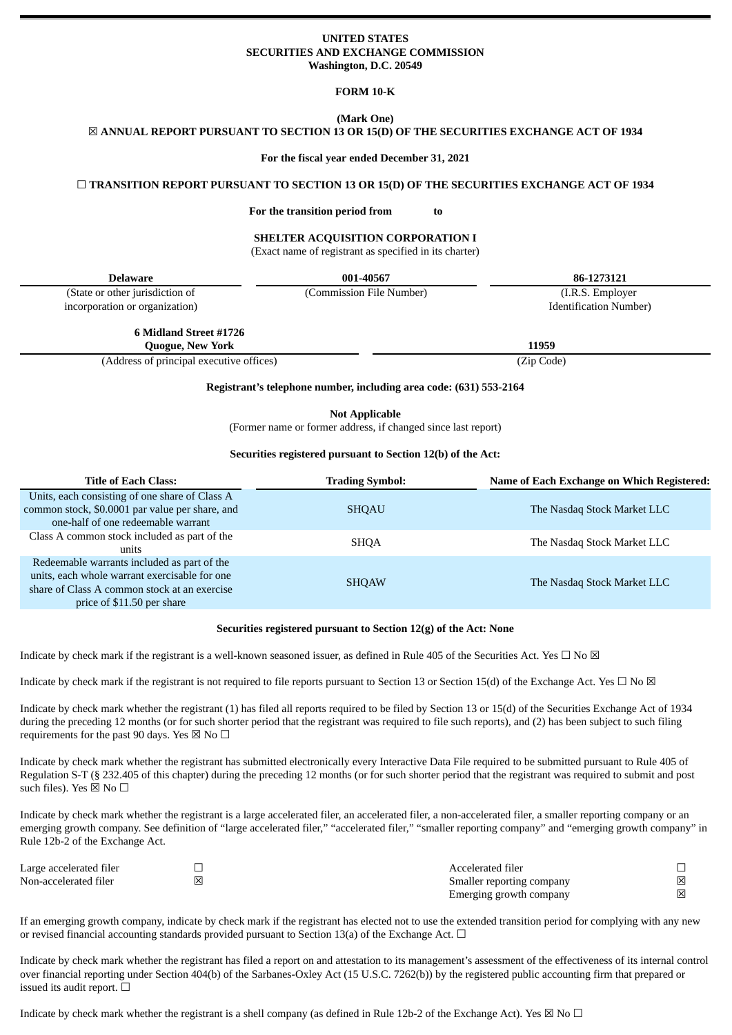# **UNITED STATES SECURITIES AND EXCHANGE COMMISSION Washington, D.C. 20549**

**FORM 10-K**

**(Mark One)**

☒ **ANNUAL REPORT PURSUANT TO SECTION 13 OR 15(D) OF THE SECURITIES EXCHANGE ACT OF 1934**

**For the fiscal year ended December 31, 2021**

☐ **TRANSITION REPORT PURSUANT TO SECTION 13 OR 15(D) OF THE SECURITIES EXCHANGE ACT OF 1934**

#### **For the transition period from to**

**SHELTER ACQUISITION CORPORATION I**

(Exact name of registrant as specified in its charter)

**Delaware 001-40567 86-1273121**

(State or other jurisdiction of incorporation or organization) (Commission File Number) (I.R.S. Employer

Identification Number)

**6 Midland Street #1726**

**Quogue, New York 11959**

(Address of principal executive offices) (Zip Code)

**Registrant's telephone number, including area code: (631) 553-2164**

**Not Applicable**

(Former name or former address, if changed since last report)

#### **Securities registered pursuant to Section 12(b) of the Act:**

| <b>Title of Each Class:</b>                                                                                                                                                | <b>Trading Symbol:</b> | Name of Each Exchange on Which Registered: |
|----------------------------------------------------------------------------------------------------------------------------------------------------------------------------|------------------------|--------------------------------------------|
| Units, each consisting of one share of Class A<br>common stock, \$0.0001 par value per share, and<br>one-half of one redeemable warrant                                    | <b>SHOAU</b>           | The Nasdaq Stock Market LLC                |
| Class A common stock included as part of the<br>units                                                                                                                      | <b>SHQA</b>            | The Nasdaq Stock Market LLC                |
| Redeemable warrants included as part of the<br>units, each whole warrant exercisable for one<br>share of Class A common stock at an exercise<br>price of \$11.50 per share | <b>SHOAW</b>           | The Nasdaq Stock Market LLC                |

#### **Securities registered pursuant to Section 12(g) of the Act: None**

Indicate by check mark if the registrant is a well-known seasoned issuer, as defined in Rule 405 of the Securities Act. Yes  $\Box$  No  $\boxtimes$ 

Indicate by check mark if the registrant is not required to file reports pursuant to Section 13 or Section 15(d) of the Exchange Act. Yes  $\Box$  No  $\boxtimes$ 

Indicate by check mark whether the registrant (1) has filed all reports required to be filed by Section 13 or 15(d) of the Securities Exchange Act of 1934 during the preceding 12 months (or for such shorter period that the registrant was required to file such reports), and (2) has been subject to such filing requirements for the past 90 days. Yes  $\boxtimes$  No  $\Box$ 

Indicate by check mark whether the registrant has submitted electronically every Interactive Data File required to be submitted pursuant to Rule 405 of Regulation S-T (§ 232.405 of this chapter) during the preceding 12 months (or for such shorter period that the registrant was required to submit and post such files). Yes  $\boxtimes$  No  $\Box$ 

Indicate by check mark whether the registrant is a large accelerated filer, an accelerated filer, a non-accelerated filer, a smaller reporting company or an emerging growth company. See definition of "large accelerated filer," "accelerated filer," "smaller reporting company" and "emerging growth company" in Rule 12b-2 of the Exchange Act.

| Large accelerated filer | Accelerated filer         |   |
|-------------------------|---------------------------|---|
| Non-accelerated filer   | Smaller reporting company | 冈 |
|                         | Emerging growth company   | 冈 |

If an emerging growth company, indicate by check mark if the registrant has elected not to use the extended transition period for complying with any new or revised financial accounting standards provided pursuant to Section 13(a) of the Exchange Act.  $\Box$ 

Indicate by check mark whether the registrant has filed a report on and attestation to its management's assessment of the effectiveness of its internal control over financial reporting under Section 404(b) of the Sarbanes-Oxley Act (15 U.S.C. 7262(b)) by the registered public accounting firm that prepared or issued its audit report.  $\Box$ 

Indicate by check mark whether the registrant is a shell company (as defined in Rule 12b-2 of the Exchange Act). Yes  $\boxtimes$  No  $\Box$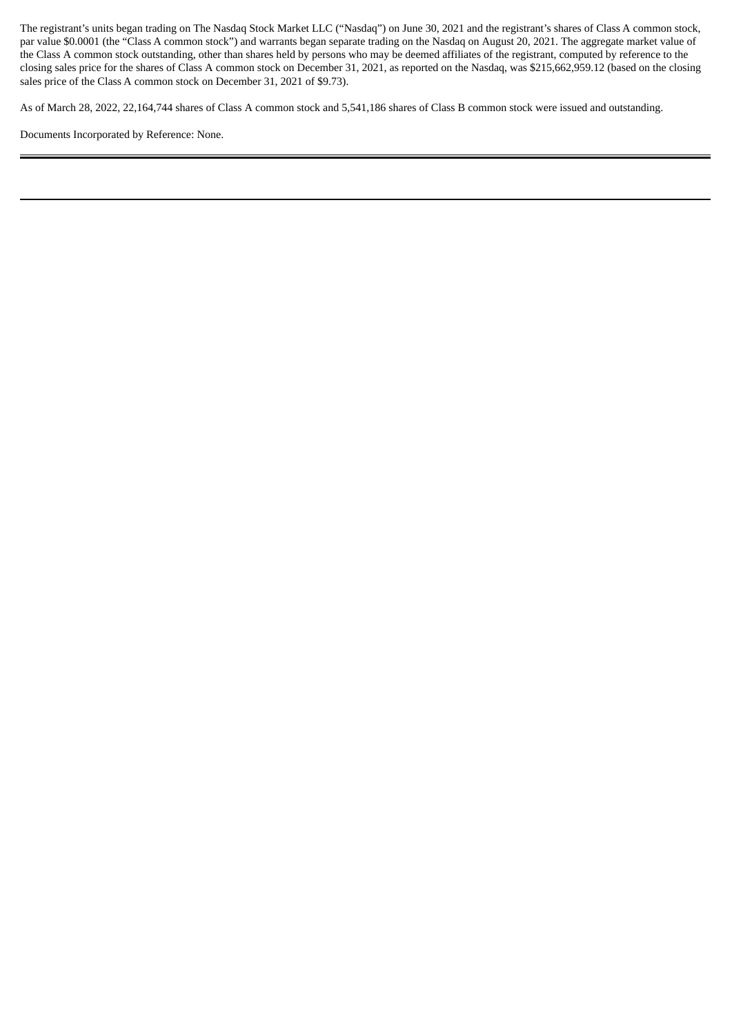The registrant's units began trading on The Nasdaq Stock Market LLC ("Nasdaq") on June 30, 2021 and the registrant's shares of Class A common stock, par value \$0.0001 (the "Class A common stock") and warrants began separate trading on the Nasdaq on August 20, 2021. The aggregate market value of the Class A common stock outstanding, other than shares held by persons who may be deemed affiliates of the registrant, computed by reference to the closing sales price for the shares of Class A common stock on December 31, 2021, as reported on the Nasdaq, was \$215,662,959.12 (based on the closing sales price of the Class A common stock on December 31, 2021 of \$9.73).

As of March 28, 2022, 22,164,744 shares of Class A common stock and 5,541,186 shares of Class B common stock were issued and outstanding.

Documents Incorporated by Reference: None.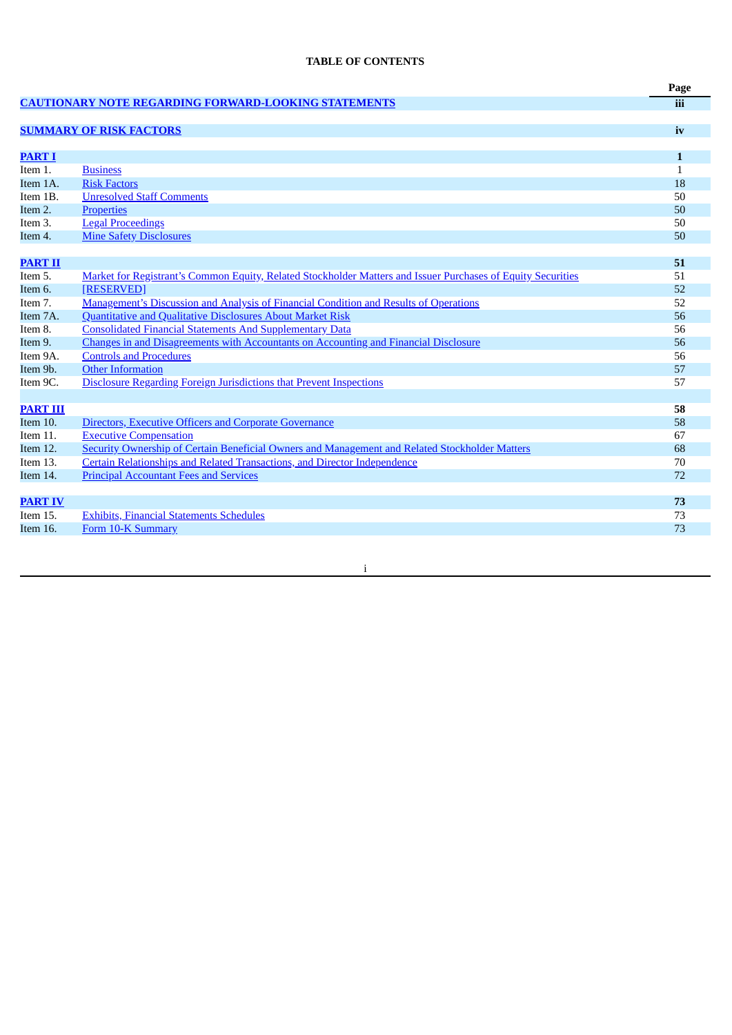# **TABLE OF CONTENTS**

|                 |                                                                                                              | Page         |
|-----------------|--------------------------------------------------------------------------------------------------------------|--------------|
|                 | <b>CAUTIONARY NOTE REGARDING FORWARD-LOOKING STATEMENTS</b>                                                  | iii          |
|                 | <b>SUMMARY OF RISK FACTORS</b>                                                                               | iv           |
| <b>PART I</b>   |                                                                                                              | $\mathbf{1}$ |
| Item 1.         | <b>Business</b>                                                                                              | 1            |
| Item 1A.        | <b>Risk Factors</b>                                                                                          | 18           |
| Item 1B.        | <b>Unresolved Staff Comments</b>                                                                             | 50           |
| Item 2.         | <b>Properties</b>                                                                                            | 50           |
| Item 3.         | <b>Legal Proceedings</b>                                                                                     | 50           |
| Item 4.         | <b>Mine Safety Disclosures</b>                                                                               | 50           |
|                 |                                                                                                              |              |
| <b>PART II</b>  |                                                                                                              | 51           |
| Item 5.         | Market for Registrant's Common Equity, Related Stockholder Matters and Issuer Purchases of Equity Securities | 51           |
| Item 6.         | [RESERVED]                                                                                                   | 52           |
| Item 7.         | <b>Management's Discussion and Analysis of Financial Condition and Results of Operations</b>                 | 52           |
| Item 7A.        | Quantitative and Qualitative Disclosures About Market Risk                                                   | 56           |
| Item 8.         | <b>Consolidated Financial Statements And Supplementary Data</b>                                              | 56           |
| Item 9.         | Changes in and Disagreements with Accountants on Accounting and Financial Disclosure                         | 56           |
| Item 9A.        | <b>Controls and Procedures</b>                                                                               | 56           |
| Item 9b.        | <b>Other Information</b>                                                                                     | 57           |
| Item 9C.        | Disclosure Regarding Foreign Jurisdictions that Prevent Inspections                                          | 57           |
|                 |                                                                                                              |              |
| <b>PART III</b> |                                                                                                              | 58           |
| Item 10.        | Directors, Executive Officers and Corporate Governance                                                       | 58           |
| Item 11.        | <b>Executive Compensation</b>                                                                                | 67           |
| Item 12.        | Security Ownership of Certain Beneficial Owners and Management and Related Stockholder Matters               | 68           |
| Item 13.        | Certain Relationships and Related Transactions, and Director Independence                                    | 70           |
| Item 14.        | <b>Principal Accountant Fees and Services</b>                                                                | 72           |
|                 |                                                                                                              |              |
| <b>PART IV</b>  |                                                                                                              | 73           |
| Item 15.        | <b>Exhibits, Financial Statements Schedules</b>                                                              | 73           |
| Item 16.        | Form 10-K Summary                                                                                            | 73           |

<u>i</u>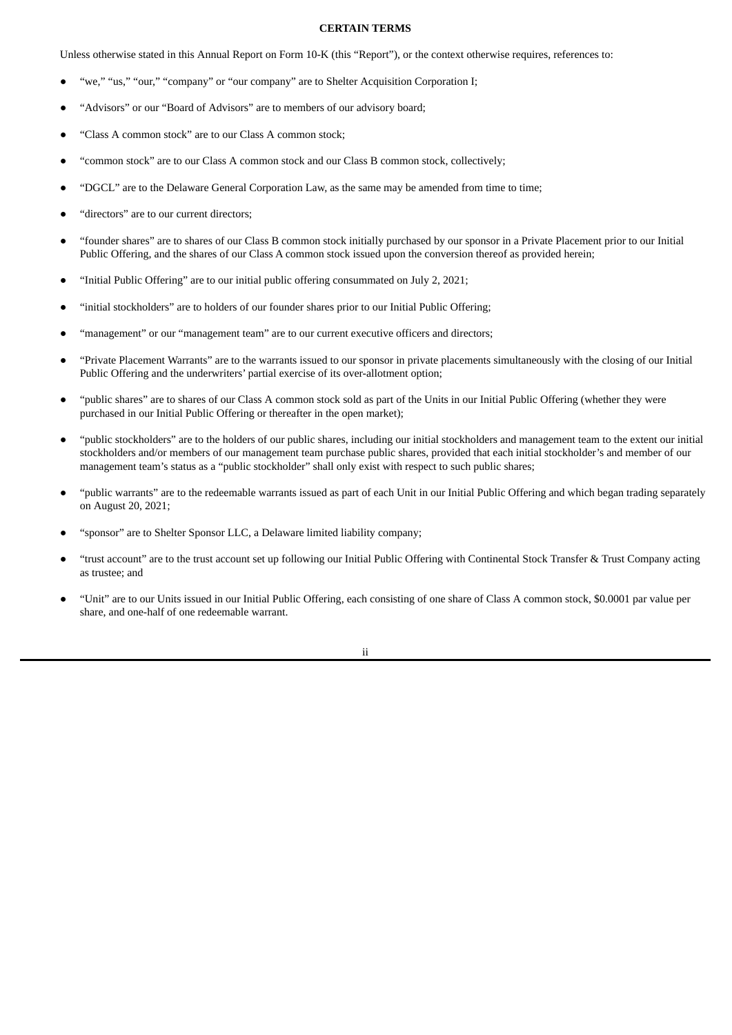#### **CERTAIN TERMS**

Unless otherwise stated in this Annual Report on Form 10-K (this "Report"), or the context otherwise requires, references to:

- "we," "us," "our," "company" or "our company" are to Shelter Acquisition Corporation I;
- "Advisors" or our "Board of Advisors" are to members of our advisory board;
- "Class A common stock" are to our Class A common stock;
- "common stock" are to our Class A common stock and our Class B common stock, collectively;
- "DGCL" are to the Delaware General Corporation Law, as the same may be amended from time to time;
- "directors" are to our current directors;
- "founder shares" are to shares of our Class B common stock initially purchased by our sponsor in a Private Placement prior to our Initial Public Offering, and the shares of our Class A common stock issued upon the conversion thereof as provided herein;
- "Initial Public Offering" are to our initial public offering consummated on July 2, 2021;
- "initial stockholders" are to holders of our founder shares prior to our Initial Public Offering;
- "management" or our "management team" are to our current executive officers and directors;
- "Private Placement Warrants" are to the warrants issued to our sponsor in private placements simultaneously with the closing of our Initial Public Offering and the underwriters' partial exercise of its over-allotment option;
- "public shares" are to shares of our Class A common stock sold as part of the Units in our Initial Public Offering (whether they were purchased in our Initial Public Offering or thereafter in the open market);
- "public stockholders" are to the holders of our public shares, including our initial stockholders and management team to the extent our initial stockholders and/or members of our management team purchase public shares, provided that each initial stockholder's and member of our management team's status as a "public stockholder" shall only exist with respect to such public shares;
- "public warrants" are to the redeemable warrants issued as part of each Unit in our Initial Public Offering and which began trading separately on August 20, 2021;
- "sponsor" are to Shelter Sponsor LLC, a Delaware limited liability company;
- "trust account" are to the trust account set up following our Initial Public Offering with Continental Stock Transfer & Trust Company acting as trustee; and
- "Unit" are to our Units issued in our Initial Public Offering, each consisting of one share of Class A common stock, \$0.0001 par value per share, and one-half of one redeemable warrant.

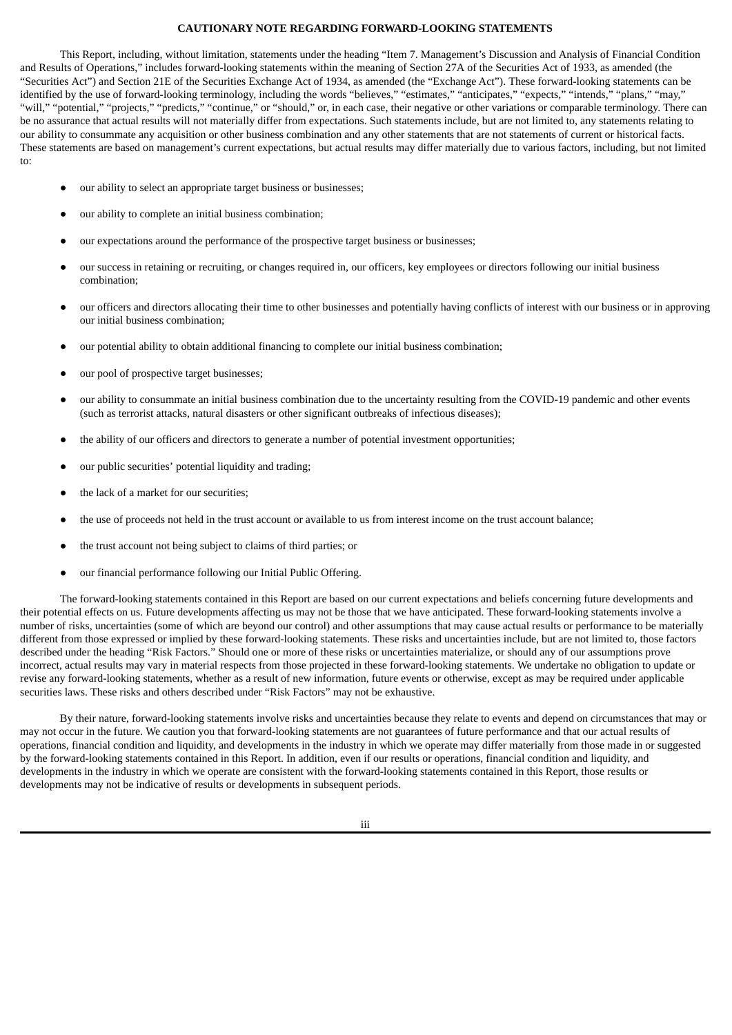#### **CAUTIONARY NOTE REGARDING FORWARD-LOOKING STATEMENTS**

<span id="page-4-0"></span>This Report, including, without limitation, statements under the heading "Item 7. Management's Discussion and Analysis of Financial Condition and Results of Operations," includes forward-looking statements within the meaning of Section 27A of the Securities Act of 1933, as amended (the "Securities Act") and Section 21E of the Securities Exchange Act of 1934, as amended (the "Exchange Act"). These forward-looking statements can be identified by the use of forward-looking terminology, including the words "believes," "estimates," "anticipates," "expects," "intends," "plans," "may," "will," "potential," "projects," "predicts," "continue," or "should," or, in each case, their negative or other variations or comparable terminology. There can be no assurance that actual results will not materially differ from expectations. Such statements include, but are not limited to, any statements relating to our ability to consummate any acquisition or other business combination and any other statements that are not statements of current or historical facts. These statements are based on management's current expectations, but actual results may differ materially due to various factors, including, but not limited to:

- our ability to select an appropriate target business or businesses:
- our ability to complete an initial business combination;
- our expectations around the performance of the prospective target business or businesses;
- our success in retaining or recruiting, or changes required in, our officers, key employees or directors following our initial business combination;
- our officers and directors allocating their time to other businesses and potentially having conflicts of interest with our business or in approving our initial business combination;
- our potential ability to obtain additional financing to complete our initial business combination;
- our pool of prospective target businesses;
- our ability to consummate an initial business combination due to the uncertainty resulting from the COVID-19 pandemic and other events (such as terrorist attacks, natural disasters or other significant outbreaks of infectious diseases);
- the ability of our officers and directors to generate a number of potential investment opportunities;
- our public securities' potential liquidity and trading;
- the lack of a market for our securities;
- the use of proceeds not held in the trust account or available to us from interest income on the trust account balance;
- the trust account not being subject to claims of third parties; or
- our financial performance following our Initial Public Offering.

The forward-looking statements contained in this Report are based on our current expectations and beliefs concerning future developments and their potential effects on us. Future developments affecting us may not be those that we have anticipated. These forward-looking statements involve a number of risks, uncertainties (some of which are beyond our control) and other assumptions that may cause actual results or performance to be materially different from those expressed or implied by these forward-looking statements. These risks and uncertainties include, but are not limited to, those factors described under the heading "Risk Factors." Should one or more of these risks or uncertainties materialize, or should any of our assumptions prove incorrect, actual results may vary in material respects from those projected in these forward-looking statements. We undertake no obligation to update or revise any forward-looking statements, whether as a result of new information, future events or otherwise, except as may be required under applicable securities laws. These risks and others described under "Risk Factors" may not be exhaustive.

By their nature, forward-looking statements involve risks and uncertainties because they relate to events and depend on circumstances that may or may not occur in the future. We caution you that forward-looking statements are not guarantees of future performance and that our actual results of operations, financial condition and liquidity, and developments in the industry in which we operate may differ materially from those made in or suggested by the forward-looking statements contained in this Report. In addition, even if our results or operations, financial condition and liquidity, and developments in the industry in which we operate are consistent with the forward-looking statements contained in this Report, those results or developments may not be indicative of results or developments in subsequent periods.

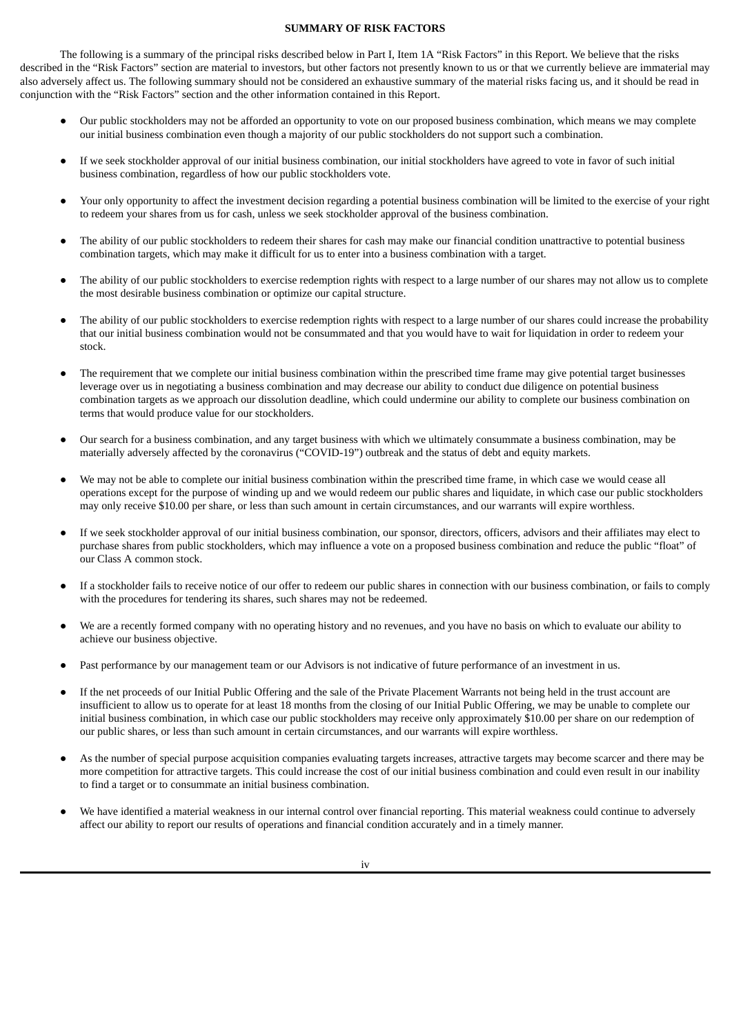#### **SUMMARY OF RISK FACTORS**

<span id="page-5-0"></span>The following is a summary of the principal risks described below in Part I, Item 1A "Risk Factors" in this Report. We believe that the risks described in the "Risk Factors" section are material to investors, but other factors not presently known to us or that we currently believe are immaterial may also adversely affect us. The following summary should not be considered an exhaustive summary of the material risks facing us, and it should be read in conjunction with the "Risk Factors" section and the other information contained in this Report.

- Our public stockholders may not be afforded an opportunity to vote on our proposed business combination, which means we may complete our initial business combination even though a majority of our public stockholders do not support such a combination.
- If we seek stockholder approval of our initial business combination, our initial stockholders have agreed to vote in favor of such initial business combination, regardless of how our public stockholders vote.
- Your only opportunity to affect the investment decision regarding a potential business combination will be limited to the exercise of your right to redeem your shares from us for cash, unless we seek stockholder approval of the business combination.
- The ability of our public stockholders to redeem their shares for cash may make our financial condition unattractive to potential business combination targets, which may make it difficult for us to enter into a business combination with a target.
- The ability of our public stockholders to exercise redemption rights with respect to a large number of our shares may not allow us to complete the most desirable business combination or optimize our capital structure.
- The ability of our public stockholders to exercise redemption rights with respect to a large number of our shares could increase the probability that our initial business combination would not be consummated and that you would have to wait for liquidation in order to redeem your stock.
- The requirement that we complete our initial business combination within the prescribed time frame may give potential target businesses leverage over us in negotiating a business combination and may decrease our ability to conduct due diligence on potential business combination targets as we approach our dissolution deadline, which could undermine our ability to complete our business combination on terms that would produce value for our stockholders.
- Our search for a business combination, and any target business with which we ultimately consummate a business combination, may be materially adversely affected by the coronavirus ("COVID-19") outbreak and the status of debt and equity markets.
- We may not be able to complete our initial business combination within the prescribed time frame, in which case we would cease all operations except for the purpose of winding up and we would redeem our public shares and liquidate, in which case our public stockholders may only receive \$10.00 per share, or less than such amount in certain circumstances, and our warrants will expire worthless.
- If we seek stockholder approval of our initial business combination, our sponsor, directors, officers, advisors and their affiliates may elect to purchase shares from public stockholders, which may influence a vote on a proposed business combination and reduce the public "float" of our Class A common stock.
- If a stockholder fails to receive notice of our offer to redeem our public shares in connection with our business combination, or fails to comply with the procedures for tendering its shares, such shares may not be redeemed.
- We are a recently formed company with no operating history and no revenues, and you have no basis on which to evaluate our ability to achieve our business objective.
- Past performance by our management team or our Advisors is not indicative of future performance of an investment in us.
- If the net proceeds of our Initial Public Offering and the sale of the Private Placement Warrants not being held in the trust account are insufficient to allow us to operate for at least 18 months from the closing of our Initial Public Offering, we may be unable to complete our initial business combination, in which case our public stockholders may receive only approximately \$10.00 per share on our redemption of our public shares, or less than such amount in certain circumstances, and our warrants will expire worthless.
- As the number of special purpose acquisition companies evaluating targets increases, attractive targets may become scarcer and there may be more competition for attractive targets. This could increase the cost of our initial business combination and could even result in our inability to find a target or to consummate an initial business combination.
- We have identified a material weakness in our internal control over financial reporting. This material weakness could continue to adversely affect our ability to report our results of operations and financial condition accurately and in a timely manner.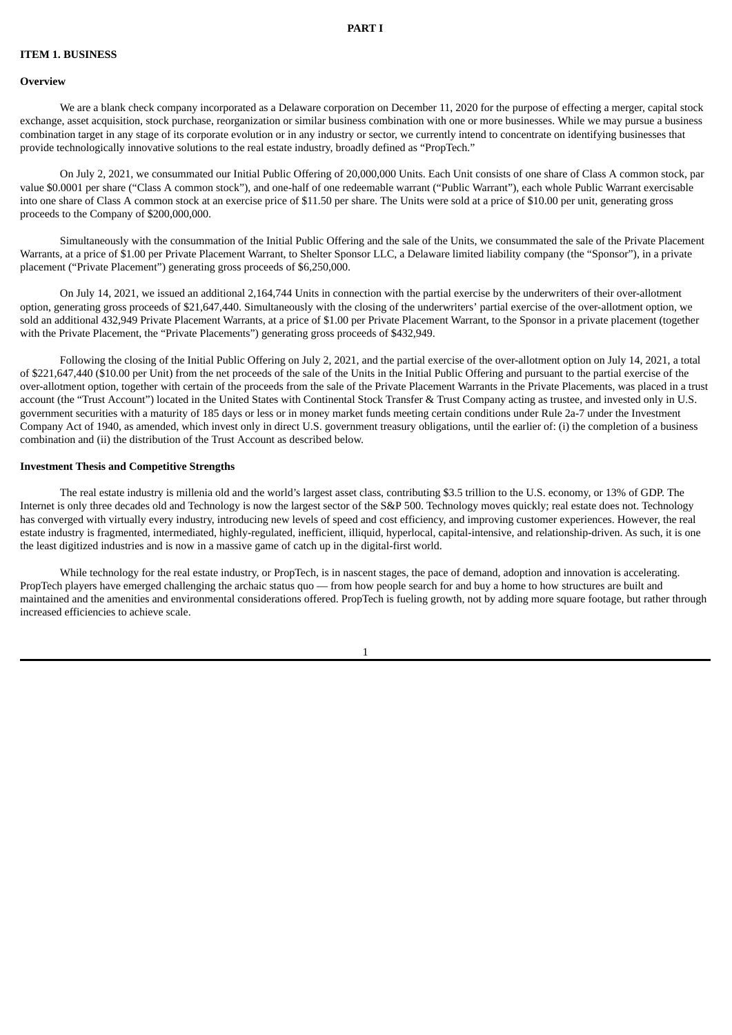#### <span id="page-6-1"></span><span id="page-6-0"></span>**ITEM 1. BUSINESS**

#### **Overview**

We are a blank check company incorporated as a Delaware corporation on December 11, 2020 for the purpose of effecting a merger, capital stock exchange, asset acquisition, stock purchase, reorganization or similar business combination with one or more businesses. While we may pursue a business combination target in any stage of its corporate evolution or in any industry or sector, we currently intend to concentrate on identifying businesses that provide technologically innovative solutions to the real estate industry, broadly defined as "PropTech."

On July 2, 2021, we consummated our Initial Public Offering of 20,000,000 Units. Each Unit consists of one share of Class A common stock, par value \$0.0001 per share ("Class A common stock"), and one-half of one redeemable warrant ("Public Warrant"), each whole Public Warrant exercisable into one share of Class A common stock at an exercise price of \$11.50 per share. The Units were sold at a price of \$10.00 per unit, generating gross proceeds to the Company of \$200,000,000.

Simultaneously with the consummation of the Initial Public Offering and the sale of the Units, we consummated the sale of the Private Placement Warrants, at a price of \$1.00 per Private Placement Warrant, to Shelter Sponsor LLC, a Delaware limited liability company (the "Sponsor"), in a private placement ("Private Placement") generating gross proceeds of \$6,250,000.

On July 14, 2021, we issued an additional 2,164,744 Units in connection with the partial exercise by the underwriters of their over-allotment option, generating gross proceeds of \$21,647,440. Simultaneously with the closing of the underwriters' partial exercise of the over-allotment option, we sold an additional 432,949 Private Placement Warrants, at a price of \$1.00 per Private Placement Warrant, to the Sponsor in a private placement (together with the Private Placement, the "Private Placements") generating gross proceeds of \$432,949.

Following the closing of the Initial Public Offering on July 2, 2021, and the partial exercise of the over-allotment option on July 14, 2021, a total of \$221,647,440 (\$10.00 per Unit) from the net proceeds of the sale of the Units in the Initial Public Offering and pursuant to the partial exercise of the over-allotment option, together with certain of the proceeds from the sale of the Private Placement Warrants in the Private Placements, was placed in a trust account (the "Trust Account") located in the United States with Continental Stock Transfer & Trust Company acting as trustee, and invested only in U.S. government securities with a maturity of 185 days or less or in money market funds meeting certain conditions under Rule 2a-7 under the Investment Company Act of 1940, as amended, which invest only in direct U.S. government treasury obligations, until the earlier of: (i) the completion of a business combination and (ii) the distribution of the Trust Account as described below.

# **Investment Thesis and Competitive Strengths**

The real estate industry is millenia old and the world's largest asset class, contributing \$3.5 trillion to the U.S. economy, or 13% of GDP. The Internet is only three decades old and Technology is now the largest sector of the S&P 500. Technology moves quickly; real estate does not. Technology has converged with virtually every industry, introducing new levels of speed and cost efficiency, and improving customer experiences. However, the real estate industry is fragmented, intermediated, highly-regulated, inefficient, illiquid, hyperlocal, capital-intensive, and relationship-driven. As such, it is one the least digitized industries and is now in a massive game of catch up in the digital-first world.

While technology for the real estate industry, or PropTech, is in nascent stages, the pace of demand, adoption and innovation is accelerating. PropTech players have emerged challenging the archaic status quo — from how people search for and buy a home to how structures are built and maintained and the amenities and environmental considerations offered. PropTech is fueling growth, not by adding more square footage, but rather through increased efficiencies to achieve scale.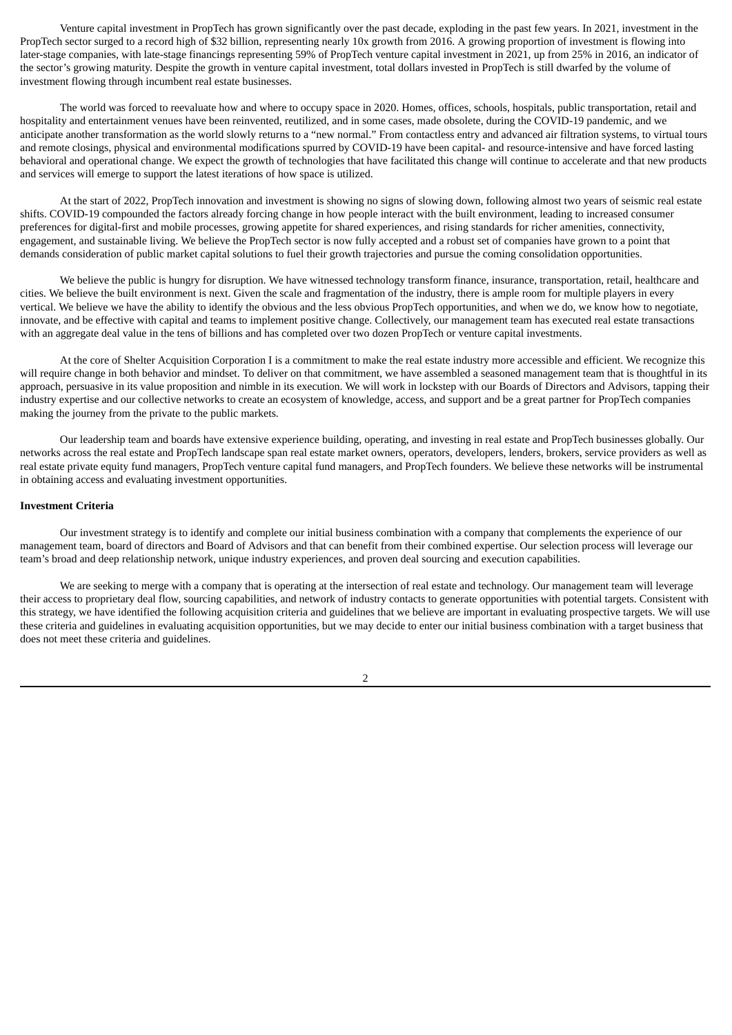Venture capital investment in PropTech has grown significantly over the past decade, exploding in the past few years. In 2021, investment in the PropTech sector surged to a record high of \$32 billion, representing nearly 10x growth from 2016. A growing proportion of investment is flowing into later-stage companies, with late-stage financings representing 59% of PropTech venture capital investment in 2021, up from 25% in 2016, an indicator of the sector's growing maturity. Despite the growth in venture capital investment, total dollars invested in PropTech is still dwarfed by the volume of investment flowing through incumbent real estate businesses.

The world was forced to reevaluate how and where to occupy space in 2020. Homes, offices, schools, hospitals, public transportation, retail and hospitality and entertainment venues have been reinvented, reutilized, and in some cases, made obsolete, during the COVID-19 pandemic, and we anticipate another transformation as the world slowly returns to a "new normal." From contactless entry and advanced air filtration systems, to virtual tours and remote closings, physical and environmental modifications spurred by COVID-19 have been capital- and resource-intensive and have forced lasting behavioral and operational change. We expect the growth of technologies that have facilitated this change will continue to accelerate and that new products and services will emerge to support the latest iterations of how space is utilized.

At the start of 2022, PropTech innovation and investment is showing no signs of slowing down, following almost two years of seismic real estate shifts. COVID-19 compounded the factors already forcing change in how people interact with the built environment, leading to increased consumer preferences for digital-first and mobile processes, growing appetite for shared experiences, and rising standards for richer amenities, connectivity, engagement, and sustainable living. We believe the PropTech sector is now fully accepted and a robust set of companies have grown to a point that demands consideration of public market capital solutions to fuel their growth trajectories and pursue the coming consolidation opportunities.

We believe the public is hungry for disruption. We have witnessed technology transform finance, insurance, transportation, retail, healthcare and cities. We believe the built environment is next. Given the scale and fragmentation of the industry, there is ample room for multiple players in every vertical. We believe we have the ability to identify the obvious and the less obvious PropTech opportunities, and when we do, we know how to negotiate, innovate, and be effective with capital and teams to implement positive change. Collectively, our management team has executed real estate transactions with an aggregate deal value in the tens of billions and has completed over two dozen PropTech or venture capital investments.

At the core of Shelter Acquisition Corporation I is a commitment to make the real estate industry more accessible and efficient. We recognize this will require change in both behavior and mindset. To deliver on that commitment, we have assembled a seasoned management team that is thoughtful in its approach, persuasive in its value proposition and nimble in its execution. We will work in lockstep with our Boards of Directors and Advisors, tapping their industry expertise and our collective networks to create an ecosystem of knowledge, access, and support and be a great partner for PropTech companies making the journey from the private to the public markets.

Our leadership team and boards have extensive experience building, operating, and investing in real estate and PropTech businesses globally. Our networks across the real estate and PropTech landscape span real estate market owners, operators, developers, lenders, brokers, service providers as well as real estate private equity fund managers, PropTech venture capital fund managers, and PropTech founders. We believe these networks will be instrumental in obtaining access and evaluating investment opportunities.

#### **Investment Criteria**

Our investment strategy is to identify and complete our initial business combination with a company that complements the experience of our management team, board of directors and Board of Advisors and that can benefit from their combined expertise. Our selection process will leverage our team's broad and deep relationship network, unique industry experiences, and proven deal sourcing and execution capabilities.

We are seeking to merge with a company that is operating at the intersection of real estate and technology. Our management team will leverage their access to proprietary deal flow, sourcing capabilities, and network of industry contacts to generate opportunities with potential targets. Consistent with this strategy, we have identified the following acquisition criteria and guidelines that we believe are important in evaluating prospective targets. We will use these criteria and guidelines in evaluating acquisition opportunities, but we may decide to enter our initial business combination with a target business that does not meet these criteria and guidelines.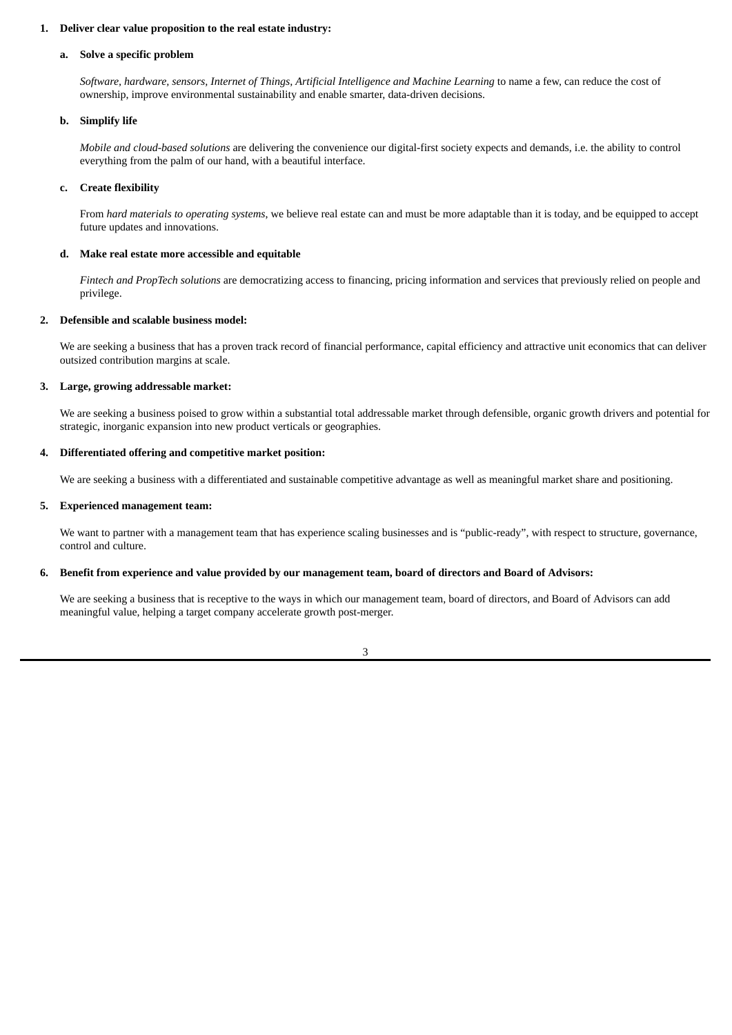# **1. Deliver clear value proposition to the real estate industry:**

### **a. Solve a specific problem**

*Software, hardware, sensors, Internet of Things, Artificial Intelligence and Machine Learning* to name a few, can reduce the cost of ownership, improve environmental sustainability and enable smarter, data-driven decisions.

### **b. Simplify life**

*Mobile and cloud-based solutions* are delivering the convenience our digital-first society expects and demands, i.e. the ability to control everything from the palm of our hand, with a beautiful interface.

# **c. Create flexibility**

From *hard materials to operating systems*, we believe real estate can and must be more adaptable than it is today, and be equipped to accept future updates and innovations.

# **d. Make real estate more accessible and equitable**

*Fintech and PropTech solutions* are democratizing access to financing, pricing information and services that previously relied on people and privilege.

#### **2. Defensible and scalable business model:**

We are seeking a business that has a proven track record of financial performance, capital efficiency and attractive unit economics that can deliver outsized contribution margins at scale.

### **3. Large, growing addressable market:**

We are seeking a business poised to grow within a substantial total addressable market through defensible, organic growth drivers and potential for strategic, inorganic expansion into new product verticals or geographies.

### **4. Differentiated offering and competitive market position:**

We are seeking a business with a differentiated and sustainable competitive advantage as well as meaningful market share and positioning.

#### **5. Experienced management team:**

We want to partner with a management team that has experience scaling businesses and is "public-ready", with respect to structure, governance, control and culture.

# 6. Benefit from experience and value provided by our management team, board of directors and Board of Advisors:

We are seeking a business that is receptive to the ways in which our management team, board of directors, and Board of Advisors can add meaningful value, helping a target company accelerate growth post-merger.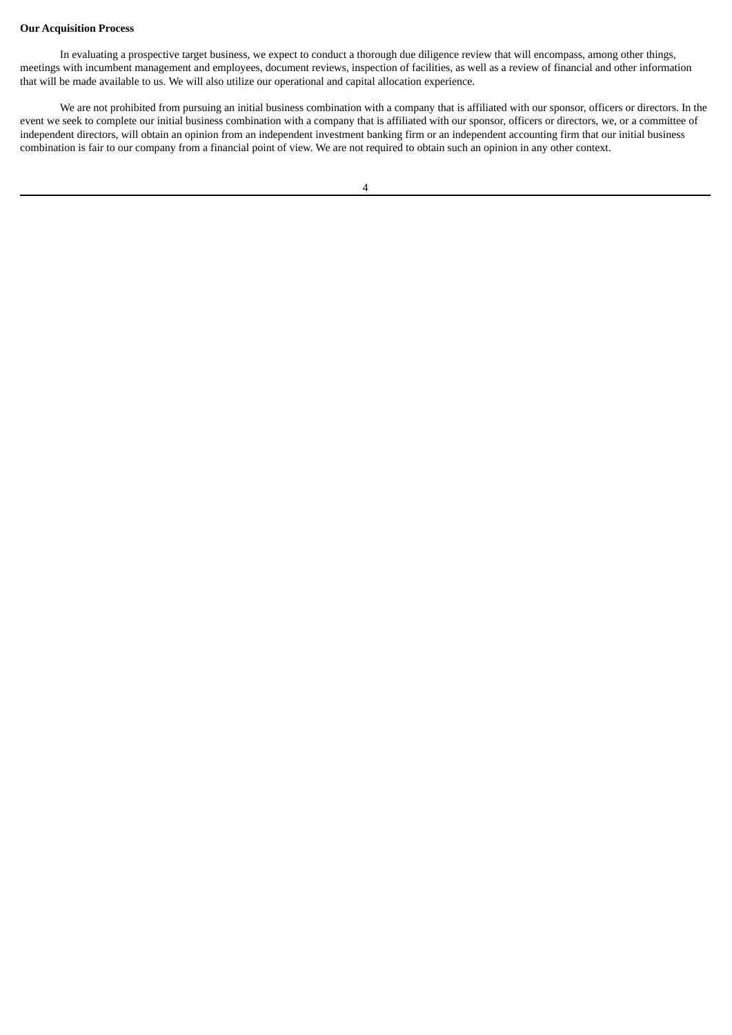# **Our Acquisition Process**

In evaluating a prospective target business, we expect to conduct a thorough due diligence review that will encompass, among other things, meetings with incumbent management and employees, document reviews, inspection of facilities, as well as a review of financial and other information that will be made available to us. We will also utilize our operational and capital allocation experience.

We are not prohibited from pursuing an initial business combination with a company that is affiliated with our sponsor, officers or directors. In the event we seek to complete our initial business combination with a company that is affiliated with our sponsor, officers or directors, we, or a committee of independent directors, will obtain an opinion from an independent investment banking firm or an independent accounting firm that our initial business combination is fair to our company from a financial point of view. We are not required to obtain such an opinion in any other context.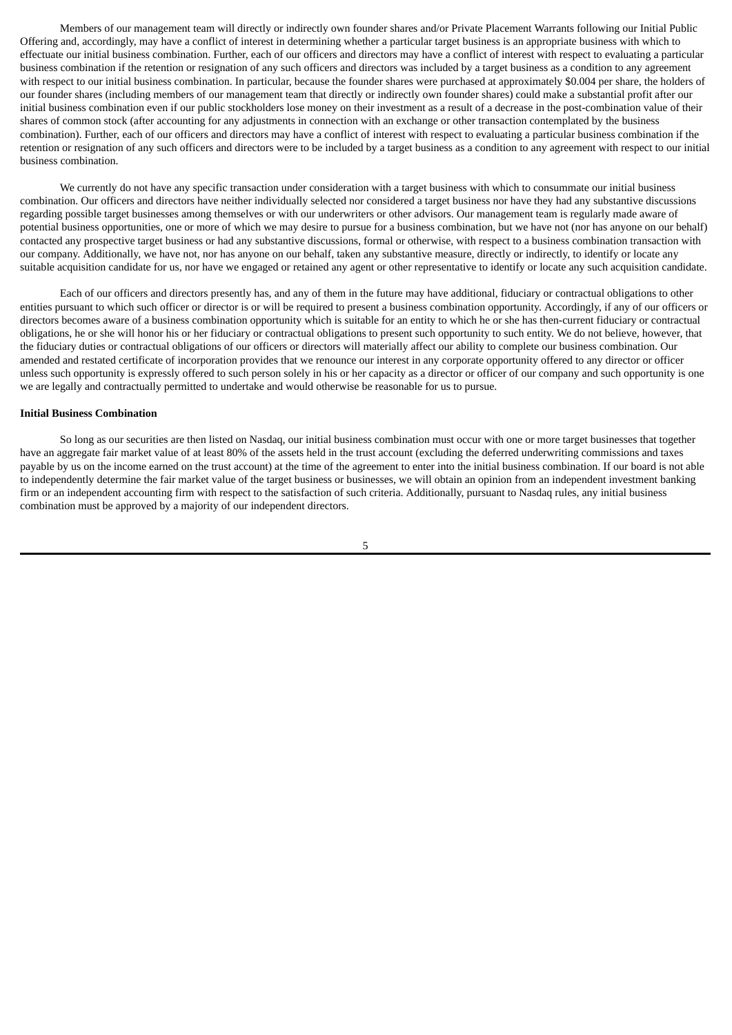Members of our management team will directly or indirectly own founder shares and/or Private Placement Warrants following our Initial Public Offering and, accordingly, may have a conflict of interest in determining whether a particular target business is an appropriate business with which to effectuate our initial business combination. Further, each of our officers and directors may have a conflict of interest with respect to evaluating a particular business combination if the retention or resignation of any such officers and directors was included by a target business as a condition to any agreement with respect to our initial business combination. In particular, because the founder shares were purchased at approximately \$0.004 per share, the holders of our founder shares (including members of our management team that directly or indirectly own founder shares) could make a substantial profit after our initial business combination even if our public stockholders lose money on their investment as a result of a decrease in the post-combination value of their shares of common stock (after accounting for any adjustments in connection with an exchange or other transaction contemplated by the business combination). Further, each of our officers and directors may have a conflict of interest with respect to evaluating a particular business combination if the retention or resignation of any such officers and directors were to be included by a target business as a condition to any agreement with respect to our initial business combination.

We currently do not have any specific transaction under consideration with a target business with which to consummate our initial business combination. Our officers and directors have neither individually selected nor considered a target business nor have they had any substantive discussions regarding possible target businesses among themselves or with our underwriters or other advisors. Our management team is regularly made aware of potential business opportunities, one or more of which we may desire to pursue for a business combination, but we have not (nor has anyone on our behalf) contacted any prospective target business or had any substantive discussions, formal or otherwise, with respect to a business combination transaction with our company. Additionally, we have not, nor has anyone on our behalf, taken any substantive measure, directly or indirectly, to identify or locate any suitable acquisition candidate for us, nor have we engaged or retained any agent or other representative to identify or locate any such acquisition candidate.

Each of our officers and directors presently has, and any of them in the future may have additional, fiduciary or contractual obligations to other entities pursuant to which such officer or director is or will be required to present a business combination opportunity. Accordingly, if any of our officers or directors becomes aware of a business combination opportunity which is suitable for an entity to which he or she has then-current fiduciary or contractual obligations, he or she will honor his or her fiduciary or contractual obligations to present such opportunity to such entity. We do not believe, however, that the fiduciary duties or contractual obligations of our officers or directors will materially affect our ability to complete our business combination. Our amended and restated certificate of incorporation provides that we renounce our interest in any corporate opportunity offered to any director or officer unless such opportunity is expressly offered to such person solely in his or her capacity as a director or officer of our company and such opportunity is one we are legally and contractually permitted to undertake and would otherwise be reasonable for us to pursue.

#### **Initial Business Combination**

So long as our securities are then listed on Nasdaq, our initial business combination must occur with one or more target businesses that together have an aggregate fair market value of at least 80% of the assets held in the trust account (excluding the deferred underwriting commissions and taxes payable by us on the income earned on the trust account) at the time of the agreement to enter into the initial business combination. If our board is not able to independently determine the fair market value of the target business or businesses, we will obtain an opinion from an independent investment banking firm or an independent accounting firm with respect to the satisfaction of such criteria. Additionally, pursuant to Nasdaq rules, any initial business combination must be approved by a majority of our independent directors.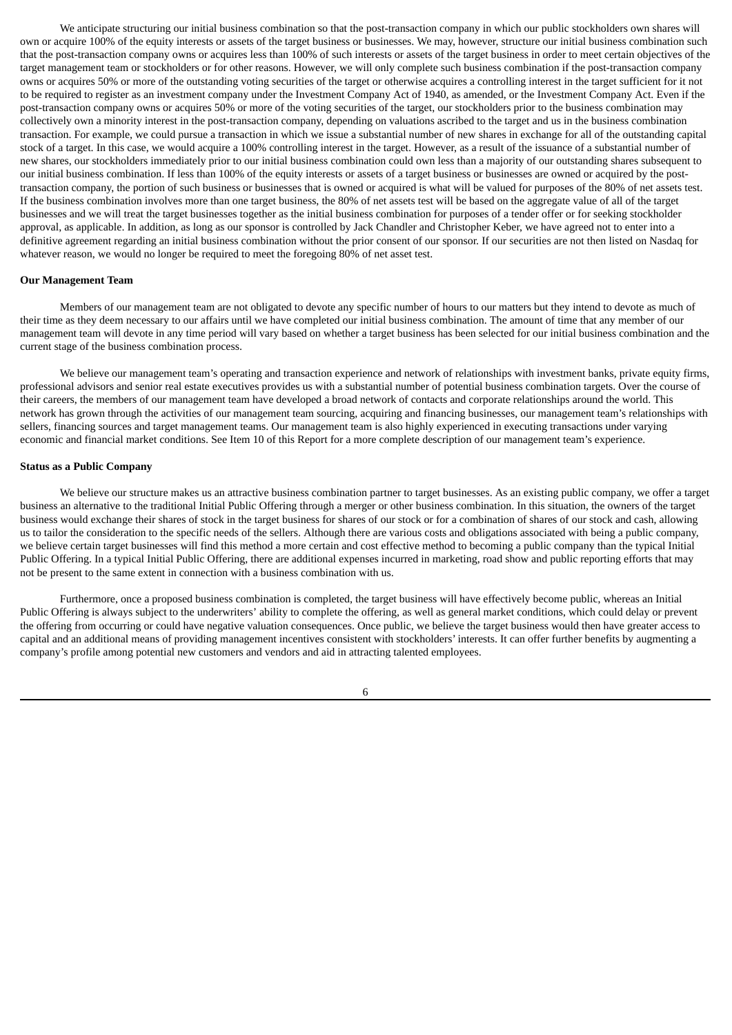We anticipate structuring our initial business combination so that the post-transaction company in which our public stockholders own shares will own or acquire 100% of the equity interests or assets of the target business or businesses. We may, however, structure our initial business combination such that the post-transaction company owns or acquires less than 100% of such interests or assets of the target business in order to meet certain objectives of the target management team or stockholders or for other reasons. However, we will only complete such business combination if the post-transaction company owns or acquires 50% or more of the outstanding voting securities of the target or otherwise acquires a controlling interest in the target sufficient for it not to be required to register as an investment company under the Investment Company Act of 1940, as amended, or the Investment Company Act. Even if the post-transaction company owns or acquires 50% or more of the voting securities of the target, our stockholders prior to the business combination may collectively own a minority interest in the post-transaction company, depending on valuations ascribed to the target and us in the business combination transaction. For example, we could pursue a transaction in which we issue a substantial number of new shares in exchange for all of the outstanding capital stock of a target. In this case, we would acquire a 100% controlling interest in the target. However, as a result of the issuance of a substantial number of new shares, our stockholders immediately prior to our initial business combination could own less than a majority of our outstanding shares subsequent to our initial business combination. If less than 100% of the equity interests or assets of a target business or businesses are owned or acquired by the posttransaction company, the portion of such business or businesses that is owned or acquired is what will be valued for purposes of the 80% of net assets test. If the business combination involves more than one target business, the 80% of net assets test will be based on the aggregate value of all of the target businesses and we will treat the target businesses together as the initial business combination for purposes of a tender offer or for seeking stockholder approval, as applicable. In addition, as long as our sponsor is controlled by Jack Chandler and Christopher Keber, we have agreed not to enter into a definitive agreement regarding an initial business combination without the prior consent of our sponsor. If our securities are not then listed on Nasdaq for whatever reason, we would no longer be required to meet the foregoing 80% of net asset test.

#### **Our Management Team**

Members of our management team are not obligated to devote any specific number of hours to our matters but they intend to devote as much of their time as they deem necessary to our affairs until we have completed our initial business combination. The amount of time that any member of our management team will devote in any time period will vary based on whether a target business has been selected for our initial business combination and the current stage of the business combination process.

We believe our management team's operating and transaction experience and network of relationships with investment banks, private equity firms, professional advisors and senior real estate executives provides us with a substantial number of potential business combination targets. Over the course of their careers, the members of our management team have developed a broad network of contacts and corporate relationships around the world. This network has grown through the activities of our management team sourcing, acquiring and financing businesses, our management team's relationships with sellers, financing sources and target management teams. Our management team is also highly experienced in executing transactions under varying economic and financial market conditions. See Item 10 of this Report for a more complete description of our management team's experience.

### **Status as a Public Company**

We believe our structure makes us an attractive business combination partner to target businesses. As an existing public company, we offer a target business an alternative to the traditional Initial Public Offering through a merger or other business combination. In this situation, the owners of the target business would exchange their shares of stock in the target business for shares of our stock or for a combination of shares of our stock and cash, allowing us to tailor the consideration to the specific needs of the sellers. Although there are various costs and obligations associated with being a public company, we believe certain target businesses will find this method a more certain and cost effective method to becoming a public company than the typical Initial Public Offering. In a typical Initial Public Offering, there are additional expenses incurred in marketing, road show and public reporting efforts that may not be present to the same extent in connection with a business combination with us.

Furthermore, once a proposed business combination is completed, the target business will have effectively become public, whereas an Initial Public Offering is always subject to the underwriters' ability to complete the offering, as well as general market conditions, which could delay or prevent the offering from occurring or could have negative valuation consequences. Once public, we believe the target business would then have greater access to capital and an additional means of providing management incentives consistent with stockholders' interests. It can offer further benefits by augmenting a company's profile among potential new customers and vendors and aid in attracting talented employees.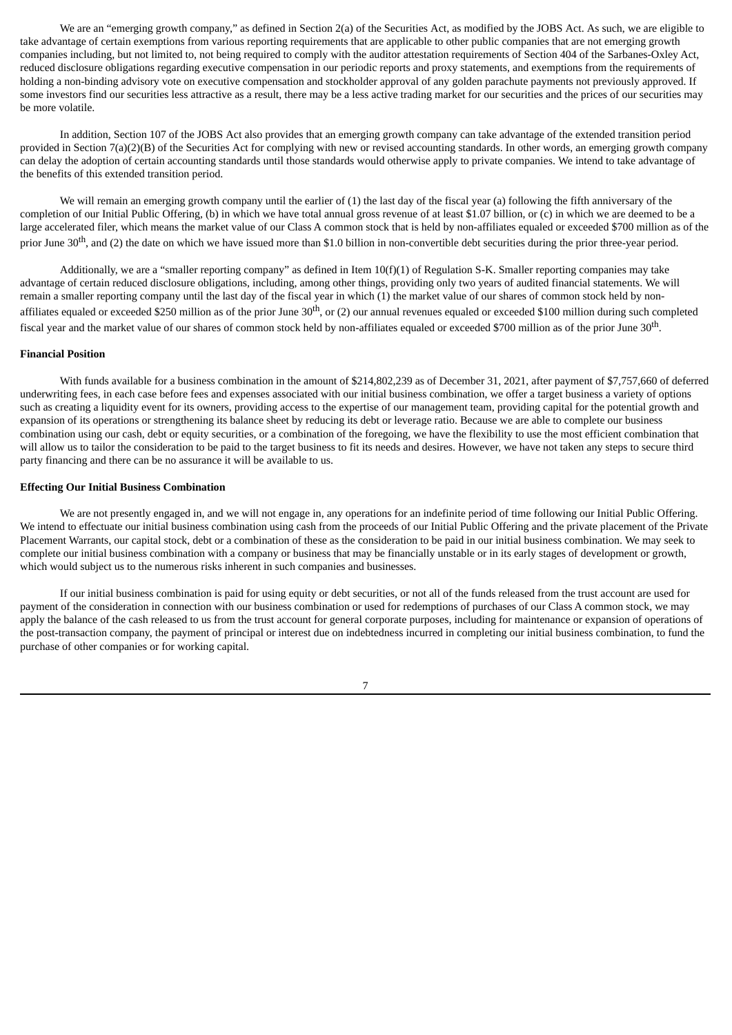We are an "emerging growth company," as defined in Section 2(a) of the Securities Act, as modified by the JOBS Act. As such, we are eligible to take advantage of certain exemptions from various reporting requirements that are applicable to other public companies that are not emerging growth companies including, but not limited to, not being required to comply with the auditor attestation requirements of Section 404 of the Sarbanes-Oxley Act, reduced disclosure obligations regarding executive compensation in our periodic reports and proxy statements, and exemptions from the requirements of holding a non-binding advisory vote on executive compensation and stockholder approval of any golden parachute payments not previously approved. If some investors find our securities less attractive as a result, there may be a less active trading market for our securities and the prices of our securities may be more volatile.

In addition, Section 107 of the JOBS Act also provides that an emerging growth company can take advantage of the extended transition period provided in Section 7(a)(2)(B) of the Securities Act for complying with new or revised accounting standards. In other words, an emerging growth company can delay the adoption of certain accounting standards until those standards would otherwise apply to private companies. We intend to take advantage of the benefits of this extended transition period.

We will remain an emerging growth company until the earlier of (1) the last day of the fiscal year (a) following the fifth anniversary of the completion of our Initial Public Offering, (b) in which we have total annual gross revenue of at least \$1.07 billion, or (c) in which we are deemed to be a large accelerated filer, which means the market value of our Class A common stock that is held by non-affiliates equaled or exceeded \$700 million as of the prior June 30<sup>th</sup>, and (2) the date on which we have issued more than \$1.0 billion in non-convertible debt securities during the prior three-year period.

Additionally, we are a "smaller reporting company" as defined in Item  $10(f)(1)$  of Regulation S-K. Smaller reporting companies may take advantage of certain reduced disclosure obligations, including, among other things, providing only two years of audited financial statements. We will remain a smaller reporting company until the last day of the fiscal year in which (1) the market value of our shares of common stock held by nonaffiliates equaled or exceeded \$250 million as of the prior June 30<sup>th</sup>, or (2) our annual revenues equaled or exceeded \$100 million during such completed fiscal year and the market value of our shares of common stock held by non-affiliates equaled or exceeded \$700 million as of the prior June 30<sup>th</sup>.

#### **Financial Position**

With funds available for a business combination in the amount of \$214,802,239 as of December 31, 2021, after payment of \$7,757,660 of deferred underwriting fees, in each case before fees and expenses associated with our initial business combination, we offer a target business a variety of options such as creating a liquidity event for its owners, providing access to the expertise of our management team, providing capital for the potential growth and expansion of its operations or strengthening its balance sheet by reducing its debt or leverage ratio. Because we are able to complete our business combination using our cash, debt or equity securities, or a combination of the foregoing, we have the flexibility to use the most efficient combination that will allow us to tailor the consideration to be paid to the target business to fit its needs and desires. However, we have not taken any steps to secure third party financing and there can be no assurance it will be available to us.

### **Effecting Our Initial Business Combination**

We are not presently engaged in, and we will not engage in, any operations for an indefinite period of time following our Initial Public Offering. We intend to effectuate our initial business combination using cash from the proceeds of our Initial Public Offering and the private placement of the Private Placement Warrants, our capital stock, debt or a combination of these as the consideration to be paid in our initial business combination. We may seek to complete our initial business combination with a company or business that may be financially unstable or in its early stages of development or growth, which would subject us to the numerous risks inherent in such companies and businesses.

If our initial business combination is paid for using equity or debt securities, or not all of the funds released from the trust account are used for payment of the consideration in connection with our business combination or used for redemptions of purchases of our Class A common stock, we may apply the balance of the cash released to us from the trust account for general corporate purposes, including for maintenance or expansion of operations of the post-transaction company, the payment of principal or interest due on indebtedness incurred in completing our initial business combination, to fund the purchase of other companies or for working capital.

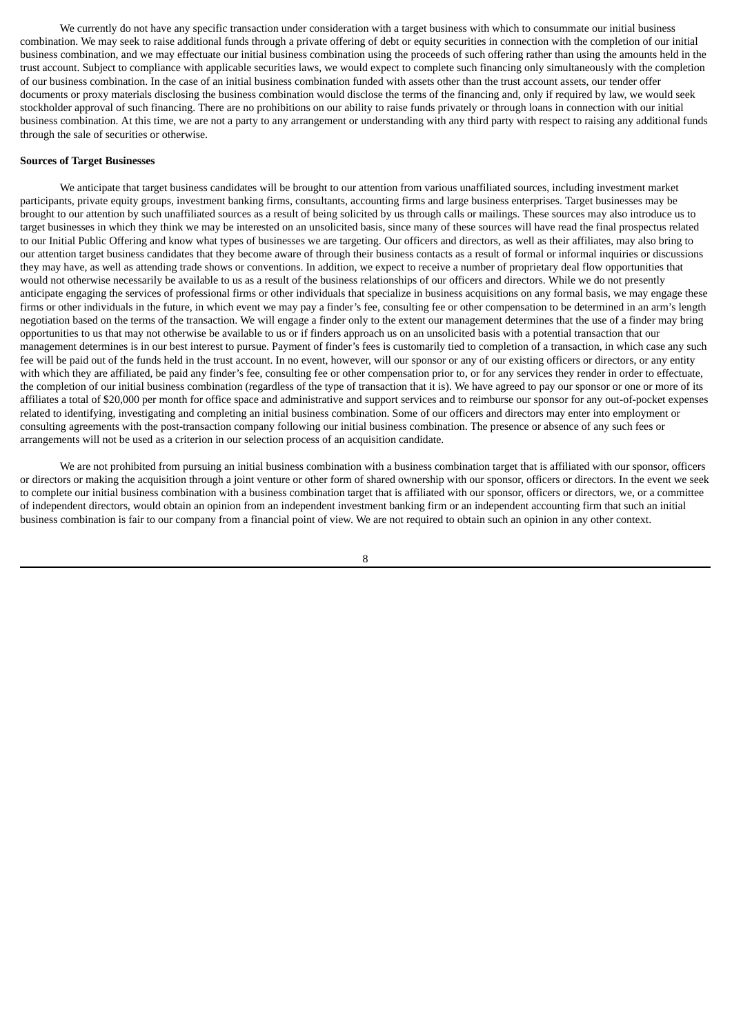We currently do not have any specific transaction under consideration with a target business with which to consummate our initial business combination. We may seek to raise additional funds through a private offering of debt or equity securities in connection with the completion of our initial business combination, and we may effectuate our initial business combination using the proceeds of such offering rather than using the amounts held in the trust account. Subject to compliance with applicable securities laws, we would expect to complete such financing only simultaneously with the completion of our business combination. In the case of an initial business combination funded with assets other than the trust account assets, our tender offer documents or proxy materials disclosing the business combination would disclose the terms of the financing and, only if required by law, we would seek stockholder approval of such financing. There are no prohibitions on our ability to raise funds privately or through loans in connection with our initial business combination. At this time, we are not a party to any arrangement or understanding with any third party with respect to raising any additional funds through the sale of securities or otherwise.

#### **Sources of Target Businesses**

We anticipate that target business candidates will be brought to our attention from various unaffiliated sources, including investment market participants, private equity groups, investment banking firms, consultants, accounting firms and large business enterprises. Target businesses may be brought to our attention by such unaffiliated sources as a result of being solicited by us through calls or mailings. These sources may also introduce us to target businesses in which they think we may be interested on an unsolicited basis, since many of these sources will have read the final prospectus related to our Initial Public Offering and know what types of businesses we are targeting. Our officers and directors, as well as their affiliates, may also bring to our attention target business candidates that they become aware of through their business contacts as a result of formal or informal inquiries or discussions they may have, as well as attending trade shows or conventions. In addition, we expect to receive a number of proprietary deal flow opportunities that would not otherwise necessarily be available to us as a result of the business relationships of our officers and directors. While we do not presently anticipate engaging the services of professional firms or other individuals that specialize in business acquisitions on any formal basis, we may engage these firms or other individuals in the future, in which event we may pay a finder's fee, consulting fee or other compensation to be determined in an arm's length negotiation based on the terms of the transaction. We will engage a finder only to the extent our management determines that the use of a finder may bring opportunities to us that may not otherwise be available to us or if finders approach us on an unsolicited basis with a potential transaction that our management determines is in our best interest to pursue. Payment of finder's fees is customarily tied to completion of a transaction, in which case any such fee will be paid out of the funds held in the trust account. In no event, however, will our sponsor or any of our existing officers or directors, or any entity with which they are affiliated, be paid any finder's fee, consulting fee or other compensation prior to, or for any services they render in order to effectuate, the completion of our initial business combination (regardless of the type of transaction that it is). We have agreed to pay our sponsor or one or more of its affiliates a total of \$20,000 per month for office space and administrative and support services and to reimburse our sponsor for any out-of-pocket expenses related to identifying, investigating and completing an initial business combination. Some of our officers and directors may enter into employment or consulting agreements with the post-transaction company following our initial business combination. The presence or absence of any such fees or arrangements will not be used as a criterion in our selection process of an acquisition candidate.

We are not prohibited from pursuing an initial business combination with a business combination target that is affiliated with our sponsor, officers or directors or making the acquisition through a joint venture or other form of shared ownership with our sponsor, officers or directors. In the event we seek to complete our initial business combination with a business combination target that is affiliated with our sponsor, officers or directors, we, or a committee of independent directors, would obtain an opinion from an independent investment banking firm or an independent accounting firm that such an initial business combination is fair to our company from a financial point of view. We are not required to obtain such an opinion in any other context.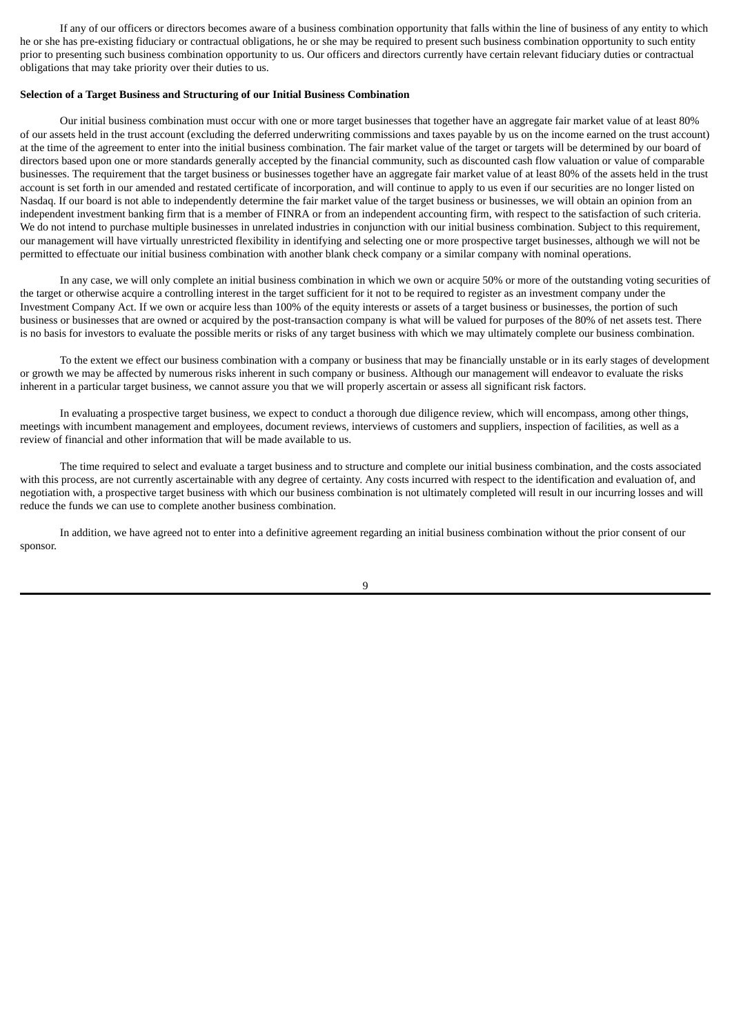If any of our officers or directors becomes aware of a business combination opportunity that falls within the line of business of any entity to which he or she has pre-existing fiduciary or contractual obligations, he or she may be required to present such business combination opportunity to such entity prior to presenting such business combination opportunity to us. Our officers and directors currently have certain relevant fiduciary duties or contractual obligations that may take priority over their duties to us.

# **Selection of a Target Business and Structuring of our Initial Business Combination**

Our initial business combination must occur with one or more target businesses that together have an aggregate fair market value of at least 80% of our assets held in the trust account (excluding the deferred underwriting commissions and taxes payable by us on the income earned on the trust account) at the time of the agreement to enter into the initial business combination. The fair market value of the target or targets will be determined by our board of directors based upon one or more standards generally accepted by the financial community, such as discounted cash flow valuation or value of comparable businesses. The requirement that the target business or businesses together have an aggregate fair market value of at least 80% of the assets held in the trust account is set forth in our amended and restated certificate of incorporation, and will continue to apply to us even if our securities are no longer listed on Nasdaq. If our board is not able to independently determine the fair market value of the target business or businesses, we will obtain an opinion from an independent investment banking firm that is a member of FINRA or from an independent accounting firm, with respect to the satisfaction of such criteria. We do not intend to purchase multiple businesses in unrelated industries in conjunction with our initial business combination. Subject to this requirement, our management will have virtually unrestricted flexibility in identifying and selecting one or more prospective target businesses, although we will not be permitted to effectuate our initial business combination with another blank check company or a similar company with nominal operations.

In any case, we will only complete an initial business combination in which we own or acquire 50% or more of the outstanding voting securities of the target or otherwise acquire a controlling interest in the target sufficient for it not to be required to register as an investment company under the Investment Company Act. If we own or acquire less than 100% of the equity interests or assets of a target business or businesses, the portion of such business or businesses that are owned or acquired by the post-transaction company is what will be valued for purposes of the 80% of net assets test. There is no basis for investors to evaluate the possible merits or risks of any target business with which we may ultimately complete our business combination.

To the extent we effect our business combination with a company or business that may be financially unstable or in its early stages of development or growth we may be affected by numerous risks inherent in such company or business. Although our management will endeavor to evaluate the risks inherent in a particular target business, we cannot assure you that we will properly ascertain or assess all significant risk factors.

In evaluating a prospective target business, we expect to conduct a thorough due diligence review, which will encompass, among other things, meetings with incumbent management and employees, document reviews, interviews of customers and suppliers, inspection of facilities, as well as a review of financial and other information that will be made available to us.

The time required to select and evaluate a target business and to structure and complete our initial business combination, and the costs associated with this process, are not currently ascertainable with any degree of certainty. Any costs incurred with respect to the identification and evaluation of, and negotiation with, a prospective target business with which our business combination is not ultimately completed will result in our incurring losses and will reduce the funds we can use to complete another business combination.

In addition, we have agreed not to enter into a definitive agreement regarding an initial business combination without the prior consent of our sponsor.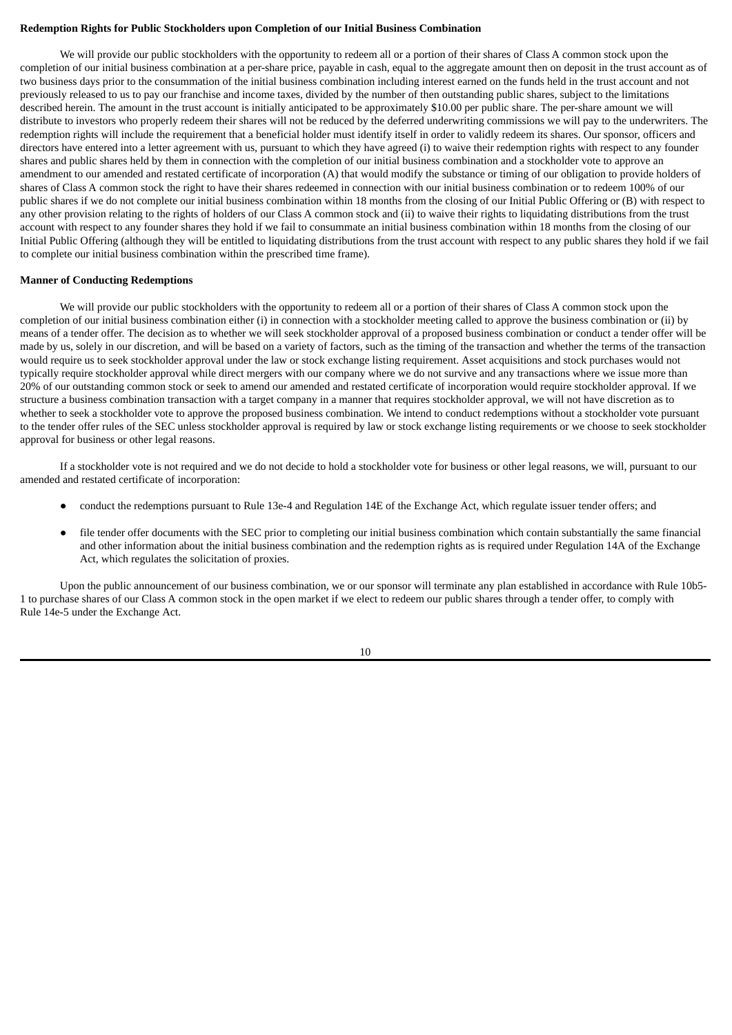#### **Redemption Rights for Public Stockholders upon Completion of our Initial Business Combination**

We will provide our public stockholders with the opportunity to redeem all or a portion of their shares of Class A common stock upon the completion of our initial business combination at a per-share price, payable in cash, equal to the aggregate amount then on deposit in the trust account as of two business days prior to the consummation of the initial business combination including interest earned on the funds held in the trust account and not previously released to us to pay our franchise and income taxes, divided by the number of then outstanding public shares, subject to the limitations described herein. The amount in the trust account is initially anticipated to be approximately \$10.00 per public share. The per-share amount we will distribute to investors who properly redeem their shares will not be reduced by the deferred underwriting commissions we will pay to the underwriters. The redemption rights will include the requirement that a beneficial holder must identify itself in order to validly redeem its shares. Our sponsor, officers and directors have entered into a letter agreement with us, pursuant to which they have agreed (i) to waive their redemption rights with respect to any founder shares and public shares held by them in connection with the completion of our initial business combination and a stockholder vote to approve an amendment to our amended and restated certificate of incorporation (A) that would modify the substance or timing of our obligation to provide holders of shares of Class A common stock the right to have their shares redeemed in connection with our initial business combination or to redeem 100% of our public shares if we do not complete our initial business combination within 18 months from the closing of our Initial Public Offering or (B) with respect to any other provision relating to the rights of holders of our Class A common stock and (ii) to waive their rights to liquidating distributions from the trust account with respect to any founder shares they hold if we fail to consummate an initial business combination within 18 months from the closing of our Initial Public Offering (although they will be entitled to liquidating distributions from the trust account with respect to any public shares they hold if we fail to complete our initial business combination within the prescribed time frame).

### **Manner of Conducting Redemptions**

We will provide our public stockholders with the opportunity to redeem all or a portion of their shares of Class A common stock upon the completion of our initial business combination either (i) in connection with a stockholder meeting called to approve the business combination or (ii) by means of a tender offer. The decision as to whether we will seek stockholder approval of a proposed business combination or conduct a tender offer will be made by us, solely in our discretion, and will be based on a variety of factors, such as the timing of the transaction and whether the terms of the transaction would require us to seek stockholder approval under the law or stock exchange listing requirement. Asset acquisitions and stock purchases would not typically require stockholder approval while direct mergers with our company where we do not survive and any transactions where we issue more than 20% of our outstanding common stock or seek to amend our amended and restated certificate of incorporation would require stockholder approval. If we structure a business combination transaction with a target company in a manner that requires stockholder approval, we will not have discretion as to whether to seek a stockholder vote to approve the proposed business combination. We intend to conduct redemptions without a stockholder vote pursuant to the tender offer rules of the SEC unless stockholder approval is required by law or stock exchange listing requirements or we choose to seek stockholder approval for business or other legal reasons.

If a stockholder vote is not required and we do not decide to hold a stockholder vote for business or other legal reasons, we will, pursuant to our amended and restated certificate of incorporation:

- conduct the redemptions pursuant to Rule 13e-4 and Regulation 14E of the Exchange Act, which regulate issuer tender offers; and
- file tender offer documents with the SEC prior to completing our initial business combination which contain substantially the same financial and other information about the initial business combination and the redemption rights as is required under Regulation 14A of the Exchange Act, which regulates the solicitation of proxies.

Upon the public announcement of our business combination, we or our sponsor will terminate any plan established in accordance with Rule 10b5- 1 to purchase shares of our Class A common stock in the open market if we elect to redeem our public shares through a tender offer, to comply with Rule 14e-5 under the Exchange Act.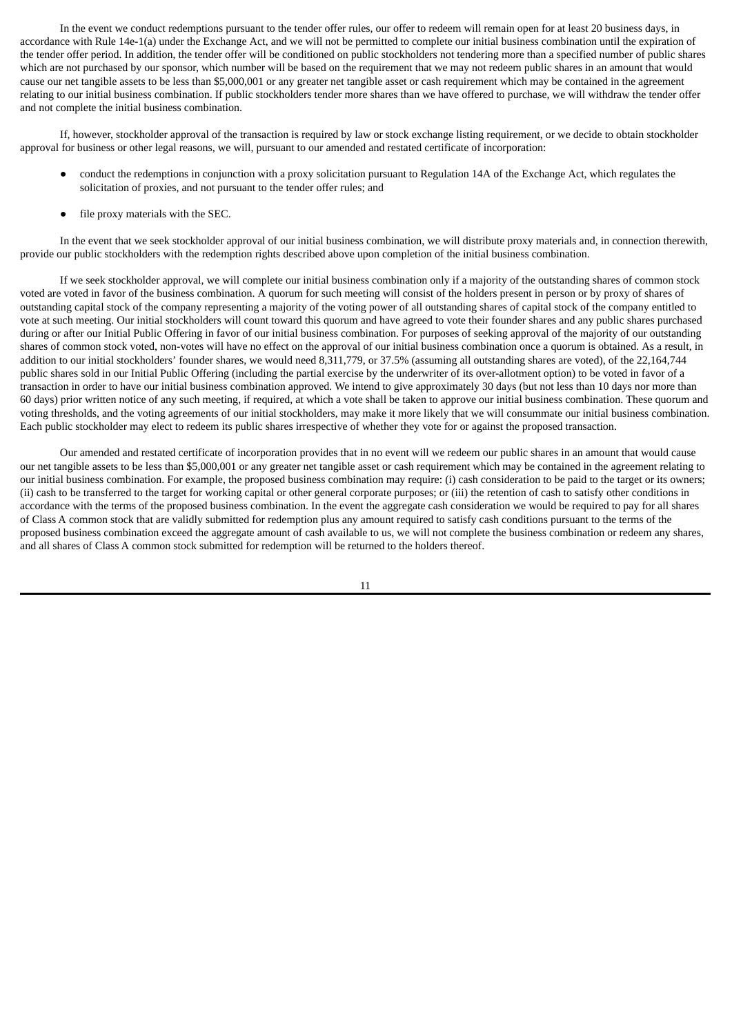In the event we conduct redemptions pursuant to the tender offer rules, our offer to redeem will remain open for at least 20 business days, in accordance with Rule 14e-1(a) under the Exchange Act, and we will not be permitted to complete our initial business combination until the expiration of the tender offer period. In addition, the tender offer will be conditioned on public stockholders not tendering more than a specified number of public shares which are not purchased by our sponsor, which number will be based on the requirement that we may not redeem public shares in an amount that would cause our net tangible assets to be less than \$5,000,001 or any greater net tangible asset or cash requirement which may be contained in the agreement relating to our initial business combination. If public stockholders tender more shares than we have offered to purchase, we will withdraw the tender offer and not complete the initial business combination.

If, however, stockholder approval of the transaction is required by law or stock exchange listing requirement, or we decide to obtain stockholder approval for business or other legal reasons, we will, pursuant to our amended and restated certificate of incorporation:

- conduct the redemptions in conjunction with a proxy solicitation pursuant to Regulation 14A of the Exchange Act, which regulates the solicitation of proxies, and not pursuant to the tender offer rules; and
- file proxy materials with the SEC.

In the event that we seek stockholder approval of our initial business combination, we will distribute proxy materials and, in connection therewith, provide our public stockholders with the redemption rights described above upon completion of the initial business combination.

If we seek stockholder approval, we will complete our initial business combination only if a majority of the outstanding shares of common stock voted are voted in favor of the business combination. A quorum for such meeting will consist of the holders present in person or by proxy of shares of outstanding capital stock of the company representing a majority of the voting power of all outstanding shares of capital stock of the company entitled to vote at such meeting. Our initial stockholders will count toward this quorum and have agreed to vote their founder shares and any public shares purchased during or after our Initial Public Offering in favor of our initial business combination. For purposes of seeking approval of the majority of our outstanding shares of common stock voted, non-votes will have no effect on the approval of our initial business combination once a quorum is obtained. As a result, in addition to our initial stockholders' founder shares, we would need 8,311,779, or 37.5% (assuming all outstanding shares are voted), of the 22,164,744 public shares sold in our Initial Public Offering (including the partial exercise by the underwriter of its over-allotment option) to be voted in favor of a transaction in order to have our initial business combination approved. We intend to give approximately 30 days (but not less than 10 days nor more than 60 days) prior written notice of any such meeting, if required, at which a vote shall be taken to approve our initial business combination. These quorum and voting thresholds, and the voting agreements of our initial stockholders, may make it more likely that we will consummate our initial business combination. Each public stockholder may elect to redeem its public shares irrespective of whether they vote for or against the proposed transaction.

Our amended and restated certificate of incorporation provides that in no event will we redeem our public shares in an amount that would cause our net tangible assets to be less than \$5,000,001 or any greater net tangible asset or cash requirement which may be contained in the agreement relating to our initial business combination. For example, the proposed business combination may require: (i) cash consideration to be paid to the target or its owners; (ii) cash to be transferred to the target for working capital or other general corporate purposes; or (iii) the retention of cash to satisfy other conditions in accordance with the terms of the proposed business combination. In the event the aggregate cash consideration we would be required to pay for all shares of Class A common stock that are validly submitted for redemption plus any amount required to satisfy cash conditions pursuant to the terms of the proposed business combination exceed the aggregate amount of cash available to us, we will not complete the business combination or redeem any shares, and all shares of Class A common stock submitted for redemption will be returned to the holders thereof.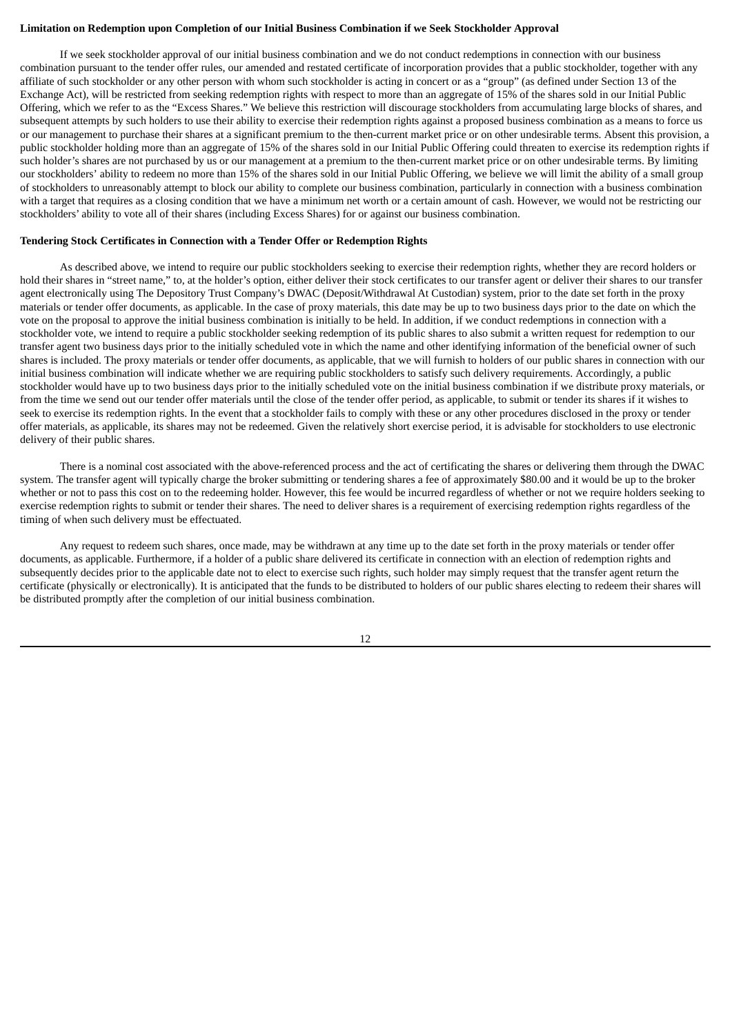### **Limitation on Redemption upon Completion of our Initial Business Combination if we Seek Stockholder Approval**

If we seek stockholder approval of our initial business combination and we do not conduct redemptions in connection with our business combination pursuant to the tender offer rules, our amended and restated certificate of incorporation provides that a public stockholder, together with any affiliate of such stockholder or any other person with whom such stockholder is acting in concert or as a "group" (as defined under Section 13 of the Exchange Act), will be restricted from seeking redemption rights with respect to more than an aggregate of 15% of the shares sold in our Initial Public Offering, which we refer to as the "Excess Shares." We believe this restriction will discourage stockholders from accumulating large blocks of shares, and subsequent attempts by such holders to use their ability to exercise their redemption rights against a proposed business combination as a means to force us or our management to purchase their shares at a significant premium to the then-current market price or on other undesirable terms. Absent this provision, a public stockholder holding more than an aggregate of 15% of the shares sold in our Initial Public Offering could threaten to exercise its redemption rights if such holder's shares are not purchased by us or our management at a premium to the then-current market price or on other undesirable terms. By limiting our stockholders' ability to redeem no more than 15% of the shares sold in our Initial Public Offering, we believe we will limit the ability of a small group of stockholders to unreasonably attempt to block our ability to complete our business combination, particularly in connection with a business combination with a target that requires as a closing condition that we have a minimum net worth or a certain amount of cash. However, we would not be restricting our stockholders' ability to vote all of their shares (including Excess Shares) for or against our business combination.

#### **Tendering Stock Certificates in Connection with a Tender Offer or Redemption Rights**

As described above, we intend to require our public stockholders seeking to exercise their redemption rights, whether they are record holders or hold their shares in "street name," to, at the holder's option, either deliver their stock certificates to our transfer agent or deliver their shares to our transfer agent electronically using The Depository Trust Company's DWAC (Deposit/Withdrawal At Custodian) system, prior to the date set forth in the proxy materials or tender offer documents, as applicable. In the case of proxy materials, this date may be up to two business days prior to the date on which the vote on the proposal to approve the initial business combination is initially to be held. In addition, if we conduct redemptions in connection with a stockholder vote, we intend to require a public stockholder seeking redemption of its public shares to also submit a written request for redemption to our transfer agent two business days prior to the initially scheduled vote in which the name and other identifying information of the beneficial owner of such shares is included. The proxy materials or tender offer documents, as applicable, that we will furnish to holders of our public shares in connection with our initial business combination will indicate whether we are requiring public stockholders to satisfy such delivery requirements. Accordingly, a public stockholder would have up to two business days prior to the initially scheduled vote on the initial business combination if we distribute proxy materials, or from the time we send out our tender offer materials until the close of the tender offer period, as applicable, to submit or tender its shares if it wishes to seek to exercise its redemption rights. In the event that a stockholder fails to comply with these or any other procedures disclosed in the proxy or tender offer materials, as applicable, its shares may not be redeemed. Given the relatively short exercise period, it is advisable for stockholders to use electronic delivery of their public shares.

There is a nominal cost associated with the above-referenced process and the act of certificating the shares or delivering them through the DWAC system. The transfer agent will typically charge the broker submitting or tendering shares a fee of approximately \$80.00 and it would be up to the broker whether or not to pass this cost on to the redeeming holder. However, this fee would be incurred regardless of whether or not we require holders seeking to exercise redemption rights to submit or tender their shares. The need to deliver shares is a requirement of exercising redemption rights regardless of the timing of when such delivery must be effectuated.

Any request to redeem such shares, once made, may be withdrawn at any time up to the date set forth in the proxy materials or tender offer documents, as applicable. Furthermore, if a holder of a public share delivered its certificate in connection with an election of redemption rights and subsequently decides prior to the applicable date not to elect to exercise such rights, such holder may simply request that the transfer agent return the certificate (physically or electronically). It is anticipated that the funds to be distributed to holders of our public shares electing to redeem their shares will be distributed promptly after the completion of our initial business combination.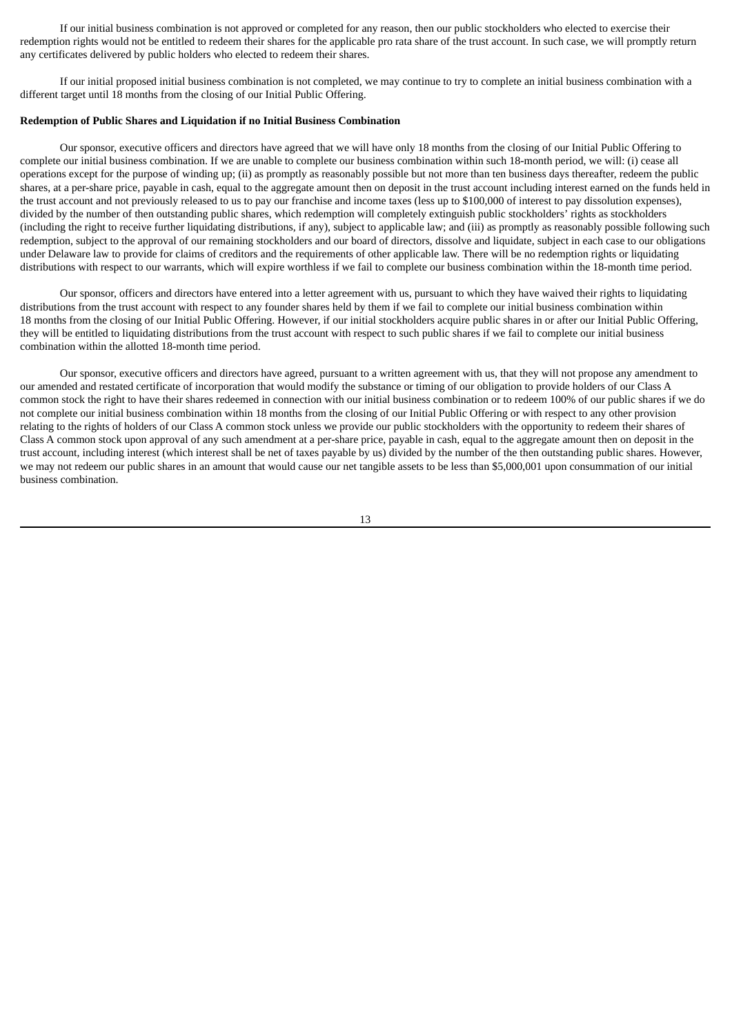If our initial business combination is not approved or completed for any reason, then our public stockholders who elected to exercise their redemption rights would not be entitled to redeem their shares for the applicable pro rata share of the trust account. In such case, we will promptly return any certificates delivered by public holders who elected to redeem their shares.

If our initial proposed initial business combination is not completed, we may continue to try to complete an initial business combination with a different target until 18 months from the closing of our Initial Public Offering.

#### **Redemption of Public Shares and Liquidation if no Initial Business Combination**

Our sponsor, executive officers and directors have agreed that we will have only 18 months from the closing of our Initial Public Offering to complete our initial business combination. If we are unable to complete our business combination within such 18-month period, we will: (i) cease all operations except for the purpose of winding up; (ii) as promptly as reasonably possible but not more than ten business days thereafter, redeem the public shares, at a per-share price, payable in cash, equal to the aggregate amount then on deposit in the trust account including interest earned on the funds held in the trust account and not previously released to us to pay our franchise and income taxes (less up to \$100,000 of interest to pay dissolution expenses), divided by the number of then outstanding public shares, which redemption will completely extinguish public stockholders' rights as stockholders (including the right to receive further liquidating distributions, if any), subject to applicable law; and (iii) as promptly as reasonably possible following such redemption, subject to the approval of our remaining stockholders and our board of directors, dissolve and liquidate, subject in each case to our obligations under Delaware law to provide for claims of creditors and the requirements of other applicable law. There will be no redemption rights or liquidating distributions with respect to our warrants, which will expire worthless if we fail to complete our business combination within the 18-month time period.

Our sponsor, officers and directors have entered into a letter agreement with us, pursuant to which they have waived their rights to liquidating distributions from the trust account with respect to any founder shares held by them if we fail to complete our initial business combination within 18 months from the closing of our Initial Public Offering. However, if our initial stockholders acquire public shares in or after our Initial Public Offering, they will be entitled to liquidating distributions from the trust account with respect to such public shares if we fail to complete our initial business combination within the allotted 18-month time period.

Our sponsor, executive officers and directors have agreed, pursuant to a written agreement with us, that they will not propose any amendment to our amended and restated certificate of incorporation that would modify the substance or timing of our obligation to provide holders of our Class A common stock the right to have their shares redeemed in connection with our initial business combination or to redeem 100% of our public shares if we do not complete our initial business combination within 18 months from the closing of our Initial Public Offering or with respect to any other provision relating to the rights of holders of our Class A common stock unless we provide our public stockholders with the opportunity to redeem their shares of Class A common stock upon approval of any such amendment at a per-share price, payable in cash, equal to the aggregate amount then on deposit in the trust account, including interest (which interest shall be net of taxes payable by us) divided by the number of the then outstanding public shares. However, we may not redeem our public shares in an amount that would cause our net tangible assets to be less than \$5,000,001 upon consummation of our initial business combination.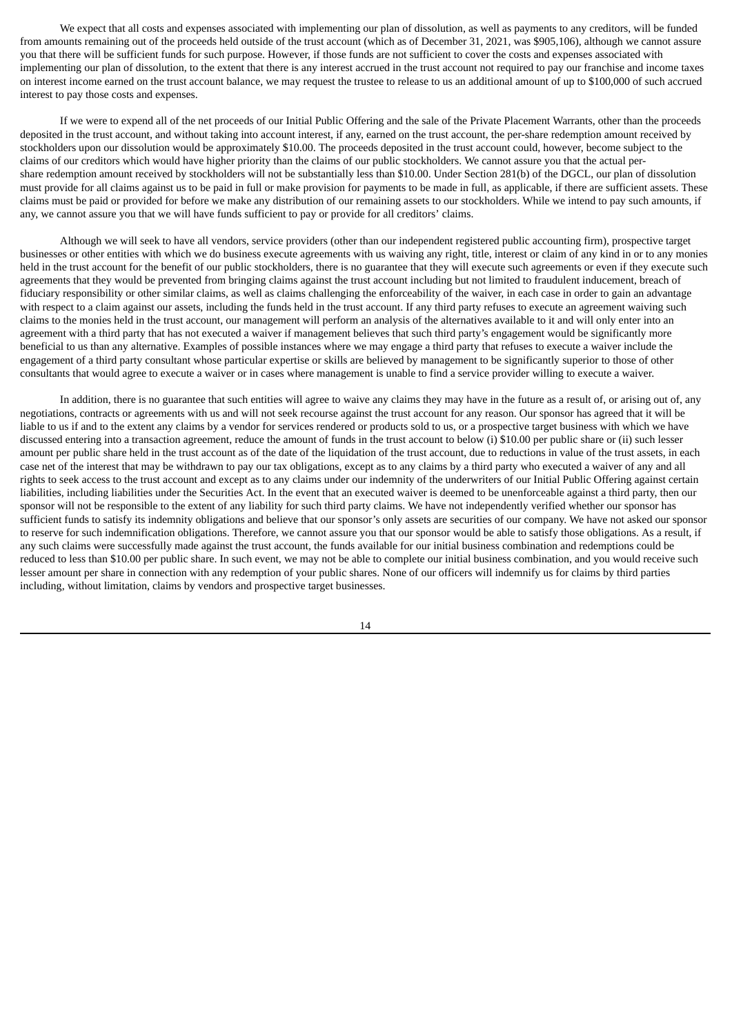We expect that all costs and expenses associated with implementing our plan of dissolution, as well as payments to any creditors, will be funded from amounts remaining out of the proceeds held outside of the trust account (which as of December 31, 2021, was \$905,106), although we cannot assure you that there will be sufficient funds for such purpose. However, if those funds are not sufficient to cover the costs and expenses associated with implementing our plan of dissolution, to the extent that there is any interest accrued in the trust account not required to pay our franchise and income taxes on interest income earned on the trust account balance, we may request the trustee to release to us an additional amount of up to \$100,000 of such accrued interest to pay those costs and expenses.

If we were to expend all of the net proceeds of our Initial Public Offering and the sale of the Private Placement Warrants, other than the proceeds deposited in the trust account, and without taking into account interest, if any, earned on the trust account, the per-share redemption amount received by stockholders upon our dissolution would be approximately \$10.00. The proceeds deposited in the trust account could, however, become subject to the claims of our creditors which would have higher priority than the claims of our public stockholders. We cannot assure you that the actual pershare redemption amount received by stockholders will not be substantially less than \$10.00. Under Section 281(b) of the DGCL, our plan of dissolution must provide for all claims against us to be paid in full or make provision for payments to be made in full, as applicable, if there are sufficient assets. These claims must be paid or provided for before we make any distribution of our remaining assets to our stockholders. While we intend to pay such amounts, if any, we cannot assure you that we will have funds sufficient to pay or provide for all creditors' claims.

Although we will seek to have all vendors, service providers (other than our independent registered public accounting firm), prospective target businesses or other entities with which we do business execute agreements with us waiving any right, title, interest or claim of any kind in or to any monies held in the trust account for the benefit of our public stockholders, there is no guarantee that they will execute such agreements or even if they execute such agreements that they would be prevented from bringing claims against the trust account including but not limited to fraudulent inducement, breach of fiduciary responsibility or other similar claims, as well as claims challenging the enforceability of the waiver, in each case in order to gain an advantage with respect to a claim against our assets, including the funds held in the trust account. If any third party refuses to execute an agreement waiving such claims to the monies held in the trust account, our management will perform an analysis of the alternatives available to it and will only enter into an agreement with a third party that has not executed a waiver if management believes that such third party's engagement would be significantly more beneficial to us than any alternative. Examples of possible instances where we may engage a third party that refuses to execute a waiver include the engagement of a third party consultant whose particular expertise or skills are believed by management to be significantly superior to those of other consultants that would agree to execute a waiver or in cases where management is unable to find a service provider willing to execute a waiver.

In addition, there is no guarantee that such entities will agree to waive any claims they may have in the future as a result of, or arising out of, any negotiations, contracts or agreements with us and will not seek recourse against the trust account for any reason. Our sponsor has agreed that it will be liable to us if and to the extent any claims by a vendor for services rendered or products sold to us, or a prospective target business with which we have discussed entering into a transaction agreement, reduce the amount of funds in the trust account to below (i) \$10.00 per public share or (ii) such lesser amount per public share held in the trust account as of the date of the liquidation of the trust account, due to reductions in value of the trust assets, in each case net of the interest that may be withdrawn to pay our tax obligations, except as to any claims by a third party who executed a waiver of any and all rights to seek access to the trust account and except as to any claims under our indemnity of the underwriters of our Initial Public Offering against certain liabilities, including liabilities under the Securities Act. In the event that an executed waiver is deemed to be unenforceable against a third party, then our sponsor will not be responsible to the extent of any liability for such third party claims. We have not independently verified whether our sponsor has sufficient funds to satisfy its indemnity obligations and believe that our sponsor's only assets are securities of our company. We have not asked our sponsor to reserve for such indemnification obligations. Therefore, we cannot assure you that our sponsor would be able to satisfy those obligations. As a result, if any such claims were successfully made against the trust account, the funds available for our initial business combination and redemptions could be reduced to less than \$10.00 per public share. In such event, we may not be able to complete our initial business combination, and you would receive such lesser amount per share in connection with any redemption of your public shares. None of our officers will indemnify us for claims by third parties including, without limitation, claims by vendors and prospective target businesses.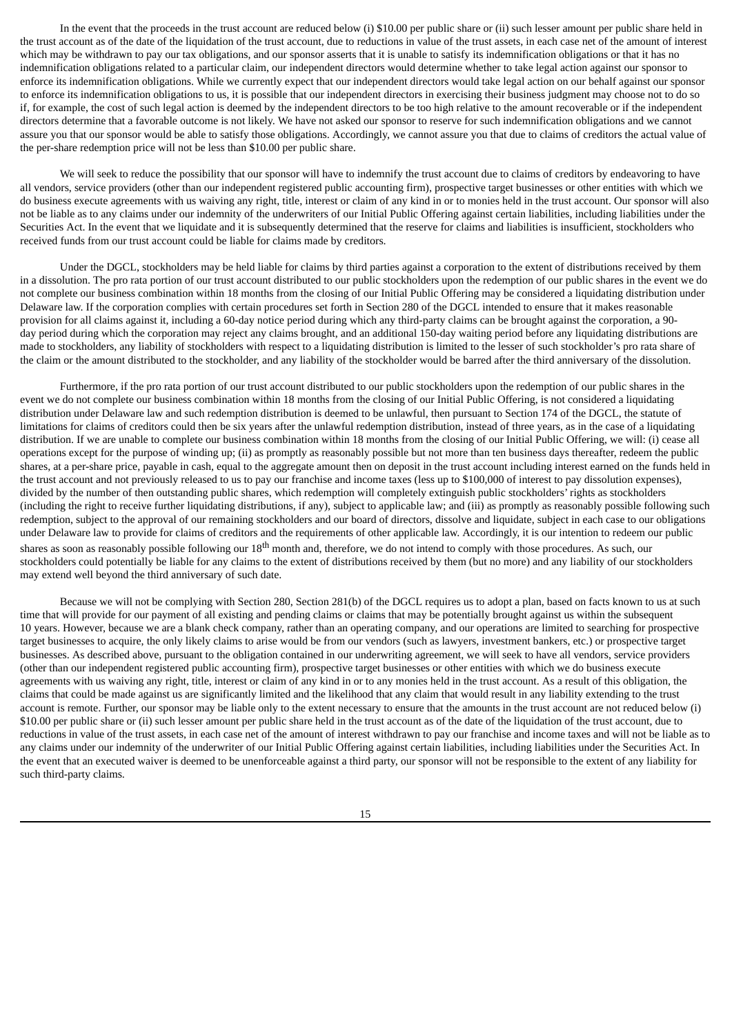In the event that the proceeds in the trust account are reduced below (i) \$10.00 per public share or (ii) such lesser amount per public share held in the trust account as of the date of the liquidation of the trust account, due to reductions in value of the trust assets, in each case net of the amount of interest which may be withdrawn to pay our tax obligations, and our sponsor asserts that it is unable to satisfy its indemnification obligations or that it has no indemnification obligations related to a particular claim, our independent directors would determine whether to take legal action against our sponsor to enforce its indemnification obligations. While we currently expect that our independent directors would take legal action on our behalf against our sponsor to enforce its indemnification obligations to us, it is possible that our independent directors in exercising their business judgment may choose not to do so if, for example, the cost of such legal action is deemed by the independent directors to be too high relative to the amount recoverable or if the independent directors determine that a favorable outcome is not likely. We have not asked our sponsor to reserve for such indemnification obligations and we cannot assure you that our sponsor would be able to satisfy those obligations. Accordingly, we cannot assure you that due to claims of creditors the actual value of the per-share redemption price will not be less than \$10.00 per public share.

We will seek to reduce the possibility that our sponsor will have to indemnify the trust account due to claims of creditors by endeavoring to have all vendors, service providers (other than our independent registered public accounting firm), prospective target businesses or other entities with which we do business execute agreements with us waiving any right, title, interest or claim of any kind in or to monies held in the trust account. Our sponsor will also not be liable as to any claims under our indemnity of the underwriters of our Initial Public Offering against certain liabilities, including liabilities under the Securities Act. In the event that we liquidate and it is subsequently determined that the reserve for claims and liabilities is insufficient, stockholders who received funds from our trust account could be liable for claims made by creditors.

Under the DGCL, stockholders may be held liable for claims by third parties against a corporation to the extent of distributions received by them in a dissolution. The pro rata portion of our trust account distributed to our public stockholders upon the redemption of our public shares in the event we do not complete our business combination within 18 months from the closing of our Initial Public Offering may be considered a liquidating distribution under Delaware law. If the corporation complies with certain procedures set forth in Section 280 of the DGCL intended to ensure that it makes reasonable provision for all claims against it, including a 60-day notice period during which any third-party claims can be brought against the corporation, a 90 day period during which the corporation may reject any claims brought, and an additional 150-day waiting period before any liquidating distributions are made to stockholders, any liability of stockholders with respect to a liquidating distribution is limited to the lesser of such stockholder's pro rata share of the claim or the amount distributed to the stockholder, and any liability of the stockholder would be barred after the third anniversary of the dissolution.

Furthermore, if the pro rata portion of our trust account distributed to our public stockholders upon the redemption of our public shares in the event we do not complete our business combination within 18 months from the closing of our Initial Public Offering, is not considered a liquidating distribution under Delaware law and such redemption distribution is deemed to be unlawful, then pursuant to Section 174 of the DGCL, the statute of limitations for claims of creditors could then be six years after the unlawful redemption distribution, instead of three years, as in the case of a liquidating distribution. If we are unable to complete our business combination within 18 months from the closing of our Initial Public Offering, we will: (i) cease all operations except for the purpose of winding up; (ii) as promptly as reasonably possible but not more than ten business days thereafter, redeem the public shares, at a per-share price, payable in cash, equal to the aggregate amount then on deposit in the trust account including interest earned on the funds held in the trust account and not previously released to us to pay our franchise and income taxes (less up to \$100,000 of interest to pay dissolution expenses), divided by the number of then outstanding public shares, which redemption will completely extinguish public stockholders' rights as stockholders (including the right to receive further liquidating distributions, if any), subject to applicable law; and (iii) as promptly as reasonably possible following such redemption, subject to the approval of our remaining stockholders and our board of directors, dissolve and liquidate, subject in each case to our obligations under Delaware law to provide for claims of creditors and the requirements of other applicable law. Accordingly, it is our intention to redeem our public shares as soon as reasonably possible following our 18<sup>th</sup> month and, therefore, we do not intend to comply with those procedures. As such, our stockholders could potentially be liable for any claims to the extent of distributions received by them (but no more) and any liability of our stockholders may extend well beyond the third anniversary of such date.

Because we will not be complying with Section 280, Section 281(b) of the DGCL requires us to adopt a plan, based on facts known to us at such time that will provide for our payment of all existing and pending claims or claims that may be potentially brought against us within the subsequent 10 years. However, because we are a blank check company, rather than an operating company, and our operations are limited to searching for prospective target businesses to acquire, the only likely claims to arise would be from our vendors (such as lawyers, investment bankers, etc.) or prospective target businesses. As described above, pursuant to the obligation contained in our underwriting agreement, we will seek to have all vendors, service providers (other than our independent registered public accounting firm), prospective target businesses or other entities with which we do business execute agreements with us waiving any right, title, interest or claim of any kind in or to any monies held in the trust account. As a result of this obligation, the claims that could be made against us are significantly limited and the likelihood that any claim that would result in any liability extending to the trust account is remote. Further, our sponsor may be liable only to the extent necessary to ensure that the amounts in the trust account are not reduced below (i) \$10.00 per public share or (ii) such lesser amount per public share held in the trust account as of the date of the liquidation of the trust account, due to reductions in value of the trust assets, in each case net of the amount of interest withdrawn to pay our franchise and income taxes and will not be liable as to any claims under our indemnity of the underwriter of our Initial Public Offering against certain liabilities, including liabilities under the Securities Act. In the event that an executed waiver is deemed to be unenforceable against a third party, our sponsor will not be responsible to the extent of any liability for such third-party claims.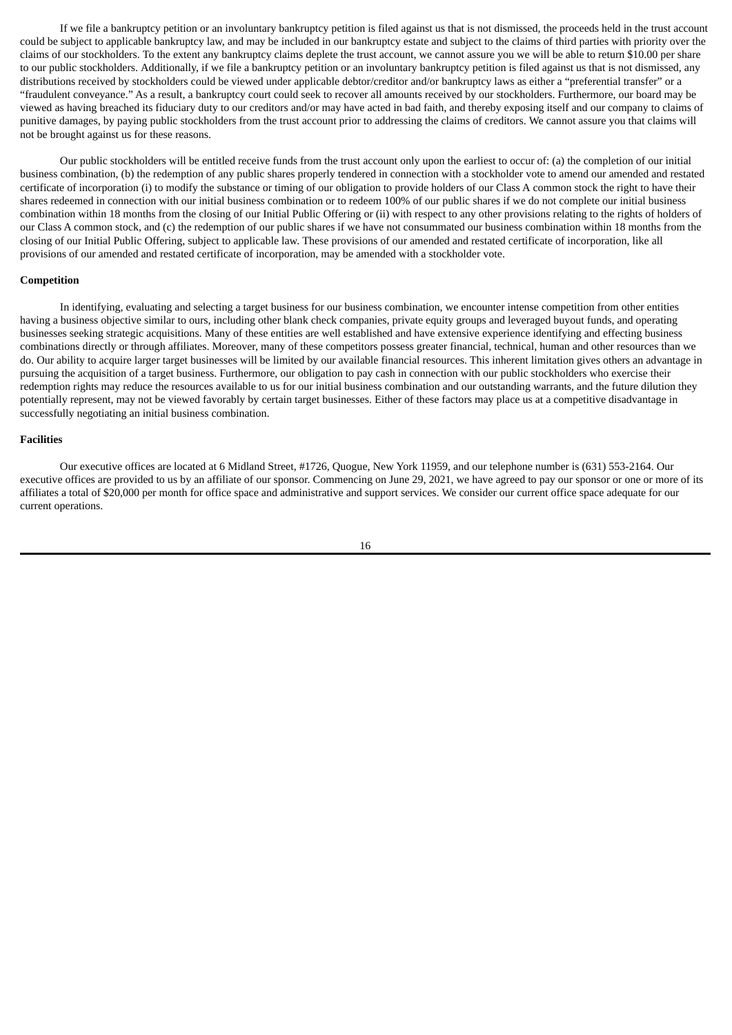If we file a bankruptcy petition or an involuntary bankruptcy petition is filed against us that is not dismissed, the proceeds held in the trust account could be subject to applicable bankruptcy law, and may be included in our bankruptcy estate and subject to the claims of third parties with priority over the claims of our stockholders. To the extent any bankruptcy claims deplete the trust account, we cannot assure you we will be able to return \$10.00 per share to our public stockholders. Additionally, if we file a bankruptcy petition or an involuntary bankruptcy petition is filed against us that is not dismissed, any distributions received by stockholders could be viewed under applicable debtor/creditor and/or bankruptcy laws as either a "preferential transfer" or a "fraudulent conveyance." As a result, a bankruptcy court could seek to recover all amounts received by our stockholders. Furthermore, our board may be viewed as having breached its fiduciary duty to our creditors and/or may have acted in bad faith, and thereby exposing itself and our company to claims of punitive damages, by paying public stockholders from the trust account prior to addressing the claims of creditors. We cannot assure you that claims will not be brought against us for these reasons.

Our public stockholders will be entitled receive funds from the trust account only upon the earliest to occur of: (a) the completion of our initial business combination, (b) the redemption of any public shares properly tendered in connection with a stockholder vote to amend our amended and restated certificate of incorporation (i) to modify the substance or timing of our obligation to provide holders of our Class A common stock the right to have their shares redeemed in connection with our initial business combination or to redeem 100% of our public shares if we do not complete our initial business combination within 18 months from the closing of our Initial Public Offering or (ii) with respect to any other provisions relating to the rights of holders of our Class A common stock, and (c) the redemption of our public shares if we have not consummated our business combination within 18 months from the closing of our Initial Public Offering, subject to applicable law. These provisions of our amended and restated certificate of incorporation, like all provisions of our amended and restated certificate of incorporation, may be amended with a stockholder vote.

#### **Competition**

In identifying, evaluating and selecting a target business for our business combination, we encounter intense competition from other entities having a business objective similar to ours, including other blank check companies, private equity groups and leveraged buyout funds, and operating businesses seeking strategic acquisitions. Many of these entities are well established and have extensive experience identifying and effecting business combinations directly or through affiliates. Moreover, many of these competitors possess greater financial, technical, human and other resources than we do. Our ability to acquire larger target businesses will be limited by our available financial resources. This inherent limitation gives others an advantage in pursuing the acquisition of a target business. Furthermore, our obligation to pay cash in connection with our public stockholders who exercise their redemption rights may reduce the resources available to us for our initial business combination and our outstanding warrants, and the future dilution they potentially represent, may not be viewed favorably by certain target businesses. Either of these factors may place us at a competitive disadvantage in successfully negotiating an initial business combination.

# **Facilities**

Our executive offices are located at 6 Midland Street, #1726, Quogue, New York 11959, and our telephone number is (631) 553-2164. Our executive offices are provided to us by an affiliate of our sponsor. Commencing on June 29, 2021, we have agreed to pay our sponsor or one or more of its affiliates a total of \$20,000 per month for office space and administrative and support services. We consider our current office space adequate for our current operations.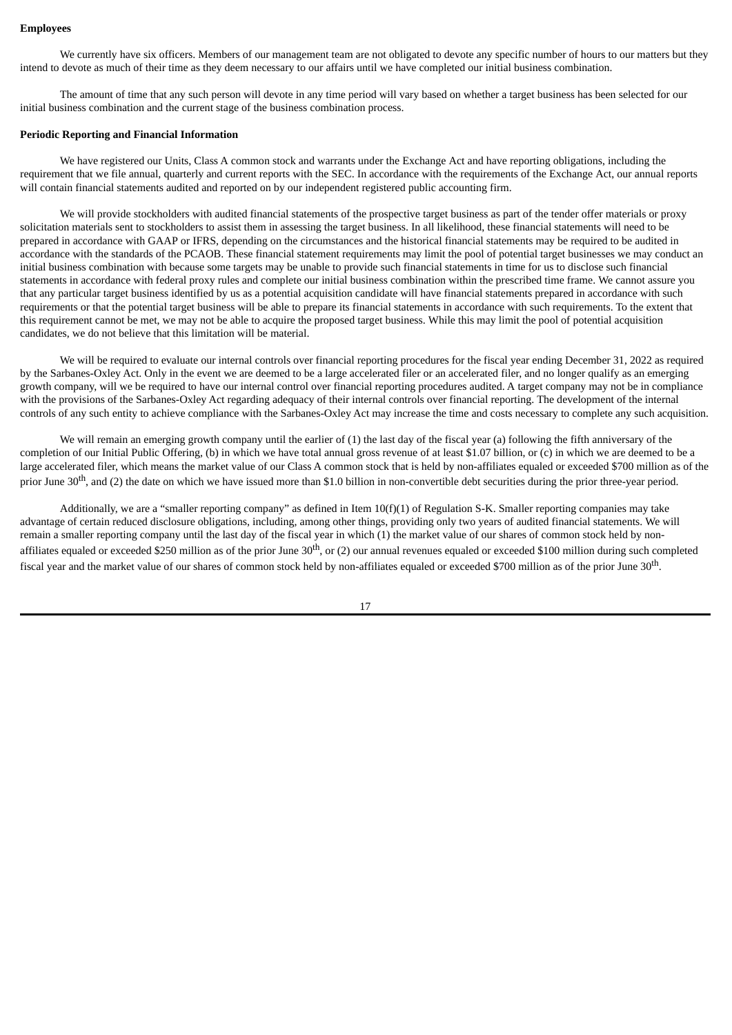### **Employees**

We currently have six officers. Members of our management team are not obligated to devote any specific number of hours to our matters but they intend to devote as much of their time as they deem necessary to our affairs until we have completed our initial business combination.

The amount of time that any such person will devote in any time period will vary based on whether a target business has been selected for our initial business combination and the current stage of the business combination process.

### **Periodic Reporting and Financial Information**

We have registered our Units, Class A common stock and warrants under the Exchange Act and have reporting obligations, including the requirement that we file annual, quarterly and current reports with the SEC. In accordance with the requirements of the Exchange Act, our annual reports will contain financial statements audited and reported on by our independent registered public accounting firm.

We will provide stockholders with audited financial statements of the prospective target business as part of the tender offer materials or proxy solicitation materials sent to stockholders to assist them in assessing the target business. In all likelihood, these financial statements will need to be prepared in accordance with GAAP or IFRS, depending on the circumstances and the historical financial statements may be required to be audited in accordance with the standards of the PCAOB. These financial statement requirements may limit the pool of potential target businesses we may conduct an initial business combination with because some targets may be unable to provide such financial statements in time for us to disclose such financial statements in accordance with federal proxy rules and complete our initial business combination within the prescribed time frame. We cannot assure you that any particular target business identified by us as a potential acquisition candidate will have financial statements prepared in accordance with such requirements or that the potential target business will be able to prepare its financial statements in accordance with such requirements. To the extent that this requirement cannot be met, we may not be able to acquire the proposed target business. While this may limit the pool of potential acquisition candidates, we do not believe that this limitation will be material.

We will be required to evaluate our internal controls over financial reporting procedures for the fiscal year ending December 31, 2022 as required by the Sarbanes-Oxley Act. Only in the event we are deemed to be a large accelerated filer or an accelerated filer, and no longer qualify as an emerging growth company, will we be required to have our internal control over financial reporting procedures audited. A target company may not be in compliance with the provisions of the Sarbanes-Oxley Act regarding adequacy of their internal controls over financial reporting. The development of the internal controls of any such entity to achieve compliance with the Sarbanes-Oxley Act may increase the time and costs necessary to complete any such acquisition.

We will remain an emerging growth company until the earlier of (1) the last day of the fiscal year (a) following the fifth anniversary of the completion of our Initial Public Offering, (b) in which we have total annual gross revenue of at least \$1.07 billion, or (c) in which we are deemed to be a large accelerated filer, which means the market value of our Class A common stock that is held by non-affiliates equaled or exceeded \$700 million as of the prior June 30<sup>th</sup>, and (2) the date on which we have issued more than \$1.0 billion in non-convertible debt securities during the prior three-year period.

Additionally, we are a "smaller reporting company" as defined in Item  $10(f)(1)$  of Regulation S-K. Smaller reporting companies may take advantage of certain reduced disclosure obligations, including, among other things, providing only two years of audited financial statements. We will remain a smaller reporting company until the last day of the fiscal year in which (1) the market value of our shares of common stock held by nonaffiliates equaled or exceeded \$250 million as of the prior June 30<sup>th</sup>, or (2) our annual revenues equaled or exceeded \$100 million during such completed fiscal year and the market value of our shares of common stock held by non-affiliates equaled or exceeded \$700 million as of the prior June 30<sup>th</sup>.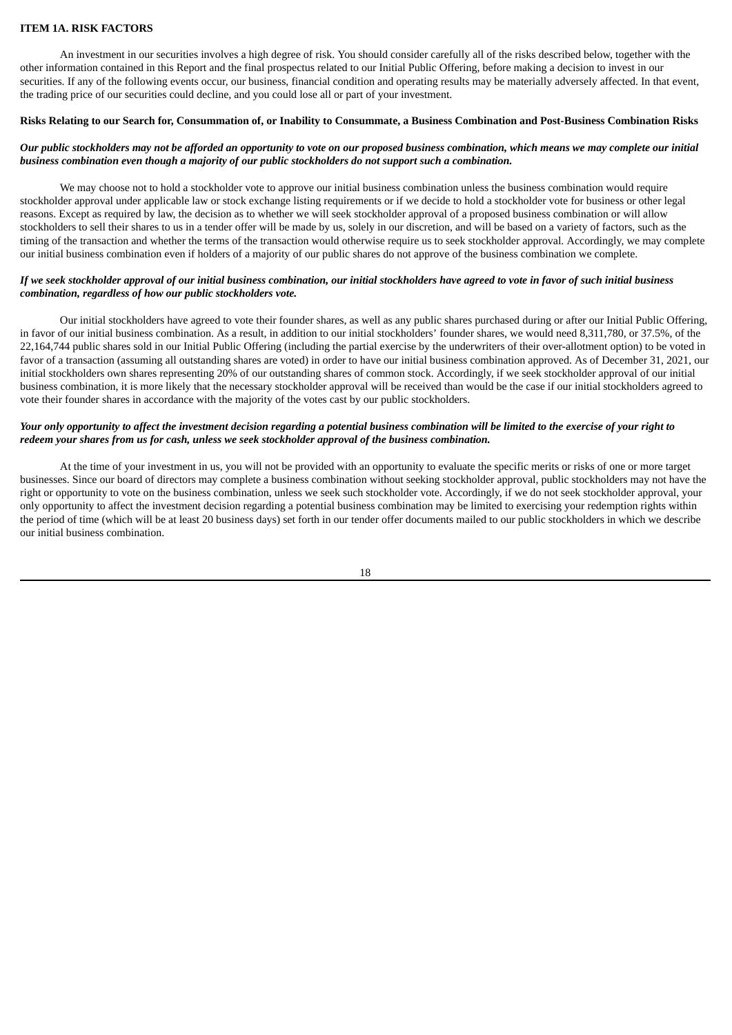#### <span id="page-23-0"></span>**ITEM 1A. RISK FACTORS**

An investment in our securities involves a high degree of risk. You should consider carefully all of the risks described below, together with the other information contained in this Report and the final prospectus related to our Initial Public Offering, before making a decision to invest in our securities. If any of the following events occur, our business, financial condition and operating results may be materially adversely affected. In that event, the trading price of our securities could decline, and you could lose all or part of your investment.

### Risks Relating to our Search for. Consummation of, or Inability to Consummate, a Business Combination and Post-Business Combination Risks

#### Our public stockholders may not be afforded an opportunity to vote on our proposed business combination, which means we may complete our initial *business combination even though a majority of our public stockholders do not support such a combination.*

We may choose not to hold a stockholder vote to approve our initial business combination unless the business combination would require stockholder approval under applicable law or stock exchange listing requirements or if we decide to hold a stockholder vote for business or other legal reasons. Except as required by law, the decision as to whether we will seek stockholder approval of a proposed business combination or will allow stockholders to sell their shares to us in a tender offer will be made by us, solely in our discretion, and will be based on a variety of factors, such as the timing of the transaction and whether the terms of the transaction would otherwise require us to seek stockholder approval. Accordingly, we may complete our initial business combination even if holders of a majority of our public shares do not approve of the business combination we complete.

# If we seek stockholder approval of our initial business combination, our initial stockholders have agreed to vote in favor of such initial business *combination, regardless of how our public stockholders vote.*

Our initial stockholders have agreed to vote their founder shares, as well as any public shares purchased during or after our Initial Public Offering, in favor of our initial business combination. As a result, in addition to our initial stockholders' founder shares, we would need 8,311,780, or 37.5%, of the 22,164,744 public shares sold in our Initial Public Offering (including the partial exercise by the underwriters of their over-allotment option) to be voted in favor of a transaction (assuming all outstanding shares are voted) in order to have our initial business combination approved. As of December 31, 2021, our initial stockholders own shares representing 20% of our outstanding shares of common stock. Accordingly, if we seek stockholder approval of our initial business combination, it is more likely that the necessary stockholder approval will be received than would be the case if our initial stockholders agreed to vote their founder shares in accordance with the majority of the votes cast by our public stockholders.

# Your only opportunity to affect the investment decision regarding a potential business combination will be limited to the exercise of your right to *redeem your shares from us for cash, unless we seek stockholder approval of the business combination.*

At the time of your investment in us, you will not be provided with an opportunity to evaluate the specific merits or risks of one or more target businesses. Since our board of directors may complete a business combination without seeking stockholder approval, public stockholders may not have the right or opportunity to vote on the business combination, unless we seek such stockholder vote. Accordingly, if we do not seek stockholder approval, your only opportunity to affect the investment decision regarding a potential business combination may be limited to exercising your redemption rights within the period of time (which will be at least 20 business days) set forth in our tender offer documents mailed to our public stockholders in which we describe our initial business combination.

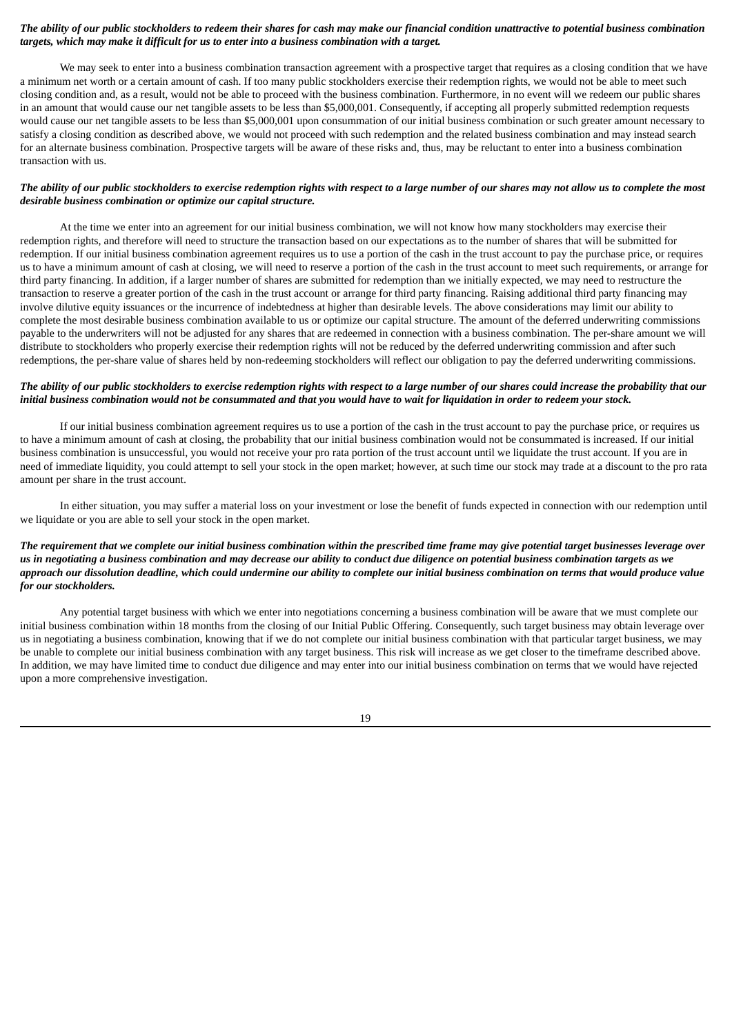# The ability of our public stockholders to redeem their shares for cash may make our financial condition unattractive to potential business combination *targets, which may make it difficult for us to enter into a business combination with a target.*

We may seek to enter into a business combination transaction agreement with a prospective target that requires as a closing condition that we have a minimum net worth or a certain amount of cash. If too many public stockholders exercise their redemption rights, we would not be able to meet such closing condition and, as a result, would not be able to proceed with the business combination. Furthermore, in no event will we redeem our public shares in an amount that would cause our net tangible assets to be less than \$5,000,001. Consequently, if accepting all properly submitted redemption requests would cause our net tangible assets to be less than \$5,000,001 upon consummation of our initial business combination or such greater amount necessary to satisfy a closing condition as described above, we would not proceed with such redemption and the related business combination and may instead search for an alternate business combination. Prospective targets will be aware of these risks and, thus, may be reluctant to enter into a business combination transaction with us.

# The ability of our public stockholders to exercise redemption rights with respect to a large number of our shares may not allow us to complete the most *desirable business combination or optimize our capital structure.*

At the time we enter into an agreement for our initial business combination, we will not know how many stockholders may exercise their redemption rights, and therefore will need to structure the transaction based on our expectations as to the number of shares that will be submitted for redemption. If our initial business combination agreement requires us to use a portion of the cash in the trust account to pay the purchase price, or requires us to have a minimum amount of cash at closing, we will need to reserve a portion of the cash in the trust account to meet such requirements, or arrange for third party financing. In addition, if a larger number of shares are submitted for redemption than we initially expected, we may need to restructure the transaction to reserve a greater portion of the cash in the trust account or arrange for third party financing. Raising additional third party financing may involve dilutive equity issuances or the incurrence of indebtedness at higher than desirable levels. The above considerations may limit our ability to complete the most desirable business combination available to us or optimize our capital structure. The amount of the deferred underwriting commissions payable to the underwriters will not be adjusted for any shares that are redeemed in connection with a business combination. The per-share amount we will distribute to stockholders who properly exercise their redemption rights will not be reduced by the deferred underwriting commission and after such redemptions, the per-share value of shares held by non-redeeming stockholders will reflect our obligation to pay the deferred underwriting commissions.

# The ability of our public stockholders to exercise redemption rights with respect to a large number of our shares could increase the probability that our initial business combination would not be consummated and that you would have to wait for liquidation in order to redeem your stock.

If our initial business combination agreement requires us to use a portion of the cash in the trust account to pay the purchase price, or requires us to have a minimum amount of cash at closing, the probability that our initial business combination would not be consummated is increased. If our initial business combination is unsuccessful, you would not receive your pro rata portion of the trust account until we liquidate the trust account. If you are in need of immediate liquidity, you could attempt to sell your stock in the open market; however, at such time our stock may trade at a discount to the pro rata amount per share in the trust account.

In either situation, you may suffer a material loss on your investment or lose the benefit of funds expected in connection with our redemption until we liquidate or you are able to sell your stock in the open market.

# The requirement that we complete our initial business combination within the prescribed time frame may give potential target businesses leverage over us in negotiating a business combination and may decrease our ability to conduct due diligence on potential business combination targets as we approach our dissolution deadline, which could undermine our ability to complete our initial business combination on terms that would produce value *for our stockholders.*

Any potential target business with which we enter into negotiations concerning a business combination will be aware that we must complete our initial business combination within 18 months from the closing of our Initial Public Offering. Consequently, such target business may obtain leverage over us in negotiating a business combination, knowing that if we do not complete our initial business combination with that particular target business, we may be unable to complete our initial business combination with any target business. This risk will increase as we get closer to the timeframe described above. In addition, we may have limited time to conduct due diligence and may enter into our initial business combination on terms that we would have rejected upon a more comprehensive investigation.

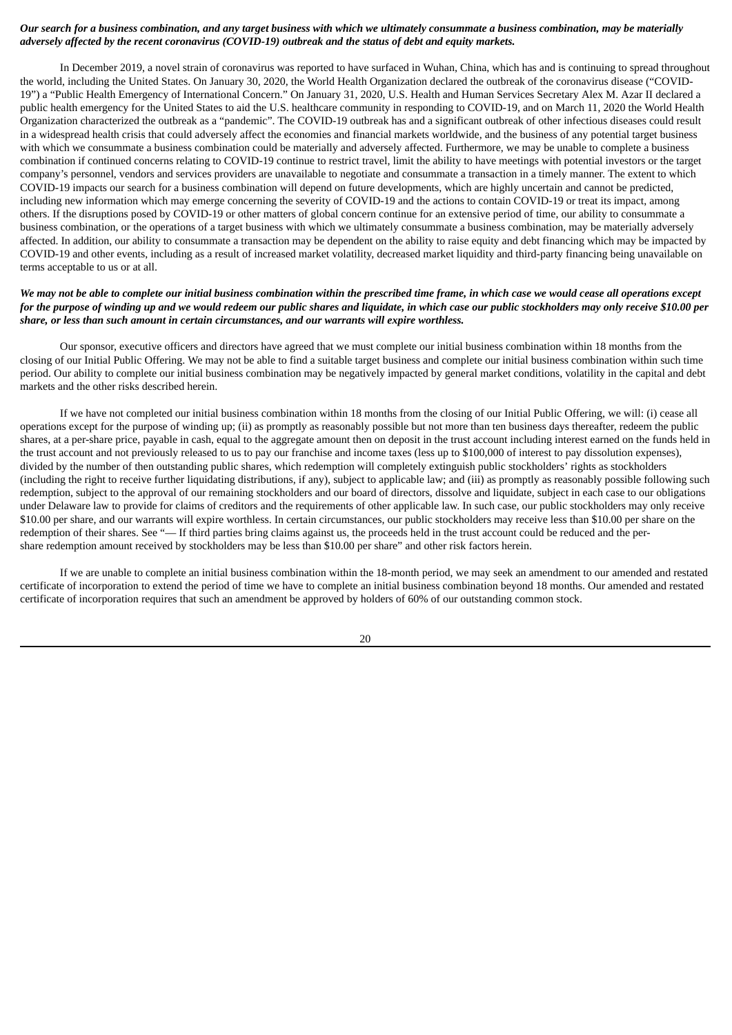# Our search for a business combination, and any target business with which we ultimately consummate a business combination, may be materially *adversely affected by the recent coronavirus (COVID-19) outbreak and the status of debt and equity markets.*

In December 2019, a novel strain of coronavirus was reported to have surfaced in Wuhan, China, which has and is continuing to spread throughout the world, including the United States. On January 30, 2020, the World Health Organization declared the outbreak of the coronavirus disease ("COVID-19") a "Public Health Emergency of International Concern." On January 31, 2020, U.S. Health and Human Services Secretary Alex M. Azar II declared a public health emergency for the United States to aid the U.S. healthcare community in responding to COVID-19, and on March 11, 2020 the World Health Organization characterized the outbreak as a "pandemic". The COVID-19 outbreak has and a significant outbreak of other infectious diseases could result in a widespread health crisis that could adversely affect the economies and financial markets worldwide, and the business of any potential target business with which we consummate a business combination could be materially and adversely affected. Furthermore, we may be unable to complete a business combination if continued concerns relating to COVID-19 continue to restrict travel, limit the ability to have meetings with potential investors or the target company's personnel, vendors and services providers are unavailable to negotiate and consummate a transaction in a timely manner. The extent to which COVID-19 impacts our search for a business combination will depend on future developments, which are highly uncertain and cannot be predicted, including new information which may emerge concerning the severity of COVID-19 and the actions to contain COVID-19 or treat its impact, among others. If the disruptions posed by COVID-19 or other matters of global concern continue for an extensive period of time, our ability to consummate a business combination, or the operations of a target business with which we ultimately consummate a business combination, may be materially adversely affected. In addition, our ability to consummate a transaction may be dependent on the ability to raise equity and debt financing which may be impacted by COVID-19 and other events, including as a result of increased market volatility, decreased market liquidity and third-party financing being unavailable on terms acceptable to us or at all.

#### We may not be able to complete our initial business combination within the prescribed time frame, in which case we would cease all operations except for the purpose of winding up and we would redeem our public shares and liquidate, in which case our public stockholders may only receive \$10.00 per *share, or less than such amount in certain circumstances, and our warrants will expire worthless.*

Our sponsor, executive officers and directors have agreed that we must complete our initial business combination within 18 months from the closing of our Initial Public Offering. We may not be able to find a suitable target business and complete our initial business combination within such time period. Our ability to complete our initial business combination may be negatively impacted by general market conditions, volatility in the capital and debt markets and the other risks described herein.

If we have not completed our initial business combination within 18 months from the closing of our Initial Public Offering, we will: (i) cease all operations except for the purpose of winding up; (ii) as promptly as reasonably possible but not more than ten business days thereafter, redeem the public shares, at a per-share price, payable in cash, equal to the aggregate amount then on deposit in the trust account including interest earned on the funds held in the trust account and not previously released to us to pay our franchise and income taxes (less up to \$100,000 of interest to pay dissolution expenses), divided by the number of then outstanding public shares, which redemption will completely extinguish public stockholders' rights as stockholders (including the right to receive further liquidating distributions, if any), subject to applicable law; and (iii) as promptly as reasonably possible following such redemption, subject to the approval of our remaining stockholders and our board of directors, dissolve and liquidate, subject in each case to our obligations under Delaware law to provide for claims of creditors and the requirements of other applicable law. In such case, our public stockholders may only receive \$10.00 per share, and our warrants will expire worthless. In certain circumstances, our public stockholders may receive less than \$10.00 per share on the redemption of their shares. See "— If third parties bring claims against us, the proceeds held in the trust account could be reduced and the pershare redemption amount received by stockholders may be less than \$10.00 per share" and other risk factors herein.

If we are unable to complete an initial business combination within the 18-month period, we may seek an amendment to our amended and restated certificate of incorporation to extend the period of time we have to complete an initial business combination beyond 18 months. Our amended and restated certificate of incorporation requires that such an amendment be approved by holders of 60% of our outstanding common stock.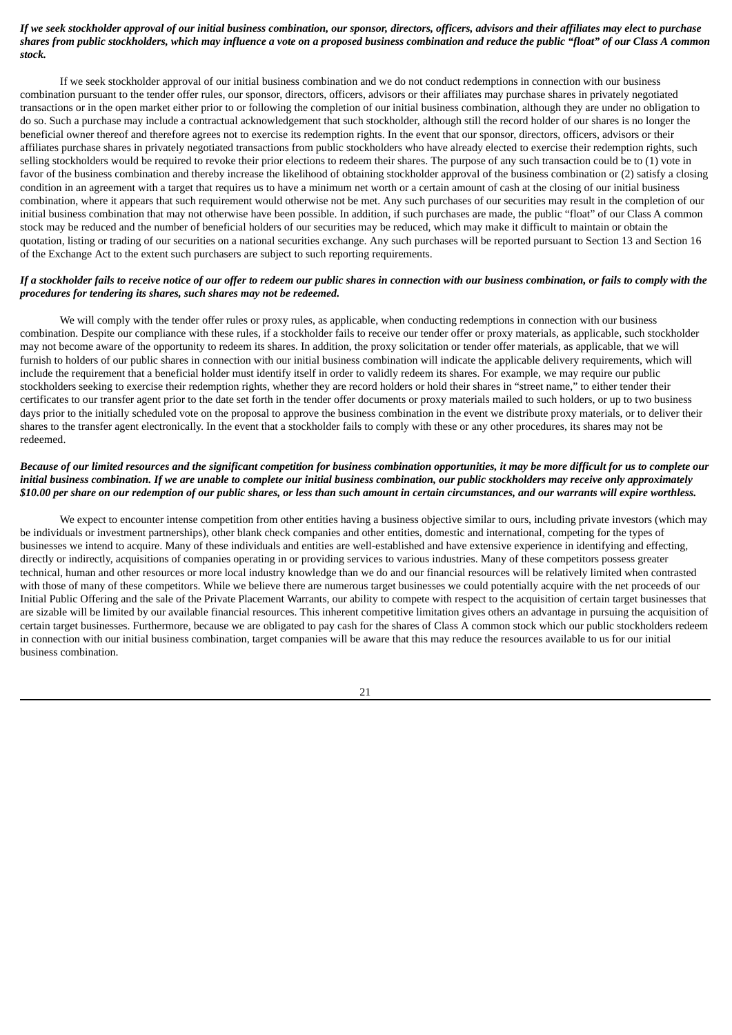#### If we seek stockholder approval of our initial business combination, our sponsor, directors, officers, advisors and their affiliates may elect to purchase shares from public stockholders, which may influence a vote on a proposed business combination and reduce the public "float" of our Class A common *stock.*

If we seek stockholder approval of our initial business combination and we do not conduct redemptions in connection with our business combination pursuant to the tender offer rules, our sponsor, directors, officers, advisors or their affiliates may purchase shares in privately negotiated transactions or in the open market either prior to or following the completion of our initial business combination, although they are under no obligation to do so. Such a purchase may include a contractual acknowledgement that such stockholder, although still the record holder of our shares is no longer the beneficial owner thereof and therefore agrees not to exercise its redemption rights. In the event that our sponsor, directors, officers, advisors or their affiliates purchase shares in privately negotiated transactions from public stockholders who have already elected to exercise their redemption rights, such selling stockholders would be required to revoke their prior elections to redeem their shares. The purpose of any such transaction could be to (1) vote in favor of the business combination and thereby increase the likelihood of obtaining stockholder approval of the business combination or (2) satisfy a closing condition in an agreement with a target that requires us to have a minimum net worth or a certain amount of cash at the closing of our initial business combination, where it appears that such requirement would otherwise not be met. Any such purchases of our securities may result in the completion of our initial business combination that may not otherwise have been possible. In addition, if such purchases are made, the public "float" of our Class A common stock may be reduced and the number of beneficial holders of our securities may be reduced, which may make it difficult to maintain or obtain the quotation, listing or trading of our securities on a national securities exchange. Any such purchases will be reported pursuant to Section 13 and Section 16 of the Exchange Act to the extent such purchasers are subject to such reporting requirements.

# If a stockholder fails to receive notice of our offer to redeem our public shares in connection with our business combination, or fails to comply with the *procedures for tendering its shares, such shares may not be redeemed.*

We will comply with the tender offer rules or proxy rules, as applicable, when conducting redemptions in connection with our business combination. Despite our compliance with these rules, if a stockholder fails to receive our tender offer or proxy materials, as applicable, such stockholder may not become aware of the opportunity to redeem its shares. In addition, the proxy solicitation or tender offer materials, as applicable, that we will furnish to holders of our public shares in connection with our initial business combination will indicate the applicable delivery requirements, which will include the requirement that a beneficial holder must identify itself in order to validly redeem its shares. For example, we may require our public stockholders seeking to exercise their redemption rights, whether they are record holders or hold their shares in "street name," to either tender their certificates to our transfer agent prior to the date set forth in the tender offer documents or proxy materials mailed to such holders, or up to two business days prior to the initially scheduled vote on the proposal to approve the business combination in the event we distribute proxy materials, or to deliver their shares to the transfer agent electronically. In the event that a stockholder fails to comply with these or any other procedures, its shares may not be redeemed.

# Because of our limited resources and the significant competition for business combination opportunities, it may be more difficult for us to complete our initial business combination. If we are unable to complete our initial business combination, our public stockholders may receive only approximately \$10.00 per share on our redemption of our public shares, or less than such amount in certain circumstances, and our warrants will expire worthless.

We expect to encounter intense competition from other entities having a business objective similar to ours, including private investors (which may be individuals or investment partnerships), other blank check companies and other entities, domestic and international, competing for the types of businesses we intend to acquire. Many of these individuals and entities are well-established and have extensive experience in identifying and effecting, directly or indirectly, acquisitions of companies operating in or providing services to various industries. Many of these competitors possess greater technical, human and other resources or more local industry knowledge than we do and our financial resources will be relatively limited when contrasted with those of many of these competitors. While we believe there are numerous target businesses we could potentially acquire with the net proceeds of our Initial Public Offering and the sale of the Private Placement Warrants, our ability to compete with respect to the acquisition of certain target businesses that are sizable will be limited by our available financial resources. This inherent competitive limitation gives others an advantage in pursuing the acquisition of certain target businesses. Furthermore, because we are obligated to pay cash for the shares of Class A common stock which our public stockholders redeem in connection with our initial business combination, target companies will be aware that this may reduce the resources available to us for our initial business combination.

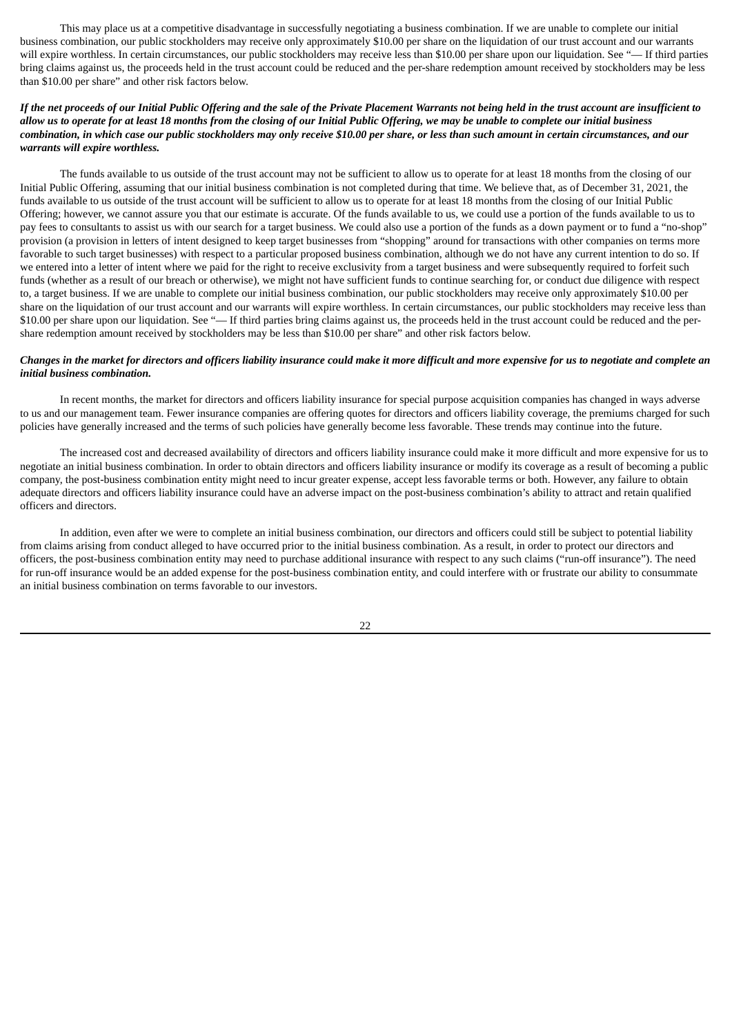This may place us at a competitive disadvantage in successfully negotiating a business combination. If we are unable to complete our initial business combination, our public stockholders may receive only approximately \$10.00 per share on the liquidation of our trust account and our warrants will expire worthless. In certain circumstances, our public stockholders may receive less than \$10.00 per share upon our liquidation. See "- If third parties bring claims against us, the proceeds held in the trust account could be reduced and the per-share redemption amount received by stockholders may be less than \$10.00 per share" and other risk factors below.

# If the net proceeds of our Initial Public Offering and the sale of the Private Placement Warrants not being held in the trust account are insufficient to allow us to operate for at least 18 months from the closing of our Initial Public Offering, we may be unable to complete our initial business combination, in which case our public stockholders may only receive \$10.00 per share, or less than such amount in certain circumstances, and our *warrants will expire worthless.*

The funds available to us outside of the trust account may not be sufficient to allow us to operate for at least 18 months from the closing of our Initial Public Offering, assuming that our initial business combination is not completed during that time. We believe that, as of December 31, 2021, the funds available to us outside of the trust account will be sufficient to allow us to operate for at least 18 months from the closing of our Initial Public Offering; however, we cannot assure you that our estimate is accurate. Of the funds available to us, we could use a portion of the funds available to us to pay fees to consultants to assist us with our search for a target business. We could also use a portion of the funds as a down payment or to fund a "no-shop" provision (a provision in letters of intent designed to keep target businesses from "shopping" around for transactions with other companies on terms more favorable to such target businesses) with respect to a particular proposed business combination, although we do not have any current intention to do so. If we entered into a letter of intent where we paid for the right to receive exclusivity from a target business and were subsequently required to forfeit such funds (whether as a result of our breach or otherwise), we might not have sufficient funds to continue searching for, or conduct due diligence with respect to, a target business. If we are unable to complete our initial business combination, our public stockholders may receive only approximately \$10.00 per share on the liquidation of our trust account and our warrants will expire worthless. In certain circumstances, our public stockholders may receive less than \$10.00 per share upon our liquidation. See "— If third parties bring claims against us, the proceeds held in the trust account could be reduced and the pershare redemption amount received by stockholders may be less than \$10.00 per share" and other risk factors below.

### Changes in the market for directors and officers liability insurance could make it more difficult and more expensive for us to negotiate and complete an *initial business combination.*

In recent months, the market for directors and officers liability insurance for special purpose acquisition companies has changed in ways adverse to us and our management team. Fewer insurance companies are offering quotes for directors and officers liability coverage, the premiums charged for such policies have generally increased and the terms of such policies have generally become less favorable. These trends may continue into the future.

The increased cost and decreased availability of directors and officers liability insurance could make it more difficult and more expensive for us to negotiate an initial business combination. In order to obtain directors and officers liability insurance or modify its coverage as a result of becoming a public company, the post-business combination entity might need to incur greater expense, accept less favorable terms or both. However, any failure to obtain adequate directors and officers liability insurance could have an adverse impact on the post-business combination's ability to attract and retain qualified officers and directors.

In addition, even after we were to complete an initial business combination, our directors and officers could still be subject to potential liability from claims arising from conduct alleged to have occurred prior to the initial business combination. As a result, in order to protect our directors and officers, the post-business combination entity may need to purchase additional insurance with respect to any such claims ("run-off insurance"). The need for run-off insurance would be an added expense for the post-business combination entity, and could interfere with or frustrate our ability to consummate an initial business combination on terms favorable to our investors.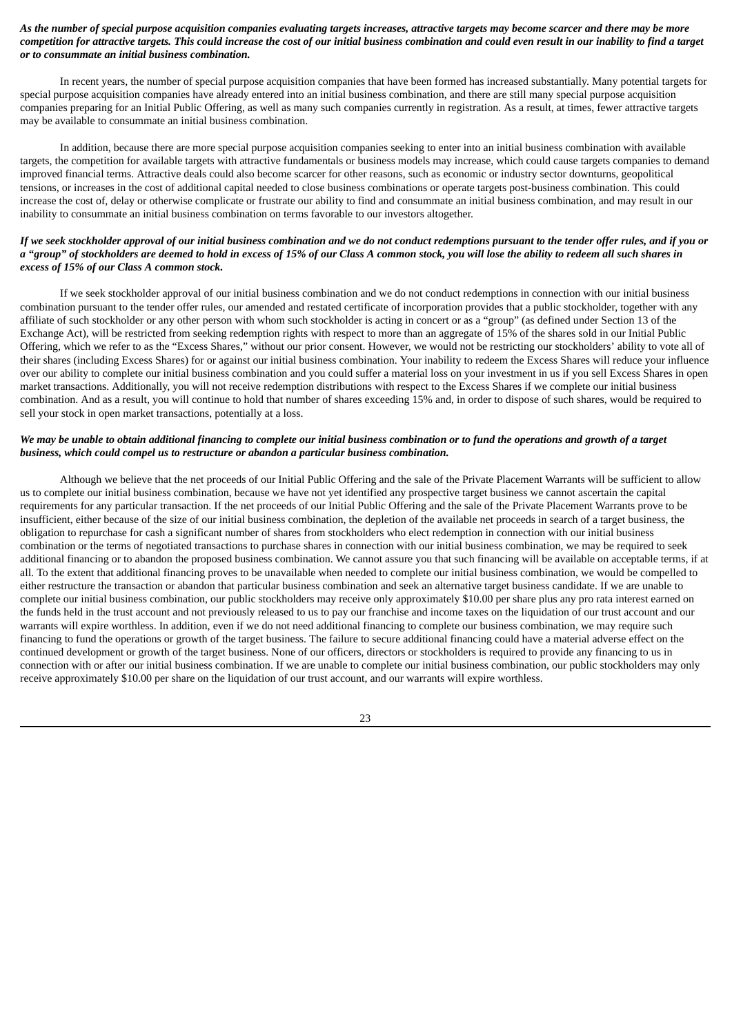# As the number of special purpose acquisition companies evaluating targets increases, attractive targets may become scarcer and there may be more competition for attractive targets. This could increase the cost of our initial business combination and could even result in our inability to find a target *or to consummate an initial business combination.*

In recent years, the number of special purpose acquisition companies that have been formed has increased substantially. Many potential targets for special purpose acquisition companies have already entered into an initial business combination, and there are still many special purpose acquisition companies preparing for an Initial Public Offering, as well as many such companies currently in registration. As a result, at times, fewer attractive targets may be available to consummate an initial business combination.

In addition, because there are more special purpose acquisition companies seeking to enter into an initial business combination with available targets, the competition for available targets with attractive fundamentals or business models may increase, which could cause targets companies to demand improved financial terms. Attractive deals could also become scarcer for other reasons, such as economic or industry sector downturns, geopolitical tensions, or increases in the cost of additional capital needed to close business combinations or operate targets post-business combination. This could increase the cost of, delay or otherwise complicate or frustrate our ability to find and consummate an initial business combination, and may result in our inability to consummate an initial business combination on terms favorable to our investors altogether.

# If we seek stockholder approval of our initial business combination and we do not conduct redemptions pursuant to the tender offer rules, and if you or a "group" of stockholders are deemed to hold in excess of 15% of our Class A common stock, you will lose the ability to redeem all such shares in *excess of 15% of our Class A common stock.*

If we seek stockholder approval of our initial business combination and we do not conduct redemptions in connection with our initial business combination pursuant to the tender offer rules, our amended and restated certificate of incorporation provides that a public stockholder, together with any affiliate of such stockholder or any other person with whom such stockholder is acting in concert or as a "group" (as defined under Section 13 of the Exchange Act), will be restricted from seeking redemption rights with respect to more than an aggregate of 15% of the shares sold in our Initial Public Offering, which we refer to as the "Excess Shares," without our prior consent. However, we would not be restricting our stockholders' ability to vote all of their shares (including Excess Shares) for or against our initial business combination. Your inability to redeem the Excess Shares will reduce your influence over our ability to complete our initial business combination and you could suffer a material loss on your investment in us if you sell Excess Shares in open market transactions. Additionally, you will not receive redemption distributions with respect to the Excess Shares if we complete our initial business combination. And as a result, you will continue to hold that number of shares exceeding 15% and, in order to dispose of such shares, would be required to sell your stock in open market transactions, potentially at a loss.

# We may be unable to obtain additional financing to complete our initial business combination or to fund the operations and growth of a target *business, which could compel us to restructure or abandon a particular business combination.*

Although we believe that the net proceeds of our Initial Public Offering and the sale of the Private Placement Warrants will be sufficient to allow us to complete our initial business combination, because we have not yet identified any prospective target business we cannot ascertain the capital requirements for any particular transaction. If the net proceeds of our Initial Public Offering and the sale of the Private Placement Warrants prove to be insufficient, either because of the size of our initial business combination, the depletion of the available net proceeds in search of a target business, the obligation to repurchase for cash a significant number of shares from stockholders who elect redemption in connection with our initial business combination or the terms of negotiated transactions to purchase shares in connection with our initial business combination, we may be required to seek additional financing or to abandon the proposed business combination. We cannot assure you that such financing will be available on acceptable terms, if at all. To the extent that additional financing proves to be unavailable when needed to complete our initial business combination, we would be compelled to either restructure the transaction or abandon that particular business combination and seek an alternative target business candidate. If we are unable to complete our initial business combination, our public stockholders may receive only approximately \$10.00 per share plus any pro rata interest earned on the funds held in the trust account and not previously released to us to pay our franchise and income taxes on the liquidation of our trust account and our warrants will expire worthless. In addition, even if we do not need additional financing to complete our business combination, we may require such financing to fund the operations or growth of the target business. The failure to secure additional financing could have a material adverse effect on the continued development or growth of the target business. None of our officers, directors or stockholders is required to provide any financing to us in connection with or after our initial business combination. If we are unable to complete our initial business combination, our public stockholders may only receive approximately \$10.00 per share on the liquidation of our trust account, and our warrants will expire worthless.

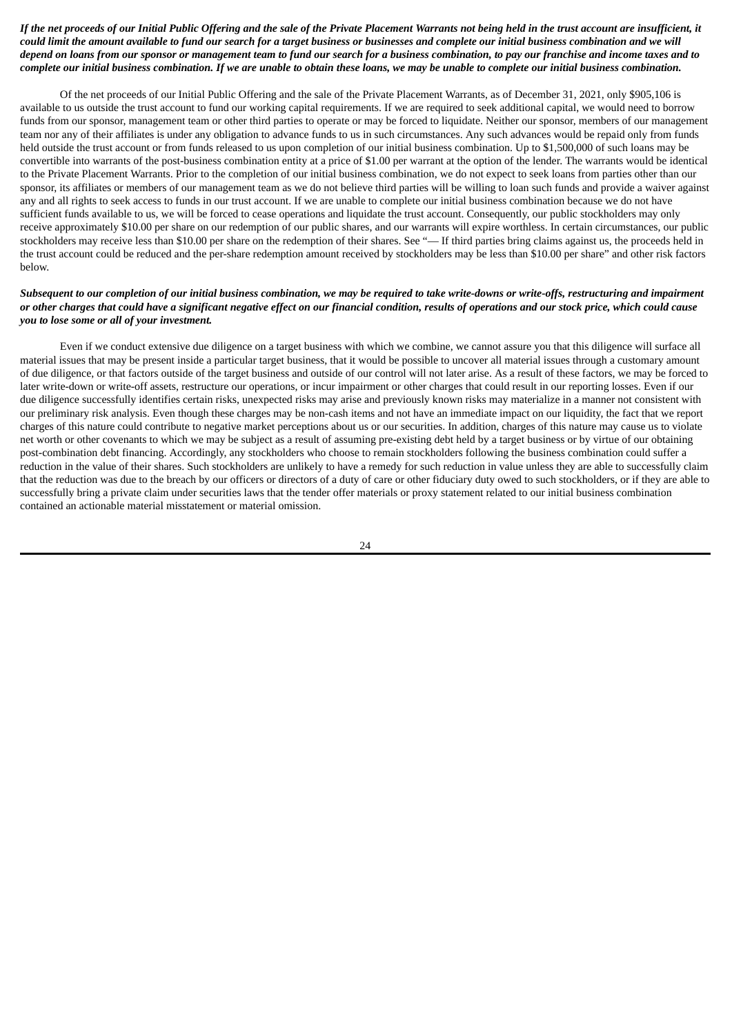If the net proceeds of our Initial Public Offering and the sale of the Private Placement Warrants not being held in the trust account are insufficient, it could limit the amount available to fund our search for a target business or businesses and complete our initial business combination and we will depend on loans from our sponsor or management team to fund our search for a business combination, to pay our franchise and income taxes and to complete our initial business combination. If we are unable to obtain these loans, we may be unable to complete our initial business combination.

Of the net proceeds of our Initial Public Offering and the sale of the Private Placement Warrants, as of December 31, 2021, only \$905,106 is available to us outside the trust account to fund our working capital requirements. If we are required to seek additional capital, we would need to borrow funds from our sponsor, management team or other third parties to operate or may be forced to liquidate. Neither our sponsor, members of our management team nor any of their affiliates is under any obligation to advance funds to us in such circumstances. Any such advances would be repaid only from funds held outside the trust account or from funds released to us upon completion of our initial business combination. Up to \$1,500,000 of such loans may be convertible into warrants of the post-business combination entity at a price of \$1.00 per warrant at the option of the lender. The warrants would be identical to the Private Placement Warrants. Prior to the completion of our initial business combination, we do not expect to seek loans from parties other than our sponsor, its affiliates or members of our management team as we do not believe third parties will be willing to loan such funds and provide a waiver against any and all rights to seek access to funds in our trust account. If we are unable to complete our initial business combination because we do not have sufficient funds available to us, we will be forced to cease operations and liquidate the trust account. Consequently, our public stockholders may only receive approximately \$10.00 per share on our redemption of our public shares, and our warrants will expire worthless. In certain circumstances, our public stockholders may receive less than \$10.00 per share on the redemption of their shares. See "— If third parties bring claims against us, the proceeds held in the trust account could be reduced and the per-share redemption amount received by stockholders may be less than \$10.00 per share" and other risk factors below.

#### Subsequent to our completion of our initial business combination, we may be required to take write-downs or write-offs, restructuring and impairment or other charges that could have a significant negative effect on our financial condition, results of operations and our stock price, which could cause *you to lose some or all of your investment.*

Even if we conduct extensive due diligence on a target business with which we combine, we cannot assure you that this diligence will surface all material issues that may be present inside a particular target business, that it would be possible to uncover all material issues through a customary amount of due diligence, or that factors outside of the target business and outside of our control will not later arise. As a result of these factors, we may be forced to later write-down or write-off assets, restructure our operations, or incur impairment or other charges that could result in our reporting losses. Even if our due diligence successfully identifies certain risks, unexpected risks may arise and previously known risks may materialize in a manner not consistent with our preliminary risk analysis. Even though these charges may be non-cash items and not have an immediate impact on our liquidity, the fact that we report charges of this nature could contribute to negative market perceptions about us or our securities. In addition, charges of this nature may cause us to violate net worth or other covenants to which we may be subject as a result of assuming pre-existing debt held by a target business or by virtue of our obtaining post-combination debt financing. Accordingly, any stockholders who choose to remain stockholders following the business combination could suffer a reduction in the value of their shares. Such stockholders are unlikely to have a remedy for such reduction in value unless they are able to successfully claim that the reduction was due to the breach by our officers or directors of a duty of care or other fiduciary duty owed to such stockholders, or if they are able to successfully bring a private claim under securities laws that the tender offer materials or proxy statement related to our initial business combination contained an actionable material misstatement or material omission.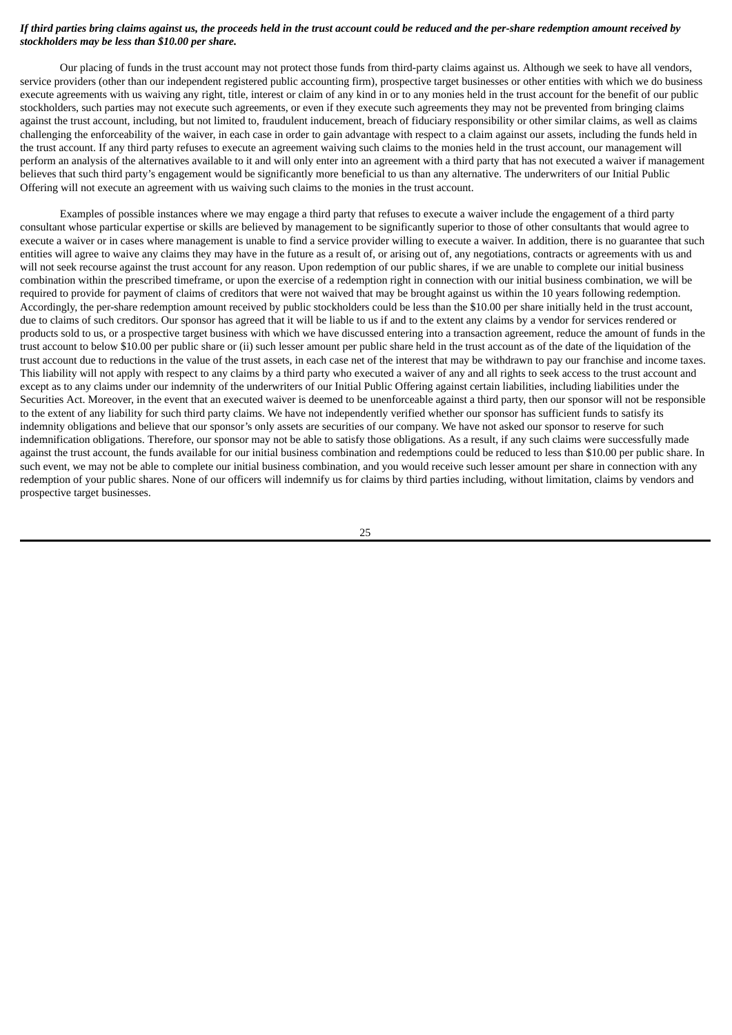# If third parties bring claims against us, the proceeds held in the trust account could be reduced and the per-share redemption amount received by *stockholders may be less than \$10.00 per share.*

Our placing of funds in the trust account may not protect those funds from third-party claims against us. Although we seek to have all vendors, service providers (other than our independent registered public accounting firm), prospective target businesses or other entities with which we do business execute agreements with us waiving any right, title, interest or claim of any kind in or to any monies held in the trust account for the benefit of our public stockholders, such parties may not execute such agreements, or even if they execute such agreements they may not be prevented from bringing claims against the trust account, including, but not limited to, fraudulent inducement, breach of fiduciary responsibility or other similar claims, as well as claims challenging the enforceability of the waiver, in each case in order to gain advantage with respect to a claim against our assets, including the funds held in the trust account. If any third party refuses to execute an agreement waiving such claims to the monies held in the trust account, our management will perform an analysis of the alternatives available to it and will only enter into an agreement with a third party that has not executed a waiver if management believes that such third party's engagement would be significantly more beneficial to us than any alternative. The underwriters of our Initial Public Offering will not execute an agreement with us waiving such claims to the monies in the trust account.

Examples of possible instances where we may engage a third party that refuses to execute a waiver include the engagement of a third party consultant whose particular expertise or skills are believed by management to be significantly superior to those of other consultants that would agree to execute a waiver or in cases where management is unable to find a service provider willing to execute a waiver. In addition, there is no guarantee that such entities will agree to waive any claims they may have in the future as a result of, or arising out of, any negotiations, contracts or agreements with us and will not seek recourse against the trust account for any reason. Upon redemption of our public shares, if we are unable to complete our initial business combination within the prescribed timeframe, or upon the exercise of a redemption right in connection with our initial business combination, we will be required to provide for payment of claims of creditors that were not waived that may be brought against us within the 10 years following redemption. Accordingly, the per-share redemption amount received by public stockholders could be less than the \$10.00 per share initially held in the trust account, due to claims of such creditors. Our sponsor has agreed that it will be liable to us if and to the extent any claims by a vendor for services rendered or products sold to us, or a prospective target business with which we have discussed entering into a transaction agreement, reduce the amount of funds in the trust account to below \$10.00 per public share or (ii) such lesser amount per public share held in the trust account as of the date of the liquidation of the trust account due to reductions in the value of the trust assets, in each case net of the interest that may be withdrawn to pay our franchise and income taxes. This liability will not apply with respect to any claims by a third party who executed a waiver of any and all rights to seek access to the trust account and except as to any claims under our indemnity of the underwriters of our Initial Public Offering against certain liabilities, including liabilities under the Securities Act. Moreover, in the event that an executed waiver is deemed to be unenforceable against a third party, then our sponsor will not be responsible to the extent of any liability for such third party claims. We have not independently verified whether our sponsor has sufficient funds to satisfy its indemnity obligations and believe that our sponsor's only assets are securities of our company. We have not asked our sponsor to reserve for such indemnification obligations. Therefore, our sponsor may not be able to satisfy those obligations. As a result, if any such claims were successfully made against the trust account, the funds available for our initial business combination and redemptions could be reduced to less than \$10.00 per public share. In such event, we may not be able to complete our initial business combination, and you would receive such lesser amount per share in connection with any redemption of your public shares. None of our officers will indemnify us for claims by third parties including, without limitation, claims by vendors and prospective target businesses.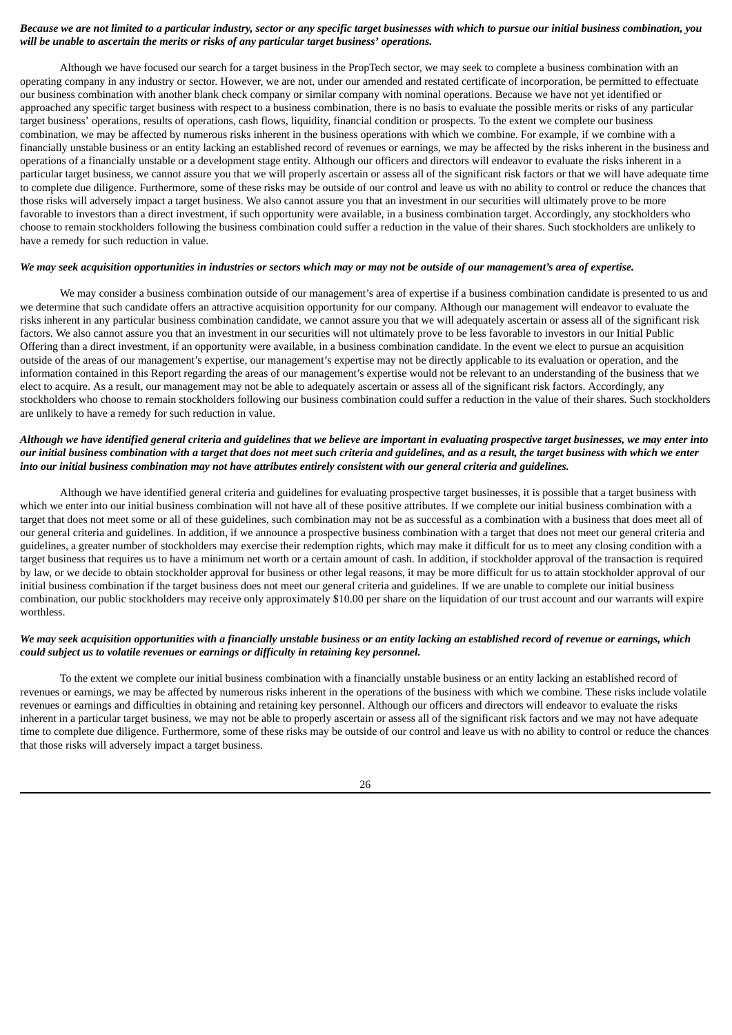# Because we are not limited to a particular industry, sector or any specific target businesses with which to pursue our initial business combination, you *will be unable to ascertain the merits or risks of any particular target business' operations.*

Although we have focused our search for a target business in the PropTech sector, we may seek to complete a business combination with an operating company in any industry or sector. However, we are not, under our amended and restated certificate of incorporation, be permitted to effectuate our business combination with another blank check company or similar company with nominal operations. Because we have not yet identified or approached any specific target business with respect to a business combination, there is no basis to evaluate the possible merits or risks of any particular target business' operations, results of operations, cash flows, liquidity, financial condition or prospects. To the extent we complete our business combination, we may be affected by numerous risks inherent in the business operations with which we combine. For example, if we combine with a financially unstable business or an entity lacking an established record of revenues or earnings, we may be affected by the risks inherent in the business and operations of a financially unstable or a development stage entity. Although our officers and directors will endeavor to evaluate the risks inherent in a particular target business, we cannot assure you that we will properly ascertain or assess all of the significant risk factors or that we will have adequate time to complete due diligence. Furthermore, some of these risks may be outside of our control and leave us with no ability to control or reduce the chances that those risks will adversely impact a target business. We also cannot assure you that an investment in our securities will ultimately prove to be more favorable to investors than a direct investment, if such opportunity were available, in a business combination target. Accordingly, any stockholders who choose to remain stockholders following the business combination could suffer a reduction in the value of their shares. Such stockholders are unlikely to have a remedy for such reduction in value.

#### We may seek acquisition opportunities in industries or sectors which may or may not be outside of our management's area of expertise.

We may consider a business combination outside of our management's area of expertise if a business combination candidate is presented to us and we determine that such candidate offers an attractive acquisition opportunity for our company. Although our management will endeavor to evaluate the risks inherent in any particular business combination candidate, we cannot assure you that we will adequately ascertain or assess all of the significant risk factors. We also cannot assure you that an investment in our securities will not ultimately prove to be less favorable to investors in our Initial Public Offering than a direct investment, if an opportunity were available, in a business combination candidate. In the event we elect to pursue an acquisition outside of the areas of our management's expertise, our management's expertise may not be directly applicable to its evaluation or operation, and the information contained in this Report regarding the areas of our management's expertise would not be relevant to an understanding of the business that we elect to acquire. As a result, our management may not be able to adequately ascertain or assess all of the significant risk factors. Accordingly, any stockholders who choose to remain stockholders following our business combination could suffer a reduction in the value of their shares. Such stockholders are unlikely to have a remedy for such reduction in value.

# Although we have identified general criteria and guidelines that we believe are important in evaluating prospective target businesses, we may enter into our initial business combination with a target that does not meet such criteria and quidelines, and as a result, the target business with which we enter into our initial business combination may not have attributes entirely consistent with our general criteria and quidelines.

Although we have identified general criteria and guidelines for evaluating prospective target businesses, it is possible that a target business with which we enter into our initial business combination will not have all of these positive attributes. If we complete our initial business combination with a target that does not meet some or all of these guidelines, such combination may not be as successful as a combination with a business that does meet all of our general criteria and guidelines. In addition, if we announce a prospective business combination with a target that does not meet our general criteria and guidelines, a greater number of stockholders may exercise their redemption rights, which may make it difficult for us to meet any closing condition with a target business that requires us to have a minimum net worth or a certain amount of cash. In addition, if stockholder approval of the transaction is required by law, or we decide to obtain stockholder approval for business or other legal reasons, it may be more difficult for us to attain stockholder approval of our initial business combination if the target business does not meet our general criteria and guidelines. If we are unable to complete our initial business combination, our public stockholders may receive only approximately \$10.00 per share on the liquidation of our trust account and our warrants will expire worthless.

# We may seek acquisition opportunities with a financially unstable business or an entity lacking an established record of revenue or earnings, which *could subject us to volatile revenues or earnings or difficulty in retaining key personnel.*

To the extent we complete our initial business combination with a financially unstable business or an entity lacking an established record of revenues or earnings, we may be affected by numerous risks inherent in the operations of the business with which we combine. These risks include volatile revenues or earnings and difficulties in obtaining and retaining key personnel. Although our officers and directors will endeavor to evaluate the risks inherent in a particular target business, we may not be able to properly ascertain or assess all of the significant risk factors and we may not have adequate time to complete due diligence. Furthermore, some of these risks may be outside of our control and leave us with no ability to control or reduce the chances that those risks will adversely impact a target business.

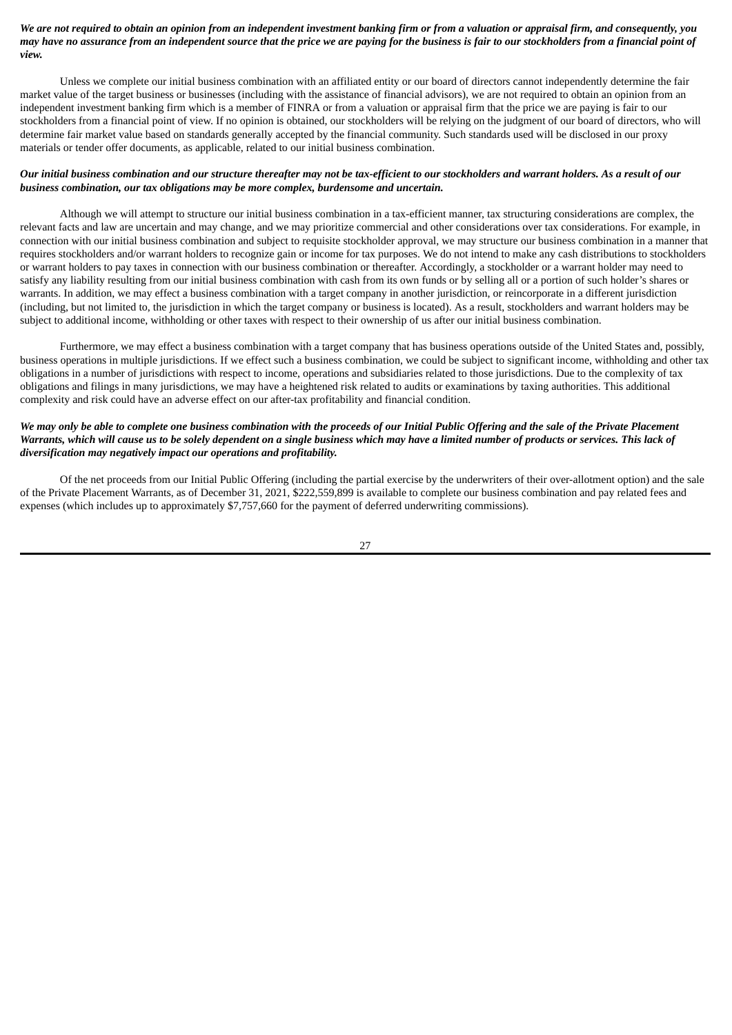We are not required to obtain an opinion from an independent investment banking firm or from a valuation or appraisal firm, and consequently, you may have no assurance from an independent source that the price we are paying for the business is fair to our stockholders from a financial point of *view.*

Unless we complete our initial business combination with an affiliated entity or our board of directors cannot independently determine the fair market value of the target business or businesses (including with the assistance of financial advisors), we are not required to obtain an opinion from an independent investment banking firm which is a member of FINRA or from a valuation or appraisal firm that the price we are paying is fair to our stockholders from a financial point of view. If no opinion is obtained, our stockholders will be relying on the judgment of our board of directors, who will determine fair market value based on standards generally accepted by the financial community. Such standards used will be disclosed in our proxy materials or tender offer documents, as applicable, related to our initial business combination.

# Our initial business combination and our structure thereafter may not be tax-efficient to our stockholders and warrant holders. As a result of our *business combination, our tax obligations may be more complex, burdensome and uncertain.*

Although we will attempt to structure our initial business combination in a tax-efficient manner, tax structuring considerations are complex, the relevant facts and law are uncertain and may change, and we may prioritize commercial and other considerations over tax considerations. For example, in connection with our initial business combination and subject to requisite stockholder approval, we may structure our business combination in a manner that requires stockholders and/or warrant holders to recognize gain or income for tax purposes. We do not intend to make any cash distributions to stockholders or warrant holders to pay taxes in connection with our business combination or thereafter. Accordingly, a stockholder or a warrant holder may need to satisfy any liability resulting from our initial business combination with cash from its own funds or by selling all or a portion of such holder's shares or warrants. In addition, we may effect a business combination with a target company in another jurisdiction, or reincorporate in a different jurisdiction (including, but not limited to, the jurisdiction in which the target company or business is located). As a result, stockholders and warrant holders may be subject to additional income, withholding or other taxes with respect to their ownership of us after our initial business combination.

Furthermore, we may effect a business combination with a target company that has business operations outside of the United States and, possibly, business operations in multiple jurisdictions. If we effect such a business combination, we could be subject to significant income, withholding and other tax obligations in a number of jurisdictions with respect to income, operations and subsidiaries related to those jurisdictions. Due to the complexity of tax obligations and filings in many jurisdictions, we may have a heightened risk related to audits or examinations by taxing authorities. This additional complexity and risk could have an adverse effect on our after-tax profitability and financial condition.

# We may only be able to complete one business combination with the proceeds of our Initial Public Offering and the sale of the Private Placement Warrants, which will cause us to be solely dependent on a single business which may have a limited number of products or services. This lack of *diversification may negatively impact our operations and profitability.*

Of the net proceeds from our Initial Public Offering (including the partial exercise by the underwriters of their over-allotment option) and the sale of the Private Placement Warrants, as of December 31, 2021, \$222,559,899 is available to complete our business combination and pay related fees and expenses (which includes up to approximately \$7,757,660 for the payment of deferred underwriting commissions).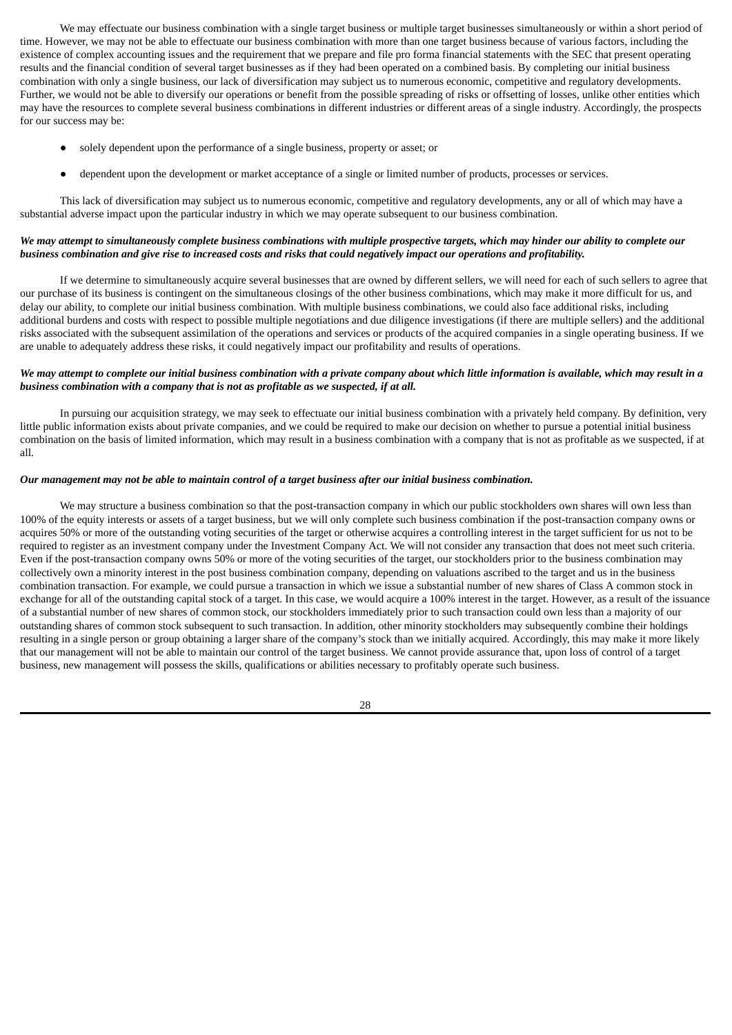We may effectuate our business combination with a single target business or multiple target businesses simultaneously or within a short period of time. However, we may not be able to effectuate our business combination with more than one target business because of various factors, including the existence of complex accounting issues and the requirement that we prepare and file pro forma financial statements with the SEC that present operating results and the financial condition of several target businesses as if they had been operated on a combined basis. By completing our initial business combination with only a single business, our lack of diversification may subject us to numerous economic, competitive and regulatory developments. Further, we would not be able to diversify our operations or benefit from the possible spreading of risks or offsetting of losses, unlike other entities which may have the resources to complete several business combinations in different industries or different areas of a single industry. Accordingly, the prospects for our success may be:

- solely dependent upon the performance of a single business, property or asset; or
- dependent upon the development or market acceptance of a single or limited number of products, processes or services.

This lack of diversification may subject us to numerous economic, competitive and regulatory developments, any or all of which may have a substantial adverse impact upon the particular industry in which we may operate subsequent to our business combination.

#### We may attempt to simultaneously complete business combinations with multiple prospective targets, which may hinder our ability to complete our business combination and give rise to increased costs and risks that could negatively impact our operations and profitability.

If we determine to simultaneously acquire several businesses that are owned by different sellers, we will need for each of such sellers to agree that our purchase of its business is contingent on the simultaneous closings of the other business combinations, which may make it more difficult for us, and delay our ability, to complete our initial business combination. With multiple business combinations, we could also face additional risks, including additional burdens and costs with respect to possible multiple negotiations and due diligence investigations (if there are multiple sellers) and the additional risks associated with the subsequent assimilation of the operations and services or products of the acquired companies in a single operating business. If we are unable to adequately address these risks, it could negatively impact our profitability and results of operations.

# We may attempt to complete our initial business combination with a private company about which little information is available, which may result in a *business combination with a company that is not as profitable as we suspected, if at all.*

In pursuing our acquisition strategy, we may seek to effectuate our initial business combination with a privately held company. By definition, very little public information exists about private companies, and we could be required to make our decision on whether to pursue a potential initial business combination on the basis of limited information, which may result in a business combination with a company that is not as profitable as we suspected, if at all.

# Our management may not be able to maintain control of a target business after our initial business combination.

We may structure a business combination so that the post-transaction company in which our public stockholders own shares will own less than 100% of the equity interests or assets of a target business, but we will only complete such business combination if the post-transaction company owns or acquires 50% or more of the outstanding voting securities of the target or otherwise acquires a controlling interest in the target sufficient for us not to be required to register as an investment company under the Investment Company Act. We will not consider any transaction that does not meet such criteria. Even if the post-transaction company owns 50% or more of the voting securities of the target, our stockholders prior to the business combination may collectively own a minority interest in the post business combination company, depending on valuations ascribed to the target and us in the business combination transaction. For example, we could pursue a transaction in which we issue a substantial number of new shares of Class A common stock in exchange for all of the outstanding capital stock of a target. In this case, we would acquire a 100% interest in the target. However, as a result of the issuance of a substantial number of new shares of common stock, our stockholders immediately prior to such transaction could own less than a majority of our outstanding shares of common stock subsequent to such transaction. In addition, other minority stockholders may subsequently combine their holdings resulting in a single person or group obtaining a larger share of the company's stock than we initially acquired. Accordingly, this may make it more likely that our management will not be able to maintain our control of the target business. We cannot provide assurance that, upon loss of control of a target business, new management will possess the skills, qualifications or abilities necessary to profitably operate such business.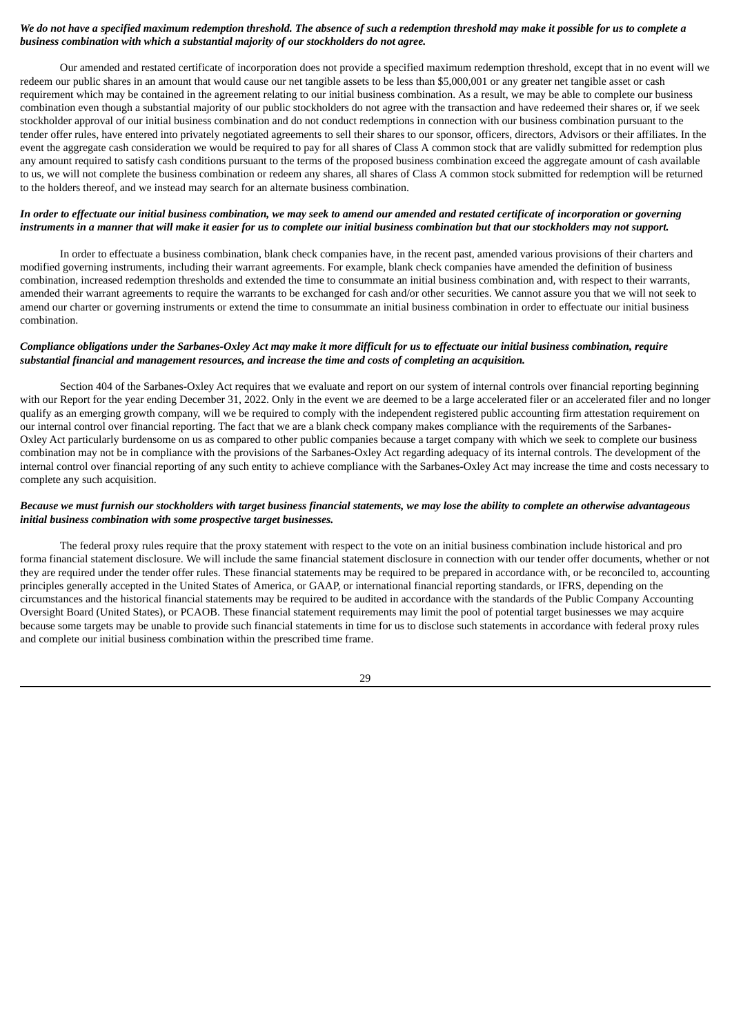# We do not have a specified maximum redemption threshold. The absence of such a redemption threshold may make it possible for us to complete a *business combination with which a substantial majority of our stockholders do not agree.*

Our amended and restated certificate of incorporation does not provide a specified maximum redemption threshold, except that in no event will we redeem our public shares in an amount that would cause our net tangible assets to be less than \$5,000,001 or any greater net tangible asset or cash requirement which may be contained in the agreement relating to our initial business combination. As a result, we may be able to complete our business combination even though a substantial majority of our public stockholders do not agree with the transaction and have redeemed their shares or, if we seek stockholder approval of our initial business combination and do not conduct redemptions in connection with our business combination pursuant to the tender offer rules, have entered into privately negotiated agreements to sell their shares to our sponsor, officers, directors, Advisors or their affiliates. In the event the aggregate cash consideration we would be required to pay for all shares of Class A common stock that are validly submitted for redemption plus any amount required to satisfy cash conditions pursuant to the terms of the proposed business combination exceed the aggregate amount of cash available to us, we will not complete the business combination or redeem any shares, all shares of Class A common stock submitted for redemption will be returned to the holders thereof, and we instead may search for an alternate business combination.

# In order to effectuate our initial business combination, we may seek to amend our amended and restated certificate of incorporation or governing instruments in a manner that will make it easier for us to complete our initial business combination but that our stockholders may not support.

In order to effectuate a business combination, blank check companies have, in the recent past, amended various provisions of their charters and modified governing instruments, including their warrant agreements. For example, blank check companies have amended the definition of business combination, increased redemption thresholds and extended the time to consummate an initial business combination and, with respect to their warrants, amended their warrant agreements to require the warrants to be exchanged for cash and/or other securities. We cannot assure you that we will not seek to amend our charter or governing instruments or extend the time to consummate an initial business combination in order to effectuate our initial business combination.

# Compliance obligations under the Sarbanes-Oxley Act may make it more difficult for us to effectuate our initial business combination, require *substantial financial and management resources, and increase the time and costs of completing an acquisition.*

Section 404 of the Sarbanes-Oxley Act requires that we evaluate and report on our system of internal controls over financial reporting beginning with our Report for the year ending December 31, 2022. Only in the event we are deemed to be a large accelerated filer or an accelerated filer and no longer qualify as an emerging growth company, will we be required to comply with the independent registered public accounting firm attestation requirement on our internal control over financial reporting. The fact that we are a blank check company makes compliance with the requirements of the Sarbanes-Oxley Act particularly burdensome on us as compared to other public companies because a target company with which we seek to complete our business combination may not be in compliance with the provisions of the Sarbanes-Oxley Act regarding adequacy of its internal controls. The development of the internal control over financial reporting of any such entity to achieve compliance with the Sarbanes-Oxley Act may increase the time and costs necessary to complete any such acquisition.

# Because we must furnish our stockholders with target business financial statements, we may lose the ability to complete an otherwise advantageous *initial business combination with some prospective target businesses.*

The federal proxy rules require that the proxy statement with respect to the vote on an initial business combination include historical and pro forma financial statement disclosure. We will include the same financial statement disclosure in connection with our tender offer documents, whether or not they are required under the tender offer rules. These financial statements may be required to be prepared in accordance with, or be reconciled to, accounting principles generally accepted in the United States of America, or GAAP, or international financial reporting standards, or IFRS, depending on the circumstances and the historical financial statements may be required to be audited in accordance with the standards of the Public Company Accounting Oversight Board (United States), or PCAOB. These financial statement requirements may limit the pool of potential target businesses we may acquire because some targets may be unable to provide such financial statements in time for us to disclose such statements in accordance with federal proxy rules and complete our initial business combination within the prescribed time frame.

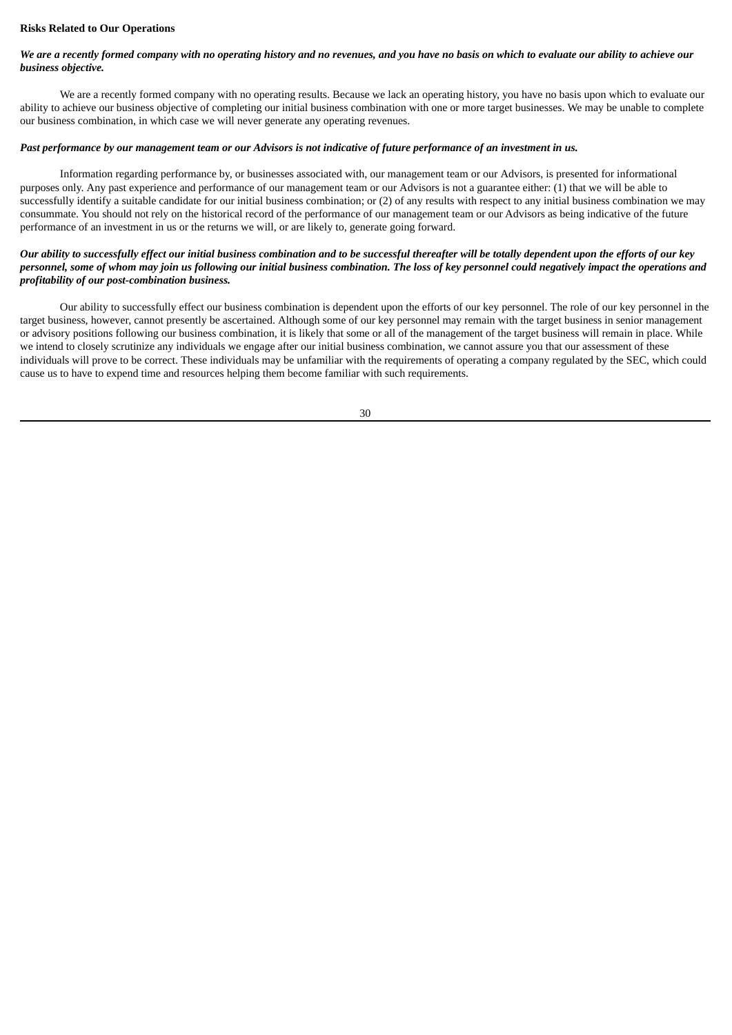# **Risks Related to Our Operations**

# We are a recently formed company with no operating history and no revenues, and you have no basis on which to evaluate our ability to achieve our *business objective.*

We are a recently formed company with no operating results. Because we lack an operating history, you have no basis upon which to evaluate our ability to achieve our business objective of completing our initial business combination with one or more target businesses. We may be unable to complete our business combination, in which case we will never generate any operating revenues.

#### Past performance by our management team or our Advisors is not indicative of future performance of an investment in us.

Information regarding performance by, or businesses associated with, our management team or our Advisors, is presented for informational purposes only. Any past experience and performance of our management team or our Advisors is not a guarantee either: (1) that we will be able to successfully identify a suitable candidate for our initial business combination; or (2) of any results with respect to any initial business combination we may consummate. You should not rely on the historical record of the performance of our management team or our Advisors as being indicative of the future performance of an investment in us or the returns we will, or are likely to, generate going forward.

# Our ability to successfully effect our initial business combination and to be successful thereafter will be totally dependent upon the efforts of our key personnel, some of whom may join us following our initial business combination. The loss of key personnel could negatively impact the operations and *profitability of our post-combination business.*

Our ability to successfully effect our business combination is dependent upon the efforts of our key personnel. The role of our key personnel in the target business, however, cannot presently be ascertained. Although some of our key personnel may remain with the target business in senior management or advisory positions following our business combination, it is likely that some or all of the management of the target business will remain in place. While we intend to closely scrutinize any individuals we engage after our initial business combination, we cannot assure you that our assessment of these individuals will prove to be correct. These individuals may be unfamiliar with the requirements of operating a company regulated by the SEC, which could cause us to have to expend time and resources helping them become familiar with such requirements.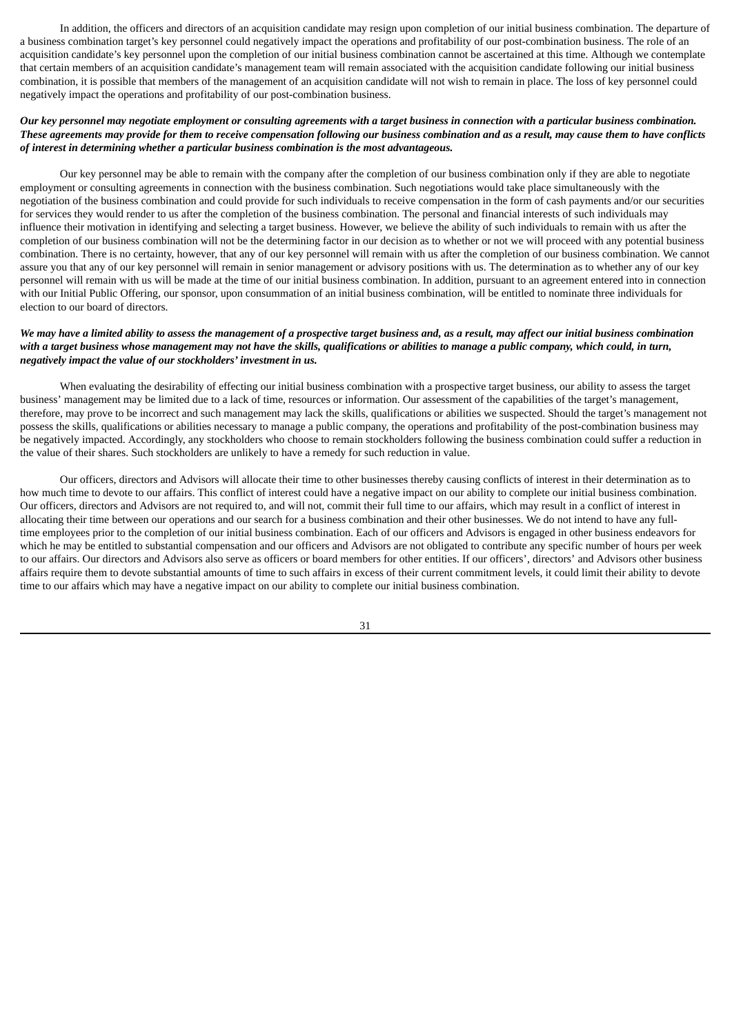In addition, the officers and directors of an acquisition candidate may resign upon completion of our initial business combination. The departure of a business combination target's key personnel could negatively impact the operations and profitability of our post-combination business. The role of an acquisition candidate's key personnel upon the completion of our initial business combination cannot be ascertained at this time. Although we contemplate that certain members of an acquisition candidate's management team will remain associated with the acquisition candidate following our initial business combination, it is possible that members of the management of an acquisition candidate will not wish to remain in place. The loss of key personnel could negatively impact the operations and profitability of our post-combination business.

## Our key personnel may negotiate employment or consulting gareements with a target business in connection with a particular business combination. These agreements may provide for them to receive compensation following our business combination and as a result, may cause them to have conflicts *of interest in determining whether a particular business combination is the most advantageous.*

Our key personnel may be able to remain with the company after the completion of our business combination only if they are able to negotiate employment or consulting agreements in connection with the business combination. Such negotiations would take place simultaneously with the negotiation of the business combination and could provide for such individuals to receive compensation in the form of cash payments and/or our securities for services they would render to us after the completion of the business combination. The personal and financial interests of such individuals may influence their motivation in identifying and selecting a target business. However, we believe the ability of such individuals to remain with us after the completion of our business combination will not be the determining factor in our decision as to whether or not we will proceed with any potential business combination. There is no certainty, however, that any of our key personnel will remain with us after the completion of our business combination. We cannot assure you that any of our key personnel will remain in senior management or advisory positions with us. The determination as to whether any of our key personnel will remain with us will be made at the time of our initial business combination. In addition, pursuant to an agreement entered into in connection with our Initial Public Offering, our sponsor, upon consummation of an initial business combination, will be entitled to nominate three individuals for election to our board of directors.

## We may have a limited ability to assess the management of a prospective target business and, as a result, may affect our initial business combination with a target business whose management may not have the skills, qualifications or abilities to manage a public company, which could, in turn, *negatively impact the value of our stockholders' investment in us.*

When evaluating the desirability of effecting our initial business combination with a prospective target business, our ability to assess the target business' management may be limited due to a lack of time, resources or information. Our assessment of the capabilities of the target's management, therefore, may prove to be incorrect and such management may lack the skills, qualifications or abilities we suspected. Should the target's management not possess the skills, qualifications or abilities necessary to manage a public company, the operations and profitability of the post-combination business may be negatively impacted. Accordingly, any stockholders who choose to remain stockholders following the business combination could suffer a reduction in the value of their shares. Such stockholders are unlikely to have a remedy for such reduction in value.

Our officers, directors and Advisors will allocate their time to other businesses thereby causing conflicts of interest in their determination as to how much time to devote to our affairs. This conflict of interest could have a negative impact on our ability to complete our initial business combination. Our officers, directors and Advisors are not required to, and will not, commit their full time to our affairs, which may result in a conflict of interest in allocating their time between our operations and our search for a business combination and their other businesses. We do not intend to have any fulltime employees prior to the completion of our initial business combination. Each of our officers and Advisors is engaged in other business endeavors for which he may be entitled to substantial compensation and our officers and Advisors are not obligated to contribute any specific number of hours per week to our affairs. Our directors and Advisors also serve as officers or board members for other entities. If our officers', directors' and Advisors other business affairs require them to devote substantial amounts of time to such affairs in excess of their current commitment levels, it could limit their ability to devote time to our affairs which may have a negative impact on our ability to complete our initial business combination.

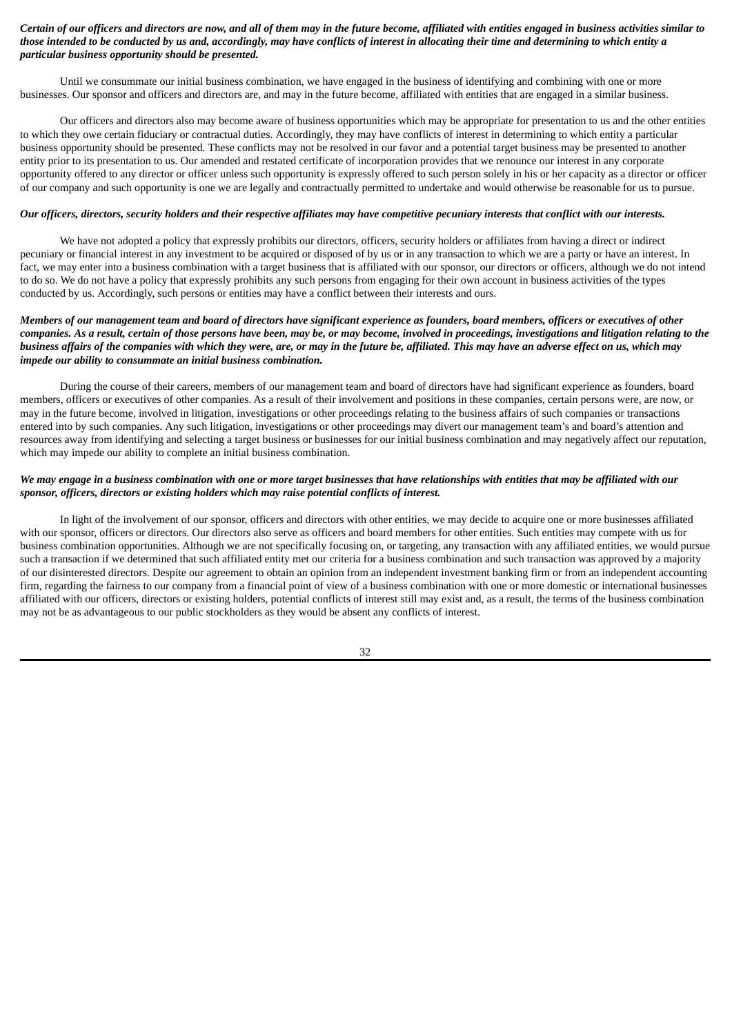## Certain of our officers and directors are now, and all of them may in the future become, affiliated with entities engaged in business activities similar to those intended to be conducted by us and, accordingly, may have conflicts of interest in allocating their time and determining to which entity a *particular business opportunity should be presented.*

Until we consummate our initial business combination, we have engaged in the business of identifying and combining with one or more businesses. Our sponsor and officers and directors are, and may in the future become, affiliated with entities that are engaged in a similar business.

Our officers and directors also may become aware of business opportunities which may be appropriate for presentation to us and the other entities to which they owe certain fiduciary or contractual duties. Accordingly, they may have conflicts of interest in determining to which entity a particular business opportunity should be presented. These conflicts may not be resolved in our favor and a potential target business may be presented to another entity prior to its presentation to us. Our amended and restated certificate of incorporation provides that we renounce our interest in any corporate opportunity offered to any director or officer unless such opportunity is expressly offered to such person solely in his or her capacity as a director or officer of our company and such opportunity is one we are legally and contractually permitted to undertake and would otherwise be reasonable for us to pursue.

#### Our officers, directors, security holders and their respective affiliates may have competitive pecuniary interests that conflict with our interests.

We have not adopted a policy that expressly prohibits our directors, officers, security holders or affiliates from having a direct or indirect pecuniary or financial interest in any investment to be acquired or disposed of by us or in any transaction to which we are a party or have an interest. In fact, we may enter into a business combination with a target business that is affiliated with our sponsor, our directors or officers, although we do not intend to do so. We do not have a policy that expressly prohibits any such persons from engaging for their own account in business activities of the types conducted by us. Accordingly, such persons or entities may have a conflict between their interests and ours.

## Members of our management team and board of directors have significant experience as founders, board members, officers or executives of other companies. As a result, certain of those persons have been, may be, or may become, involved in proceedings, investigations and litigation relating to the business affairs of the companies with which they were, are, or may in the future be, affiliated. This may have an adverse effect on us, which may *impede our ability to consummate an initial business combination.*

During the course of their careers, members of our management team and board of directors have had significant experience as founders, board members, officers or executives of other companies. As a result of their involvement and positions in these companies, certain persons were, are now, or may in the future become, involved in litigation, investigations or other proceedings relating to the business affairs of such companies or transactions entered into by such companies. Any such litigation, investigations or other proceedings may divert our management team's and board's attention and resources away from identifying and selecting a target business or businesses for our initial business combination and may negatively affect our reputation, which may impede our ability to complete an initial business combination.

## We may engage in a business combination with one or more target businesses that have relationships with entities that may be affiliated with our *sponsor, officers, directors or existing holders which may raise potential conflicts of interest.*

In light of the involvement of our sponsor, officers and directors with other entities, we may decide to acquire one or more businesses affiliated with our sponsor, officers or directors. Our directors also serve as officers and board members for other entities. Such entities may compete with us for business combination opportunities. Although we are not specifically focusing on, or targeting, any transaction with any affiliated entities, we would pursue such a transaction if we determined that such affiliated entity met our criteria for a business combination and such transaction was approved by a majority of our disinterested directors. Despite our agreement to obtain an opinion from an independent investment banking firm or from an independent accounting firm, regarding the fairness to our company from a financial point of view of a business combination with one or more domestic or international businesses affiliated with our officers, directors or existing holders, potential conflicts of interest still may exist and, as a result, the terms of the business combination may not be as advantageous to our public stockholders as they would be absent any conflicts of interest.

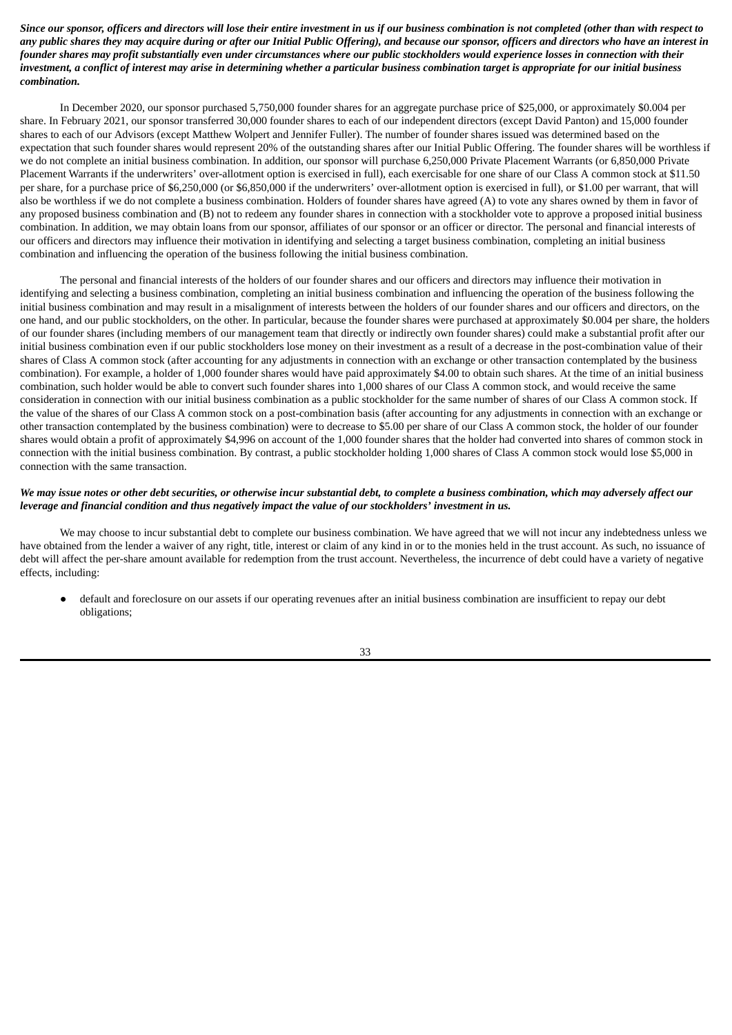Since our sponsor, officers and directors will lose their entire investment in us if our business combination is not completed (other than with respect to any public shares they may acquire during or after our Initial Public Offering), and because our sponsor, officers and directors who have an interest in founder shares may profit substantially even under circumstances where our public stockholders would experience losses in connection with their investment, a conflict of interest may arise in determining whether a particular business combination target is appropriate for our initial business *combination.*

In December 2020, our sponsor purchased 5,750,000 founder shares for an aggregate purchase price of \$25,000, or approximately \$0.004 per share. In February 2021, our sponsor transferred 30,000 founder shares to each of our independent directors (except David Panton) and 15,000 founder shares to each of our Advisors (except Matthew Wolpert and Jennifer Fuller). The number of founder shares issued was determined based on the expectation that such founder shares would represent 20% of the outstanding shares after our Initial Public Offering. The founder shares will be worthless if we do not complete an initial business combination. In addition, our sponsor will purchase 6,250,000 Private Placement Warrants (or 6,850,000 Private Placement Warrants if the underwriters' over-allotment option is exercised in full), each exercisable for one share of our Class A common stock at \$11.50 per share, for a purchase price of \$6,250,000 (or \$6,850,000 if the underwriters' over-allotment option is exercised in full), or \$1.00 per warrant, that will also be worthless if we do not complete a business combination. Holders of founder shares have agreed (A) to vote any shares owned by them in favor of any proposed business combination and (B) not to redeem any founder shares in connection with a stockholder vote to approve a proposed initial business combination. In addition, we may obtain loans from our sponsor, affiliates of our sponsor or an officer or director. The personal and financial interests of our officers and directors may influence their motivation in identifying and selecting a target business combination, completing an initial business combination and influencing the operation of the business following the initial business combination.

The personal and financial interests of the holders of our founder shares and our officers and directors may influence their motivation in identifying and selecting a business combination, completing an initial business combination and influencing the operation of the business following the initial business combination and may result in a misalignment of interests between the holders of our founder shares and our officers and directors, on the one hand, and our public stockholders, on the other. In particular, because the founder shares were purchased at approximately \$0.004 per share, the holders of our founder shares (including members of our management team that directly or indirectly own founder shares) could make a substantial profit after our initial business combination even if our public stockholders lose money on their investment as a result of a decrease in the post-combination value of their shares of Class A common stock (after accounting for any adjustments in connection with an exchange or other transaction contemplated by the business combination). For example, a holder of 1,000 founder shares would have paid approximately \$4.00 to obtain such shares. At the time of an initial business combination, such holder would be able to convert such founder shares into 1,000 shares of our Class A common stock, and would receive the same consideration in connection with our initial business combination as a public stockholder for the same number of shares of our Class A common stock. If the value of the shares of our Class A common stock on a post-combination basis (after accounting for any adjustments in connection with an exchange or other transaction contemplated by the business combination) were to decrease to \$5.00 per share of our Class A common stock, the holder of our founder shares would obtain a profit of approximately \$4,996 on account of the 1,000 founder shares that the holder had converted into shares of common stock in connection with the initial business combination. By contrast, a public stockholder holding 1,000 shares of Class A common stock would lose \$5,000 in connection with the same transaction.

### We may issue notes or other debt securities, or otherwise incur substantial debt, to complete a business combination, which may adversely affect our *leverage and financial condition and thus negatively impact the value of our stockholders' investment in us.*

We may choose to incur substantial debt to complete our business combination. We have agreed that we will not incur any indebtedness unless we have obtained from the lender a waiver of any right, title, interest or claim of any kind in or to the monies held in the trust account. As such, no issuance of debt will affect the per-share amount available for redemption from the trust account. Nevertheless, the incurrence of debt could have a variety of negative effects, including:

default and foreclosure on our assets if our operating revenues after an initial business combination are insufficient to repay our debt obligations;

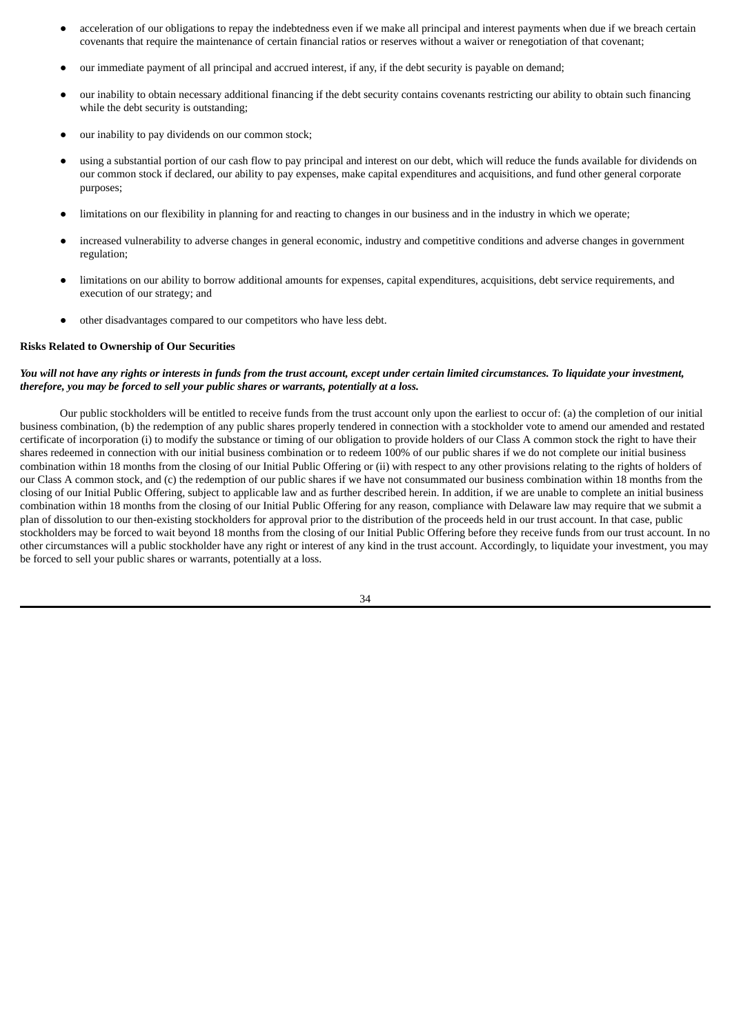- acceleration of our obligations to repay the indebtedness even if we make all principal and interest payments when due if we breach certain covenants that require the maintenance of certain financial ratios or reserves without a waiver or renegotiation of that covenant;
- our immediate payment of all principal and accrued interest, if any, if the debt security is payable on demand;
- our inability to obtain necessary additional financing if the debt security contains covenants restricting our ability to obtain such financing while the debt security is outstanding;
- our inability to pay dividends on our common stock;
- using a substantial portion of our cash flow to pay principal and interest on our debt, which will reduce the funds available for dividends on our common stock if declared, our ability to pay expenses, make capital expenditures and acquisitions, and fund other general corporate purposes;
- limitations on our flexibility in planning for and reacting to changes in our business and in the industry in which we operate;
- increased vulnerability to adverse changes in general economic, industry and competitive conditions and adverse changes in government regulation;
- limitations on our ability to borrow additional amounts for expenses, capital expenditures, acquisitions, debt service requirements, and execution of our strategy; and
- other disadvantages compared to our competitors who have less debt.

#### **Risks Related to Ownership of Our Securities**

## You will not have any rights or interests in funds from the trust account, except under certain limited circumstances. To liquidate your investment, *therefore, you may be forced to sell your public shares or warrants, potentially at a loss.*

Our public stockholders will be entitled to receive funds from the trust account only upon the earliest to occur of: (a) the completion of our initial business combination, (b) the redemption of any public shares properly tendered in connection with a stockholder vote to amend our amended and restated certificate of incorporation (i) to modify the substance or timing of our obligation to provide holders of our Class A common stock the right to have their shares redeemed in connection with our initial business combination or to redeem 100% of our public shares if we do not complete our initial business combination within 18 months from the closing of our Initial Public Offering or (ii) with respect to any other provisions relating to the rights of holders of our Class A common stock, and (c) the redemption of our public shares if we have not consummated our business combination within 18 months from the closing of our Initial Public Offering, subject to applicable law and as further described herein. In addition, if we are unable to complete an initial business combination within 18 months from the closing of our Initial Public Offering for any reason, compliance with Delaware law may require that we submit a plan of dissolution to our then-existing stockholders for approval prior to the distribution of the proceeds held in our trust account. In that case, public stockholders may be forced to wait beyond 18 months from the closing of our Initial Public Offering before they receive funds from our trust account. In no other circumstances will a public stockholder have any right or interest of any kind in the trust account. Accordingly, to liquidate your investment, you may be forced to sell your public shares or warrants, potentially at a loss.

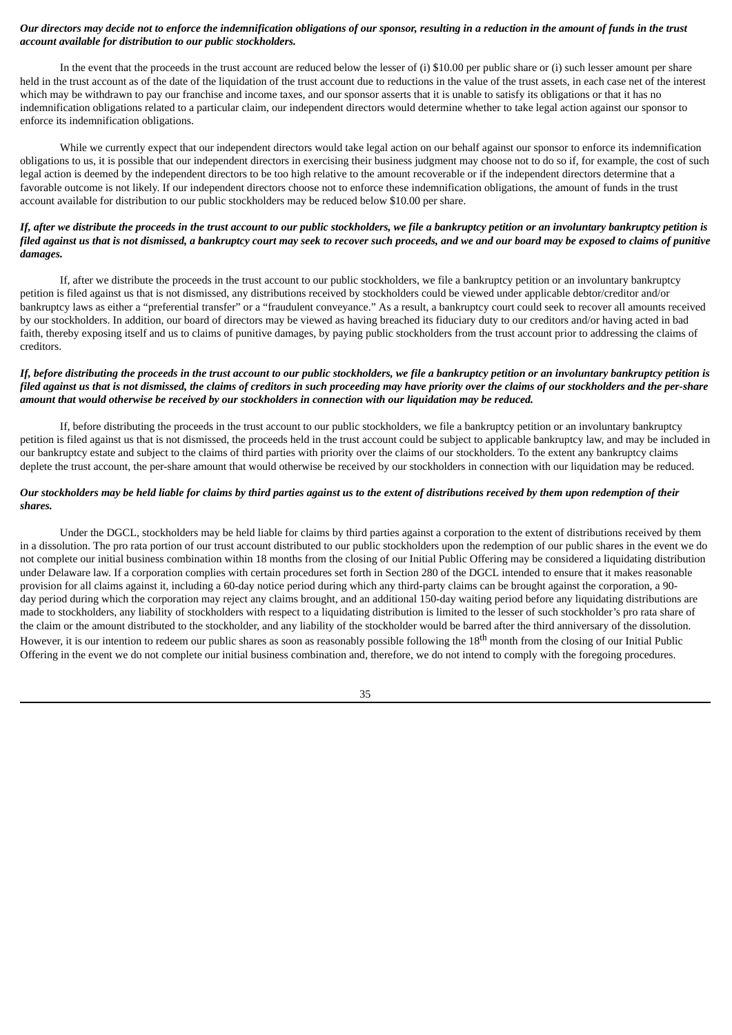# Our directors may decide not to enforce the indemnification obligations of our sponsor, resulting in a reduction in the amount of funds in the trust *account available for distribution to our public stockholders.*

In the event that the proceeds in the trust account are reduced below the lesser of (i) \$10.00 per public share or (i) such lesser amount per share held in the trust account as of the date of the liquidation of the trust account due to reductions in the value of the trust assets, in each case net of the interest which may be withdrawn to pay our franchise and income taxes, and our sponsor asserts that it is unable to satisfy its obligations or that it has no indemnification obligations related to a particular claim, our independent directors would determine whether to take legal action against our sponsor to enforce its indemnification obligations.

While we currently expect that our independent directors would take legal action on our behalf against our sponsor to enforce its indemnification obligations to us, it is possible that our independent directors in exercising their business judgment may choose not to do so if, for example, the cost of such legal action is deemed by the independent directors to be too high relative to the amount recoverable or if the independent directors determine that a favorable outcome is not likely. If our independent directors choose not to enforce these indemnification obligations, the amount of funds in the trust account available for distribution to our public stockholders may be reduced below \$10.00 per share.

## If, after we distribute the proceeds in the trust account to our public stockholders, we file a bankruptcy petition or an involuntary bankruptcy petition is filed against us that is not dismissed, a bankruptcy court may seek to recover such proceeds, and we and our board may be exposed to claims of punitive *damages.*

If, after we distribute the proceeds in the trust account to our public stockholders, we file a bankruptcy petition or an involuntary bankruptcy petition is filed against us that is not dismissed, any distributions received by stockholders could be viewed under applicable debtor/creditor and/or bankruptcy laws as either a "preferential transfer" or a "fraudulent conveyance." As a result, a bankruptcy court could seek to recover all amounts received by our stockholders. In addition, our board of directors may be viewed as having breached its fiduciary duty to our creditors and/or having acted in bad faith, thereby exposing itself and us to claims of punitive damages, by paying public stockholders from the trust account prior to addressing the claims of creditors.

# If, before distributing the proceeds in the trust account to our public stockholders, we file a bankruptcy petition or an involuntary bankruptcy petition is filed against us that is not dismissed, the claims of creditors in such proceedina may have priority over the claims of our stockholders and the per-share amount that would otherwise be received by our stockholders in connection with our liquidation may be reduced.

If, before distributing the proceeds in the trust account to our public stockholders, we file a bankruptcy petition or an involuntary bankruptcy petition is filed against us that is not dismissed, the proceeds held in the trust account could be subject to applicable bankruptcy law, and may be included in our bankruptcy estate and subject to the claims of third parties with priority over the claims of our stockholders. To the extent any bankruptcy claims deplete the trust account, the per-share amount that would otherwise be received by our stockholders in connection with our liquidation may be reduced.

### Our stockholders may be held liable for claims by third parties against us to the extent of distributions received by them upon redemption of their *shares.*

Under the DGCL, stockholders may be held liable for claims by third parties against a corporation to the extent of distributions received by them in a dissolution. The pro rata portion of our trust account distributed to our public stockholders upon the redemption of our public shares in the event we do not complete our initial business combination within 18 months from the closing of our Initial Public Offering may be considered a liquidating distribution under Delaware law. If a corporation complies with certain procedures set forth in Section 280 of the DGCL intended to ensure that it makes reasonable provision for all claims against it, including a 60-day notice period during which any third-party claims can be brought against the corporation, a 90 day period during which the corporation may reject any claims brought, and an additional 150-day waiting period before any liquidating distributions are made to stockholders, any liability of stockholders with respect to a liquidating distribution is limited to the lesser of such stockholder's pro rata share of the claim or the amount distributed to the stockholder, and any liability of the stockholder would be barred after the third anniversary of the dissolution. However, it is our intention to redeem our public shares as soon as reasonably possible following the 18<sup>th</sup> month from the closing of our Initial Public Offering in the event we do not complete our initial business combination and, therefore, we do not intend to comply with the foregoing procedures.

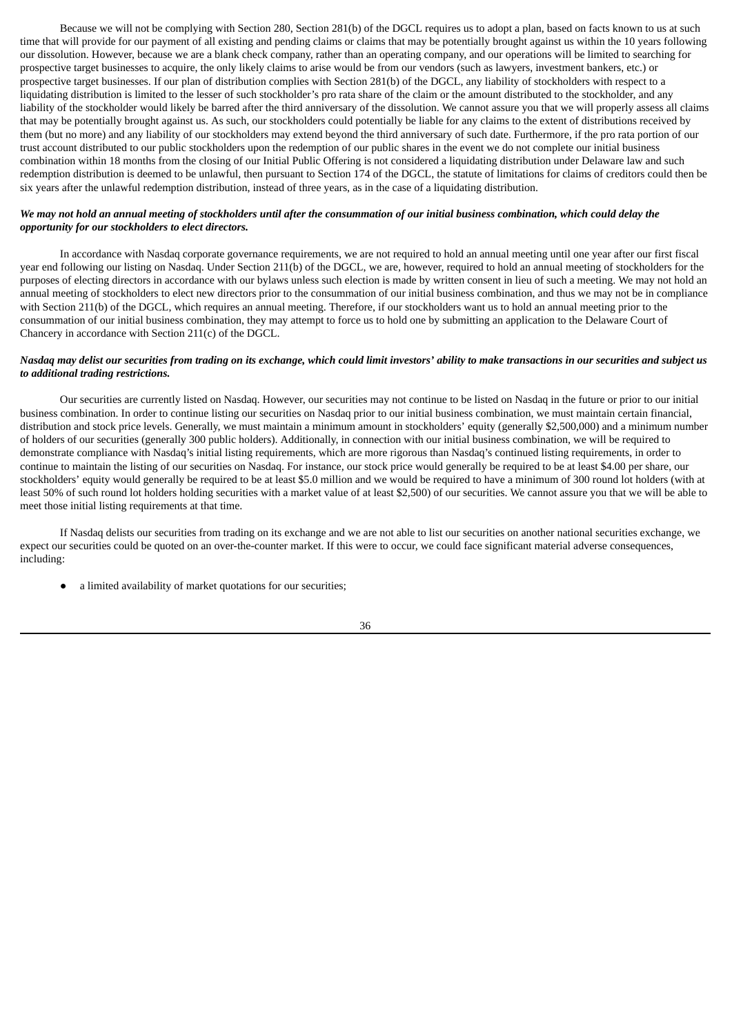Because we will not be complying with Section 280, Section 281(b) of the DGCL requires us to adopt a plan, based on facts known to us at such time that will provide for our payment of all existing and pending claims or claims that may be potentially brought against us within the 10 years following our dissolution. However, because we are a blank check company, rather than an operating company, and our operations will be limited to searching for prospective target businesses to acquire, the only likely claims to arise would be from our vendors (such as lawyers, investment bankers, etc.) or prospective target businesses. If our plan of distribution complies with Section 281(b) of the DGCL, any liability of stockholders with respect to a liquidating distribution is limited to the lesser of such stockholder's pro rata share of the claim or the amount distributed to the stockholder, and any liability of the stockholder would likely be barred after the third anniversary of the dissolution. We cannot assure you that we will properly assess all claims that may be potentially brought against us. As such, our stockholders could potentially be liable for any claims to the extent of distributions received by them (but no more) and any liability of our stockholders may extend beyond the third anniversary of such date. Furthermore, if the pro rata portion of our trust account distributed to our public stockholders upon the redemption of our public shares in the event we do not complete our initial business combination within 18 months from the closing of our Initial Public Offering is not considered a liquidating distribution under Delaware law and such redemption distribution is deemed to be unlawful, then pursuant to Section 174 of the DGCL, the statute of limitations for claims of creditors could then be six years after the unlawful redemption distribution, instead of three years, as in the case of a liquidating distribution.

## We may not hold an annual meeting of stockholders until after the consummation of our initial business combination, which could delay the *opportunity for our stockholders to elect directors.*

In accordance with Nasdaq corporate governance requirements, we are not required to hold an annual meeting until one year after our first fiscal year end following our listing on Nasdaq. Under Section 211(b) of the DGCL, we are, however, required to hold an annual meeting of stockholders for the purposes of electing directors in accordance with our bylaws unless such election is made by written consent in lieu of such a meeting. We may not hold an annual meeting of stockholders to elect new directors prior to the consummation of our initial business combination, and thus we may not be in compliance with Section 211(b) of the DGCL, which requires an annual meeting. Therefore, if our stockholders want us to hold an annual meeting prior to the consummation of our initial business combination, they may attempt to force us to hold one by submitting an application to the Delaware Court of Chancery in accordance with Section 211(c) of the DGCL.

## Nasdaq may delist our securities from trading on its exchange, which could limit investors' ability to make transactions in our securities and subject us *to additional trading restrictions.*

Our securities are currently listed on Nasdaq. However, our securities may not continue to be listed on Nasdaq in the future or prior to our initial business combination. In order to continue listing our securities on Nasdaq prior to our initial business combination, we must maintain certain financial, distribution and stock price levels. Generally, we must maintain a minimum amount in stockholders' equity (generally \$2,500,000) and a minimum number of holders of our securities (generally 300 public holders). Additionally, in connection with our initial business combination, we will be required to demonstrate compliance with Nasdaq's initial listing requirements, which are more rigorous than Nasdaq's continued listing requirements, in order to continue to maintain the listing of our securities on Nasdaq. For instance, our stock price would generally be required to be at least \$4.00 per share, our stockholders' equity would generally be required to be at least \$5.0 million and we would be required to have a minimum of 300 round lot holders (with at least 50% of such round lot holders holding securities with a market value of at least \$2,500) of our securities. We cannot assure you that we will be able to meet those initial listing requirements at that time.

If Nasdaq delists our securities from trading on its exchange and we are not able to list our securities on another national securities exchange, we expect our securities could be quoted on an over-the-counter market. If this were to occur, we could face significant material adverse consequences, including:

a limited availability of market quotations for our securities;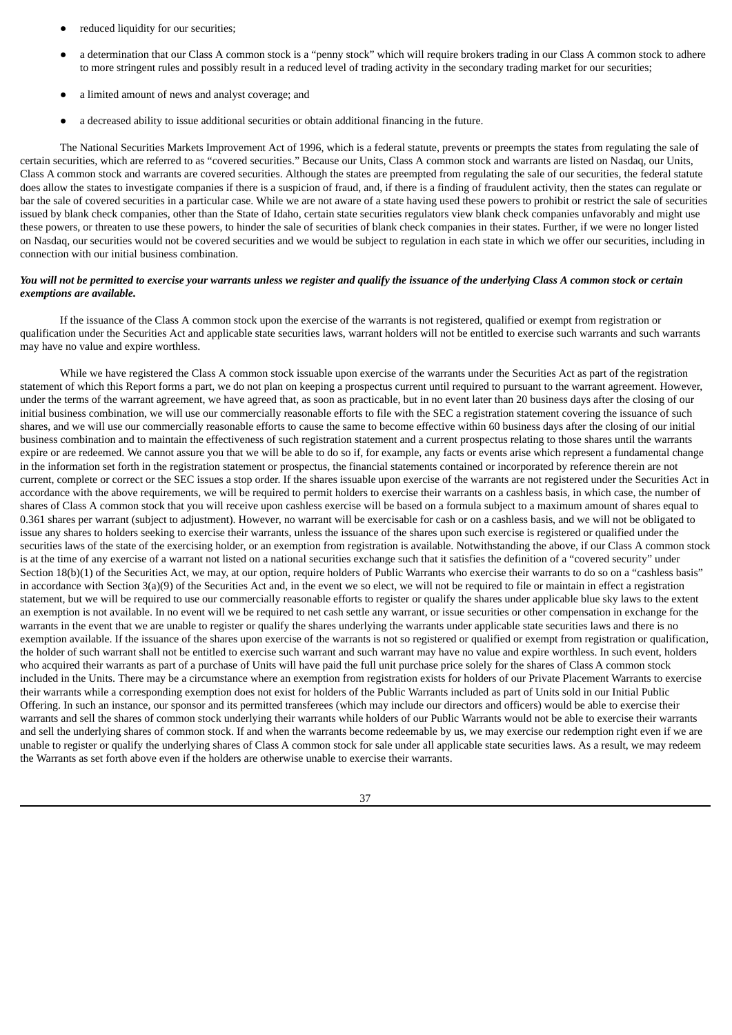- reduced liquidity for our securities;
- a determination that our Class A common stock is a "penny stock" which will require brokers trading in our Class A common stock to adhere to more stringent rules and possibly result in a reduced level of trading activity in the secondary trading market for our securities;
- a limited amount of news and analyst coverage; and
- a decreased ability to issue additional securities or obtain additional financing in the future.

The National Securities Markets Improvement Act of 1996, which is a federal statute, prevents or preempts the states from regulating the sale of certain securities, which are referred to as "covered securities." Because our Units, Class A common stock and warrants are listed on Nasdaq, our Units, Class A common stock and warrants are covered securities. Although the states are preempted from regulating the sale of our securities, the federal statute does allow the states to investigate companies if there is a suspicion of fraud, and, if there is a finding of fraudulent activity, then the states can regulate or bar the sale of covered securities in a particular case. While we are not aware of a state having used these powers to prohibit or restrict the sale of securities issued by blank check companies, other than the State of Idaho, certain state securities regulators view blank check companies unfavorably and might use these powers, or threaten to use these powers, to hinder the sale of securities of blank check companies in their states. Further, if we were no longer listed on Nasdaq, our securities would not be covered securities and we would be subject to regulation in each state in which we offer our securities, including in connection with our initial business combination.

## You will not be permitted to exercise your warrants unless we register and qualify the issuance of the underlying Class A common stock or certain *exemptions are available.*

If the issuance of the Class A common stock upon the exercise of the warrants is not registered, qualified or exempt from registration or qualification under the Securities Act and applicable state securities laws, warrant holders will not be entitled to exercise such warrants and such warrants may have no value and expire worthless.

While we have registered the Class A common stock issuable upon exercise of the warrants under the Securities Act as part of the registration statement of which this Report forms a part, we do not plan on keeping a prospectus current until required to pursuant to the warrant agreement. However, under the terms of the warrant agreement, we have agreed that, as soon as practicable, but in no event later than 20 business days after the closing of our initial business combination, we will use our commercially reasonable efforts to file with the SEC a registration statement covering the issuance of such shares, and we will use our commercially reasonable efforts to cause the same to become effective within 60 business days after the closing of our initial business combination and to maintain the effectiveness of such registration statement and a current prospectus relating to those shares until the warrants expire or are redeemed. We cannot assure you that we will be able to do so if, for example, any facts or events arise which represent a fundamental change in the information set forth in the registration statement or prospectus, the financial statements contained or incorporated by reference therein are not current, complete or correct or the SEC issues a stop order. If the shares issuable upon exercise of the warrants are not registered under the Securities Act in accordance with the above requirements, we will be required to permit holders to exercise their warrants on a cashless basis, in which case, the number of shares of Class A common stock that you will receive upon cashless exercise will be based on a formula subject to a maximum amount of shares equal to 0.361 shares per warrant (subject to adjustment). However, no warrant will be exercisable for cash or on a cashless basis, and we will not be obligated to issue any shares to holders seeking to exercise their warrants, unless the issuance of the shares upon such exercise is registered or qualified under the securities laws of the state of the exercising holder, or an exemption from registration is available. Notwithstanding the above, if our Class A common stock is at the time of any exercise of a warrant not listed on a national securities exchange such that it satisfies the definition of a "covered security" under Section 18(b)(1) of the Securities Act, we may, at our option, require holders of Public Warrants who exercise their warrants to do so on a "cashless basis" in accordance with Section 3(a)(9) of the Securities Act and, in the event we so elect, we will not be required to file or maintain in effect a registration statement, but we will be required to use our commercially reasonable efforts to register or qualify the shares under applicable blue sky laws to the extent an exemption is not available. In no event will we be required to net cash settle any warrant, or issue securities or other compensation in exchange for the warrants in the event that we are unable to register or qualify the shares underlying the warrants under applicable state securities laws and there is no exemption available. If the issuance of the shares upon exercise of the warrants is not so registered or qualified or exempt from registration or qualification, the holder of such warrant shall not be entitled to exercise such warrant and such warrant may have no value and expire worthless. In such event, holders who acquired their warrants as part of a purchase of Units will have paid the full unit purchase price solely for the shares of Class A common stock included in the Units. There may be a circumstance where an exemption from registration exists for holders of our Private Placement Warrants to exercise their warrants while a corresponding exemption does not exist for holders of the Public Warrants included as part of Units sold in our Initial Public Offering. In such an instance, our sponsor and its permitted transferees (which may include our directors and officers) would be able to exercise their warrants and sell the shares of common stock underlying their warrants while holders of our Public Warrants would not be able to exercise their warrants and sell the underlying shares of common stock. If and when the warrants become redeemable by us, we may exercise our redemption right even if we are unable to register or qualify the underlying shares of Class A common stock for sale under all applicable state securities laws. As a result, we may redeem the Warrants as set forth above even if the holders are otherwise unable to exercise their warrants.

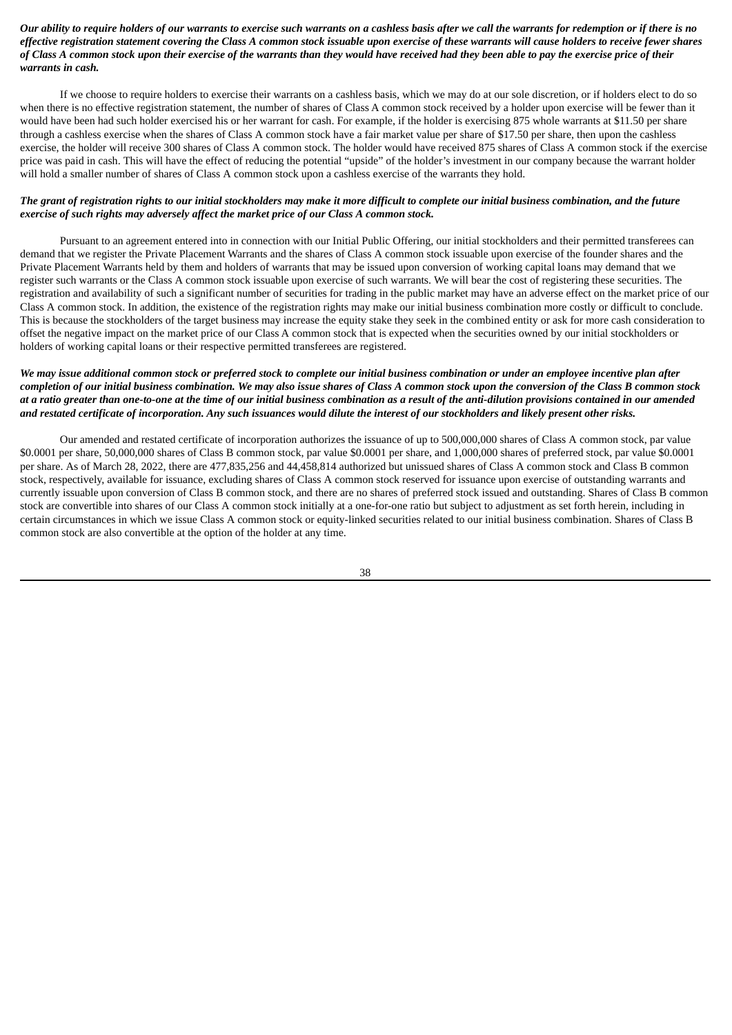Our ability to require holders of our warrants to exercise such warrants on a cashless basis after we call the warrants for redemption or if there is no effective registration statement covering the Class A common stock issuable upon exercise of these warrants will cause holders to receive fewer shares of Class A common stock upon their exercise of the warrants than they would have received had they been able to pay the exercise price of their *warrants in cash.*

If we choose to require holders to exercise their warrants on a cashless basis, which we may do at our sole discretion, or if holders elect to do so when there is no effective registration statement, the number of shares of Class A common stock received by a holder upon exercise will be fewer than it would have been had such holder exercised his or her warrant for cash. For example, if the holder is exercising 875 whole warrants at \$11.50 per share through a cashless exercise when the shares of Class A common stock have a fair market value per share of \$17.50 per share, then upon the cashless exercise, the holder will receive 300 shares of Class A common stock. The holder would have received 875 shares of Class A common stock if the exercise price was paid in cash. This will have the effect of reducing the potential "upside" of the holder's investment in our company because the warrant holder will hold a smaller number of shares of Class A common stock upon a cashless exercise of the warrants they hold.

## The grant of registration rights to our initial stockholders may make it more difficult to complete our initial business combination, and the future *exercise of such rights may adversely affect the market price of our Class A common stock.*

Pursuant to an agreement entered into in connection with our Initial Public Offering, our initial stockholders and their permitted transferees can demand that we register the Private Placement Warrants and the shares of Class A common stock issuable upon exercise of the founder shares and the Private Placement Warrants held by them and holders of warrants that may be issued upon conversion of working capital loans may demand that we register such warrants or the Class A common stock issuable upon exercise of such warrants. We will bear the cost of registering these securities. The registration and availability of such a significant number of securities for trading in the public market may have an adverse effect on the market price of our Class A common stock. In addition, the existence of the registration rights may make our initial business combination more costly or difficult to conclude. This is because the stockholders of the target business may increase the equity stake they seek in the combined entity or ask for more cash consideration to offset the negative impact on the market price of our Class A common stock that is expected when the securities owned by our initial stockholders or holders of working capital loans or their respective permitted transferees are registered.

## We may issue additional common stock or preferred stock to complete our initial business combination or under an employee incentive plan after completion of our initial business combination. We may also issue shares of Class A common stock upon the conversion of the Class B common stock at a ratio greater than one-to-one at the time of our initial business combination as a result of the anti-dilution provisions contained in our amended and restated certificate of incorporation. Any such issuances would dilute the interest of our stockholders and likely present other risks.

Our amended and restated certificate of incorporation authorizes the issuance of up to 500,000,000 shares of Class A common stock, par value \$0.0001 per share, 50,000,000 shares of Class B common stock, par value \$0.0001 per share, and 1,000,000 shares of preferred stock, par value \$0.0001 per share. As of March 28, 2022, there are 477,835,256 and 44,458,814 authorized but unissued shares of Class A common stock and Class B common stock, respectively, available for issuance, excluding shares of Class A common stock reserved for issuance upon exercise of outstanding warrants and currently issuable upon conversion of Class B common stock, and there are no shares of preferred stock issued and outstanding. Shares of Class B common stock are convertible into shares of our Class A common stock initially at a one-for-one ratio but subject to adjustment as set forth herein, including in certain circumstances in which we issue Class A common stock or equity-linked securities related to our initial business combination. Shares of Class B common stock are also convertible at the option of the holder at any time.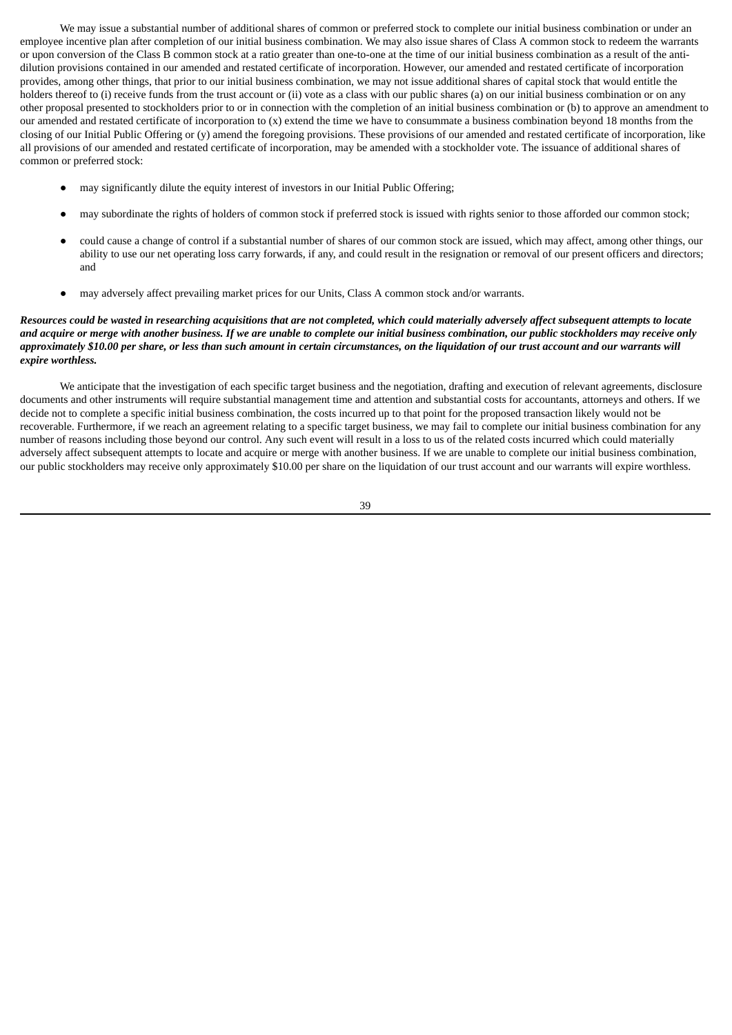We may issue a substantial number of additional shares of common or preferred stock to complete our initial business combination or under an employee incentive plan after completion of our initial business combination. We may also issue shares of Class A common stock to redeem the warrants or upon conversion of the Class B common stock at a ratio greater than one-to-one at the time of our initial business combination as a result of the antidilution provisions contained in our amended and restated certificate of incorporation. However, our amended and restated certificate of incorporation provides, among other things, that prior to our initial business combination, we may not issue additional shares of capital stock that would entitle the holders thereof to (i) receive funds from the trust account or (ii) vote as a class with our public shares (a) on our initial business combination or on any other proposal presented to stockholders prior to or in connection with the completion of an initial business combination or (b) to approve an amendment to our amended and restated certificate of incorporation to (x) extend the time we have to consummate a business combination beyond 18 months from the closing of our Initial Public Offering or (y) amend the foregoing provisions. These provisions of our amended and restated certificate of incorporation, like all provisions of our amended and restated certificate of incorporation, may be amended with a stockholder vote. The issuance of additional shares of common or preferred stock:

- may significantly dilute the equity interest of investors in our Initial Public Offering:
- may subordinate the rights of holders of common stock if preferred stock is issued with rights senior to those afforded our common stock;
- could cause a change of control if a substantial number of shares of our common stock are issued, which may affect, among other things, our ability to use our net operating loss carry forwards, if any, and could result in the resignation or removal of our present officers and directors; and
- may adversely affect prevailing market prices for our Units, Class A common stock and/or warrants.

## Resources could be wasted in researching acquisitions that are not completed, which could materially adversely affect subsequent attempts to locate and acquire or merge with another business. If we are unable to complete our initial business combination, our public stockholders may receive only approximately \$10.00 per share, or less than such amount in certain circumstances, on the liquidation of our trust account and our warrants will *expire worthless.*

We anticipate that the investigation of each specific target business and the negotiation, drafting and execution of relevant agreements, disclosure documents and other instruments will require substantial management time and attention and substantial costs for accountants, attorneys and others. If we decide not to complete a specific initial business combination, the costs incurred up to that point for the proposed transaction likely would not be recoverable. Furthermore, if we reach an agreement relating to a specific target business, we may fail to complete our initial business combination for any number of reasons including those beyond our control. Any such event will result in a loss to us of the related costs incurred which could materially adversely affect subsequent attempts to locate and acquire or merge with another business. If we are unable to complete our initial business combination, our public stockholders may receive only approximately \$10.00 per share on the liquidation of our trust account and our warrants will expire worthless.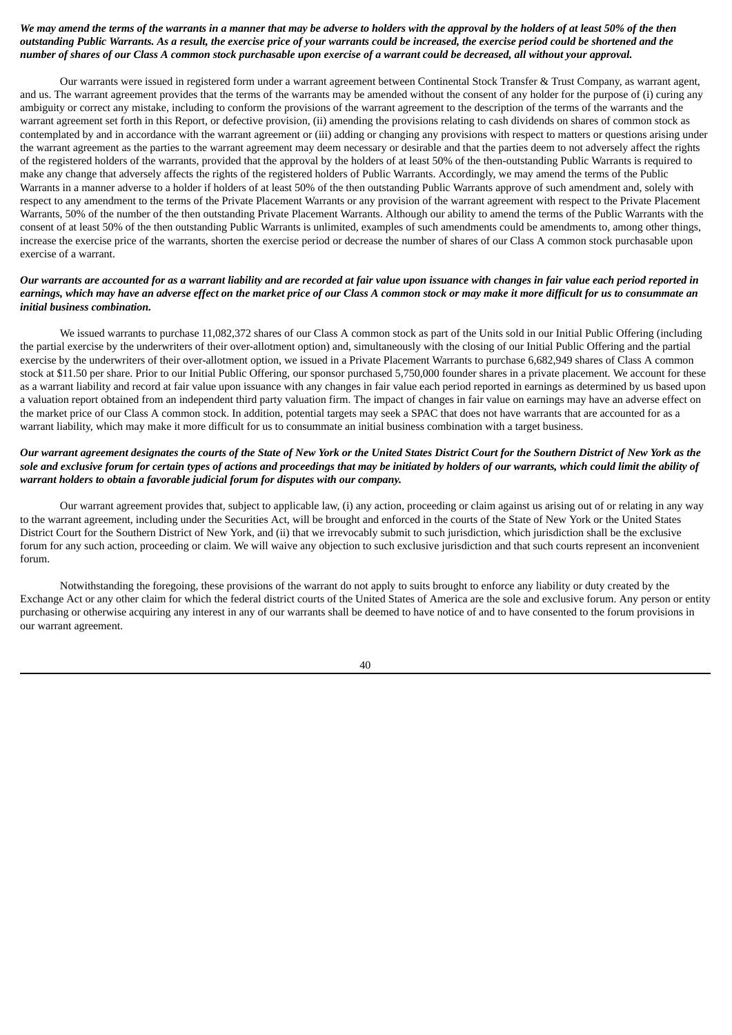## We may amend the terms of the warrants in a manner that may be adverse to holders with the approval by the holders of at least 50% of the then outstanding Public Warrants. As a result, the exercise price of your warrants could be increased, the exercise period could be shortened and the number of shares of our Class A common stock purchasable upon exercise of a warrant could be decreased, all without your approval.

Our warrants were issued in registered form under a warrant agreement between Continental Stock Transfer & Trust Company, as warrant agent, and us. The warrant agreement provides that the terms of the warrants may be amended without the consent of any holder for the purpose of (i) curing any ambiguity or correct any mistake, including to conform the provisions of the warrant agreement to the description of the terms of the warrants and the warrant agreement set forth in this Report, or defective provision, (ii) amending the provisions relating to cash dividends on shares of common stock as contemplated by and in accordance with the warrant agreement or (iii) adding or changing any provisions with respect to matters or questions arising under the warrant agreement as the parties to the warrant agreement may deem necessary or desirable and that the parties deem to not adversely affect the rights of the registered holders of the warrants, provided that the approval by the holders of at least 50% of the then-outstanding Public Warrants is required to make any change that adversely affects the rights of the registered holders of Public Warrants. Accordingly, we may amend the terms of the Public Warrants in a manner adverse to a holder if holders of at least 50% of the then outstanding Public Warrants approve of such amendment and, solely with respect to any amendment to the terms of the Private Placement Warrants or any provision of the warrant agreement with respect to the Private Placement Warrants, 50% of the number of the then outstanding Private Placement Warrants. Although our ability to amend the terms of the Public Warrants with the consent of at least 50% of the then outstanding Public Warrants is unlimited, examples of such amendments could be amendments to, among other things, increase the exercise price of the warrants, shorten the exercise period or decrease the number of shares of our Class A common stock purchasable upon exercise of a warrant.

## Our warrants are accounted for as a warrant liability and are recorded at fair value upon issuance with changes in fair value each period reported in earnings, which may have an adverse effect on the market price of our Class A common stock or may make it more difficult for us to consummate an *initial business combination.*

We issued warrants to purchase 11,082,372 shares of our Class A common stock as part of the Units sold in our Initial Public Offering (including the partial exercise by the underwriters of their over-allotment option) and, simultaneously with the closing of our Initial Public Offering and the partial exercise by the underwriters of their over-allotment option, we issued in a Private Placement Warrants to purchase 6,682,949 shares of Class A common stock at \$11.50 per share. Prior to our Initial Public Offering, our sponsor purchased 5,750,000 founder shares in a private placement. We account for these as a warrant liability and record at fair value upon issuance with any changes in fair value each period reported in earnings as determined by us based upon a valuation report obtained from an independent third party valuation firm. The impact of changes in fair value on earnings may have an adverse effect on the market price of our Class A common stock. In addition, potential targets may seek a SPAC that does not have warrants that are accounted for as a warrant liability, which may make it more difficult for us to consummate an initial business combination with a target business.

## Our warrant agreement designates the courts of the State of New York or the United States District Court for the Southern District of New York as the sole and exclusive forum for certain types of actions and proceedings that may be initiated by holders of our warrants, which could limit the ability of *warrant holders to obtain a favorable judicial forum for disputes with our company.*

Our warrant agreement provides that, subject to applicable law, (i) any action, proceeding or claim against us arising out of or relating in any way to the warrant agreement, including under the Securities Act, will be brought and enforced in the courts of the State of New York or the United States District Court for the Southern District of New York, and (ii) that we irrevocably submit to such jurisdiction, which jurisdiction shall be the exclusive forum for any such action, proceeding or claim. We will waive any objection to such exclusive jurisdiction and that such courts represent an inconvenient forum.

Notwithstanding the foregoing, these provisions of the warrant do not apply to suits brought to enforce any liability or duty created by the Exchange Act or any other claim for which the federal district courts of the United States of America are the sole and exclusive forum. Any person or entity purchasing or otherwise acquiring any interest in any of our warrants shall be deemed to have notice of and to have consented to the forum provisions in our warrant agreement.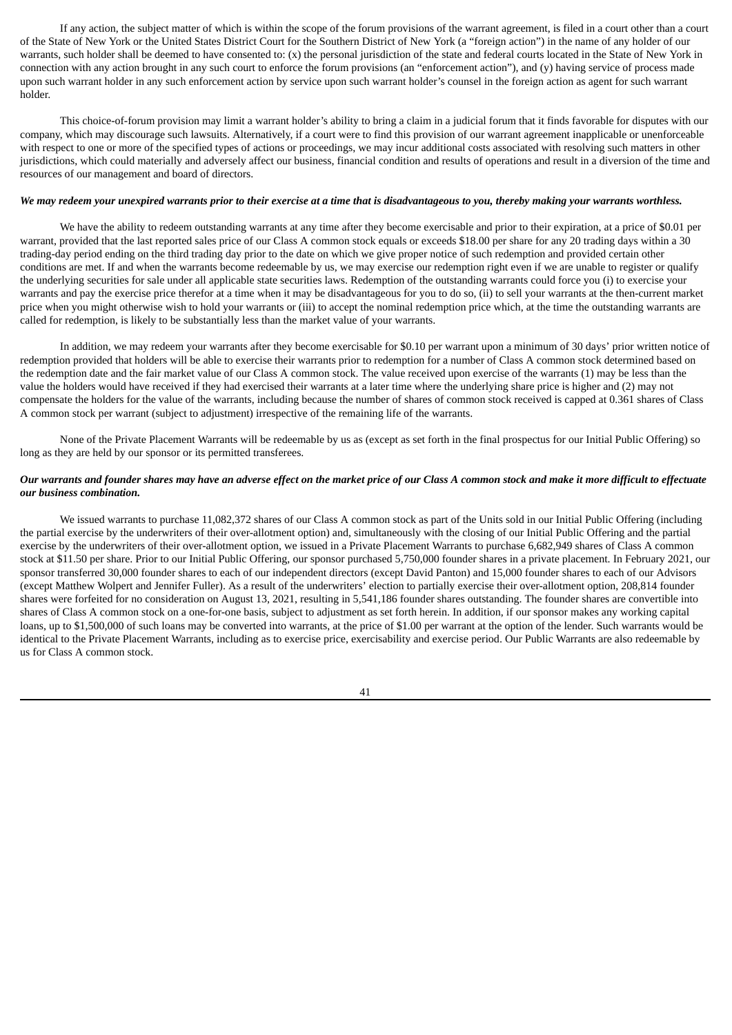If any action, the subject matter of which is within the scope of the forum provisions of the warrant agreement, is filed in a court other than a court of the State of New York or the United States District Court for the Southern District of New York (a "foreign action") in the name of any holder of our warrants, such holder shall be deemed to have consented to: (x) the personal jurisdiction of the state and federal courts located in the State of New York in connection with any action brought in any such court to enforce the forum provisions (an "enforcement action"), and (y) having service of process made upon such warrant holder in any such enforcement action by service upon such warrant holder's counsel in the foreign action as agent for such warrant holder.

This choice-of-forum provision may limit a warrant holder's ability to bring a claim in a judicial forum that it finds favorable for disputes with our company, which may discourage such lawsuits. Alternatively, if a court were to find this provision of our warrant agreement inapplicable or unenforceable with respect to one or more of the specified types of actions or proceedings, we may incur additional costs associated with resolving such matters in other jurisdictions, which could materially and adversely affect our business, financial condition and results of operations and result in a diversion of the time and resources of our management and board of directors.

### We may redeem your unexpired warrants prior to their exercise at a time that is disadvantageous to you, thereby making your warrants worthless.

We have the ability to redeem outstanding warrants at any time after they become exercisable and prior to their expiration, at a price of \$0.01 per warrant, provided that the last reported sales price of our Class A common stock equals or exceeds \$18.00 per share for any 20 trading days within a 30 trading-day period ending on the third trading day prior to the date on which we give proper notice of such redemption and provided certain other conditions are met. If and when the warrants become redeemable by us, we may exercise our redemption right even if we are unable to register or qualify the underlying securities for sale under all applicable state securities laws. Redemption of the outstanding warrants could force you (i) to exercise your warrants and pay the exercise price therefor at a time when it may be disadvantageous for you to do so, (ii) to sell your warrants at the then-current market price when you might otherwise wish to hold your warrants or (iii) to accept the nominal redemption price which, at the time the outstanding warrants are called for redemption, is likely to be substantially less than the market value of your warrants.

In addition, we may redeem your warrants after they become exercisable for \$0.10 per warrant upon a minimum of 30 days' prior written notice of redemption provided that holders will be able to exercise their warrants prior to redemption for a number of Class A common stock determined based on the redemption date and the fair market value of our Class A common stock. The value received upon exercise of the warrants (1) may be less than the value the holders would have received if they had exercised their warrants at a later time where the underlying share price is higher and (2) may not compensate the holders for the value of the warrants, including because the number of shares of common stock received is capped at 0.361 shares of Class A common stock per warrant (subject to adjustment) irrespective of the remaining life of the warrants.

None of the Private Placement Warrants will be redeemable by us as (except as set forth in the final prospectus for our Initial Public Offering) so long as they are held by our sponsor or its permitted transferees.

## Our warrants and founder shares may have an adverse effect on the market price of our Class A common stock and make it more difficult to effectuate *our business combination.*

We issued warrants to purchase 11,082,372 shares of our Class A common stock as part of the Units sold in our Initial Public Offering (including the partial exercise by the underwriters of their over-allotment option) and, simultaneously with the closing of our Initial Public Offering and the partial exercise by the underwriters of their over-allotment option, we issued in a Private Placement Warrants to purchase 6,682,949 shares of Class A common stock at \$11.50 per share. Prior to our Initial Public Offering, our sponsor purchased 5,750,000 founder shares in a private placement. In February 2021, our sponsor transferred 30,000 founder shares to each of our independent directors (except David Panton) and 15,000 founder shares to each of our Advisors (except Matthew Wolpert and Jennifer Fuller). As a result of the underwriters' election to partially exercise their over-allotment option, 208,814 founder shares were forfeited for no consideration on August 13, 2021, resulting in 5,541,186 founder shares outstanding. The founder shares are convertible into shares of Class A common stock on a one-for-one basis, subject to adjustment as set forth herein. In addition, if our sponsor makes any working capital loans, up to \$1,500,000 of such loans may be converted into warrants, at the price of \$1.00 per warrant at the option of the lender. Such warrants would be identical to the Private Placement Warrants, including as to exercise price, exercisability and exercise period. Our Public Warrants are also redeemable by us for Class A common stock.

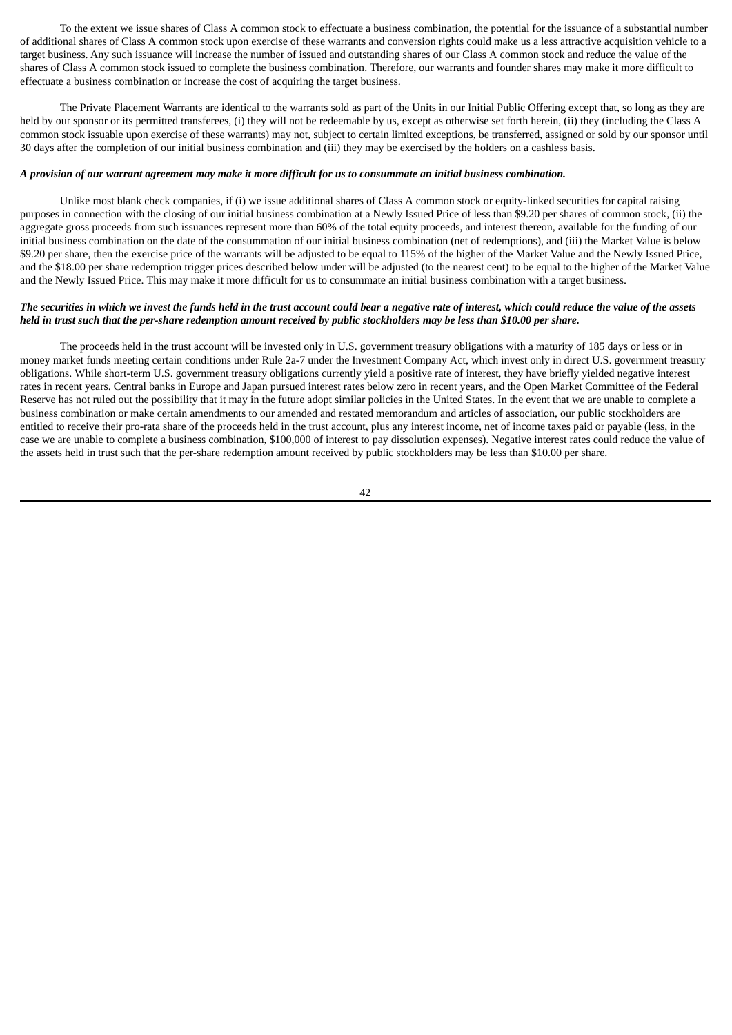To the extent we issue shares of Class A common stock to effectuate a business combination, the potential for the issuance of a substantial number of additional shares of Class A common stock upon exercise of these warrants and conversion rights could make us a less attractive acquisition vehicle to a target business. Any such issuance will increase the number of issued and outstanding shares of our Class A common stock and reduce the value of the shares of Class A common stock issued to complete the business combination. Therefore, our warrants and founder shares may make it more difficult to effectuate a business combination or increase the cost of acquiring the target business.

The Private Placement Warrants are identical to the warrants sold as part of the Units in our Initial Public Offering except that, so long as they are held by our sponsor or its permitted transferees, (i) they will not be redeemable by us, except as otherwise set forth herein, (ii) they (including the Class A common stock issuable upon exercise of these warrants) may not, subject to certain limited exceptions, be transferred, assigned or sold by our sponsor until 30 days after the completion of our initial business combination and (iii) they may be exercised by the holders on a cashless basis.

### A provision of our warrant agreement may make it more difficult for us to consummate an initial business combination.

Unlike most blank check companies, if (i) we issue additional shares of Class A common stock or equity-linked securities for capital raising purposes in connection with the closing of our initial business combination at a Newly Issued Price of less than \$9.20 per shares of common stock, (ii) the aggregate gross proceeds from such issuances represent more than 60% of the total equity proceeds, and interest thereon, available for the funding of our initial business combination on the date of the consummation of our initial business combination (net of redemptions), and (iii) the Market Value is below \$9.20 per share, then the exercise price of the warrants will be adjusted to be equal to 115% of the higher of the Market Value and the Newly Issued Price, and the \$18.00 per share redemption trigger prices described below under will be adjusted (to the nearest cent) to be equal to the higher of the Market Value and the Newly Issued Price. This may make it more difficult for us to consummate an initial business combination with a target business.

#### The securities in which we invest the funds held in the trust account could bear a negative rate of interest, which could reduce the value of the assets held in trust such that the per-share redemption amount received by public stockholders may be less than \$10.00 per share.

The proceeds held in the trust account will be invested only in U.S. government treasury obligations with a maturity of 185 days or less or in money market funds meeting certain conditions under Rule 2a-7 under the Investment Company Act, which invest only in direct U.S. government treasury obligations. While short-term U.S. government treasury obligations currently yield a positive rate of interest, they have briefly yielded negative interest rates in recent years. Central banks in Europe and Japan pursued interest rates below zero in recent years, and the Open Market Committee of the Federal Reserve has not ruled out the possibility that it may in the future adopt similar policies in the United States. In the event that we are unable to complete a business combination or make certain amendments to our amended and restated memorandum and articles of association, our public stockholders are entitled to receive their pro-rata share of the proceeds held in the trust account, plus any interest income, net of income taxes paid or payable (less, in the case we are unable to complete a business combination, \$100,000 of interest to pay dissolution expenses). Negative interest rates could reduce the value of the assets held in trust such that the per-share redemption amount received by public stockholders may be less than \$10.00 per share.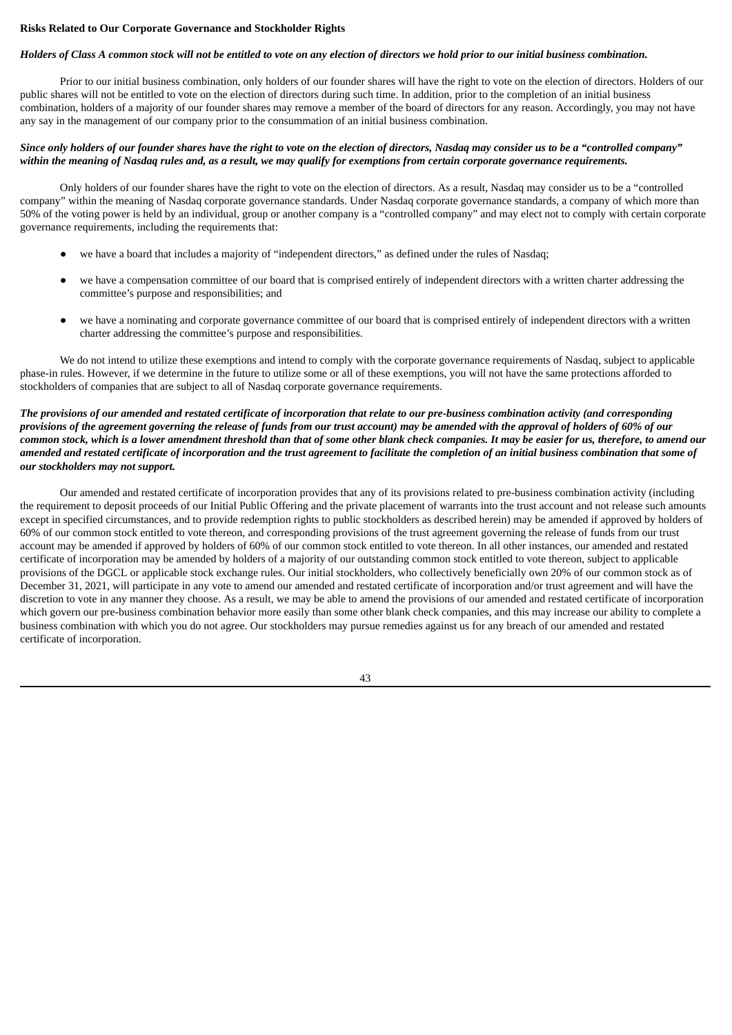## **Risks Related to Our Corporate Governance and Stockholder Rights**

#### Holders of Class A common stock will not be entitled to vote on any election of directors we hold prior to our initial business combination.

Prior to our initial business combination, only holders of our founder shares will have the right to vote on the election of directors. Holders of our public shares will not be entitled to vote on the election of directors during such time. In addition, prior to the completion of an initial business combination, holders of a majority of our founder shares may remove a member of the board of directors for any reason. Accordingly, you may not have any say in the management of our company prior to the consummation of an initial business combination.

## Since only holders of our founder shares have the right to vote on the election of directors, Nasdaq may consider us to be a "controlled company" within the meaning of Nasdaq rules and, as a result, we may qualify for exemptions from certain corporate governance requirements.

Only holders of our founder shares have the right to vote on the election of directors. As a result, Nasdaq may consider us to be a "controlled company" within the meaning of Nasdaq corporate governance standards. Under Nasdaq corporate governance standards, a company of which more than 50% of the voting power is held by an individual, group or another company is a "controlled company" and may elect not to comply with certain corporate governance requirements, including the requirements that:

- we have a board that includes a majority of "independent directors," as defined under the rules of Nasdaq;
- we have a compensation committee of our board that is comprised entirely of independent directors with a written charter addressing the committee's purpose and responsibilities; and
- we have a nominating and corporate governance committee of our board that is comprised entirely of independent directors with a written charter addressing the committee's purpose and responsibilities.

We do not intend to utilize these exemptions and intend to comply with the corporate governance requirements of Nasdaq, subject to applicable phase-in rules. However, if we determine in the future to utilize some or all of these exemptions, you will not have the same protections afforded to stockholders of companies that are subject to all of Nasdaq corporate governance requirements.

## The provisions of our amended and restated certificate of incorporation that relate to our pre-business combination activity (and correspondina provisions of the agreement governing the release of funds from our trust account) may be amended with the approval of holders of 60% of our common stock, which is a lower amendment threshold than that of some other blank check companies. It may be easier for us, therefore, to amend our amended and restated certificate of incorporation and the trust agreement to facilitate the completion of an initial business combination that some of *our stockholders may not support.*

Our amended and restated certificate of incorporation provides that any of its provisions related to pre-business combination activity (including the requirement to deposit proceeds of our Initial Public Offering and the private placement of warrants into the trust account and not release such amounts except in specified circumstances, and to provide redemption rights to public stockholders as described herein) may be amended if approved by holders of 60% of our common stock entitled to vote thereon, and corresponding provisions of the trust agreement governing the release of funds from our trust account may be amended if approved by holders of 60% of our common stock entitled to vote thereon. In all other instances, our amended and restated certificate of incorporation may be amended by holders of a majority of our outstanding common stock entitled to vote thereon, subject to applicable provisions of the DGCL or applicable stock exchange rules. Our initial stockholders, who collectively beneficially own 20% of our common stock as of December 31, 2021, will participate in any vote to amend our amended and restated certificate of incorporation and/or trust agreement and will have the discretion to vote in any manner they choose. As a result, we may be able to amend the provisions of our amended and restated certificate of incorporation which govern our pre-business combination behavior more easily than some other blank check companies, and this may increase our ability to complete a business combination with which you do not agree. Our stockholders may pursue remedies against us for any breach of our amended and restated certificate of incorporation.

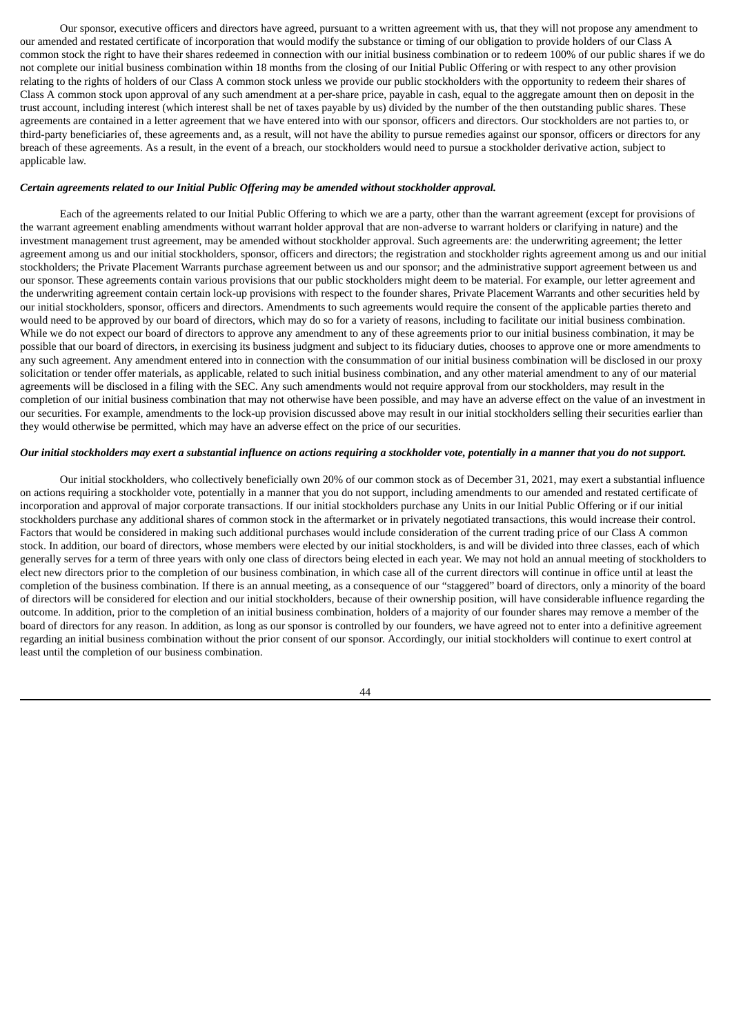Our sponsor, executive officers and directors have agreed, pursuant to a written agreement with us, that they will not propose any amendment to our amended and restated certificate of incorporation that would modify the substance or timing of our obligation to provide holders of our Class A common stock the right to have their shares redeemed in connection with our initial business combination or to redeem 100% of our public shares if we do not complete our initial business combination within 18 months from the closing of our Initial Public Offering or with respect to any other provision relating to the rights of holders of our Class A common stock unless we provide our public stockholders with the opportunity to redeem their shares of Class A common stock upon approval of any such amendment at a per-share price, payable in cash, equal to the aggregate amount then on deposit in the trust account, including interest (which interest shall be net of taxes payable by us) divided by the number of the then outstanding public shares. These agreements are contained in a letter agreement that we have entered into with our sponsor, officers and directors. Our stockholders are not parties to, or third-party beneficiaries of, these agreements and, as a result, will not have the ability to pursue remedies against our sponsor, officers or directors for any breach of these agreements. As a result, in the event of a breach, our stockholders would need to pursue a stockholder derivative action, subject to applicable law.

#### *Certain agreements related to our Initial Public Offering may be amended without stockholder approval.*

Each of the agreements related to our Initial Public Offering to which we are a party, other than the warrant agreement (except for provisions of the warrant agreement enabling amendments without warrant holder approval that are non-adverse to warrant holders or clarifying in nature) and the investment management trust agreement, may be amended without stockholder approval. Such agreements are: the underwriting agreement; the letter agreement among us and our initial stockholders, sponsor, officers and directors; the registration and stockholder rights agreement among us and our initial stockholders; the Private Placement Warrants purchase agreement between us and our sponsor; and the administrative support agreement between us and our sponsor. These agreements contain various provisions that our public stockholders might deem to be material. For example, our letter agreement and the underwriting agreement contain certain lock-up provisions with respect to the founder shares, Private Placement Warrants and other securities held by our initial stockholders, sponsor, officers and directors. Amendments to such agreements would require the consent of the applicable parties thereto and would need to be approved by our board of directors, which may do so for a variety of reasons, including to facilitate our initial business combination. While we do not expect our board of directors to approve any amendment to any of these agreements prior to our initial business combination, it may be possible that our board of directors, in exercising its business judgment and subject to its fiduciary duties, chooses to approve one or more amendments to any such agreement. Any amendment entered into in connection with the consummation of our initial business combination will be disclosed in our proxy solicitation or tender offer materials, as applicable, related to such initial business combination, and any other material amendment to any of our material agreements will be disclosed in a filing with the SEC. Any such amendments would not require approval from our stockholders, may result in the completion of our initial business combination that may not otherwise have been possible, and may have an adverse effect on the value of an investment in our securities. For example, amendments to the lock-up provision discussed above may result in our initial stockholders selling their securities earlier than they would otherwise be permitted, which may have an adverse effect on the price of our securities.

# Our initial stockholders may exert a substantial influence on actions requiring a stockholder vote, potentially in a manner that you do not support.

Our initial stockholders, who collectively beneficially own 20% of our common stock as of December 31, 2021, may exert a substantial influence on actions requiring a stockholder vote, potentially in a manner that you do not support, including amendments to our amended and restated certificate of incorporation and approval of major corporate transactions. If our initial stockholders purchase any Units in our Initial Public Offering or if our initial stockholders purchase any additional shares of common stock in the aftermarket or in privately negotiated transactions, this would increase their control. Factors that would be considered in making such additional purchases would include consideration of the current trading price of our Class A common stock. In addition, our board of directors, whose members were elected by our initial stockholders, is and will be divided into three classes, each of which generally serves for a term of three years with only one class of directors being elected in each year. We may not hold an annual meeting of stockholders to elect new directors prior to the completion of our business combination, in which case all of the current directors will continue in office until at least the completion of the business combination. If there is an annual meeting, as a consequence of our "staggered" board of directors, only a minority of the board of directors will be considered for election and our initial stockholders, because of their ownership position, will have considerable influence regarding the outcome. In addition, prior to the completion of an initial business combination, holders of a majority of our founder shares may remove a member of the board of directors for any reason. In addition, as long as our sponsor is controlled by our founders, we have agreed not to enter into a definitive agreement regarding an initial business combination without the prior consent of our sponsor. Accordingly, our initial stockholders will continue to exert control at least until the completion of our business combination.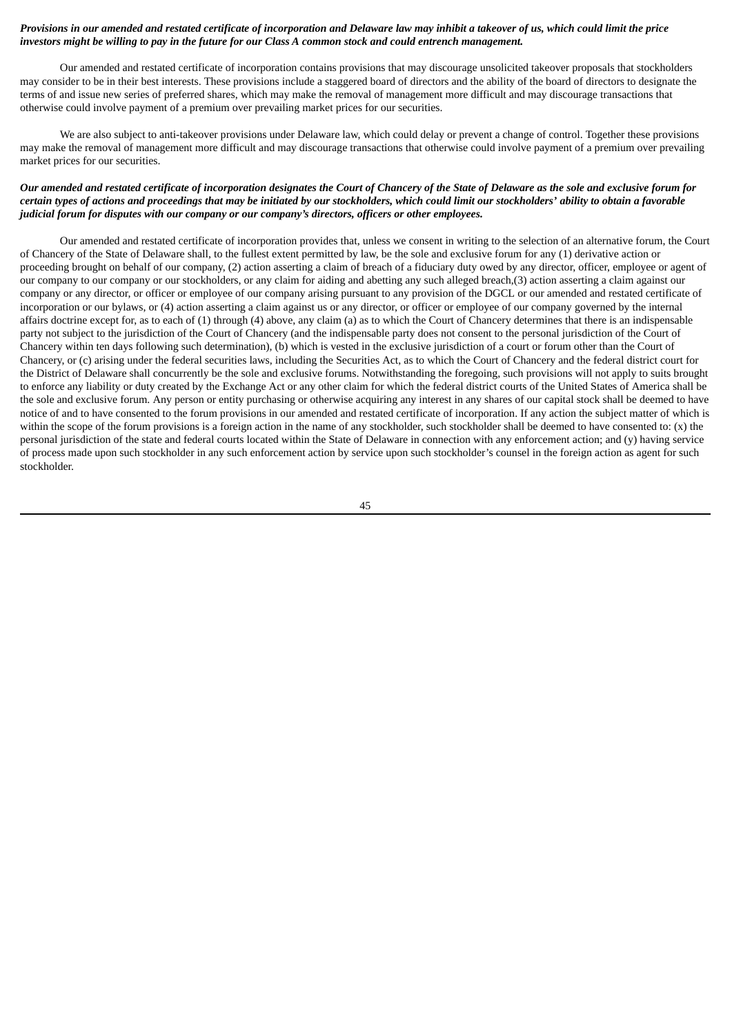## Provisions in our amended and restated certificate of incorporation and Delaware law may inhibit a takeover of us, which could limit the price investors might be willing to pay in the future for our Class A common stock and could entrench management.

Our amended and restated certificate of incorporation contains provisions that may discourage unsolicited takeover proposals that stockholders may consider to be in their best interests. These provisions include a staggered board of directors and the ability of the board of directors to designate the terms of and issue new series of preferred shares, which may make the removal of management more difficult and may discourage transactions that otherwise could involve payment of a premium over prevailing market prices for our securities.

We are also subject to anti-takeover provisions under Delaware law, which could delay or prevent a change of control. Together these provisions may make the removal of management more difficult and may discourage transactions that otherwise could involve payment of a premium over prevailing market prices for our securities.

## Our amended and restated certificate of incorporation desianates the Court of Chancery of the State of Delaware as the sole and exclusive forum for certain types of actions and proceedings that may be initiated by our stockholders, which could limit our stockholders' ability to obtain a favorable *judicial forum for disputes with our company or our company's directors, officers or other employees.*

Our amended and restated certificate of incorporation provides that, unless we consent in writing to the selection of an alternative forum, the Court of Chancery of the State of Delaware shall, to the fullest extent permitted by law, be the sole and exclusive forum for any (1) derivative action or proceeding brought on behalf of our company, (2) action asserting a claim of breach of a fiduciary duty owed by any director, officer, employee or agent of our company to our company or our stockholders, or any claim for aiding and abetting any such alleged breach,(3) action asserting a claim against our company or any director, or officer or employee of our company arising pursuant to any provision of the DGCL or our amended and restated certificate of incorporation or our bylaws, or (4) action asserting a claim against us or any director, or officer or employee of our company governed by the internal affairs doctrine except for, as to each of (1) through (4) above, any claim (a) as to which the Court of Chancery determines that there is an indispensable party not subject to the jurisdiction of the Court of Chancery (and the indispensable party does not consent to the personal jurisdiction of the Court of Chancery within ten days following such determination), (b) which is vested in the exclusive jurisdiction of a court or forum other than the Court of Chancery, or (c) arising under the federal securities laws, including the Securities Act, as to which the Court of Chancery and the federal district court for the District of Delaware shall concurrently be the sole and exclusive forums. Notwithstanding the foregoing, such provisions will not apply to suits brought to enforce any liability or duty created by the Exchange Act or any other claim for which the federal district courts of the United States of America shall be the sole and exclusive forum. Any person or entity purchasing or otherwise acquiring any interest in any shares of our capital stock shall be deemed to have notice of and to have consented to the forum provisions in our amended and restated certificate of incorporation. If any action the subject matter of which is within the scope of the forum provisions is a foreign action in the name of any stockholder, such stockholder shall be deemed to have consented to: (x) the personal jurisdiction of the state and federal courts located within the State of Delaware in connection with any enforcement action; and (y) having service of process made upon such stockholder in any such enforcement action by service upon such stockholder's counsel in the foreign action as agent for such stockholder.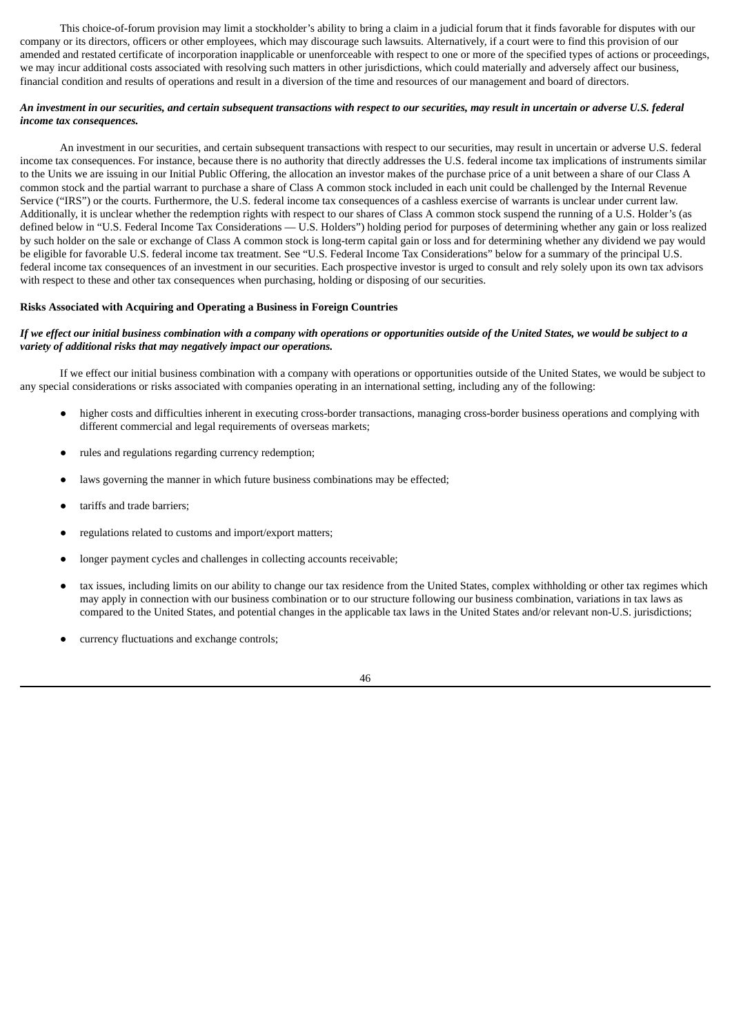This choice-of-forum provision may limit a stockholder's ability to bring a claim in a judicial forum that it finds favorable for disputes with our company or its directors, officers or other employees, which may discourage such lawsuits. Alternatively, if a court were to find this provision of our amended and restated certificate of incorporation inapplicable or unenforceable with respect to one or more of the specified types of actions or proceedings, we may incur additional costs associated with resolving such matters in other jurisdictions, which could materially and adversely affect our business, financial condition and results of operations and result in a diversion of the time and resources of our management and board of directors.

## An investment in our securities, and certain subsequent transactions with respect to our securities, may result in uncertain or adverse U.S. federal *income tax consequences.*

An investment in our securities, and certain subsequent transactions with respect to our securities, may result in uncertain or adverse U.S. federal income tax consequences. For instance, because there is no authority that directly addresses the U.S. federal income tax implications of instruments similar to the Units we are issuing in our Initial Public Offering, the allocation an investor makes of the purchase price of a unit between a share of our Class A common stock and the partial warrant to purchase a share of Class A common stock included in each unit could be challenged by the Internal Revenue Service ("IRS") or the courts. Furthermore, the U.S. federal income tax consequences of a cashless exercise of warrants is unclear under current law. Additionally, it is unclear whether the redemption rights with respect to our shares of Class A common stock suspend the running of a U.S. Holder's (as defined below in "U.S. Federal Income Tax Considerations — U.S. Holders") holding period for purposes of determining whether any gain or loss realized by such holder on the sale or exchange of Class A common stock is long-term capital gain or loss and for determining whether any dividend we pay would be eligible for favorable U.S. federal income tax treatment. See "U.S. Federal Income Tax Considerations" below for a summary of the principal U.S. federal income tax consequences of an investment in our securities. Each prospective investor is urged to consult and rely solely upon its own tax advisors with respect to these and other tax consequences when purchasing, holding or disposing of our securities.

## **Risks Associated with Acquiring and Operating a Business in Foreign Countries**

## If we effect our initial business combination with a company with operations or opportunities outside of the United States, we would be subject to a *variety of additional risks that may negatively impact our operations.*

If we effect our initial business combination with a company with operations or opportunities outside of the United States, we would be subject to any special considerations or risks associated with companies operating in an international setting, including any of the following:

- higher costs and difficulties inherent in executing cross-border transactions, managing cross-border business operations and complying with different commercial and legal requirements of overseas markets;
- rules and regulations regarding currency redemption;
- laws governing the manner in which future business combinations may be effected;
- tariffs and trade barriers;
- regulations related to customs and import/export matters;
- longer payment cycles and challenges in collecting accounts receivable;
- tax issues, including limits on our ability to change our tax residence from the United States, complex withholding or other tax regimes which may apply in connection with our business combination or to our structure following our business combination, variations in tax laws as compared to the United States, and potential changes in the applicable tax laws in the United States and/or relevant non-U.S. jurisdictions;
- currency fluctuations and exchange controls;

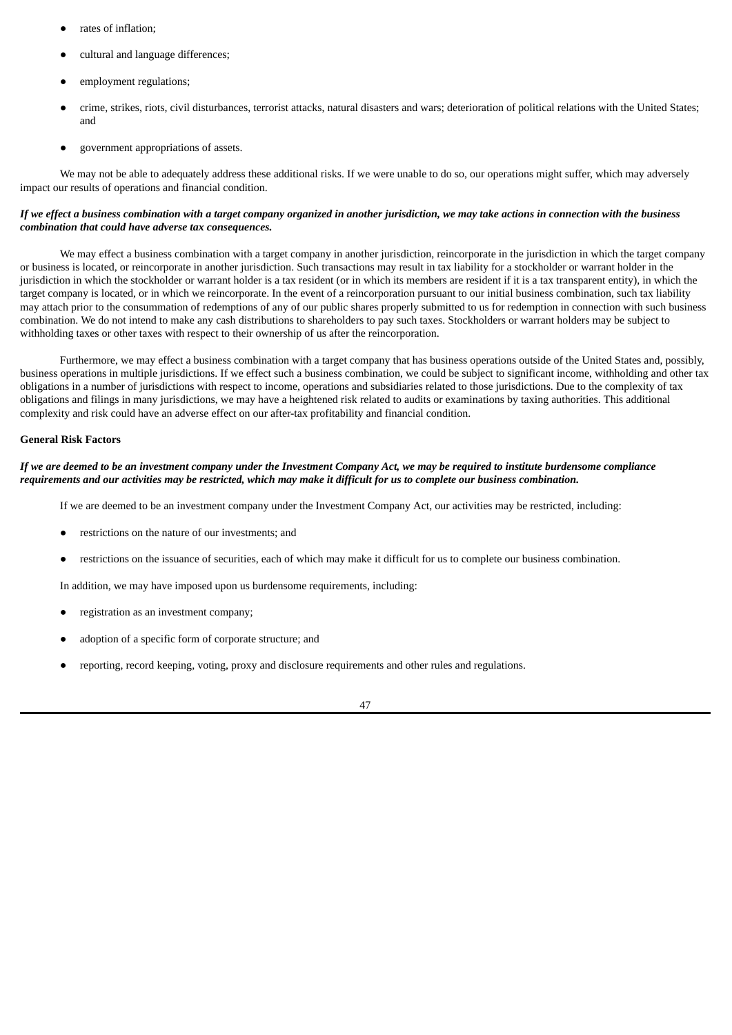- rates of inflation;
- cultural and language differences:
- employment regulations;
- crime, strikes, riots, civil disturbances, terrorist attacks, natural disasters and wars; deterioration of political relations with the United States; and
- government appropriations of assets.

We may not be able to adequately address these additional risks. If we were unable to do so, our operations might suffer, which may adversely impact our results of operations and financial condition.

# If we effect a business combination with a target company organized in another jurisdiction, we may take actions in connection with the business *combination that could have adverse tax consequences.*

We may effect a business combination with a target company in another jurisdiction, reincorporate in the jurisdiction in which the target company or business is located, or reincorporate in another jurisdiction. Such transactions may result in tax liability for a stockholder or warrant holder in the jurisdiction in which the stockholder or warrant holder is a tax resident (or in which its members are resident if it is a tax transparent entity), in which the target company is located, or in which we reincorporate. In the event of a reincorporation pursuant to our initial business combination, such tax liability may attach prior to the consummation of redemptions of any of our public shares properly submitted to us for redemption in connection with such business combination. We do not intend to make any cash distributions to shareholders to pay such taxes. Stockholders or warrant holders may be subject to withholding taxes or other taxes with respect to their ownership of us after the reincorporation.

Furthermore, we may effect a business combination with a target company that has business operations outside of the United States and, possibly, business operations in multiple jurisdictions. If we effect such a business combination, we could be subject to significant income, withholding and other tax obligations in a number of jurisdictions with respect to income, operations and subsidiaries related to those jurisdictions. Due to the complexity of tax obligations and filings in many jurisdictions, we may have a heightened risk related to audits or examinations by taxing authorities. This additional complexity and risk could have an adverse effect on our after-tax profitability and financial condition.

## **General Risk Factors**

## If we are deemed to be an investment company under the Investment Company Act, we may be required to institute burdensome compliance requirements and our activities may be restricted, which may make it difficult for us to complete our business combination.

If we are deemed to be an investment company under the Investment Company Act, our activities may be restricted, including:

- restrictions on the nature of our investments; and
- restrictions on the issuance of securities, each of which may make it difficult for us to complete our business combination.

In addition, we may have imposed upon us burdensome requirements, including:

- registration as an investment company;
- adoption of a specific form of corporate structure; and
- reporting, record keeping, voting, proxy and disclosure requirements and other rules and regulations.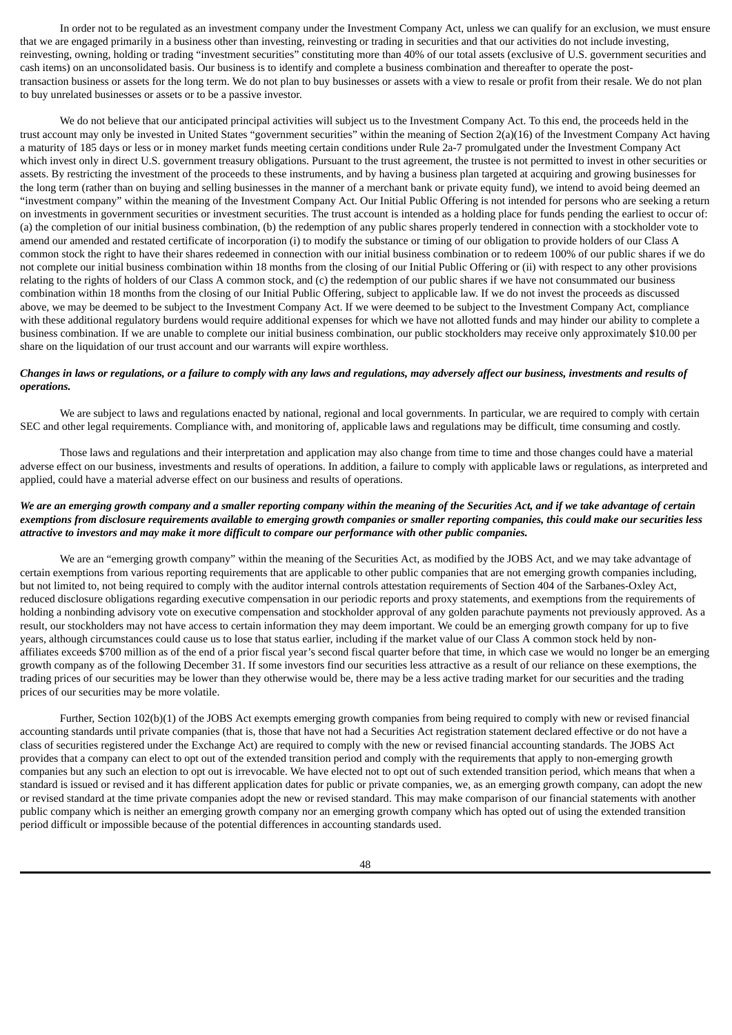In order not to be regulated as an investment company under the Investment Company Act, unless we can qualify for an exclusion, we must ensure that we are engaged primarily in a business other than investing, reinvesting or trading in securities and that our activities do not include investing, reinvesting, owning, holding or trading "investment securities" constituting more than 40% of our total assets (exclusive of U.S. government securities and cash items) on an unconsolidated basis. Our business is to identify and complete a business combination and thereafter to operate the posttransaction business or assets for the long term. We do not plan to buy businesses or assets with a view to resale or profit from their resale. We do not plan to buy unrelated businesses or assets or to be a passive investor.

We do not believe that our anticipated principal activities will subject us to the Investment Company Act. To this end, the proceeds held in the trust account may only be invested in United States "government securities" within the meaning of Section 2(a)(16) of the Investment Company Act having a maturity of 185 days or less or in money market funds meeting certain conditions under Rule 2a-7 promulgated under the Investment Company Act which invest only in direct U.S. government treasury obligations. Pursuant to the trust agreement, the trustee is not permitted to invest in other securities or assets. By restricting the investment of the proceeds to these instruments, and by having a business plan targeted at acquiring and growing businesses for the long term (rather than on buying and selling businesses in the manner of a merchant bank or private equity fund), we intend to avoid being deemed an "investment company" within the meaning of the Investment Company Act. Our Initial Public Offering is not intended for persons who are seeking a return on investments in government securities or investment securities. The trust account is intended as a holding place for funds pending the earliest to occur of: (a) the completion of our initial business combination, (b) the redemption of any public shares properly tendered in connection with a stockholder vote to amend our amended and restated certificate of incorporation (i) to modify the substance or timing of our obligation to provide holders of our Class A common stock the right to have their shares redeemed in connection with our initial business combination or to redeem 100% of our public shares if we do not complete our initial business combination within 18 months from the closing of our Initial Public Offering or (ii) with respect to any other provisions relating to the rights of holders of our Class A common stock, and (c) the redemption of our public shares if we have not consummated our business combination within 18 months from the closing of our Initial Public Offering, subject to applicable law. If we do not invest the proceeds as discussed above, we may be deemed to be subject to the Investment Company Act. If we were deemed to be subject to the Investment Company Act, compliance with these additional regulatory burdens would require additional expenses for which we have not allotted funds and may hinder our ability to complete a business combination. If we are unable to complete our initial business combination, our public stockholders may receive only approximately \$10.00 per share on the liquidation of our trust account and our warrants will expire worthless.

## Changes in laws or regulations, or a failure to comply with any laws and regulations, may adversely affect our business, investments and results of *operations.*

We are subject to laws and regulations enacted by national, regional and local governments. In particular, we are required to comply with certain SEC and other legal requirements. Compliance with, and monitoring of, applicable laws and regulations may be difficult, time consuming and costly.

Those laws and regulations and their interpretation and application may also change from time to time and those changes could have a material adverse effect on our business, investments and results of operations. In addition, a failure to comply with applicable laws or regulations, as interpreted and applied, could have a material adverse effect on our business and results of operations.

# We are an emerging growth company and a smaller reporting company within the meaning of the Securities Act, and if we take advantage of certain exemptions from disclosure requirements available to emerging growth companies or smaller reporting companies, this could make our securities less attractive to investors and may make it more difficult to compare our performance with other public companies.

We are an "emerging growth company" within the meaning of the Securities Act, as modified by the JOBS Act, and we may take advantage of certain exemptions from various reporting requirements that are applicable to other public companies that are not emerging growth companies including, but not limited to, not being required to comply with the auditor internal controls attestation requirements of Section 404 of the Sarbanes-Oxley Act, reduced disclosure obligations regarding executive compensation in our periodic reports and proxy statements, and exemptions from the requirements of holding a nonbinding advisory vote on executive compensation and stockholder approval of any golden parachute payments not previously approved. As a result, our stockholders may not have access to certain information they may deem important. We could be an emerging growth company for up to five years, although circumstances could cause us to lose that status earlier, including if the market value of our Class A common stock held by nonaffiliates exceeds \$700 million as of the end of a prior fiscal year's second fiscal quarter before that time, in which case we would no longer be an emerging growth company as of the following December 31. If some investors find our securities less attractive as a result of our reliance on these exemptions, the trading prices of our securities may be lower than they otherwise would be, there may be a less active trading market for our securities and the trading prices of our securities may be more volatile.

Further, Section 102(b)(1) of the JOBS Act exempts emerging growth companies from being required to comply with new or revised financial accounting standards until private companies (that is, those that have not had a Securities Act registration statement declared effective or do not have a class of securities registered under the Exchange Act) are required to comply with the new or revised financial accounting standards. The JOBS Act provides that a company can elect to opt out of the extended transition period and comply with the requirements that apply to non-emerging growth companies but any such an election to opt out is irrevocable. We have elected not to opt out of such extended transition period, which means that when a standard is issued or revised and it has different application dates for public or private companies, we, as an emerging growth company, can adopt the new or revised standard at the time private companies adopt the new or revised standard. This may make comparison of our financial statements with another public company which is neither an emerging growth company nor an emerging growth company which has opted out of using the extended transition period difficult or impossible because of the potential differences in accounting standards used.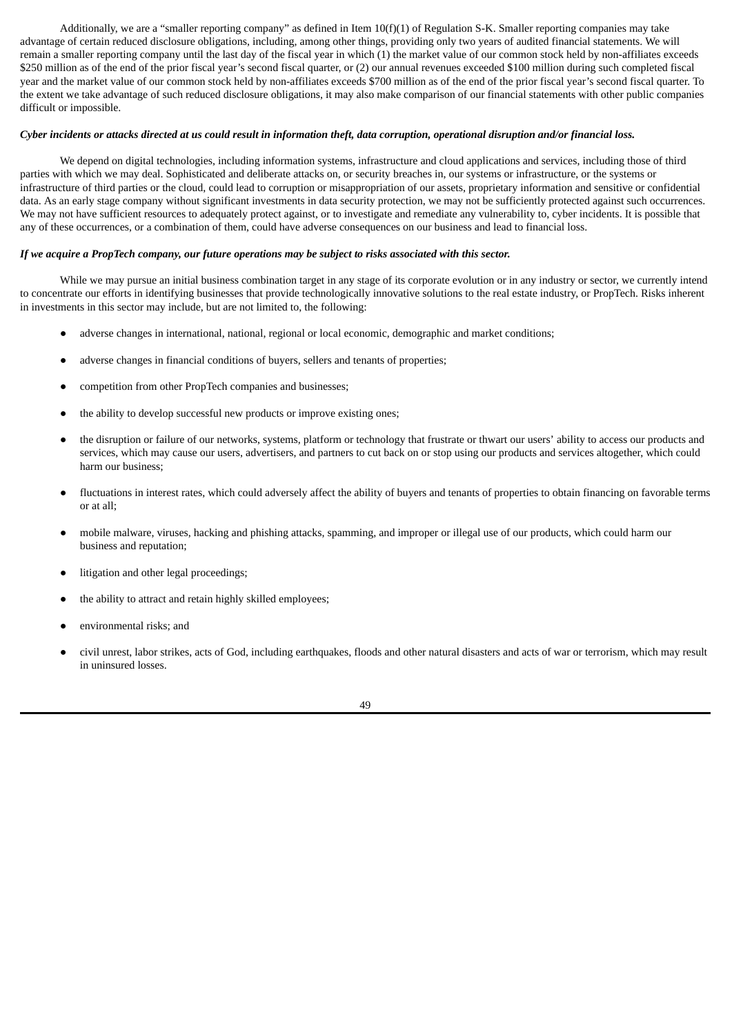Additionally, we are a "smaller reporting company" as defined in Item  $10(f)(1)$  of Regulation S-K. Smaller reporting companies may take advantage of certain reduced disclosure obligations, including, among other things, providing only two years of audited financial statements. We will remain a smaller reporting company until the last day of the fiscal year in which (1) the market value of our common stock held by non-affiliates exceeds \$250 million as of the end of the prior fiscal year's second fiscal quarter, or (2) our annual revenues exceeded \$100 million during such completed fiscal year and the market value of our common stock held by non-affiliates exceeds \$700 million as of the end of the prior fiscal year's second fiscal quarter. To the extent we take advantage of such reduced disclosure obligations, it may also make comparison of our financial statements with other public companies difficult or impossible.

### Cyber incidents or attacks directed at us could result in information theft, data corruption, operational disruption and/or financial loss.

We depend on digital technologies, including information systems, infrastructure and cloud applications and services, including those of third parties with which we may deal. Sophisticated and deliberate attacks on, or security breaches in, our systems or infrastructure, or the systems or infrastructure of third parties or the cloud, could lead to corruption or misappropriation of our assets, proprietary information and sensitive or confidential data. As an early stage company without significant investments in data security protection, we may not be sufficiently protected against such occurrences. We may not have sufficient resources to adequately protect against, or to investigate and remediate any vulnerability to, cyber incidents. It is possible that any of these occurrences, or a combination of them, could have adverse consequences on our business and lead to financial loss.

## If we acquire a PropTech company, our future operations may be subject to risks associated with this sector.

While we may pursue an initial business combination target in any stage of its corporate evolution or in any industry or sector, we currently intend to concentrate our efforts in identifying businesses that provide technologically innovative solutions to the real estate industry, or PropTech. Risks inherent in investments in this sector may include, but are not limited to, the following:

- adverse changes in international, national, regional or local economic, demographic and market conditions;
- adverse changes in financial conditions of buyers, sellers and tenants of properties;
- competition from other PropTech companies and businesses;
- the ability to develop successful new products or improve existing ones:
- the disruption or failure of our networks, systems, platform or technology that frustrate or thwart our users' ability to access our products and services, which may cause our users, advertisers, and partners to cut back on or stop using our products and services altogether, which could harm our business;
- fluctuations in interest rates, which could adversely affect the ability of buyers and tenants of properties to obtain financing on favorable terms or at all;
- mobile malware, viruses, hacking and phishing attacks, spamming, and improper or illegal use of our products, which could harm our business and reputation;
- litigation and other legal proceedings;
- the ability to attract and retain highly skilled employees;
- environmental risks; and
- civil unrest, labor strikes, acts of God, including earthquakes, floods and other natural disasters and acts of war or terrorism, which may result in uninsured losses.

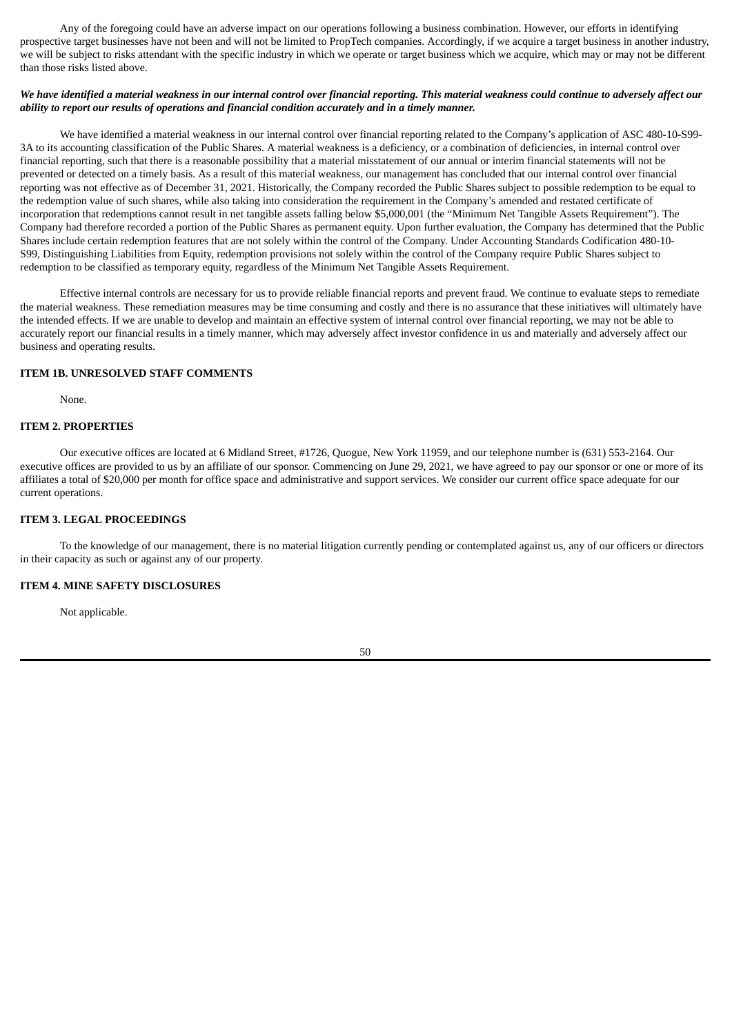Any of the foregoing could have an adverse impact on our operations following a business combination. However, our efforts in identifying prospective target businesses have not been and will not be limited to PropTech companies. Accordingly, if we acquire a target business in another industry, we will be subject to risks attendant with the specific industry in which we operate or target business which we acquire, which may or may not be different than those risks listed above.

### We have identified a material weakness in our internal control over financial reporting. This material weakness could continue to adversely affect our *ability to report our results of operations and financial condition accurately and in a timely manner.*

We have identified a material weakness in our internal control over financial reporting related to the Company's application of ASC 480-10-S99- 3A to its accounting classification of the Public Shares. A material weakness is a deficiency, or a combination of deficiencies, in internal control over financial reporting, such that there is a reasonable possibility that a material misstatement of our annual or interim financial statements will not be prevented or detected on a timely basis. As a result of this material weakness, our management has concluded that our internal control over financial reporting was not effective as of December 31, 2021. Historically, the Company recorded the Public Shares subject to possible redemption to be equal to the redemption value of such shares, while also taking into consideration the requirement in the Company's amended and restated certificate of incorporation that redemptions cannot result in net tangible assets falling below \$5,000,001 (the "Minimum Net Tangible Assets Requirement"). The Company had therefore recorded a portion of the Public Shares as permanent equity. Upon further evaluation, the Company has determined that the Public Shares include certain redemption features that are not solely within the control of the Company. Under Accounting Standards Codification 480-10- S99, Distinguishing Liabilities from Equity, redemption provisions not solely within the control of the Company require Public Shares subject to redemption to be classified as temporary equity, regardless of the Minimum Net Tangible Assets Requirement.

Effective internal controls are necessary for us to provide reliable financial reports and prevent fraud. We continue to evaluate steps to remediate the material weakness. These remediation measures may be time consuming and costly and there is no assurance that these initiatives will ultimately have the intended effects. If we are unable to develop and maintain an effective system of internal control over financial reporting, we may not be able to accurately report our financial results in a timely manner, which may adversely affect investor confidence in us and materially and adversely affect our business and operating results.

## **ITEM 1B. UNRESOLVED STAFF COMMENTS**

None.

## **ITEM 2. PROPERTIES**

Our executive offices are located at 6 Midland Street, #1726, Quogue, New York 11959, and our telephone number is (631) 553-2164. Our executive offices are provided to us by an affiliate of our sponsor. Commencing on June 29, 2021, we have agreed to pay our sponsor or one or more of its affiliates a total of \$20,000 per month for office space and administrative and support services. We consider our current office space adequate for our current operations.

### **ITEM 3. LEGAL PROCEEDINGS**

To the knowledge of our management, there is no material litigation currently pending or contemplated against us, any of our officers or directors in their capacity as such or against any of our property.

## **ITEM 4. MINE SAFETY DISCLOSURES**

Not applicable.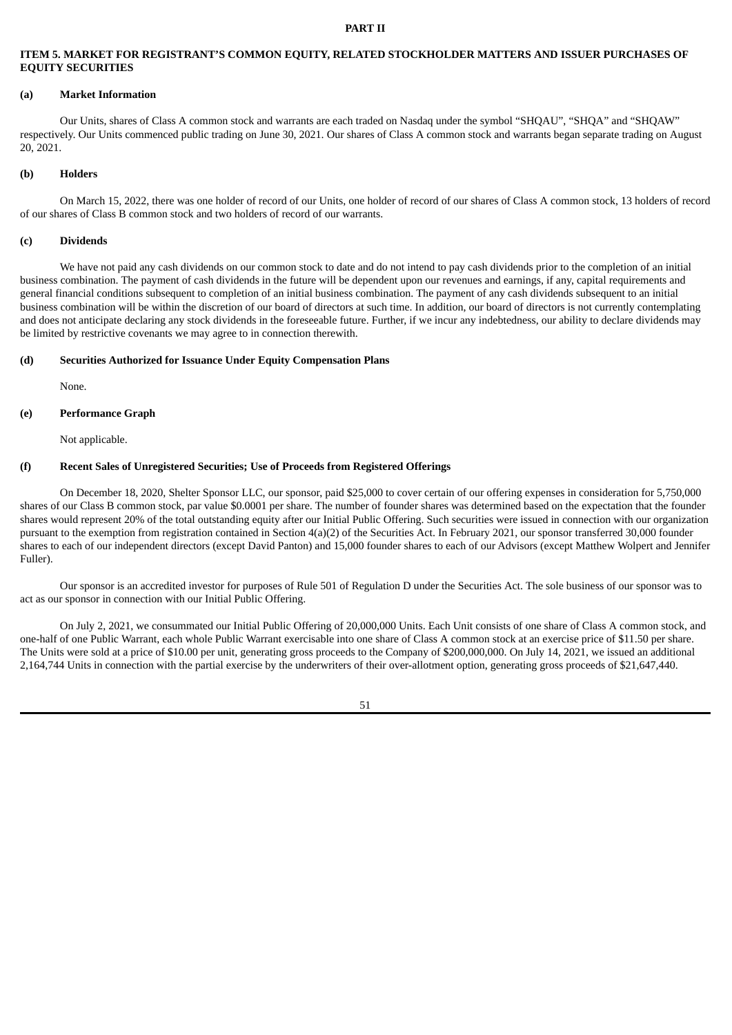#### **PART II**

# **ITEM 5. MARKET FOR REGISTRANT'S COMMON EQUITY, RELATED STOCKHOLDER MATTERS AND ISSUER PURCHASES OF EQUITY SECURITIES**

#### **(a) Market Information**

Our Units, shares of Class A common stock and warrants are each traded on Nasdaq under the symbol "SHQAU", "SHQA" and "SHQAW" respectively. Our Units commenced public trading on June 30, 2021. Our shares of Class A common stock and warrants began separate trading on August 20, 2021.

#### **(b) Holders**

On March 15, 2022, there was one holder of record of our Units, one holder of record of our shares of Class A common stock, 13 holders of record of our shares of Class B common stock and two holders of record of our warrants.

### **(c) Dividends**

We have not paid any cash dividends on our common stock to date and do not intend to pay cash dividends prior to the completion of an initial business combination. The payment of cash dividends in the future will be dependent upon our revenues and earnings, if any, capital requirements and general financial conditions subsequent to completion of an initial business combination. The payment of any cash dividends subsequent to an initial business combination will be within the discretion of our board of directors at such time. In addition, our board of directors is not currently contemplating and does not anticipate declaring any stock dividends in the foreseeable future. Further, if we incur any indebtedness, our ability to declare dividends may be limited by restrictive covenants we may agree to in connection therewith.

#### **(d) Securities Authorized for Issuance Under Equity Compensation Plans**

None.

#### **(e) Performance Graph**

Not applicable.

## **(f) Recent Sales of Unregistered Securities; Use of Proceeds from Registered Offerings**

On December 18, 2020, Shelter Sponsor LLC, our sponsor, paid \$25,000 to cover certain of our offering expenses in consideration for 5,750,000 shares of our Class B common stock, par value \$0.0001 per share. The number of founder shares was determined based on the expectation that the founder shares would represent 20% of the total outstanding equity after our Initial Public Offering. Such securities were issued in connection with our organization pursuant to the exemption from registration contained in Section 4(a)(2) of the Securities Act. In February 2021, our sponsor transferred 30,000 founder shares to each of our independent directors (except David Panton) and 15,000 founder shares to each of our Advisors (except Matthew Wolpert and Jennifer Fuller).

Our sponsor is an accredited investor for purposes of Rule 501 of Regulation D under the Securities Act. The sole business of our sponsor was to act as our sponsor in connection with our Initial Public Offering.

On July 2, 2021, we consummated our Initial Public Offering of 20,000,000 Units. Each Unit consists of one share of Class A common stock, and one-half of one Public Warrant, each whole Public Warrant exercisable into one share of Class A common stock at an exercise price of \$11.50 per share. The Units were sold at a price of \$10.00 per unit, generating gross proceeds to the Company of \$200,000,000. On July 14, 2021, we issued an additional 2,164,744 Units in connection with the partial exercise by the underwriters of their over-allotment option, generating gross proceeds of \$21,647,440.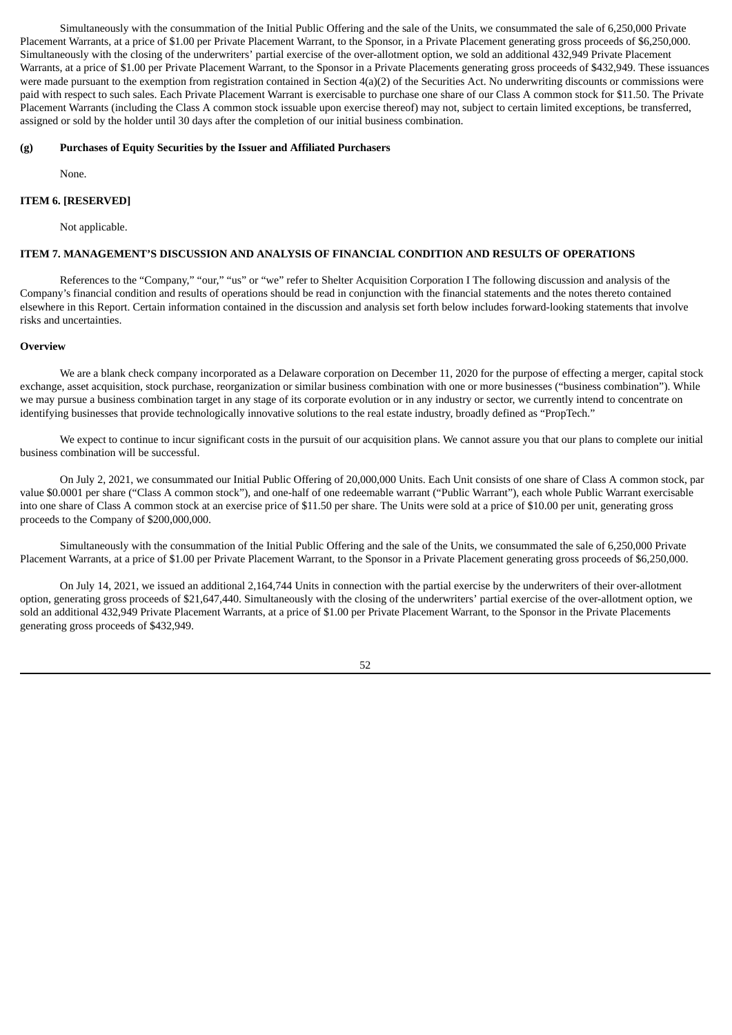Simultaneously with the consummation of the Initial Public Offering and the sale of the Units, we consummated the sale of 6,250,000 Private Placement Warrants, at a price of \$1.00 per Private Placement Warrant, to the Sponsor, in a Private Placement generating gross proceeds of \$6,250,000. Simultaneously with the closing of the underwriters' partial exercise of the over-allotment option, we sold an additional 432,949 Private Placement Warrants, at a price of \$1.00 per Private Placement Warrant, to the Sponsor in a Private Placements generating gross proceeds of \$432,949. These issuances were made pursuant to the exemption from registration contained in Section  $4(a)(2)$  of the Securities Act. No underwriting discounts or commissions were paid with respect to such sales. Each Private Placement Warrant is exercisable to purchase one share of our Class A common stock for \$11.50. The Private Placement Warrants (including the Class A common stock issuable upon exercise thereof) may not, subject to certain limited exceptions, be transferred, assigned or sold by the holder until 30 days after the completion of our initial business combination.

#### **(g) Purchases of Equity Securities by the Issuer and Affiliated Purchasers**

None.

### **ITEM 6. [RESERVED]**

Not applicable.

# **ITEM 7. MANAGEMENT'S DISCUSSION AND ANALYSIS OF FINANCIAL CONDITION AND RESULTS OF OPERATIONS**

References to the "Company," "our," "us" or "we" refer to Shelter Acquisition Corporation I The following discussion and analysis of the Company's financial condition and results of operations should be read in conjunction with the financial statements and the notes thereto contained elsewhere in this Report. Certain information contained in the discussion and analysis set forth below includes forward-looking statements that involve risks and uncertainties.

## **Overview**

We are a blank check company incorporated as a Delaware corporation on December 11, 2020 for the purpose of effecting a merger, capital stock exchange, asset acquisition, stock purchase, reorganization or similar business combination with one or more businesses ("business combination"). While we may pursue a business combination target in any stage of its corporate evolution or in any industry or sector, we currently intend to concentrate on identifying businesses that provide technologically innovative solutions to the real estate industry, broadly defined as "PropTech."

We expect to continue to incur significant costs in the pursuit of our acquisition plans. We cannot assure you that our plans to complete our initial business combination will be successful.

On July 2, 2021, we consummated our Initial Public Offering of 20,000,000 Units. Each Unit consists of one share of Class A common stock, par value \$0.0001 per share ("Class A common stock"), and one-half of one redeemable warrant ("Public Warrant"), each whole Public Warrant exercisable into one share of Class A common stock at an exercise price of \$11.50 per share. The Units were sold at a price of \$10.00 per unit, generating gross proceeds to the Company of \$200,000,000.

Simultaneously with the consummation of the Initial Public Offering and the sale of the Units, we consummated the sale of 6,250,000 Private Placement Warrants, at a price of \$1.00 per Private Placement Warrant, to the Sponsor in a Private Placement generating gross proceeds of \$6,250,000.

On July 14, 2021, we issued an additional 2,164,744 Units in connection with the partial exercise by the underwriters of their over-allotment option, generating gross proceeds of \$21,647,440. Simultaneously with the closing of the underwriters' partial exercise of the over-allotment option, we sold an additional 432,949 Private Placement Warrants, at a price of \$1.00 per Private Placement Warrant, to the Sponsor in the Private Placements generating gross proceeds of \$432,949.

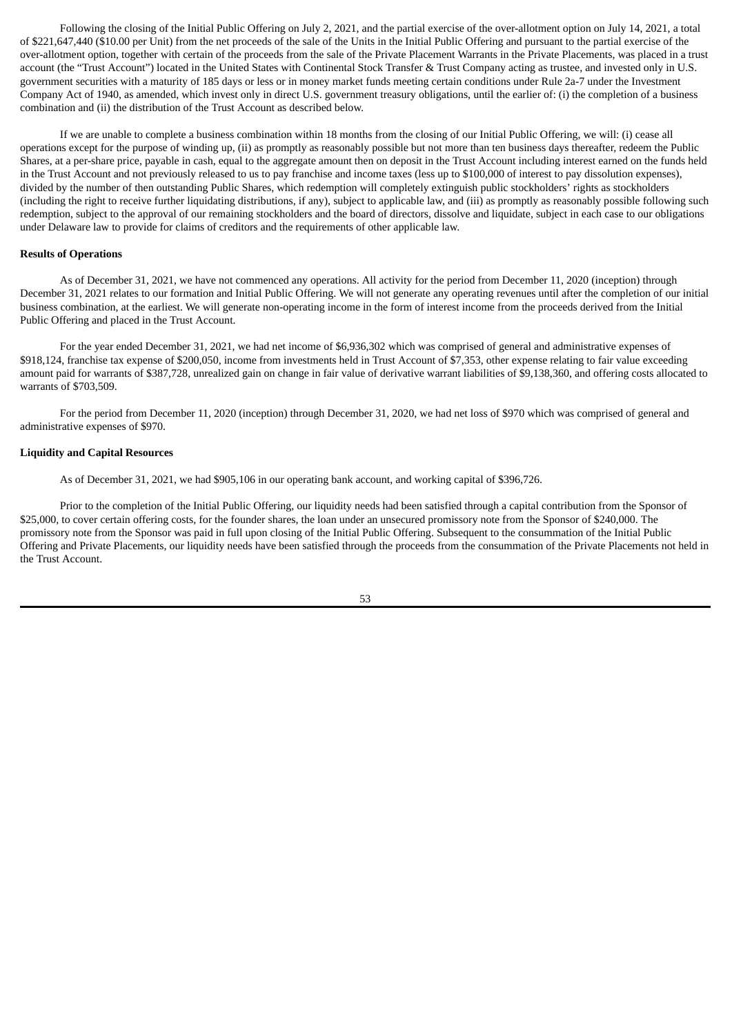Following the closing of the Initial Public Offering on July 2, 2021, and the partial exercise of the over-allotment option on July 14, 2021, a total of \$221,647,440 (\$10.00 per Unit) from the net proceeds of the sale of the Units in the Initial Public Offering and pursuant to the partial exercise of the over-allotment option, together with certain of the proceeds from the sale of the Private Placement Warrants in the Private Placements, was placed in a trust account (the "Trust Account") located in the United States with Continental Stock Transfer & Trust Company acting as trustee, and invested only in U.S. government securities with a maturity of 185 days or less or in money market funds meeting certain conditions under Rule 2a-7 under the Investment Company Act of 1940, as amended, which invest only in direct U.S. government treasury obligations, until the earlier of: (i) the completion of a business combination and (ii) the distribution of the Trust Account as described below.

If we are unable to complete a business combination within 18 months from the closing of our Initial Public Offering, we will: (i) cease all operations except for the purpose of winding up, (ii) as promptly as reasonably possible but not more than ten business days thereafter, redeem the Public Shares, at a per-share price, payable in cash, equal to the aggregate amount then on deposit in the Trust Account including interest earned on the funds held in the Trust Account and not previously released to us to pay franchise and income taxes (less up to \$100,000 of interest to pay dissolution expenses), divided by the number of then outstanding Public Shares, which redemption will completely extinguish public stockholders' rights as stockholders (including the right to receive further liquidating distributions, if any), subject to applicable law, and (iii) as promptly as reasonably possible following such redemption, subject to the approval of our remaining stockholders and the board of directors, dissolve and liquidate, subject in each case to our obligations under Delaware law to provide for claims of creditors and the requirements of other applicable law.

#### **Results of Operations**

As of December 31, 2021, we have not commenced any operations. All activity for the period from December 11, 2020 (inception) through December 31, 2021 relates to our formation and Initial Public Offering. We will not generate any operating revenues until after the completion of our initial business combination, at the earliest. We will generate non-operating income in the form of interest income from the proceeds derived from the Initial Public Offering and placed in the Trust Account.

For the year ended December 31, 2021, we had net income of \$6,936,302 which was comprised of general and administrative expenses of \$918,124, franchise tax expense of \$200,050, income from investments held in Trust Account of \$7,353, other expense relating to fair value exceeding amount paid for warrants of \$387,728, unrealized gain on change in fair value of derivative warrant liabilities of \$9,138,360, and offering costs allocated to warrants of \$703,509.

For the period from December 11, 2020 (inception) through December 31, 2020, we had net loss of \$970 which was comprised of general and administrative expenses of \$970.

#### **Liquidity and Capital Resources**

As of December 31, 2021, we had \$905,106 in our operating bank account, and working capital of \$396,726.

Prior to the completion of the Initial Public Offering, our liquidity needs had been satisfied through a capital contribution from the Sponsor of \$25,000, to cover certain offering costs, for the founder shares, the loan under an unsecured promissory note from the Sponsor of \$240,000. The promissory note from the Sponsor was paid in full upon closing of the Initial Public Offering. Subsequent to the consummation of the Initial Public Offering and Private Placements, our liquidity needs have been satisfied through the proceeds from the consummation of the Private Placements not held in the Trust Account.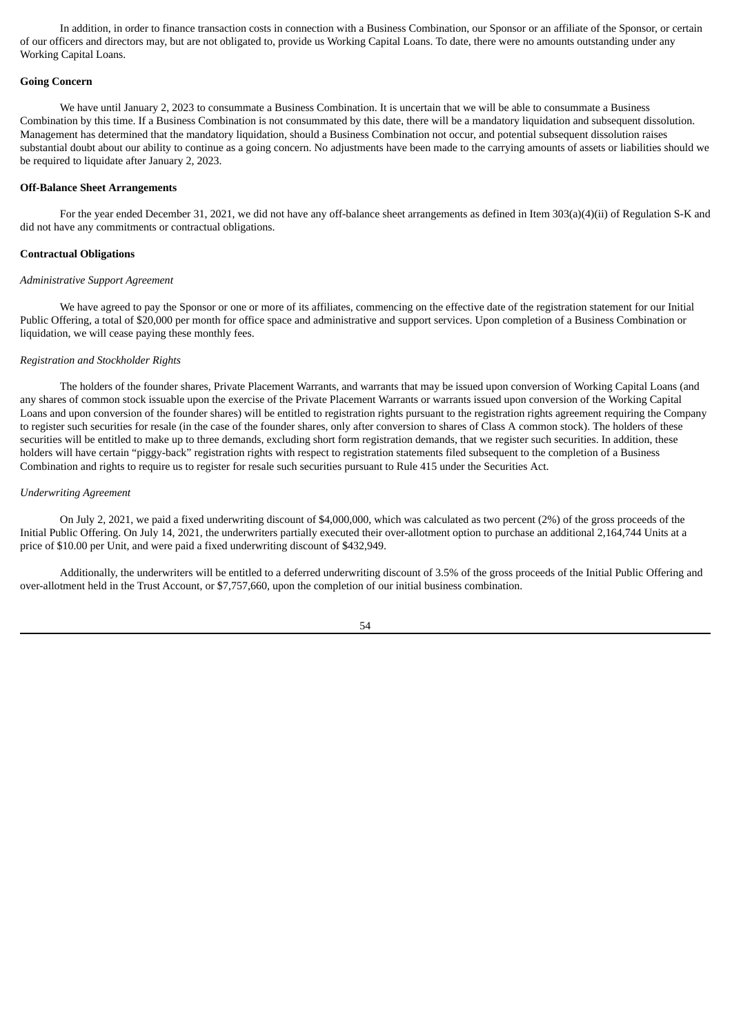In addition, in order to finance transaction costs in connection with a Business Combination, our Sponsor or an affiliate of the Sponsor, or certain of our officers and directors may, but are not obligated to, provide us Working Capital Loans. To date, there were no amounts outstanding under any Working Capital Loans.

#### **Going Concern**

We have until January 2, 2023 to consummate a Business Combination. It is uncertain that we will be able to consummate a Business Combination by this time. If a Business Combination is not consummated by this date, there will be a mandatory liquidation and subsequent dissolution. Management has determined that the mandatory liquidation, should a Business Combination not occur, and potential subsequent dissolution raises substantial doubt about our ability to continue as a going concern. No adjustments have been made to the carrying amounts of assets or liabilities should we be required to liquidate after January 2, 2023.

### **Off-Balance Sheet Arrangements**

For the year ended December 31, 2021, we did not have any off-balance sheet arrangements as defined in Item 303(a)(4)(ii) of Regulation S-K and did not have any commitments or contractual obligations.

# **Contractual Obligations**

#### *Administrative Support Agreement*

We have agreed to pay the Sponsor or one or more of its affiliates, commencing on the effective date of the registration statement for our Initial Public Offering, a total of \$20,000 per month for office space and administrative and support services. Upon completion of a Business Combination or liquidation, we will cease paying these monthly fees.

### *Registration and Stockholder Rights*

The holders of the founder shares, Private Placement Warrants, and warrants that may be issued upon conversion of Working Capital Loans (and any shares of common stock issuable upon the exercise of the Private Placement Warrants or warrants issued upon conversion of the Working Capital Loans and upon conversion of the founder shares) will be entitled to registration rights pursuant to the registration rights agreement requiring the Company to register such securities for resale (in the case of the founder shares, only after conversion to shares of Class A common stock). The holders of these securities will be entitled to make up to three demands, excluding short form registration demands, that we register such securities. In addition, these holders will have certain "piggy-back" registration rights with respect to registration statements filed subsequent to the completion of a Business Combination and rights to require us to register for resale such securities pursuant to Rule 415 under the Securities Act.

## *Underwriting Agreement*

On July 2, 2021, we paid a fixed underwriting discount of \$4,000,000, which was calculated as two percent (2%) of the gross proceeds of the Initial Public Offering. On July 14, 2021, the underwriters partially executed their over-allotment option to purchase an additional 2,164,744 Units at a price of \$10.00 per Unit, and were paid a fixed underwriting discount of \$432,949.

Additionally, the underwriters will be entitled to a deferred underwriting discount of 3.5% of the gross proceeds of the Initial Public Offering and over-allotment held in the Trust Account, or \$7,757,660, upon the completion of our initial business combination.

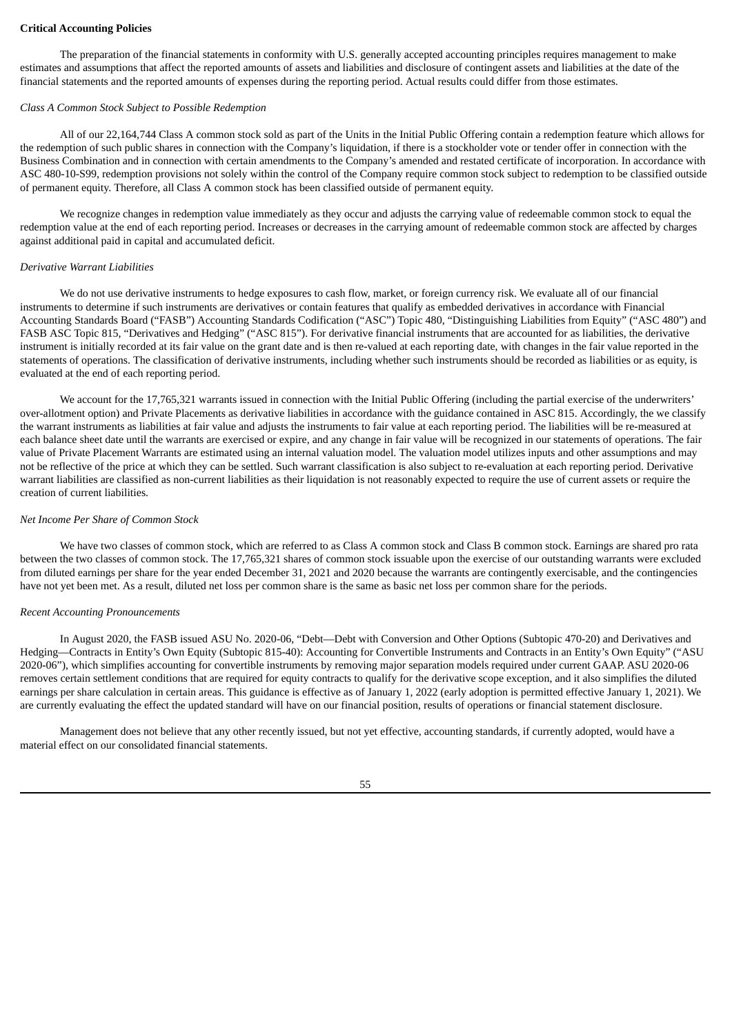#### **Critical Accounting Policies**

The preparation of the financial statements in conformity with U.S. generally accepted accounting principles requires management to make estimates and assumptions that affect the reported amounts of assets and liabilities and disclosure of contingent assets and liabilities at the date of the financial statements and the reported amounts of expenses during the reporting period. Actual results could differ from those estimates.

## *Class A Common Stock Subject to Possible Redemption*

All of our 22,164,744 Class A common stock sold as part of the Units in the Initial Public Offering contain a redemption feature which allows for the redemption of such public shares in connection with the Company's liquidation, if there is a stockholder vote or tender offer in connection with the Business Combination and in connection with certain amendments to the Company's amended and restated certificate of incorporation. In accordance with ASC 480-10-S99, redemption provisions not solely within the control of the Company require common stock subject to redemption to be classified outside of permanent equity. Therefore, all Class A common stock has been classified outside of permanent equity.

We recognize changes in redemption value immediately as they occur and adjusts the carrying value of redeemable common stock to equal the redemption value at the end of each reporting period. Increases or decreases in the carrying amount of redeemable common stock are affected by charges against additional paid in capital and accumulated deficit.

#### *Derivative Warrant Liabilities*

We do not use derivative instruments to hedge exposures to cash flow, market, or foreign currency risk. We evaluate all of our financial instruments to determine if such instruments are derivatives or contain features that qualify as embedded derivatives in accordance with Financial Accounting Standards Board ("FASB") Accounting Standards Codification ("ASC") Topic 480, "Distinguishing Liabilities from Equity" ("ASC 480") and FASB ASC Topic 815, "Derivatives and Hedging" ("ASC 815"). For derivative financial instruments that are accounted for as liabilities, the derivative instrument is initially recorded at its fair value on the grant date and is then re-valued at each reporting date, with changes in the fair value reported in the statements of operations. The classification of derivative instruments, including whether such instruments should be recorded as liabilities or as equity, is evaluated at the end of each reporting period.

We account for the 17,765,321 warrants issued in connection with the Initial Public Offering (including the partial exercise of the underwriters' over-allotment option) and Private Placements as derivative liabilities in accordance with the guidance contained in ASC 815. Accordingly, the we classify the warrant instruments as liabilities at fair value and adjusts the instruments to fair value at each reporting period. The liabilities will be re-measured at each balance sheet date until the warrants are exercised or expire, and any change in fair value will be recognized in our statements of operations. The fair value of Private Placement Warrants are estimated using an internal valuation model. The valuation model utilizes inputs and other assumptions and may not be reflective of the price at which they can be settled. Such warrant classification is also subject to re-evaluation at each reporting period. Derivative warrant liabilities are classified as non-current liabilities as their liquidation is not reasonably expected to require the use of current assets or require the creation of current liabilities.

#### *Net Income Per Share of Common Stock*

We have two classes of common stock, which are referred to as Class A common stock and Class B common stock. Earnings are shared pro rata between the two classes of common stock. The 17,765,321 shares of common stock issuable upon the exercise of our outstanding warrants were excluded from diluted earnings per share for the year ended December 31, 2021 and 2020 because the warrants are contingently exercisable, and the contingencies have not yet been met. As a result, diluted net loss per common share is the same as basic net loss per common share for the periods.

#### *Recent Accounting Pronouncements*

In August 2020, the FASB issued ASU No. 2020-06, "Debt—Debt with Conversion and Other Options (Subtopic 470-20) and Derivatives and Hedging—Contracts in Entity's Own Equity (Subtopic 815-40): Accounting for Convertible Instruments and Contracts in an Entity's Own Equity" ("ASU 2020-06"), which simplifies accounting for convertible instruments by removing major separation models required under current GAAP. ASU 2020-06 removes certain settlement conditions that are required for equity contracts to qualify for the derivative scope exception, and it also simplifies the diluted earnings per share calculation in certain areas. This guidance is effective as of January 1, 2022 (early adoption is permitted effective January 1, 2021). We are currently evaluating the effect the updated standard will have on our financial position, results of operations or financial statement disclosure.

Management does not believe that any other recently issued, but not yet effective, accounting standards, if currently adopted, would have a material effect on our consolidated financial statements.

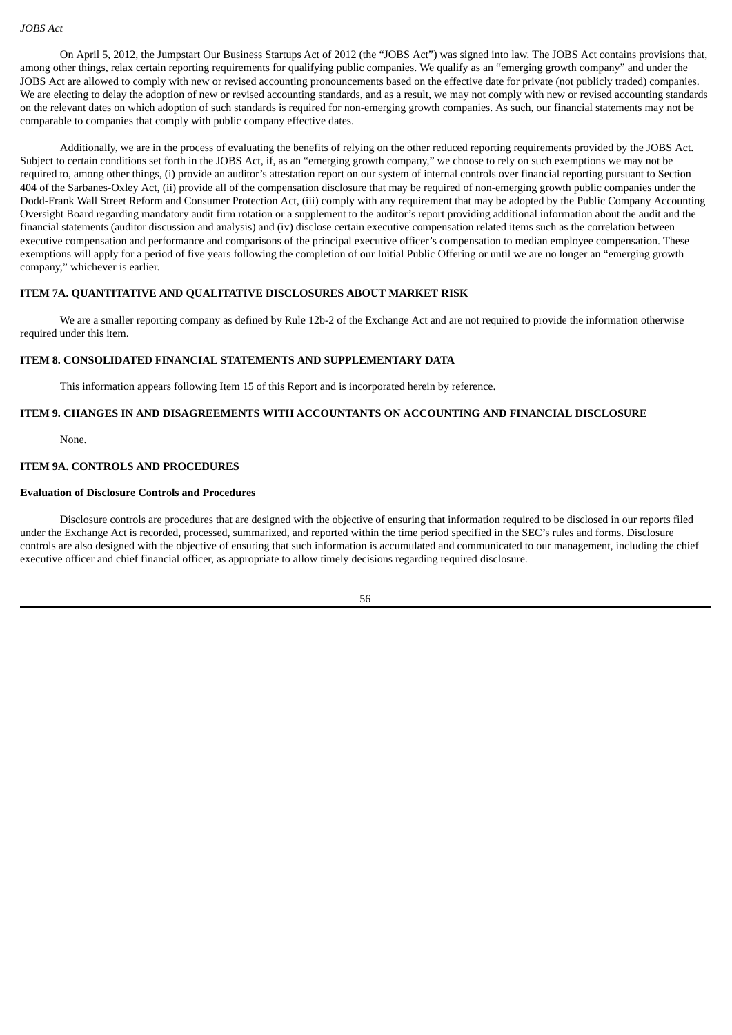On April 5, 2012, the Jumpstart Our Business Startups Act of 2012 (the "JOBS Act") was signed into law. The JOBS Act contains provisions that, among other things, relax certain reporting requirements for qualifying public companies. We qualify as an "emerging growth company" and under the JOBS Act are allowed to comply with new or revised accounting pronouncements based on the effective date for private (not publicly traded) companies. We are electing to delay the adoption of new or revised accounting standards, and as a result, we may not comply with new or revised accounting standards on the relevant dates on which adoption of such standards is required for non-emerging growth companies. As such, our financial statements may not be comparable to companies that comply with public company effective dates.

Additionally, we are in the process of evaluating the benefits of relying on the other reduced reporting requirements provided by the JOBS Act. Subject to certain conditions set forth in the JOBS Act, if, as an "emerging growth company," we choose to rely on such exemptions we may not be required to, among other things, (i) provide an auditor's attestation report on our system of internal controls over financial reporting pursuant to Section 404 of the Sarbanes-Oxley Act, (ii) provide all of the compensation disclosure that may be required of non-emerging growth public companies under the Dodd-Frank Wall Street Reform and Consumer Protection Act, (iii) comply with any requirement that may be adopted by the Public Company Accounting Oversight Board regarding mandatory audit firm rotation or a supplement to the auditor's report providing additional information about the audit and the financial statements (auditor discussion and analysis) and (iv) disclose certain executive compensation related items such as the correlation between executive compensation and performance and comparisons of the principal executive officer's compensation to median employee compensation. These exemptions will apply for a period of five years following the completion of our Initial Public Offering or until we are no longer an "emerging growth company," whichever is earlier.

# **ITEM 7A. QUANTITATIVE AND QUALITATIVE DISCLOSURES ABOUT MARKET RISK**

We are a smaller reporting company as defined by Rule 12b-2 of the Exchange Act and are not required to provide the information otherwise required under this item.

## **ITEM 8. CONSOLIDATED FINANCIAL STATEMENTS AND SUPPLEMENTARY DATA**

This information appears following Item 15 of this Report and is incorporated herein by reference.

# **ITEM 9. CHANGES IN AND DISAGREEMENTS WITH ACCOUNTANTS ON ACCOUNTING AND FINANCIAL DISCLOSURE**

None.

# **ITEM 9A. CONTROLS AND PROCEDURES**

### **Evaluation of Disclosure Controls and Procedures**

Disclosure controls are procedures that are designed with the objective of ensuring that information required to be disclosed in our reports filed under the Exchange Act is recorded, processed, summarized, and reported within the time period specified in the SEC's rules and forms. Disclosure controls are also designed with the objective of ensuring that such information is accumulated and communicated to our management, including the chief executive officer and chief financial officer, as appropriate to allow timely decisions regarding required disclosure.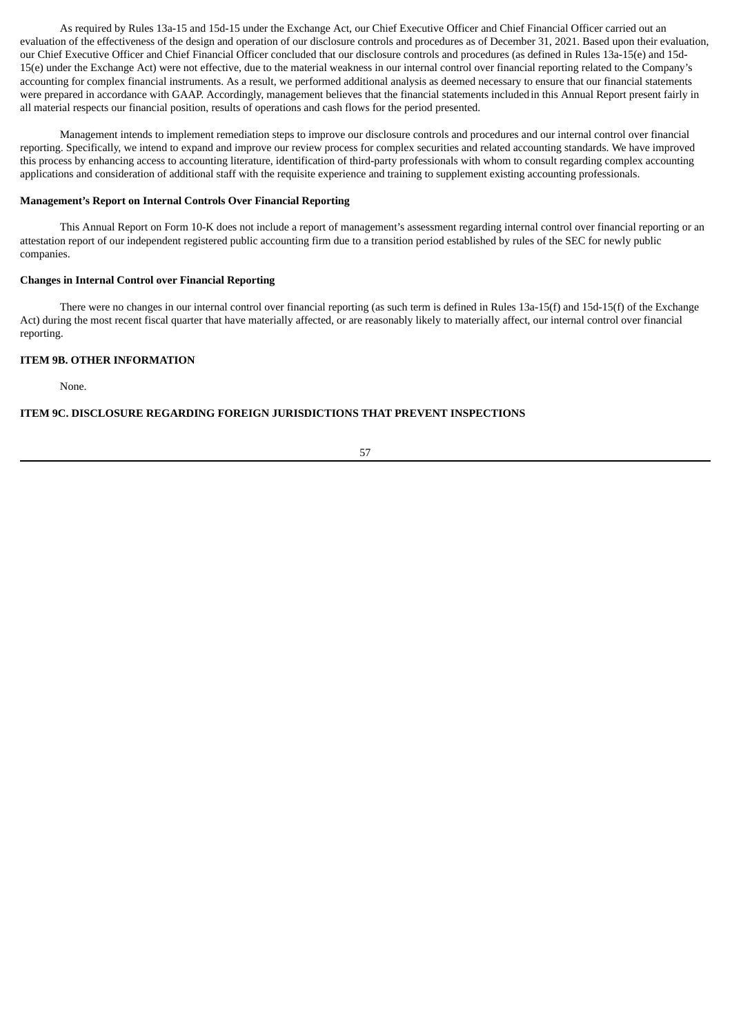As required by Rules 13a-15 and 15d-15 under the Exchange Act, our Chief Executive Officer and Chief Financial Officer carried out an evaluation of the effectiveness of the design and operation of our disclosure controls and procedures as of December 31, 2021. Based upon their evaluation, our Chief Executive Officer and Chief Financial Officer concluded that our disclosure controls and procedures (as defined in Rules 13a-15(e) and 15d-15(e) under the Exchange Act) were not effective, due to the material weakness in our internal control over financial reporting related to the Company's accounting for complex financial instruments. As a result, we performed additional analysis as deemed necessary to ensure that our financial statements were prepared in accordance with GAAP. Accordingly, management believes that the financial statements includedin this Annual Report present fairly in all material respects our financial position, results of operations and cash flows for the period presented.

Management intends to implement remediation steps to improve our disclosure controls and procedures and our internal control over financial reporting. Specifically, we intend to expand and improve our review process for complex securities and related accounting standards. We have improved this process by enhancing access to accounting literature, identification of third-party professionals with whom to consult regarding complex accounting applications and consideration of additional staff with the requisite experience and training to supplement existing accounting professionals.

# **Management's Report on Internal Controls Over Financial Reporting**

This Annual Report on Form 10-K does not include a report of management's assessment regarding internal control over financial reporting or an attestation report of our independent registered public accounting firm due to a transition period established by rules of the SEC for newly public companies.

## **Changes in Internal Control over Financial Reporting**

There were no changes in our internal control over financial reporting (as such term is defined in Rules 13a-15(f) and 15d-15(f) of the Exchange Act) during the most recent fiscal quarter that have materially affected, or are reasonably likely to materially affect, our internal control over financial reporting.

## **ITEM 9B. OTHER INFORMATION**

None.

# **ITEM 9C. DISCLOSURE REGARDING FOREIGN JURISDICTIONS THAT PREVENT INSPECTIONS**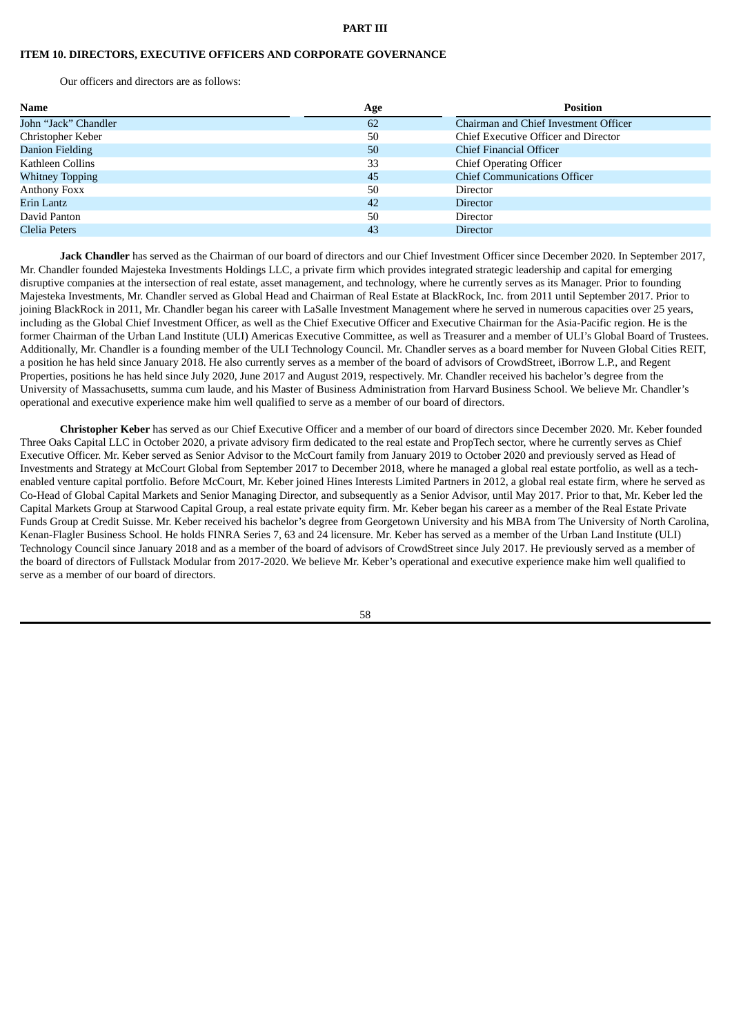#### **PART III**

### **ITEM 10. DIRECTORS, EXECUTIVE OFFICERS AND CORPORATE GOVERNANCE**

Our officers and directors are as follows:

| <b>Name</b>            | Age | <b>Position</b>                       |  |
|------------------------|-----|---------------------------------------|--|
| John "Jack" Chandler   | 62  | Chairman and Chief Investment Officer |  |
| Christopher Keber      | 50  | Chief Executive Officer and Director  |  |
| Danion Fielding        | 50  | Chief Financial Officer               |  |
| Kathleen Collins       | 33  | <b>Chief Operating Officer</b>        |  |
| <b>Whitney Topping</b> | 45  | <b>Chief Communications Officer</b>   |  |
| Anthony Foxx           | 50  | Director                              |  |
| Erin Lantz             | 42  | <b>Director</b>                       |  |
| David Panton           | 50  | Director                              |  |
| Clelia Peters          | 43  | <b>Director</b>                       |  |
|                        |     |                                       |  |

**Jack Chandler** has served as the Chairman of our board of directors and our Chief Investment Officer since December 2020. In September 2017, Mr. Chandler founded Majesteka Investments Holdings LLC, a private firm which provides integrated strategic leadership and capital for emerging disruptive companies at the intersection of real estate, asset management, and technology, where he currently serves as its Manager. Prior to founding Majesteka Investments, Mr. Chandler served as Global Head and Chairman of Real Estate at BlackRock, Inc. from 2011 until September 2017. Prior to joining BlackRock in 2011, Mr. Chandler began his career with LaSalle Investment Management where he served in numerous capacities over 25 years, including as the Global Chief Investment Officer, as well as the Chief Executive Officer and Executive Chairman for the Asia-Pacific region. He is the former Chairman of the Urban Land Institute (ULI) Americas Executive Committee, as well as Treasurer and a member of ULI's Global Board of Trustees. Additionally, Mr. Chandler is a founding member of the ULI Technology Council. Mr. Chandler serves as a board member for Nuveen Global Cities REIT, a position he has held since January 2018. He also currently serves as a member of the board of advisors of CrowdStreet, iBorrow L.P., and Regent Properties, positions he has held since July 2020, June 2017 and August 2019, respectively. Mr. Chandler received his bachelor's degree from the University of Massachusetts, summa cum laude, and his Master of Business Administration from Harvard Business School. We believe Mr. Chandler's operational and executive experience make him well qualified to serve as a member of our board of directors.

**Christopher Keber** has served as our Chief Executive Officer and a member of our board of directors since December 2020. Mr. Keber founded Three Oaks Capital LLC in October 2020, a private advisory firm dedicated to the real estate and PropTech sector, where he currently serves as Chief Executive Officer. Mr. Keber served as Senior Advisor to the McCourt family from January 2019 to October 2020 and previously served as Head of Investments and Strategy at McCourt Global from September 2017 to December 2018, where he managed a global real estate portfolio, as well as a techenabled venture capital portfolio. Before McCourt, Mr. Keber joined Hines Interests Limited Partners in 2012, a global real estate firm, where he served as Co-Head of Global Capital Markets and Senior Managing Director, and subsequently as a Senior Advisor, until May 2017. Prior to that, Mr. Keber led the Capital Markets Group at Starwood Capital Group, a real estate private equity firm. Mr. Keber began his career as a member of the Real Estate Private Funds Group at Credit Suisse. Mr. Keber received his bachelor's degree from Georgetown University and his MBA from The University of North Carolina, Kenan-Flagler Business School. He holds FINRA Series 7, 63 and 24 licensure. Mr. Keber has served as a member of the Urban Land Institute (ULI) Technology Council since January 2018 and as a member of the board of advisors of CrowdStreet since July 2017. He previously served as a member of the board of directors of Fullstack Modular from 2017-2020. We believe Mr. Keber's operational and executive experience make him well qualified to serve as a member of our board of directors.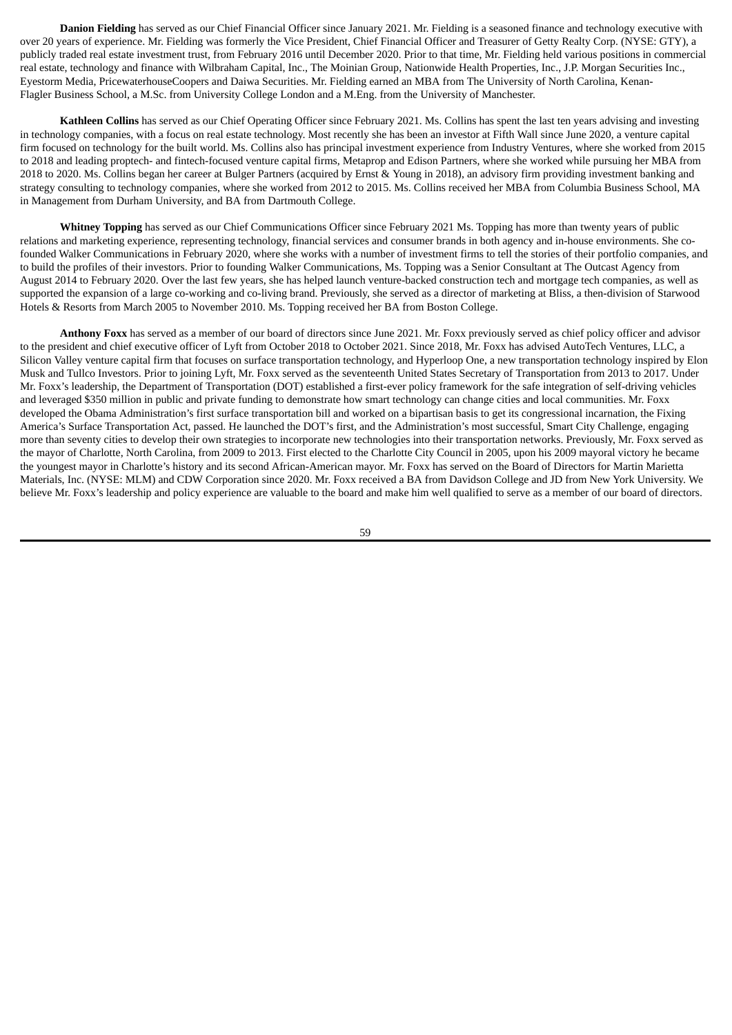**Danion Fielding** has served as our Chief Financial Officer since January 2021. Mr. Fielding is a seasoned finance and technology executive with over 20 years of experience. Mr. Fielding was formerly the Vice President, Chief Financial Officer and Treasurer of Getty Realty Corp. (NYSE: GTY), a publicly traded real estate investment trust, from February 2016 until December 2020. Prior to that time, Mr. Fielding held various positions in commercial real estate, technology and finance with Wilbraham Capital, Inc., The Moinian Group, Nationwide Health Properties, Inc., J.P. Morgan Securities Inc., Eyestorm Media, PricewaterhouseCoopers and Daiwa Securities. Mr. Fielding earned an MBA from The University of North Carolina, Kenan-Flagler Business School, a M.Sc. from University College London and a M.Eng. from the University of Manchester.

**Kathleen Collins** has served as our Chief Operating Officer since February 2021. Ms. Collins has spent the last ten years advising and investing in technology companies, with a focus on real estate technology. Most recently she has been an investor at Fifth Wall since June 2020, a venture capital firm focused on technology for the built world. Ms. Collins also has principal investment experience from Industry Ventures, where she worked from 2015 to 2018 and leading proptech- and fintech-focused venture capital firms, Metaprop and Edison Partners, where she worked while pursuing her MBA from 2018 to 2020. Ms. Collins began her career at Bulger Partners (acquired by Ernst & Young in 2018), an advisory firm providing investment banking and strategy consulting to technology companies, where she worked from 2012 to 2015. Ms. Collins received her MBA from Columbia Business School, MA in Management from Durham University, and BA from Dartmouth College.

**Whitney Topping** has served as our Chief Communications Officer since February 2021 Ms. Topping has more than twenty years of public relations and marketing experience, representing technology, financial services and consumer brands in both agency and in-house environments. She cofounded Walker Communications in February 2020, where she works with a number of investment firms to tell the stories of their portfolio companies, and to build the profiles of their investors. Prior to founding Walker Communications, Ms. Topping was a Senior Consultant at The Outcast Agency from August 2014 to February 2020. Over the last few years, she has helped launch venture-backed construction tech and mortgage tech companies, as well as supported the expansion of a large co-working and co-living brand. Previously, she served as a director of marketing at Bliss, a then-division of Starwood Hotels & Resorts from March 2005 to November 2010. Ms. Topping received her BA from Boston College.

**Anthony Foxx** has served as a member of our board of directors since June 2021. Mr. Foxx previously served as chief policy officer and advisor to the president and chief executive officer of Lyft from October 2018 to October 2021. Since 2018, Mr. Foxx has advised AutoTech Ventures, LLC, a Silicon Valley venture capital firm that focuses on surface transportation technology, and Hyperloop One, a new transportation technology inspired by Elon Musk and Tullco Investors. Prior to joining Lyft, Mr. Foxx served as the seventeenth United States Secretary of Transportation from 2013 to 2017. Under Mr. Foxx's leadership, the Department of Transportation (DOT) established a first-ever policy framework for the safe integration of self-driving vehicles and leveraged \$350 million in public and private funding to demonstrate how smart technology can change cities and local communities. Mr. Foxx developed the Obama Administration's first surface transportation bill and worked on a bipartisan basis to get its congressional incarnation, the Fixing America's Surface Transportation Act, passed. He launched the DOT's first, and the Administration's most successful, Smart City Challenge, engaging more than seventy cities to develop their own strategies to incorporate new technologies into their transportation networks. Previously, Mr. Foxx served as the mayor of Charlotte, North Carolina, from 2009 to 2013. First elected to the Charlotte City Council in 2005, upon his 2009 mayoral victory he became the youngest mayor in Charlotte's history and its second African-American mayor. Mr. Foxx has served on the Board of Directors for Martin Marietta Materials, Inc. (NYSE: MLM) and CDW Corporation since 2020. Mr. Foxx received a BA from Davidson College and JD from New York University. We believe Mr. Foxx's leadership and policy experience are valuable to the board and make him well qualified to serve as a member of our board of directors.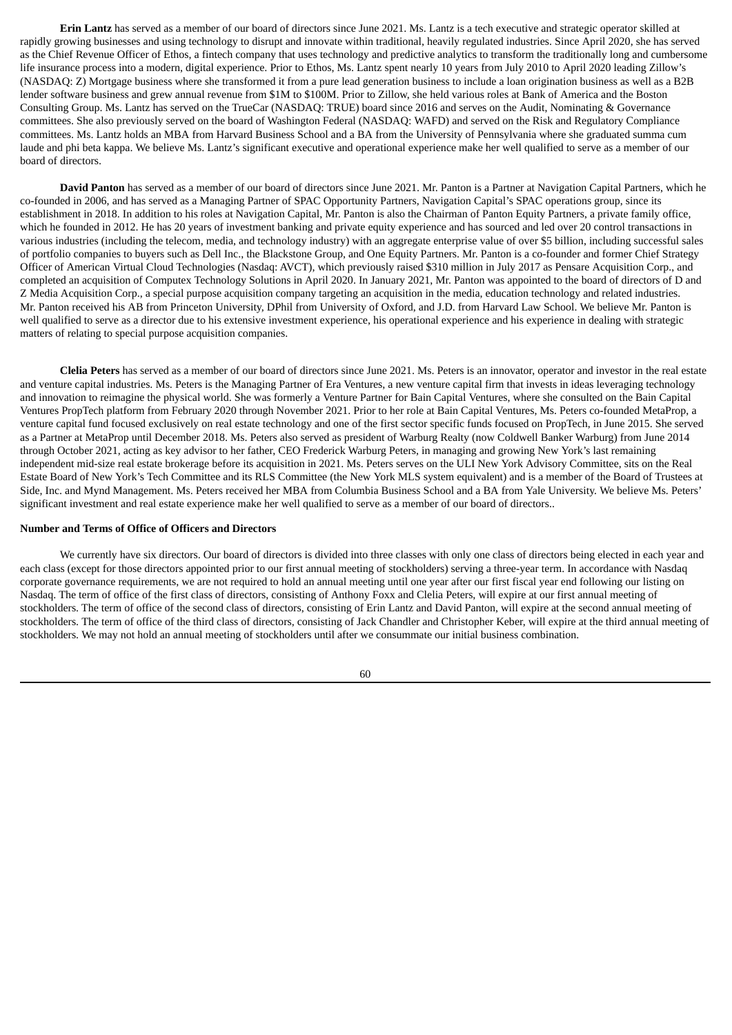**Erin Lantz** has served as a member of our board of directors since June 2021. Ms. Lantz is a tech executive and strategic operator skilled at rapidly growing businesses and using technology to disrupt and innovate within traditional, heavily regulated industries. Since April 2020, she has served as the Chief Revenue Officer of Ethos, a fintech company that uses technology and predictive analytics to transform the traditionally long and cumbersome life insurance process into a modern, digital experience. Prior to Ethos, Ms. Lantz spent nearly 10 years from July 2010 to April 2020 leading Zillow's (NASDAQ: Z) Mortgage business where she transformed it from a pure lead generation business to include a loan origination business as well as a B2B lender software business and grew annual revenue from \$1M to \$100M. Prior to Zillow, she held various roles at Bank of America and the Boston Consulting Group. Ms. Lantz has served on the TrueCar (NASDAQ: TRUE) board since 2016 and serves on the Audit, Nominating & Governance committees. She also previously served on the board of Washington Federal (NASDAQ: WAFD) and served on the Risk and Regulatory Compliance committees. Ms. Lantz holds an MBA from Harvard Business School and a BA from the University of Pennsylvania where she graduated summa cum laude and phi beta kappa. We believe Ms. Lantz's significant executive and operational experience make her well qualified to serve as a member of our board of directors.

**David Panton** has served as a member of our board of directors since June 2021. Mr. Panton is a Partner at Navigation Capital Partners, which he co-founded in 2006, and has served as a Managing Partner of SPAC Opportunity Partners, Navigation Capital's SPAC operations group, since its establishment in 2018. In addition to his roles at Navigation Capital, Mr. Panton is also the Chairman of Panton Equity Partners, a private family office, which he founded in 2012. He has 20 years of investment banking and private equity experience and has sourced and led over 20 control transactions in various industries (including the telecom, media, and technology industry) with an aggregate enterprise value of over \$5 billion, including successful sales of portfolio companies to buyers such as Dell Inc., the Blackstone Group, and One Equity Partners. Mr. Panton is a co-founder and former Chief Strategy Officer of American Virtual Cloud Technologies (Nasdaq: AVCT), which previously raised \$310 million in July 2017 as Pensare Acquisition Corp., and completed an acquisition of Computex Technology Solutions in April 2020. In January 2021, Mr. Panton was appointed to the board of directors of D and Z Media Acquisition Corp., a special purpose acquisition company targeting an acquisition in the media, education technology and related industries. Mr. Panton received his AB from Princeton University, DPhil from University of Oxford, and J.D. from Harvard Law School. We believe Mr. Panton is well qualified to serve as a director due to his extensive investment experience, his operational experience and his experience in dealing with strategic matters of relating to special purpose acquisition companies.

**Clelia Peters** has served as a member of our board of directors since June 2021. Ms. Peters is an innovator, operator and investor in the real estate and venture capital industries. Ms. Peters is the Managing Partner of Era Ventures, a new venture capital firm that invests in ideas leveraging technology and innovation to reimagine the physical world. She was formerly a Venture Partner for Bain Capital Ventures, where she consulted on the Bain Capital Ventures PropTech platform from February 2020 through November 2021. Prior to her role at Bain Capital Ventures, Ms. Peters co-founded MetaProp, a venture capital fund focused exclusively on real estate technology and one of the first sector specific funds focused on PropTech, in June 2015. She served as a Partner at MetaProp until December 2018. Ms. Peters also served as president of Warburg Realty (now Coldwell Banker Warburg) from June 2014 through October 2021, acting as key advisor to her father, CEO Frederick Warburg Peters, in managing and growing New York's last remaining independent mid-size real estate brokerage before its acquisition in 2021. Ms. Peters serves on the ULI New York Advisory Committee, sits on the Real Estate Board of New York's Tech Committee and its RLS Committee (the New York MLS system equivalent) and is a member of the Board of Trustees at Side, Inc. and Mynd Management. Ms. Peters received her MBA from Columbia Business School and a BA from Yale University. We believe Ms. Peters' significant investment and real estate experience make her well qualified to serve as a member of our board of directors..

#### **Number and Terms of Office of Officers and Directors**

We currently have six directors. Our board of directors is divided into three classes with only one class of directors being elected in each year and each class (except for those directors appointed prior to our first annual meeting of stockholders) serving a three-year term. In accordance with Nasdaq corporate governance requirements, we are not required to hold an annual meeting until one year after our first fiscal year end following our listing on Nasdaq. The term of office of the first class of directors, consisting of Anthony Foxx and Clelia Peters, will expire at our first annual meeting of stockholders. The term of office of the second class of directors, consisting of Erin Lantz and David Panton, will expire at the second annual meeting of stockholders. The term of office of the third class of directors, consisting of Jack Chandler and Christopher Keber, will expire at the third annual meeting of stockholders. We may not hold an annual meeting of stockholders until after we consummate our initial business combination.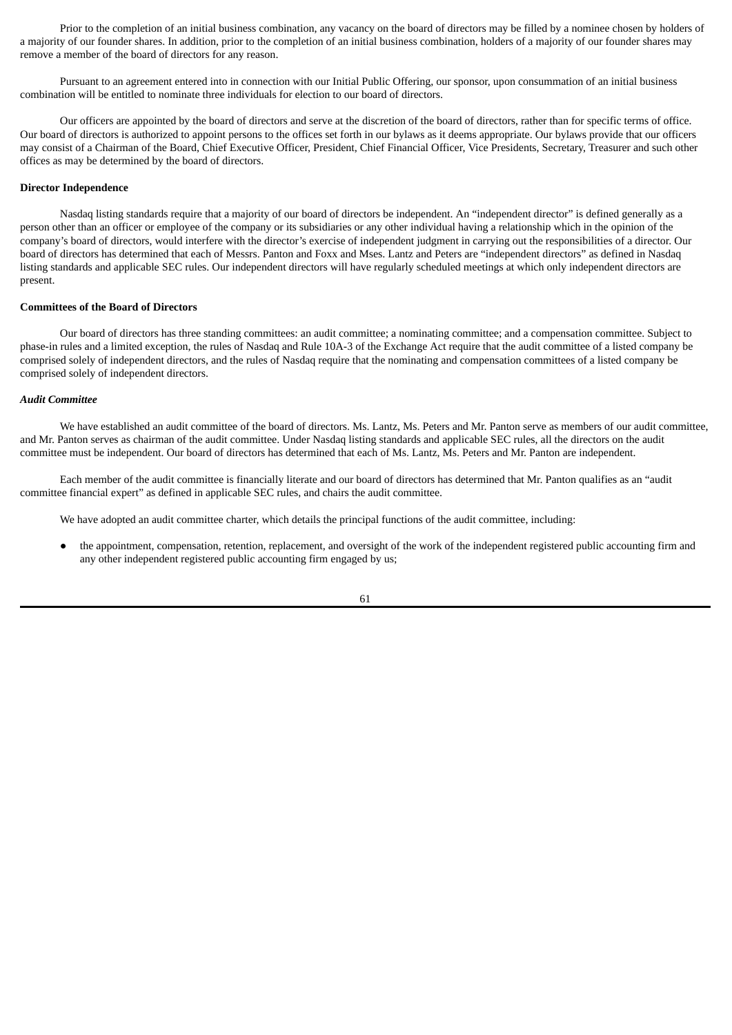Prior to the completion of an initial business combination, any vacancy on the board of directors may be filled by a nominee chosen by holders of a majority of our founder shares. In addition, prior to the completion of an initial business combination, holders of a majority of our founder shares may remove a member of the board of directors for any reason.

Pursuant to an agreement entered into in connection with our Initial Public Offering, our sponsor, upon consummation of an initial business combination will be entitled to nominate three individuals for election to our board of directors.

Our officers are appointed by the board of directors and serve at the discretion of the board of directors, rather than for specific terms of office. Our board of directors is authorized to appoint persons to the offices set forth in our bylaws as it deems appropriate. Our bylaws provide that our officers may consist of a Chairman of the Board, Chief Executive Officer, President, Chief Financial Officer, Vice Presidents, Secretary, Treasurer and such other offices as may be determined by the board of directors.

### **Director Independence**

Nasdaq listing standards require that a majority of our board of directors be independent. An "independent director" is defined generally as a person other than an officer or employee of the company or its subsidiaries or any other individual having a relationship which in the opinion of the company's board of directors, would interfere with the director's exercise of independent judgment in carrying out the responsibilities of a director. Our board of directors has determined that each of Messrs. Panton and Foxx and Mses. Lantz and Peters are "independent directors" as defined in Nasdaq listing standards and applicable SEC rules. Our independent directors will have regularly scheduled meetings at which only independent directors are present.

## **Committees of the Board of Directors**

Our board of directors has three standing committees: an audit committee; a nominating committee; and a compensation committee. Subject to phase-in rules and a limited exception, the rules of Nasdaq and Rule 10A-3 of the Exchange Act require that the audit committee of a listed company be comprised solely of independent directors, and the rules of Nasdaq require that the nominating and compensation committees of a listed company be comprised solely of independent directors.

### *Audit Committee*

We have established an audit committee of the board of directors. Ms. Lantz, Ms. Peters and Mr. Panton serve as members of our audit committee, and Mr. Panton serves as chairman of the audit committee. Under Nasdaq listing standards and applicable SEC rules, all the directors on the audit committee must be independent. Our board of directors has determined that each of Ms. Lantz, Ms. Peters and Mr. Panton are independent.

Each member of the audit committee is financially literate and our board of directors has determined that Mr. Panton qualifies as an "audit committee financial expert" as defined in applicable SEC rules, and chairs the audit committee.

We have adopted an audit committee charter, which details the principal functions of the audit committee, including:

the appointment, compensation, retention, replacement, and oversight of the work of the independent registered public accounting firm and any other independent registered public accounting firm engaged by us;

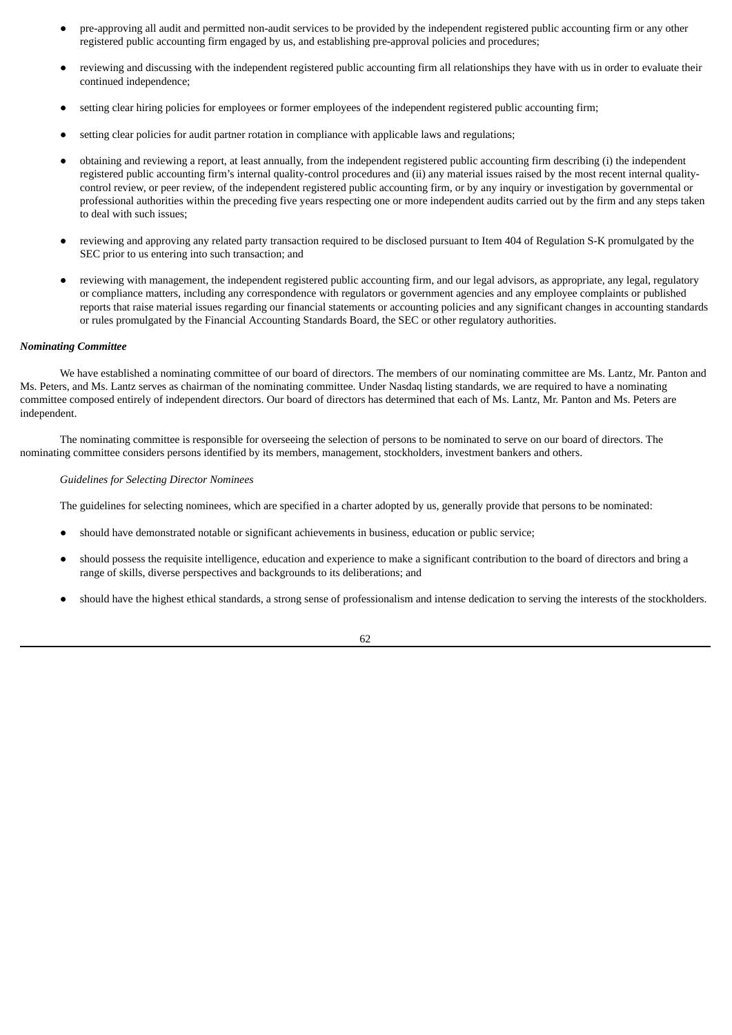- pre-approving all audit and permitted non-audit services to be provided by the independent registered public accounting firm or any other registered public accounting firm engaged by us, and establishing pre-approval policies and procedures;
- reviewing and discussing with the independent registered public accounting firm all relationships they have with us in order to evaluate their continued independence;
- setting clear hiring policies for employees or former employees of the independent registered public accounting firm;
- setting clear policies for audit partner rotation in compliance with applicable laws and regulations;
- obtaining and reviewing a report, at least annually, from the independent registered public accounting firm describing (i) the independent registered public accounting firm's internal quality-control procedures and (ii) any material issues raised by the most recent internal qualitycontrol review, or peer review, of the independent registered public accounting firm, or by any inquiry or investigation by governmental or professional authorities within the preceding five years respecting one or more independent audits carried out by the firm and any steps taken to deal with such issues;
- reviewing and approving any related party transaction required to be disclosed pursuant to Item 404 of Regulation S-K promulgated by the SEC prior to us entering into such transaction; and
- reviewing with management, the independent registered public accounting firm, and our legal advisors, as appropriate, any legal, regulatory or compliance matters, including any correspondence with regulators or government agencies and any employee complaints or published reports that raise material issues regarding our financial statements or accounting policies and any significant changes in accounting standards or rules promulgated by the Financial Accounting Standards Board, the SEC or other regulatory authorities.

### *Nominating Committee*

We have established a nominating committee of our board of directors. The members of our nominating committee are Ms. Lantz, Mr. Panton and Ms. Peters, and Ms. Lantz serves as chairman of the nominating committee. Under Nasdaq listing standards, we are required to have a nominating committee composed entirely of independent directors. Our board of directors has determined that each of Ms. Lantz, Mr. Panton and Ms. Peters are independent.

The nominating committee is responsible for overseeing the selection of persons to be nominated to serve on our board of directors. The nominating committee considers persons identified by its members, management, stockholders, investment bankers and others.

#### *Guidelines for Selecting Director Nominees*

The guidelines for selecting nominees, which are specified in a charter adopted by us, generally provide that persons to be nominated:

- should have demonstrated notable or significant achievements in business, education or public service;
- should possess the requisite intelligence, education and experience to make a significant contribution to the board of directors and bring a range of skills, diverse perspectives and backgrounds to its deliberations; and
- should have the highest ethical standards, a strong sense of professionalism and intense dedication to serving the interests of the stockholders.

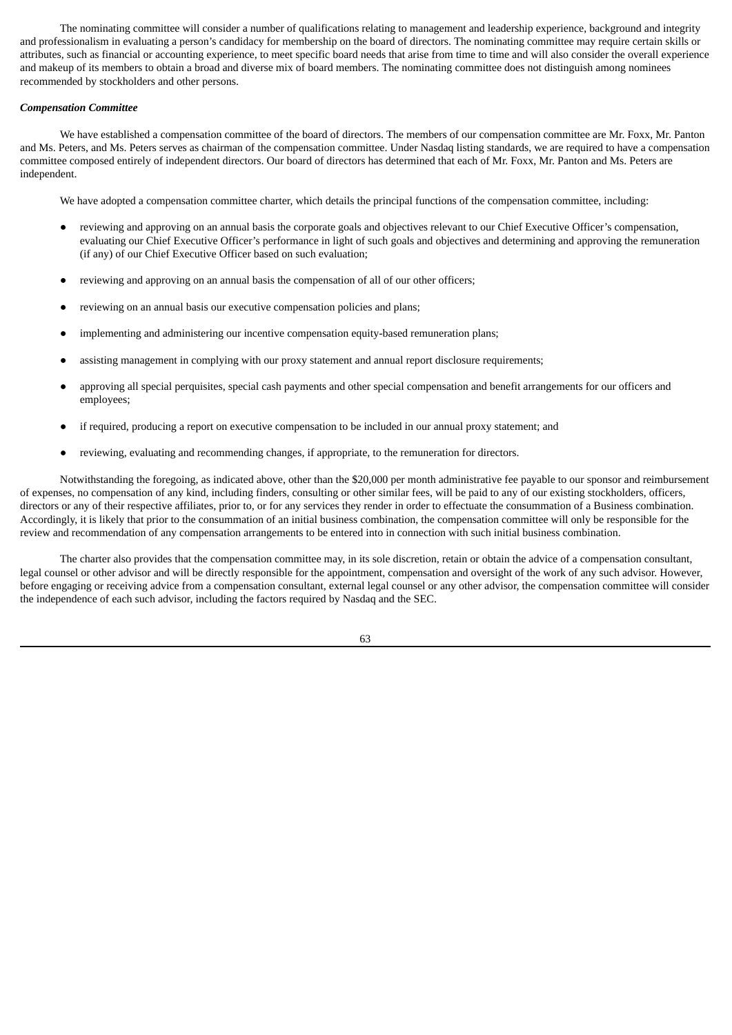The nominating committee will consider a number of qualifications relating to management and leadership experience, background and integrity and professionalism in evaluating a person's candidacy for membership on the board of directors. The nominating committee may require certain skills or attributes, such as financial or accounting experience, to meet specific board needs that arise from time to time and will also consider the overall experience and makeup of its members to obtain a broad and diverse mix of board members. The nominating committee does not distinguish among nominees recommended by stockholders and other persons.

### *Compensation Committee*

We have established a compensation committee of the board of directors. The members of our compensation committee are Mr. Foxx, Mr. Panton and Ms. Peters, and Ms. Peters serves as chairman of the compensation committee. Under Nasdaq listing standards, we are required to have a compensation committee composed entirely of independent directors. Our board of directors has determined that each of Mr. Foxx, Mr. Panton and Ms. Peters are independent.

We have adopted a compensation committee charter, which details the principal functions of the compensation committee, including:

- reviewing and approving on an annual basis the corporate goals and objectives relevant to our Chief Executive Officer's compensation, evaluating our Chief Executive Officer's performance in light of such goals and objectives and determining and approving the remuneration (if any) of our Chief Executive Officer based on such evaluation;
- reviewing and approving on an annual basis the compensation of all of our other officers;
- reviewing on an annual basis our executive compensation policies and plans;
- implementing and administering our incentive compensation equity-based remuneration plans;
- assisting management in complying with our proxy statement and annual report disclosure requirements;
- approving all special perquisites, special cash payments and other special compensation and benefit arrangements for our officers and employees;
- if required, producing a report on executive compensation to be included in our annual proxy statement; and
- reviewing, evaluating and recommending changes, if appropriate, to the remuneration for directors.

Notwithstanding the foregoing, as indicated above, other than the \$20,000 per month administrative fee payable to our sponsor and reimbursement of expenses, no compensation of any kind, including finders, consulting or other similar fees, will be paid to any of our existing stockholders, officers, directors or any of their respective affiliates, prior to, or for any services they render in order to effectuate the consummation of a Business combination. Accordingly, it is likely that prior to the consummation of an initial business combination, the compensation committee will only be responsible for the review and recommendation of any compensation arrangements to be entered into in connection with such initial business combination.

The charter also provides that the compensation committee may, in its sole discretion, retain or obtain the advice of a compensation consultant, legal counsel or other advisor and will be directly responsible for the appointment, compensation and oversight of the work of any such advisor. However, before engaging or receiving advice from a compensation consultant, external legal counsel or any other advisor, the compensation committee will consider the independence of each such advisor, including the factors required by Nasdaq and the SEC.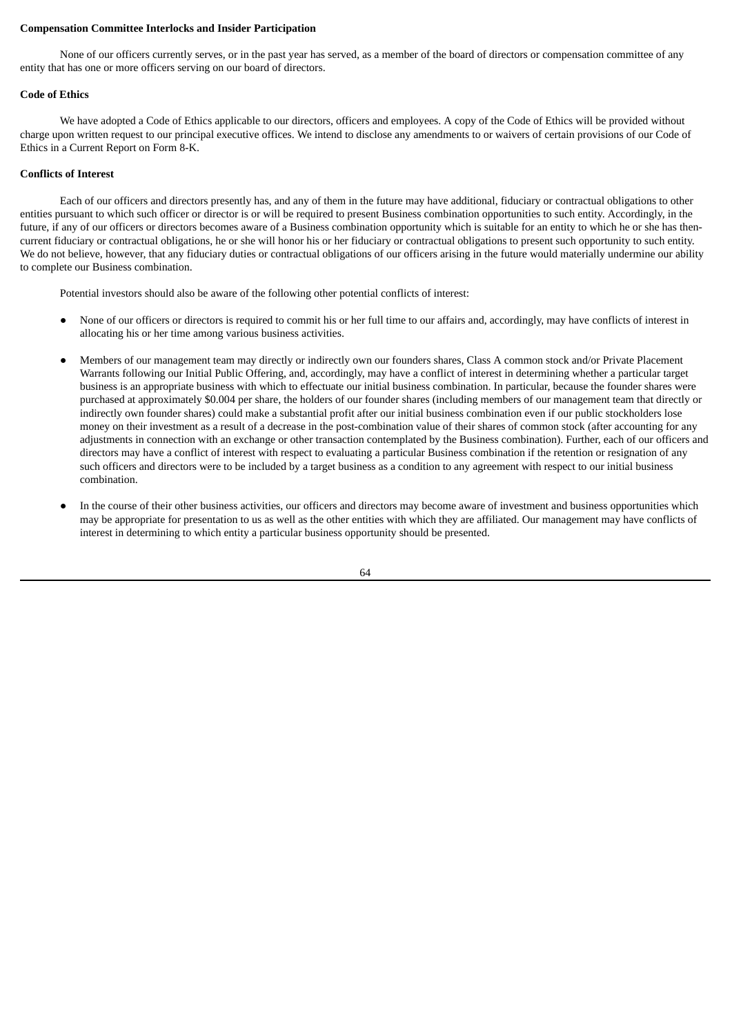## **Compensation Committee Interlocks and Insider Participation**

None of our officers currently serves, or in the past year has served, as a member of the board of directors or compensation committee of any entity that has one or more officers serving on our board of directors.

### **Code of Ethics**

We have adopted a Code of Ethics applicable to our directors, officers and employees. A copy of the Code of Ethics will be provided without charge upon written request to our principal executive offices. We intend to disclose any amendments to or waivers of certain provisions of our Code of Ethics in a Current Report on Form 8-K.

## **Conflicts of Interest**

Each of our officers and directors presently has, and any of them in the future may have additional, fiduciary or contractual obligations to other entities pursuant to which such officer or director is or will be required to present Business combination opportunities to such entity. Accordingly, in the future, if any of our officers or directors becomes aware of a Business combination opportunity which is suitable for an entity to which he or she has thencurrent fiduciary or contractual obligations, he or she will honor his or her fiduciary or contractual obligations to present such opportunity to such entity. We do not believe, however, that any fiduciary duties or contractual obligations of our officers arising in the future would materially undermine our ability to complete our Business combination.

Potential investors should also be aware of the following other potential conflicts of interest:

- None of our officers or directors is required to commit his or her full time to our affairs and, accordingly, may have conflicts of interest in allocating his or her time among various business activities.
- Members of our management team may directly or indirectly own our founders shares, Class A common stock and/or Private Placement Warrants following our Initial Public Offering, and, accordingly, may have a conflict of interest in determining whether a particular target business is an appropriate business with which to effectuate our initial business combination. In particular, because the founder shares were purchased at approximately \$0.004 per share, the holders of our founder shares (including members of our management team that directly or indirectly own founder shares) could make a substantial profit after our initial business combination even if our public stockholders lose money on their investment as a result of a decrease in the post-combination value of their shares of common stock (after accounting for any adjustments in connection with an exchange or other transaction contemplated by the Business combination). Further, each of our officers and directors may have a conflict of interest with respect to evaluating a particular Business combination if the retention or resignation of any such officers and directors were to be included by a target business as a condition to any agreement with respect to our initial business combination.
- In the course of their other business activities, our officers and directors may become aware of investment and business opportunities which may be appropriate for presentation to us as well as the other entities with which they are affiliated. Our management may have conflicts of interest in determining to which entity a particular business opportunity should be presented.

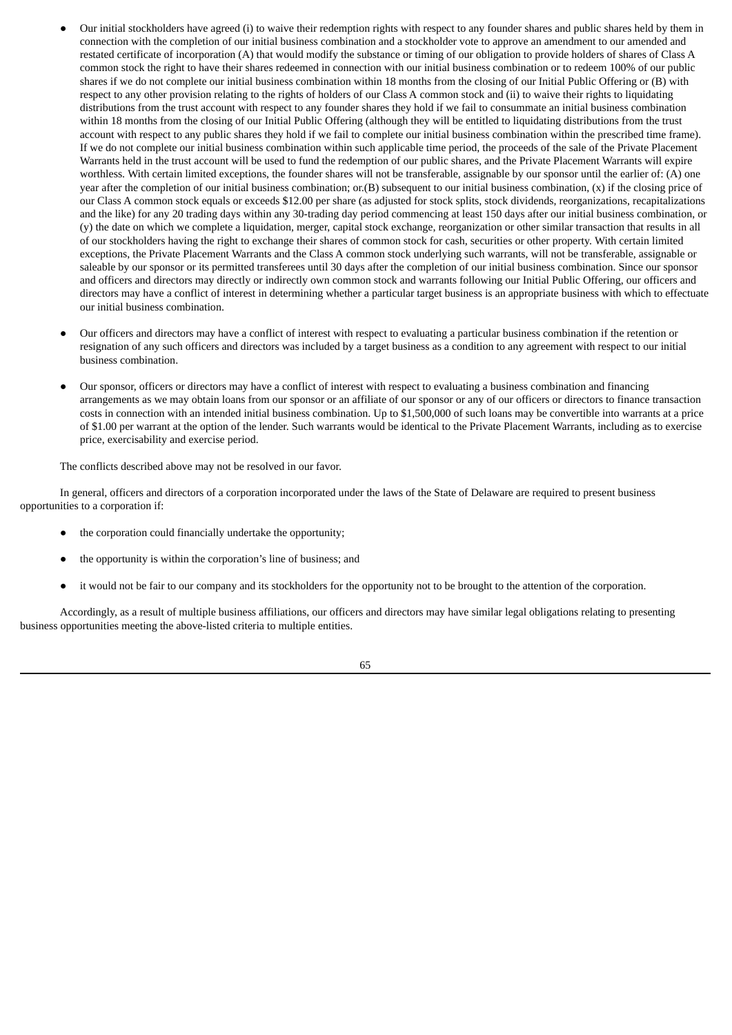- Our initial stockholders have agreed (i) to waive their redemption rights with respect to any founder shares and public shares held by them in connection with the completion of our initial business combination and a stockholder vote to approve an amendment to our amended and restated certificate of incorporation (A) that would modify the substance or timing of our obligation to provide holders of shares of Class A common stock the right to have their shares redeemed in connection with our initial business combination or to redeem 100% of our public shares if we do not complete our initial business combination within 18 months from the closing of our Initial Public Offering or (B) with respect to any other provision relating to the rights of holders of our Class A common stock and (ii) to waive their rights to liquidating distributions from the trust account with respect to any founder shares they hold if we fail to consummate an initial business combination within 18 months from the closing of our Initial Public Offering (although they will be entitled to liquidating distributions from the trust account with respect to any public shares they hold if we fail to complete our initial business combination within the prescribed time frame). If we do not complete our initial business combination within such applicable time period, the proceeds of the sale of the Private Placement Warrants held in the trust account will be used to fund the redemption of our public shares, and the Private Placement Warrants will expire worthless. With certain limited exceptions, the founder shares will not be transferable, assignable by our sponsor until the earlier of: (A) one year after the completion of our initial business combination; or.(B) subsequent to our initial business combination, (x) if the closing price of our Class A common stock equals or exceeds \$12.00 per share (as adjusted for stock splits, stock dividends, reorganizations, recapitalizations and the like) for any 20 trading days within any 30-trading day period commencing at least 150 days after our initial business combination, or (y) the date on which we complete a liquidation, merger, capital stock exchange, reorganization or other similar transaction that results in all of our stockholders having the right to exchange their shares of common stock for cash, securities or other property. With certain limited exceptions, the Private Placement Warrants and the Class A common stock underlying such warrants, will not be transferable, assignable or saleable by our sponsor or its permitted transferees until 30 days after the completion of our initial business combination. Since our sponsor and officers and directors may directly or indirectly own common stock and warrants following our Initial Public Offering, our officers and directors may have a conflict of interest in determining whether a particular target business is an appropriate business with which to effectuate our initial business combination.
- Our officers and directors may have a conflict of interest with respect to evaluating a particular business combination if the retention or resignation of any such officers and directors was included by a target business as a condition to any agreement with respect to our initial business combination.
- Our sponsor, officers or directors may have a conflict of interest with respect to evaluating a business combination and financing arrangements as we may obtain loans from our sponsor or an affiliate of our sponsor or any of our officers or directors to finance transaction costs in connection with an intended initial business combination. Up to \$1,500,000 of such loans may be convertible into warrants at a price of \$1.00 per warrant at the option of the lender. Such warrants would be identical to the Private Placement Warrants, including as to exercise price, exercisability and exercise period.

The conflicts described above may not be resolved in our favor.

In general, officers and directors of a corporation incorporated under the laws of the State of Delaware are required to present business opportunities to a corporation if:

- the corporation could financially undertake the opportunity;
- the opportunity is within the corporation's line of business; and
- it would not be fair to our company and its stockholders for the opportunity not to be brought to the attention of the corporation.

Accordingly, as a result of multiple business affiliations, our officers and directors may have similar legal obligations relating to presenting business opportunities meeting the above-listed criteria to multiple entities.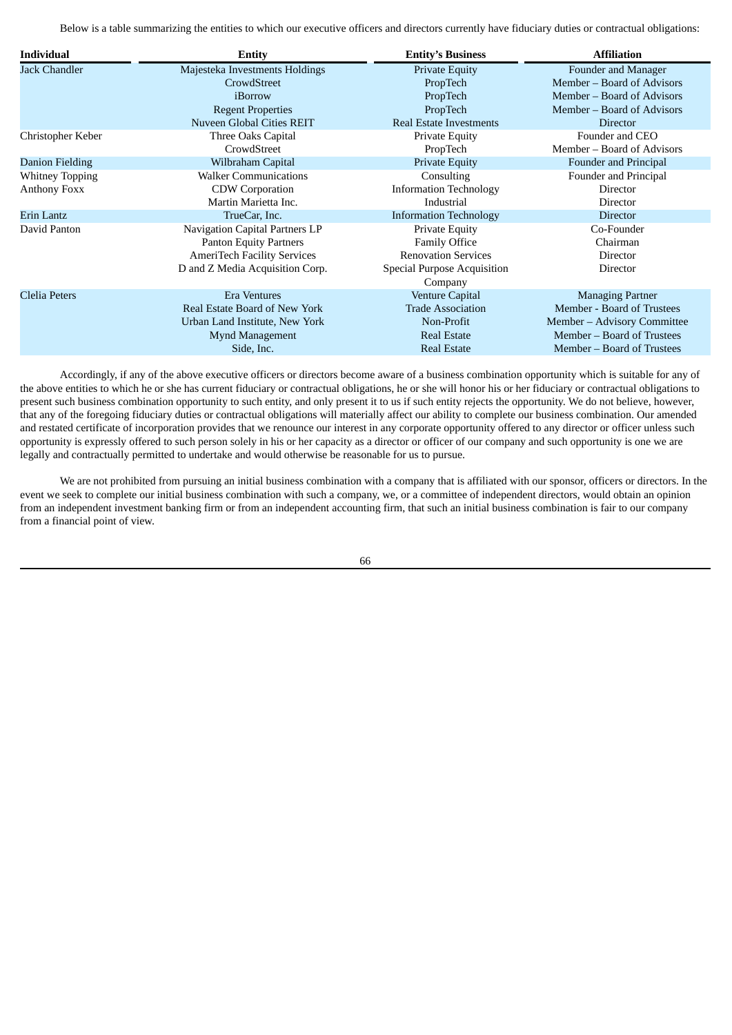Below is a table summarizing the entities to which our executive officers and directors currently have fiduciary duties or contractual obligations:

| <b>Individual</b>      | <b>Entity</b>                      | <b>Entity's Business</b>           | <b>Affiliation</b>          |
|------------------------|------------------------------------|------------------------------------|-----------------------------|
| Jack Chandler          | Majesteka Investments Holdings     | <b>Private Equity</b>              | Founder and Manager         |
|                        | CrowdStreet                        | PropTech                           | Member – Board of Advisors  |
|                        | iBorrow                            | PropTech                           | Member – Board of Advisors  |
|                        | <b>Regent Properties</b>           | PropTech                           | Member – Board of Advisors  |
|                        | <b>Nuveen Global Cities REIT</b>   | <b>Real Estate Investments</b>     | <b>Director</b>             |
| Christopher Keber      | Three Oaks Capital                 | Private Equity                     | Founder and CEO             |
|                        | CrowdStreet                        | PropTech                           | Member – Board of Advisors  |
| Danion Fielding        | Wilbraham Capital                  | <b>Private Equity</b>              | Founder and Principal       |
| <b>Whitney Topping</b> | <b>Walker Communications</b>       | Consulting                         | Founder and Principal       |
| <b>Anthony Foxx</b>    | <b>CDW Corporation</b>             | <b>Information Technology</b>      | Director                    |
|                        | Martin Marietta Inc.               | Industrial                         | Director                    |
| Erin Lantz             | TrueCar, Inc.                      | <b>Information Technology</b>      | <b>Director</b>             |
| David Panton           | Navigation Capital Partners LP     | Private Equity                     | Co-Founder                  |
|                        | <b>Panton Equity Partners</b>      | <b>Family Office</b>               | Chairman                    |
|                        | <b>AmeriTech Facility Services</b> | <b>Renovation Services</b>         | Director                    |
|                        | D and Z Media Acquisition Corp.    | <b>Special Purpose Acquisition</b> | Director                    |
|                        |                                    | Company                            |                             |
| Clelia Peters          | <b>Era Ventures</b>                | <b>Venture Capital</b>             | <b>Managing Partner</b>     |
|                        | Real Estate Board of New York      | <b>Trade Association</b>           | Member - Board of Trustees  |
|                        | Urban Land Institute, New York     | Non-Profit                         | Member - Advisory Committee |
|                        | <b>Mynd Management</b>             | <b>Real Estate</b>                 | Member – Board of Trustees  |
|                        | Side, Inc.                         | <b>Real Estate</b>                 | Member – Board of Trustees  |

Accordingly, if any of the above executive officers or directors become aware of a business combination opportunity which is suitable for any of the above entities to which he or she has current fiduciary or contractual obligations, he or she will honor his or her fiduciary or contractual obligations to present such business combination opportunity to such entity, and only present it to us if such entity rejects the opportunity. We do not believe, however, that any of the foregoing fiduciary duties or contractual obligations will materially affect our ability to complete our business combination. Our amended and restated certificate of incorporation provides that we renounce our interest in any corporate opportunity offered to any director or officer unless such opportunity is expressly offered to such person solely in his or her capacity as a director or officer of our company and such opportunity is one we are legally and contractually permitted to undertake and would otherwise be reasonable for us to pursue.

We are not prohibited from pursuing an initial business combination with a company that is affiliated with our sponsor, officers or directors. In the event we seek to complete our initial business combination with such a company, we, or a committee of independent directors, would obtain an opinion from an independent investment banking firm or from an independent accounting firm, that such an initial business combination is fair to our company from a financial point of view.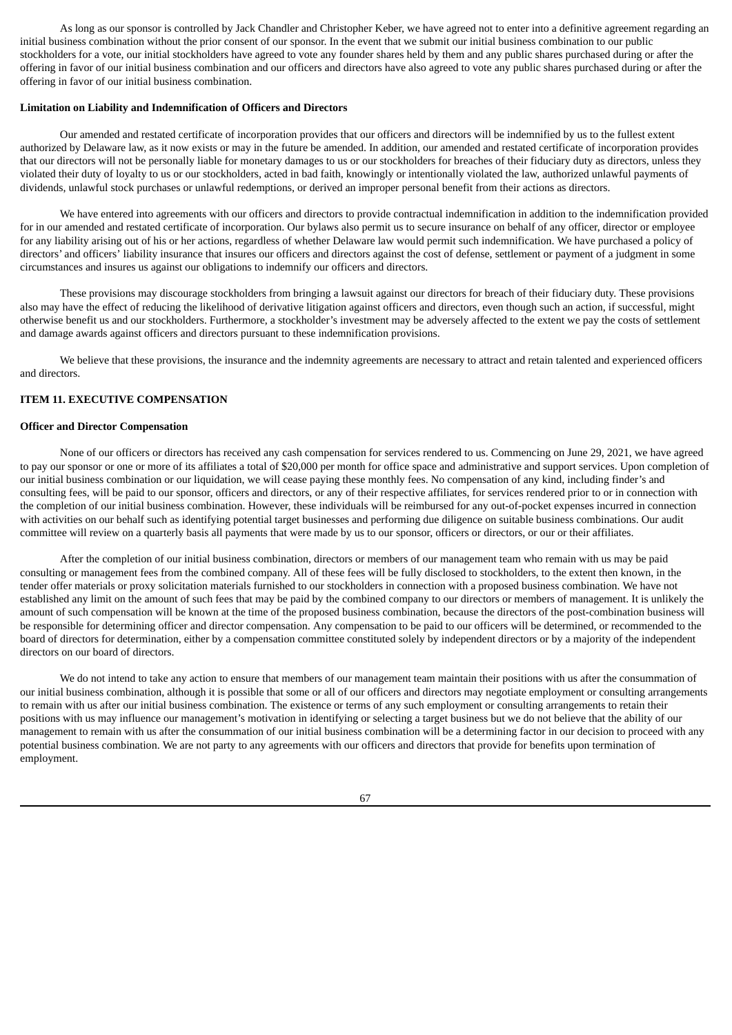As long as our sponsor is controlled by Jack Chandler and Christopher Keber, we have agreed not to enter into a definitive agreement regarding an initial business combination without the prior consent of our sponsor. In the event that we submit our initial business combination to our public stockholders for a vote, our initial stockholders have agreed to vote any founder shares held by them and any public shares purchased during or after the offering in favor of our initial business combination and our officers and directors have also agreed to vote any public shares purchased during or after the offering in favor of our initial business combination.

# **Limitation on Liability and Indemnification of Officers and Directors**

Our amended and restated certificate of incorporation provides that our officers and directors will be indemnified by us to the fullest extent authorized by Delaware law, as it now exists or may in the future be amended. In addition, our amended and restated certificate of incorporation provides that our directors will not be personally liable for monetary damages to us or our stockholders for breaches of their fiduciary duty as directors, unless they violated their duty of loyalty to us or our stockholders, acted in bad faith, knowingly or intentionally violated the law, authorized unlawful payments of dividends, unlawful stock purchases or unlawful redemptions, or derived an improper personal benefit from their actions as directors.

We have entered into agreements with our officers and directors to provide contractual indemnification in addition to the indemnification provided for in our amended and restated certificate of incorporation. Our bylaws also permit us to secure insurance on behalf of any officer, director or employee for any liability arising out of his or her actions, regardless of whether Delaware law would permit such indemnification. We have purchased a policy of directors' and officers' liability insurance that insures our officers and directors against the cost of defense, settlement or payment of a judgment in some circumstances and insures us against our obligations to indemnify our officers and directors.

These provisions may discourage stockholders from bringing a lawsuit against our directors for breach of their fiduciary duty. These provisions also may have the effect of reducing the likelihood of derivative litigation against officers and directors, even though such an action, if successful, might otherwise benefit us and our stockholders. Furthermore, a stockholder's investment may be adversely affected to the extent we pay the costs of settlement and damage awards against officers and directors pursuant to these indemnification provisions.

We believe that these provisions, the insurance and the indemnity agreements are necessary to attract and retain talented and experienced officers and directors.

# **ITEM 11. EXECUTIVE COMPENSATION**

#### **Officer and Director Compensation**

None of our officers or directors has received any cash compensation for services rendered to us. Commencing on June 29, 2021, we have agreed to pay our sponsor or one or more of its affiliates a total of \$20,000 per month for office space and administrative and support services. Upon completion of our initial business combination or our liquidation, we will cease paying these monthly fees. No compensation of any kind, including finder's and consulting fees, will be paid to our sponsor, officers and directors, or any of their respective affiliates, for services rendered prior to or in connection with the completion of our initial business combination. However, these individuals will be reimbursed for any out-of-pocket expenses incurred in connection with activities on our behalf such as identifying potential target businesses and performing due diligence on suitable business combinations. Our audit committee will review on a quarterly basis all payments that were made by us to our sponsor, officers or directors, or our or their affiliates.

After the completion of our initial business combination, directors or members of our management team who remain with us may be paid consulting or management fees from the combined company. All of these fees will be fully disclosed to stockholders, to the extent then known, in the tender offer materials or proxy solicitation materials furnished to our stockholders in connection with a proposed business combination. We have not established any limit on the amount of such fees that may be paid by the combined company to our directors or members of management. It is unlikely the amount of such compensation will be known at the time of the proposed business combination, because the directors of the post-combination business will be responsible for determining officer and director compensation. Any compensation to be paid to our officers will be determined, or recommended to the board of directors for determination, either by a compensation committee constituted solely by independent directors or by a majority of the independent directors on our board of directors.

We do not intend to take any action to ensure that members of our management team maintain their positions with us after the consummation of our initial business combination, although it is possible that some or all of our officers and directors may negotiate employment or consulting arrangements to remain with us after our initial business combination. The existence or terms of any such employment or consulting arrangements to retain their positions with us may influence our management's motivation in identifying or selecting a target business but we do not believe that the ability of our management to remain with us after the consummation of our initial business combination will be a determining factor in our decision to proceed with any potential business combination. We are not party to any agreements with our officers and directors that provide for benefits upon termination of employment.

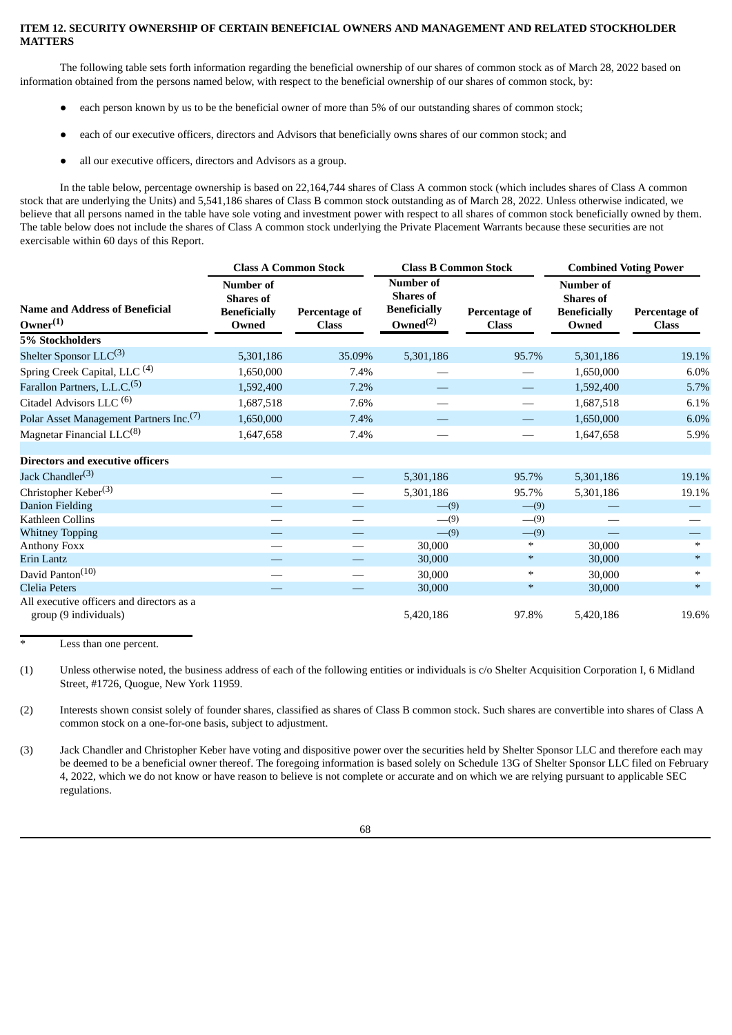# **ITEM 12. SECURITY OWNERSHIP OF CERTAIN BENEFICIAL OWNERS AND MANAGEMENT AND RELATED STOCKHOLDER MATTERS**

The following table sets forth information regarding the beneficial ownership of our shares of common stock as of March 28, 2022 based on information obtained from the persons named below, with respect to the beneficial ownership of our shares of common stock, by:

- each person known by us to be the beneficial owner of more than 5% of our outstanding shares of common stock;
- each of our executive officers, directors and Advisors that beneficially owns shares of our common stock; and
- all our executive officers, directors and Advisors as a group.

In the table below, percentage ownership is based on 22,164,744 shares of Class A common stock (which includes shares of Class A common stock that are underlying the Units) and 5,541,186 shares of Class B common stock outstanding as of March 28, 2022. Unless otherwise indicated, we believe that all persons named in the table have sole voting and investment power with respect to all shares of common stock beneficially owned by them. The table below does not include the shares of Class A common stock underlying the Private Placement Warrants because these securities are not exercisable within 60 days of this Report.

|                                                                    |                                                               | <b>Class A Common Stock</b>   | <b>Class B Common Stock</b>                                                         |                                      | <b>Combined Voting Power</b>                                  |                               |  |  |
|--------------------------------------------------------------------|---------------------------------------------------------------|-------------------------------|-------------------------------------------------------------------------------------|--------------------------------------|---------------------------------------------------------------|-------------------------------|--|--|
| <b>Name and Address of Beneficial</b><br>$O$ wner $^{(1)}$         | Number of<br><b>Shares</b> of<br><b>Beneficially</b><br>Owned | Percentage of<br><b>Class</b> | <b>Number of</b><br><b>Shares of</b><br><b>Beneficially</b><br>Owned <sup>(2)</sup> | <b>Percentage of</b><br><b>Class</b> | Number of<br><b>Shares of</b><br><b>Beneficially</b><br>Owned | Percentage of<br><b>Class</b> |  |  |
| 5% Stockholders                                                    |                                                               |                               |                                                                                     |                                      |                                                               |                               |  |  |
| Shelter Sponsor LLC <sup>(3)</sup>                                 | 5,301,186                                                     | 35.09%                        | 5,301,186                                                                           | 95.7%                                | 5,301,186                                                     | 19.1%                         |  |  |
| Spring Creek Capital, LLC <sup>(4)</sup>                           | 1,650,000                                                     | 7.4%                          |                                                                                     |                                      | 1,650,000                                                     | 6.0%                          |  |  |
| Farallon Partners, L.L.C. <sup>(5)</sup>                           | 1,592,400                                                     | 7.2%                          |                                                                                     |                                      | 1,592,400                                                     | 5.7%                          |  |  |
| Citadel Advisors LLC <sup>(6)</sup>                                | 1,687,518                                                     | 7.6%                          |                                                                                     |                                      | 1,687,518                                                     | 6.1%                          |  |  |
| Polar Asset Management Partners Inc. <sup>(7)</sup>                | 1,650,000                                                     | 7.4%                          |                                                                                     |                                      | 1,650,000                                                     | 6.0%                          |  |  |
| Magnetar Financial LLC <sup>(8)</sup>                              | 1,647,658                                                     | 7.4%                          |                                                                                     |                                      | 1,647,658                                                     | 5.9%                          |  |  |
|                                                                    |                                                               |                               |                                                                                     |                                      |                                                               |                               |  |  |
| <b>Directors and executive officers</b>                            |                                                               |                               |                                                                                     |                                      |                                                               |                               |  |  |
| Jack Chandler <sup>(3)</sup>                                       |                                                               |                               | 5,301,186                                                                           | 95.7%                                | 5,301,186                                                     | 19.1%                         |  |  |
| Christopher Keber <sup>(3)</sup>                                   |                                                               |                               | 5,301,186                                                                           | 95.7%                                | 5,301,186                                                     | 19.1%                         |  |  |
| Danion Fielding                                                    |                                                               | —                             | $-$ (9)                                                                             | $-$ (9)                              |                                                               |                               |  |  |
| Kathleen Collins                                                   |                                                               |                               | $-$ (9)                                                                             | $-$ (9)                              |                                                               |                               |  |  |
| <b>Whitney Topping</b>                                             |                                                               |                               | $-$ (9)                                                                             | $-$ (9)                              |                                                               |                               |  |  |
| Anthony Foxx                                                       |                                                               |                               | 30,000                                                                              | $\ast$                               | 30,000                                                        | $\ast$                        |  |  |
| <b>Erin Lantz</b>                                                  |                                                               |                               | 30,000                                                                              | $\ast$                               | 30,000                                                        | $\ast$                        |  |  |
| David Panton <sup>(10)</sup>                                       |                                                               |                               | 30,000                                                                              | $\ast$                               | 30,000                                                        | $\ast$                        |  |  |
| <b>Clelia Peters</b>                                               |                                                               |                               | 30,000                                                                              | $\ast$                               | 30,000                                                        | $\ast$                        |  |  |
| All executive officers and directors as a<br>group (9 individuals) |                                                               |                               | 5,420,186                                                                           | 97.8%                                | 5,420,186                                                     | 19.6%                         |  |  |

Less than one percent.

(1) Unless otherwise noted, the business address of each of the following entities or individuals is c/o Shelter Acquisition Corporation I, 6 Midland Street, #1726, Quogue, New York 11959.

(2) Interests shown consist solely of founder shares, classified as shares of Class B common stock. Such shares are convertible into shares of Class A common stock on a one-for-one basis, subject to adjustment.

(3) Jack Chandler and Christopher Keber have voting and dispositive power over the securities held by Shelter Sponsor LLC and therefore each may be deemed to be a beneficial owner thereof. The foregoing information is based solely on Schedule 13G of Shelter Sponsor LLC filed on February 4, 2022, which we do not know or have reason to believe is not complete or accurate and on which we are relying pursuant to applicable SEC regulations.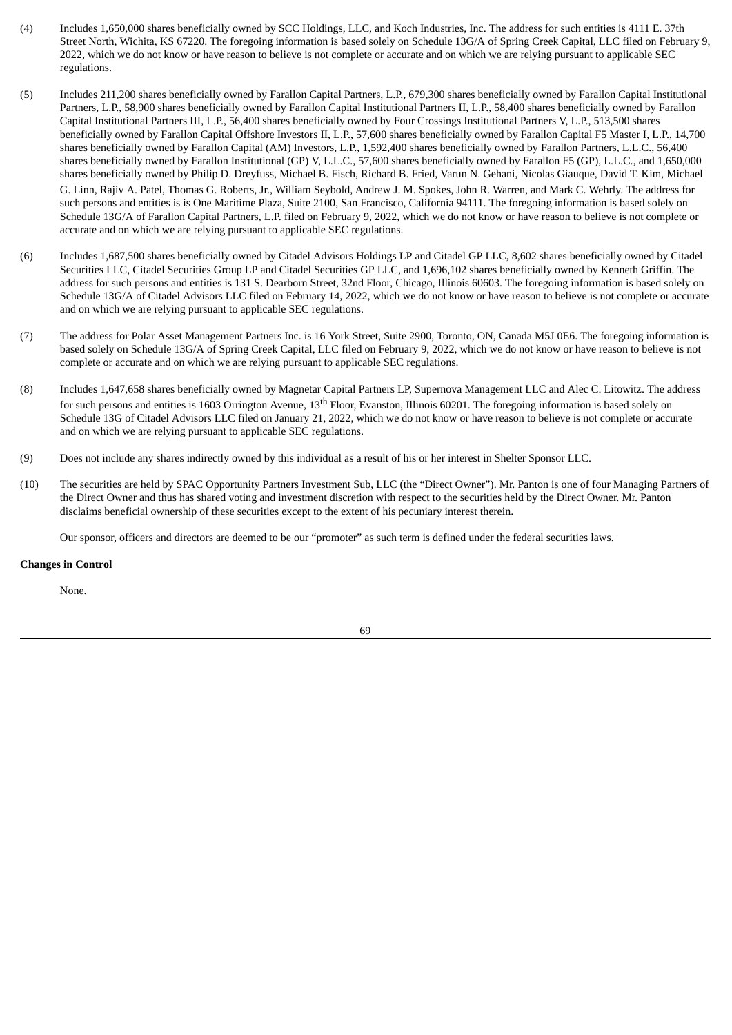- (4) Includes 1,650,000 shares beneficially owned by SCC Holdings, LLC, and Koch Industries, Inc. The address for such entities is 4111 E. 37th Street North, Wichita, KS 67220. The foregoing information is based solely on Schedule 13G/A of Spring Creek Capital, LLC filed on February 9, 2022, which we do not know or have reason to believe is not complete or accurate and on which we are relying pursuant to applicable SEC regulations.
- (5) Includes 211,200 shares beneficially owned by Farallon Capital Partners, L.P., 679,300 shares beneficially owned by Farallon Capital Institutional Partners, L.P., 58,900 shares beneficially owned by Farallon Capital Institutional Partners II, L.P., 58,400 shares beneficially owned by Farallon Capital Institutional Partners III, L.P., 56,400 shares beneficially owned by Four Crossings Institutional Partners V, L.P., 513,500 shares beneficially owned by Farallon Capital Offshore Investors II, L.P., 57,600 shares beneficially owned by Farallon Capital F5 Master I, L.P., 14,700 shares beneficially owned by Farallon Capital (AM) Investors, L.P., 1,592,400 shares beneficially owned by Farallon Partners, L.L.C., 56,400 shares beneficially owned by Farallon Institutional (GP) V, L.L.C., 57,600 shares beneficially owned by Farallon F5 (GP), L.L.C., and 1,650,000 shares beneficially owned by Philip D. Dreyfuss, Michael B. Fisch, Richard B. Fried, Varun N. Gehani, Nicolas Giauque, David T. Kim, Michael G. Linn, Rajiv A. Patel, Thomas G. Roberts, Jr., William Seybold, Andrew J. M. Spokes, John R. Warren, and Mark C. Wehrly. The address for such persons and entities is is One Maritime Plaza, Suite 2100, San Francisco, California 94111. The foregoing information is based solely on Schedule 13G/A of Farallon Capital Partners, L.P. filed on February 9, 2022, which we do not know or have reason to believe is not complete or accurate and on which we are relying pursuant to applicable SEC regulations.
- (6) Includes 1,687,500 shares beneficially owned by Citadel Advisors Holdings LP and Citadel GP LLC, 8,602 shares beneficially owned by Citadel Securities LLC, Citadel Securities Group LP and Citadel Securities GP LLC, and 1,696,102 shares beneficially owned by Kenneth Griffin. The address for such persons and entities is 131 S. Dearborn Street, 32nd Floor, Chicago, Illinois 60603. The foregoing information is based solely on Schedule 13G/A of Citadel Advisors LLC filed on February 14, 2022, which we do not know or have reason to believe is not complete or accurate and on which we are relying pursuant to applicable SEC regulations.
- (7) The address for Polar Asset Management Partners Inc. is 16 York Street, Suite 2900, Toronto, ON, Canada M5J 0E6. The foregoing information is based solely on Schedule 13G/A of Spring Creek Capital, LLC filed on February 9, 2022, which we do not know or have reason to believe is not complete or accurate and on which we are relying pursuant to applicable SEC regulations.
- (8) Includes 1,647,658 shares beneficially owned by Magnetar Capital Partners LP, Supernova Management LLC and Alec C. Litowitz. The address for such persons and entities is 1603 Orrington Avenue, 13<sup>th</sup> Floor, Evanston, Illinois 60201. The foregoing information is based solely on Schedule 13G of Citadel Advisors LLC filed on January 21, 2022, which we do not know or have reason to believe is not complete or accurate and on which we are relying pursuant to applicable SEC regulations.
- (9) Does not include any shares indirectly owned by this individual as a result of his or her interest in Shelter Sponsor LLC.
- (10) The securities are held by SPAC Opportunity Partners Investment Sub, LLC (the "Direct Owner"). Mr. Panton is one of four Managing Partners of the Direct Owner and thus has shared voting and investment discretion with respect to the securities held by the Direct Owner. Mr. Panton disclaims beneficial ownership of these securities except to the extent of his pecuniary interest therein.

Our sponsor, officers and directors are deemed to be our "promoter" as such term is defined under the federal securities laws.

**Changes in Control**

None.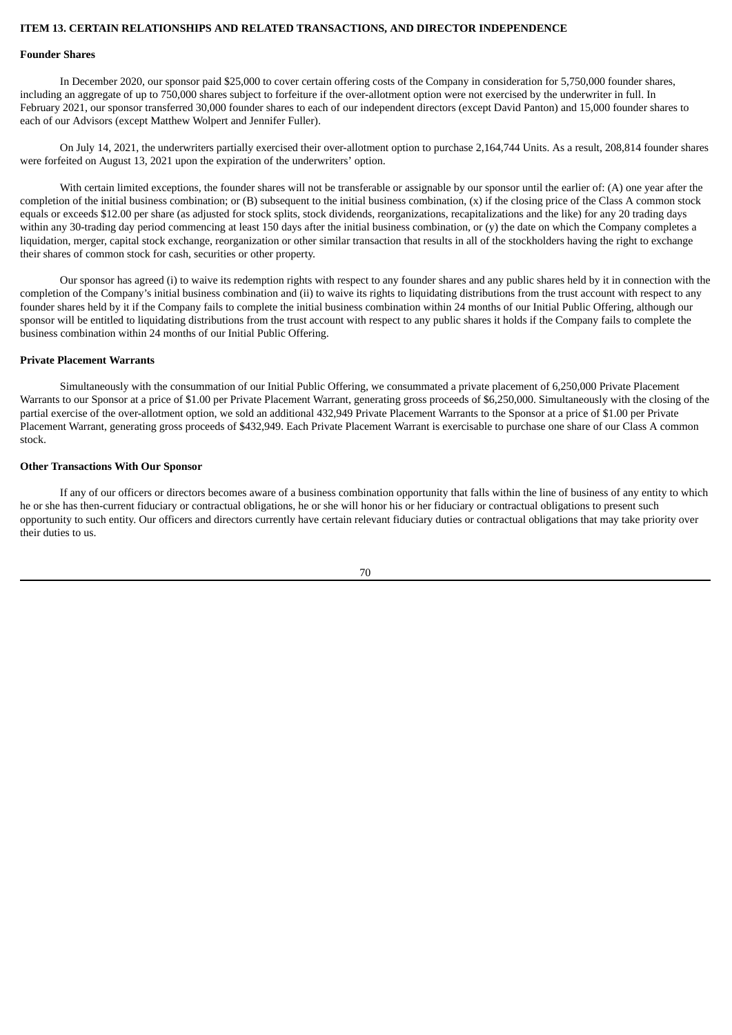# **ITEM 13. CERTAIN RELATIONSHIPS AND RELATED TRANSACTIONS, AND DIRECTOR INDEPENDENCE**

#### **Founder Shares**

In December 2020, our sponsor paid \$25,000 to cover certain offering costs of the Company in consideration for 5,750,000 founder shares, including an aggregate of up to 750,000 shares subject to forfeiture if the over-allotment option were not exercised by the underwriter in full. In February 2021, our sponsor transferred 30,000 founder shares to each of our independent directors (except David Panton) and 15,000 founder shares to each of our Advisors (except Matthew Wolpert and Jennifer Fuller).

On July 14, 2021, the underwriters partially exercised their over-allotment option to purchase 2,164,744 Units. As a result, 208,814 founder shares were forfeited on August 13, 2021 upon the expiration of the underwriters' option.

With certain limited exceptions, the founder shares will not be transferable or assignable by our sponsor until the earlier of: (A) one year after the completion of the initial business combination; or  $(B)$  subsequent to the initial business combination,  $(x)$  if the closing price of the Class A common stock equals or exceeds \$12.00 per share (as adjusted for stock splits, stock dividends, reorganizations, recapitalizations and the like) for any 20 trading days within any 30-trading day period commencing at least 150 days after the initial business combination, or (y) the date on which the Company completes a liquidation, merger, capital stock exchange, reorganization or other similar transaction that results in all of the stockholders having the right to exchange their shares of common stock for cash, securities or other property.

Our sponsor has agreed (i) to waive its redemption rights with respect to any founder shares and any public shares held by it in connection with the completion of the Company's initial business combination and (ii) to waive its rights to liquidating distributions from the trust account with respect to any founder shares held by it if the Company fails to complete the initial business combination within 24 months of our Initial Public Offering, although our sponsor will be entitled to liquidating distributions from the trust account with respect to any public shares it holds if the Company fails to complete the business combination within 24 months of our Initial Public Offering.

### **Private Placement Warrants**

Simultaneously with the consummation of our Initial Public Offering, we consummated a private placement of 6,250,000 Private Placement Warrants to our Sponsor at a price of \$1.00 per Private Placement Warrant, generating gross proceeds of \$6,250,000. Simultaneously with the closing of the partial exercise of the over-allotment option, we sold an additional 432,949 Private Placement Warrants to the Sponsor at a price of \$1.00 per Private Placement Warrant, generating gross proceeds of \$432,949. Each Private Placement Warrant is exercisable to purchase one share of our Class A common stock.

# **Other Transactions With Our Sponsor**

If any of our officers or directors becomes aware of a business combination opportunity that falls within the line of business of any entity to which he or she has then-current fiduciary or contractual obligations, he or she will honor his or her fiduciary or contractual obligations to present such opportunity to such entity. Our officers and directors currently have certain relevant fiduciary duties or contractual obligations that may take priority over their duties to us.

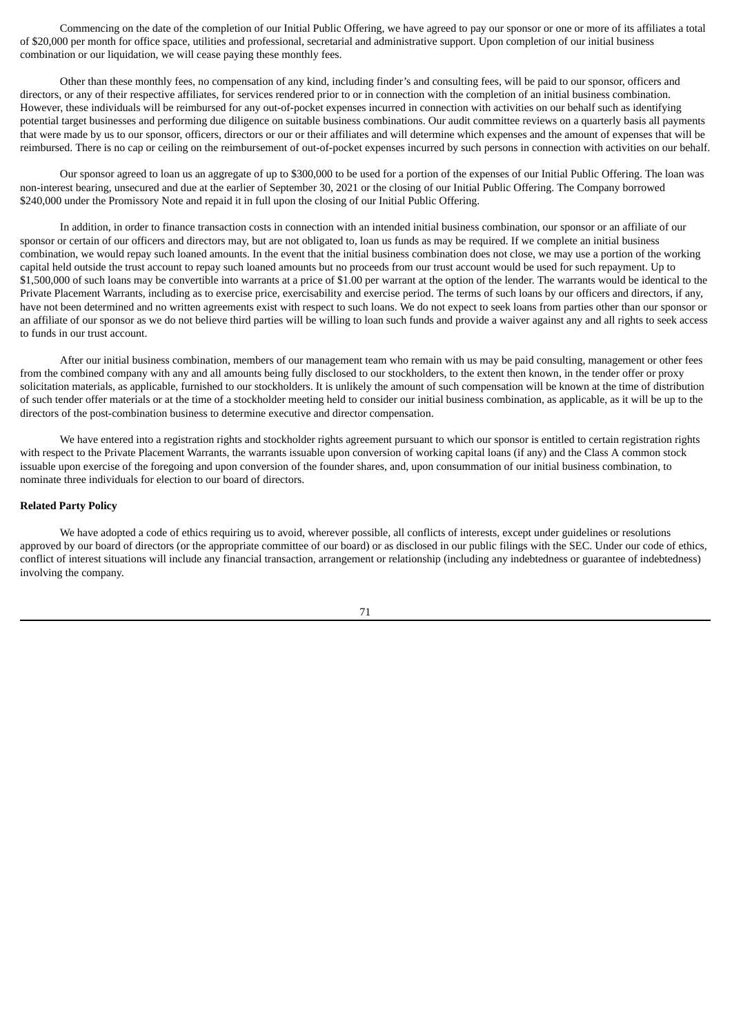Commencing on the date of the completion of our Initial Public Offering, we have agreed to pay our sponsor or one or more of its affiliates a total of \$20,000 per month for office space, utilities and professional, secretarial and administrative support. Upon completion of our initial business combination or our liquidation, we will cease paying these monthly fees.

Other than these monthly fees, no compensation of any kind, including finder's and consulting fees, will be paid to our sponsor, officers and directors, or any of their respective affiliates, for services rendered prior to or in connection with the completion of an initial business combination. However, these individuals will be reimbursed for any out-of-pocket expenses incurred in connection with activities on our behalf such as identifying potential target businesses and performing due diligence on suitable business combinations. Our audit committee reviews on a quarterly basis all payments that were made by us to our sponsor, officers, directors or our or their affiliates and will determine which expenses and the amount of expenses that will be reimbursed. There is no cap or ceiling on the reimbursement of out-of-pocket expenses incurred by such persons in connection with activities on our behalf.

Our sponsor agreed to loan us an aggregate of up to \$300,000 to be used for a portion of the expenses of our Initial Public Offering. The loan was non-interest bearing, unsecured and due at the earlier of September 30, 2021 or the closing of our Initial Public Offering. The Company borrowed \$240,000 under the Promissory Note and repaid it in full upon the closing of our Initial Public Offering.

In addition, in order to finance transaction costs in connection with an intended initial business combination, our sponsor or an affiliate of our sponsor or certain of our officers and directors may, but are not obligated to, loan us funds as may be required. If we complete an initial business combination, we would repay such loaned amounts. In the event that the initial business combination does not close, we may use a portion of the working capital held outside the trust account to repay such loaned amounts but no proceeds from our trust account would be used for such repayment. Up to \$1,500,000 of such loans may be convertible into warrants at a price of \$1.00 per warrant at the option of the lender. The warrants would be identical to the Private Placement Warrants, including as to exercise price, exercisability and exercise period. The terms of such loans by our officers and directors, if any, have not been determined and no written agreements exist with respect to such loans. We do not expect to seek loans from parties other than our sponsor or an affiliate of our sponsor as we do not believe third parties will be willing to loan such funds and provide a waiver against any and all rights to seek access to funds in our trust account.

After our initial business combination, members of our management team who remain with us may be paid consulting, management or other fees from the combined company with any and all amounts being fully disclosed to our stockholders, to the extent then known, in the tender offer or proxy solicitation materials, as applicable, furnished to our stockholders. It is unlikely the amount of such compensation will be known at the time of distribution of such tender offer materials or at the time of a stockholder meeting held to consider our initial business combination, as applicable, as it will be up to the directors of the post-combination business to determine executive and director compensation.

We have entered into a registration rights and stockholder rights agreement pursuant to which our sponsor is entitled to certain registration rights with respect to the Private Placement Warrants, the warrants issuable upon conversion of working capital loans (if any) and the Class A common stock issuable upon exercise of the foregoing and upon conversion of the founder shares, and, upon consummation of our initial business combination, to nominate three individuals for election to our board of directors.

### **Related Party Policy**

We have adopted a code of ethics requiring us to avoid, wherever possible, all conflicts of interests, except under guidelines or resolutions approved by our board of directors (or the appropriate committee of our board) or as disclosed in our public filings with the SEC. Under our code of ethics, conflict of interest situations will include any financial transaction, arrangement or relationship (including any indebtedness or guarantee of indebtedness) involving the company.

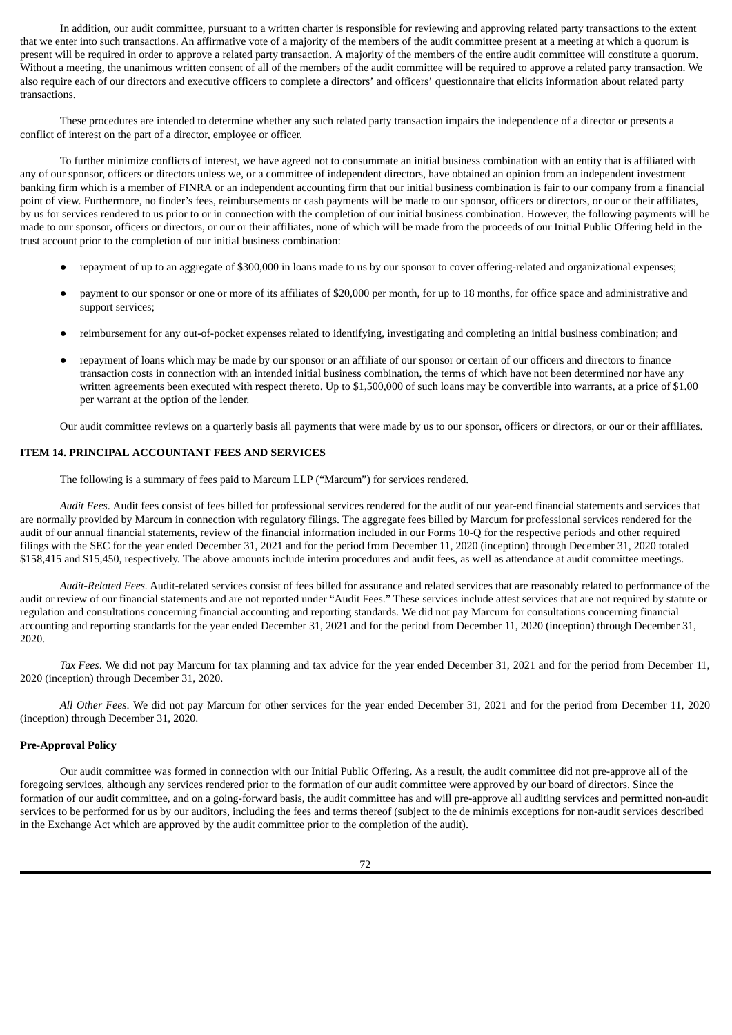In addition, our audit committee, pursuant to a written charter is responsible for reviewing and approving related party transactions to the extent that we enter into such transactions. An affirmative vote of a majority of the members of the audit committee present at a meeting at which a quorum is present will be required in order to approve a related party transaction. A majority of the members of the entire audit committee will constitute a quorum. Without a meeting, the unanimous written consent of all of the members of the audit committee will be required to approve a related party transaction. We also require each of our directors and executive officers to complete a directors' and officers' questionnaire that elicits information about related party transactions.

These procedures are intended to determine whether any such related party transaction impairs the independence of a director or presents a conflict of interest on the part of a director, employee or officer.

To further minimize conflicts of interest, we have agreed not to consummate an initial business combination with an entity that is affiliated with any of our sponsor, officers or directors unless we, or a committee of independent directors, have obtained an opinion from an independent investment banking firm which is a member of FINRA or an independent accounting firm that our initial business combination is fair to our company from a financial point of view. Furthermore, no finder's fees, reimbursements or cash payments will be made to our sponsor, officers or directors, or our or their affiliates, by us for services rendered to us prior to or in connection with the completion of our initial business combination. However, the following payments will be made to our sponsor, officers or directors, or our or their affiliates, none of which will be made from the proceeds of our Initial Public Offering held in the trust account prior to the completion of our initial business combination:

- repayment of up to an aggregate of \$300,000 in loans made to us by our sponsor to cover offering-related and organizational expenses;
- payment to our sponsor or one or more of its affiliates of \$20,000 per month, for up to 18 months, for office space and administrative and support services;
- reimbursement for any out-of-pocket expenses related to identifying, investigating and completing an initial business combination; and
- repayment of loans which may be made by our sponsor or an affiliate of our sponsor or certain of our officers and directors to finance transaction costs in connection with an intended initial business combination, the terms of which have not been determined nor have any written agreements been executed with respect thereto. Up to \$1,500,000 of such loans may be convertible into warrants, at a price of \$1.00 per warrant at the option of the lender.

Our audit committee reviews on a quarterly basis all payments that were made by us to our sponsor, officers or directors, or our or their affiliates.

# **ITEM 14. PRINCIPAL ACCOUNTANT FEES AND SERVICES**

The following is a summary of fees paid to Marcum LLP ("Marcum") for services rendered.

*Audit Fees*. Audit fees consist of fees billed for professional services rendered for the audit of our year-end financial statements and services that are normally provided by Marcum in connection with regulatory filings. The aggregate fees billed by Marcum for professional services rendered for the audit of our annual financial statements, review of the financial information included in our Forms 10-Q for the respective periods and other required filings with the SEC for the year ended December 31, 2021 and for the period from December 11, 2020 (inception) through December 31, 2020 totaled \$158,415 and \$15,450, respectively. The above amounts include interim procedures and audit fees, as well as attendance at audit committee meetings.

*Audit-Related Fees.* Audit-related services consist of fees billed for assurance and related services that are reasonably related to performance of the audit or review of our financial statements and are not reported under "Audit Fees." These services include attest services that are not required by statute or regulation and consultations concerning financial accounting and reporting standards. We did not pay Marcum for consultations concerning financial accounting and reporting standards for the year ended December 31, 2021 and for the period from December 11, 2020 (inception) through December 31, 2020.

*Tax Fees*. We did not pay Marcum for tax planning and tax advice for the year ended December 31, 2021 and for the period from December 11, 2020 (inception) through December 31, 2020.

*All Other Fees*. We did not pay Marcum for other services for the year ended December 31, 2021 and for the period from December 11, 2020 (inception) through December 31, 2020.

### **Pre-Approval Policy**

Our audit committee was formed in connection with our Initial Public Offering. As a result, the audit committee did not pre-approve all of the foregoing services, although any services rendered prior to the formation of our audit committee were approved by our board of directors. Since the formation of our audit committee, and on a going-forward basis, the audit committee has and will pre-approve all auditing services and permitted non-audit services to be performed for us by our auditors, including the fees and terms thereof (subject to the de minimis exceptions for non-audit services described in the Exchange Act which are approved by the audit committee prior to the completion of the audit).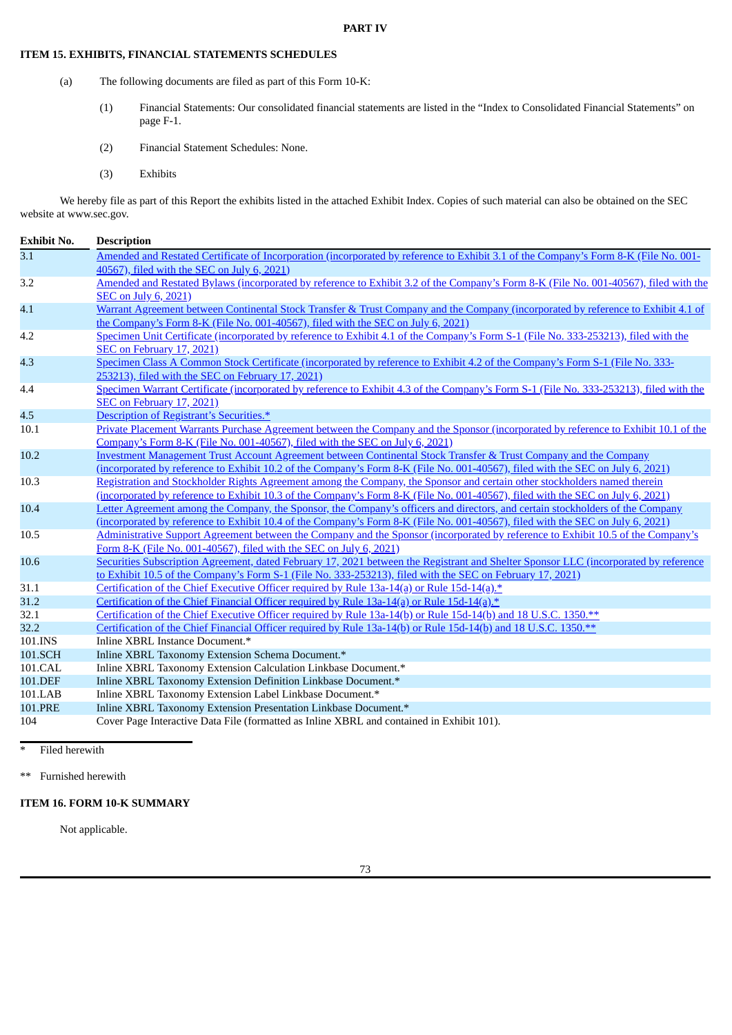# **ITEM 15. EXHIBITS, FINANCIAL STATEMENTS SCHEDULES**

- (a) The following documents are filed as part of this Form 10-K:
	- (1) Financial Statements: Our consolidated financial statements are listed in the "Index to Consolidated Financial Statements" on page F-1.
	- (2) Financial Statement Schedules: None.
	- (3) Exhibits

We hereby file as part of this Report the exhibits listed in the attached Exhibit Index. Copies of such material can also be obtained on the SEC website at www.sec.gov.

| <b>Exhibit No.</b> | <b>Description</b>                                                                                                                     |
|--------------------|----------------------------------------------------------------------------------------------------------------------------------------|
| 3.1                | Amended and Restated Certificate of Incorporation (incorporated by reference to Exhibit 3.1 of the Company's Form 8-K (File No. 001-   |
|                    | 40567), filed with the SEC on July 6, 2021)                                                                                            |
| 3.2                | Amended and Restated Bylaws (incorporated by reference to Exhibit 3.2 of the Company's Form 8-K (File No. 001-40567), filed with the   |
|                    | <b>SEC on July 6, 2021)</b>                                                                                                            |
| 4.1                | Warrant Agreement between Continental Stock Transfer & Trust Company and the Company (incorporated by reference to Exhibit 4.1 of      |
|                    | the Company's Form 8-K (File No. 001-40567), filed with the SEC on July 6, 2021)                                                       |
| 4.2                | Specimen Unit Certificate (incorporated by reference to Exhibit 4.1 of the Company's Form S-1 (File No. 333-253213), filed with the    |
|                    | SEC on February 17, 2021)                                                                                                              |
| 4.3                | Specimen Class A Common Stock Certificate (incorporated by reference to Exhibit 4.2 of the Company's Form S-1 (File No. 333-           |
|                    | 253213), filed with the SEC on February 17, 2021)                                                                                      |
| 4.4                | Specimen Warrant Certificate (incorporated by reference to Exhibit 4.3 of the Company's Form S-1 (File No. 333-253213), filed with the |
|                    | SEC on February 17, 2021)                                                                                                              |
| 4.5                | Description of Registrant's Securities.*                                                                                               |
| 10.1               | Private Placement Warrants Purchase Agreement between the Company and the Sponsor (incorporated by reference to Exhibit 10.1 of the    |
|                    | Company's Form 8-K (File No. 001-40567), filed with the SEC on July 6, 2021)                                                           |
| 10.2               | Investment Management Trust Account Agreement between Continental Stock Transfer & Trust Company and the Company                       |
|                    | (incorporated by reference to Exhibit 10.2 of the Company's Form 8-K (File No. 001-40567), filed with the SEC on July 6, 2021)         |
| 10.3               | Registration and Stockholder Rights Agreement among the Company, the Sponsor and certain other stockholders named therein              |
|                    | (incorporated by reference to Exhibit 10.3 of the Company's Form 8-K (File No. 001-40567), filed with the SEC on July 6, 2021)         |
| 10.4               | Letter Agreement among the Company, the Sponsor, the Company's officers and directors, and certain stockholders of the Company         |
|                    | (incorporated by reference to Exhibit 10.4 of the Company's Form 8-K (File No. 001-40567), filed with the SEC on July 6, 2021)         |
| 10.5               | Administrative Support Agreement between the Company and the Sponsor (incorporated by reference to Exhibit 10.5 of the Company's       |
|                    | Form 8-K (File No. 001-40567), filed with the SEC on July 6, 2021)                                                                     |
| 10.6               | Securities Subscription Agreement, dated February 17, 2021 between the Registrant and Shelter Sponsor LLC (incorporated by reference   |
|                    | to Exhibit 10.5 of the Company's Form S-1 (File No. 333-253213), filed with the SEC on February 17, 2021)                              |
| 31.1               | Certification of the Chief Executive Officer required by Rule 13a-14(a) or Rule 15d-14(a).*                                            |
| 31.2               | Certification of the Chief Financial Officer required by Rule 13a-14(a) or Rule 15d-14(a).*                                            |
| 32.1               | Certification of the Chief Executive Officer required by Rule 13a-14(b) or Rule 15d-14(b) and 18 U.S.C. 1350.**                        |
| 32.2               | Certification of the Chief Financial Officer required by Rule 13a-14(b) or Rule 15d-14(b) and 18 U.S.C. 1350.**                        |
| 101.INS            | Inline XBRL Instance Document.*                                                                                                        |
| 101.SCH            | Inline XBRL Taxonomy Extension Schema Document.*                                                                                       |
| 101.CAL            | Inline XBRL Taxonomy Extension Calculation Linkbase Document.*                                                                         |
| 101.DEF            | Inline XBRL Taxonomy Extension Definition Linkbase Document.*                                                                          |
| 101.LAB            | Inline XBRL Taxonomy Extension Label Linkbase Document.*                                                                               |
| 101.PRE            | Inline XBRL Taxonomy Extension Presentation Linkbase Document.*                                                                        |
| 104                | Cover Page Interactive Data File (formatted as Inline XBRL and contained in Exhibit 101).                                              |

\* Filed herewith

\*\* Furnished herewith

# **ITEM 16. FORM 10-K SUMMARY**

Not applicable.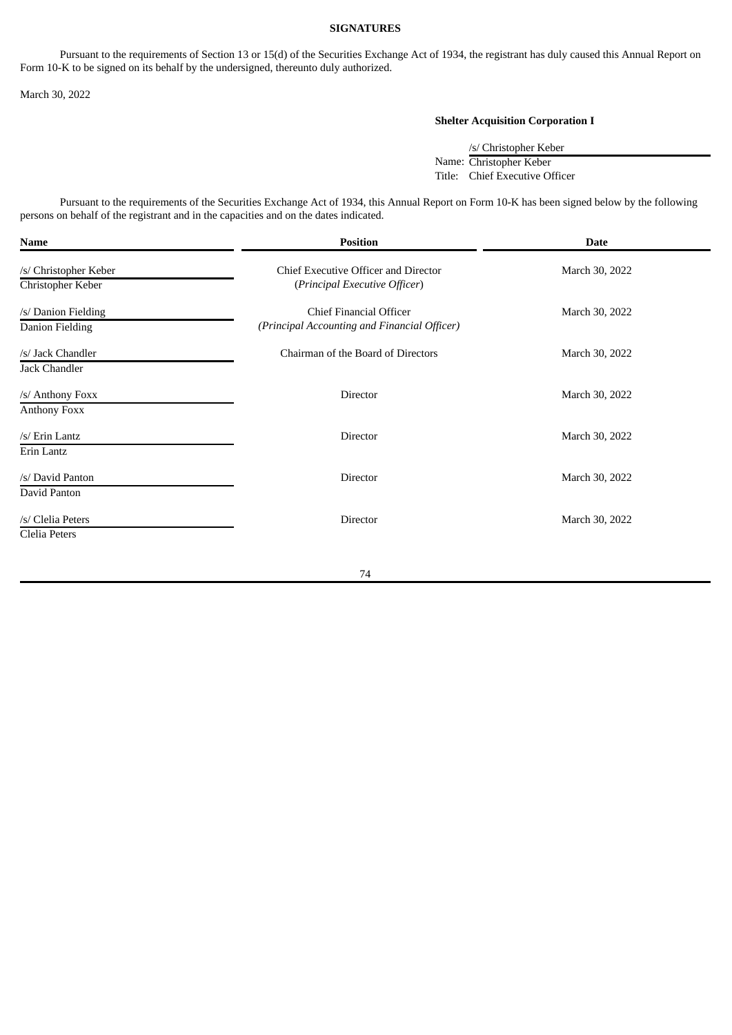# **SIGNATURES**

Pursuant to the requirements of Section 13 or 15(d) of the Securities Exchange Act of 1934, the registrant has duly caused this Annual Report on Form 10-K to be signed on its behalf by the undersigned, thereunto duly authorized.

March 30, 2022

# **Shelter Acquisition Corporation I**

/s/ Christopher Keber Name: Christopher Keber Title: Chief Executive Officer

Pursuant to the requirements of the Securities Exchange Act of 1934, this Annual Report on Form 10-K has been signed below by the following persons on behalf of the registrant and in the capacities and on the dates indicated.

| <b>Name</b>                                | <b>Position</b>                                                         | <b>Date</b>    |
|--------------------------------------------|-------------------------------------------------------------------------|----------------|
| /s/ Christopher Keber<br>Christopher Keber | Chief Executive Officer and Director<br>(Principal Executive Officer)   | March 30, 2022 |
| /s/ Danion Fielding<br>Danion Fielding     | Chief Financial Officer<br>(Principal Accounting and Financial Officer) | March 30, 2022 |
| /s/ Jack Chandler<br>Jack Chandler         | Chairman of the Board of Directors                                      | March 30, 2022 |
| /s/ Anthony Foxx<br>Anthony Foxx           | <b>Director</b>                                                         | March 30, 2022 |
| /s/ Erin Lantz<br>Erin Lantz               | Director                                                                | March 30, 2022 |
| /s/ David Panton<br>David Panton           | Director                                                                | March 30, 2022 |
| /s/ Clelia Peters<br>Clelia Peters         | Director                                                                | March 30, 2022 |
|                                            |                                                                         |                |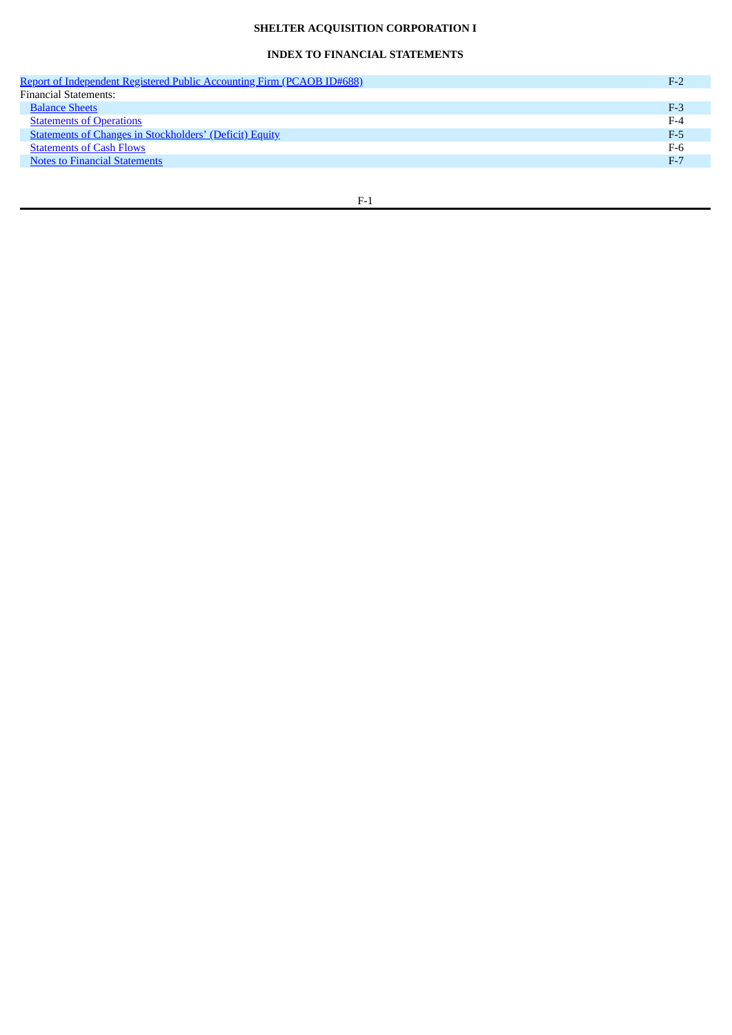# **SHELTER ACQUISITION CORPORATION I**

# **INDEX TO FINANCIAL STATEMENTS**

| <b>Report of Independent Registered Public Accounting Firm (PCAOB ID#688)</b> | $F-2$ |
|-------------------------------------------------------------------------------|-------|
| <b>Financial Statements:</b>                                                  |       |
| <b>Balance Sheets</b>                                                         | $F-3$ |
| <b>Statements of Operations</b>                                               | $F-4$ |
| <b>Statements of Changes in Stockholders' (Deficit) Equity</b>                | F-5   |
| <b>Statements of Cash Flows</b>                                               | $F-6$ |
| <b>Notes to Financial Statements</b>                                          | $F-7$ |
|                                                                               |       |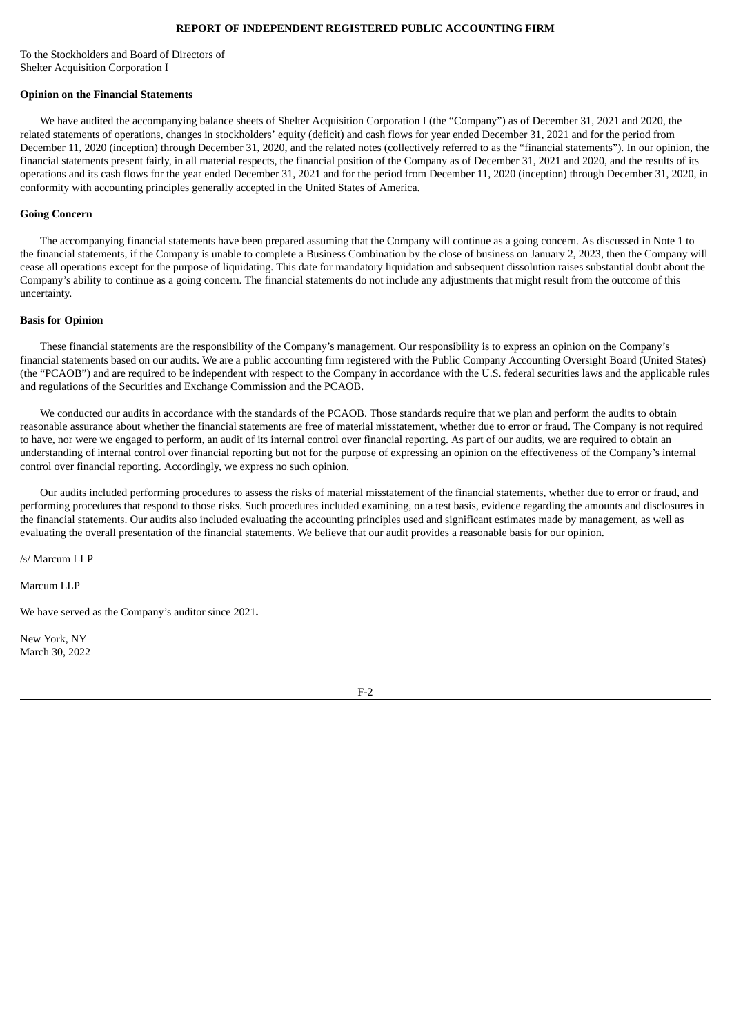# **REPORT OF INDEPENDENT REGISTERED PUBLIC ACCOUNTING FIRM**

<span id="page-81-0"></span>To the Stockholders and Board of Directors of Shelter Acquisition Corporation I

### **Opinion on the Financial Statements**

We have audited the accompanying balance sheets of Shelter Acquisition Corporation I (the "Company") as of December 31, 2021 and 2020, the related statements of operations, changes in stockholders' equity (deficit) and cash flows for year ended December 31, 2021 and for the period from December 11, 2020 (inception) through December 31, 2020, and the related notes (collectively referred to as the "financial statements"). In our opinion, the financial statements present fairly, in all material respects, the financial position of the Company as of December 31, 2021 and 2020, and the results of its operations and its cash flows for the year ended December 31, 2021 and for the period from December 11, 2020 (inception) through December 31, 2020, in conformity with accounting principles generally accepted in the United States of America.

### **Going Concern**

The accompanying financial statements have been prepared assuming that the Company will continue as a going concern. As discussed in Note 1 to the financial statements, if the Company is unable to complete a Business Combination by the close of business on January 2, 2023, then the Company will cease all operations except for the purpose of liquidating. This date for mandatory liquidation and subsequent dissolution raises substantial doubt about the Company's ability to continue as a going concern. The financial statements do not include any adjustments that might result from the outcome of this uncertainty.

#### **Basis for Opinion**

These financial statements are the responsibility of the Company's management. Our responsibility is to express an opinion on the Company's financial statements based on our audits. We are a public accounting firm registered with the Public Company Accounting Oversight Board (United States) (the "PCAOB") and are required to be independent with respect to the Company in accordance with the U.S. federal securities laws and the applicable rules and regulations of the Securities and Exchange Commission and the PCAOB.

We conducted our audits in accordance with the standards of the PCAOB. Those standards require that we plan and perform the audits to obtain reasonable assurance about whether the financial statements are free of material misstatement, whether due to error or fraud. The Company is not required to have, nor were we engaged to perform, an audit of its internal control over financial reporting. As part of our audits, we are required to obtain an understanding of internal control over financial reporting but not for the purpose of expressing an opinion on the effectiveness of the Company's internal control over financial reporting. Accordingly, we express no such opinion.

Our audits included performing procedures to assess the risks of material misstatement of the financial statements, whether due to error or fraud, and performing procedures that respond to those risks. Such procedures included examining, on a test basis, evidence regarding the amounts and disclosures in the financial statements. Our audits also included evaluating the accounting principles used and significant estimates made by management, as well as evaluating the overall presentation of the financial statements. We believe that our audit provides a reasonable basis for our opinion.

/S/ Marcum LLP

Marcum LLP

We have served as the Company's auditor since 2021**.**

New York, NY March 30, 2022

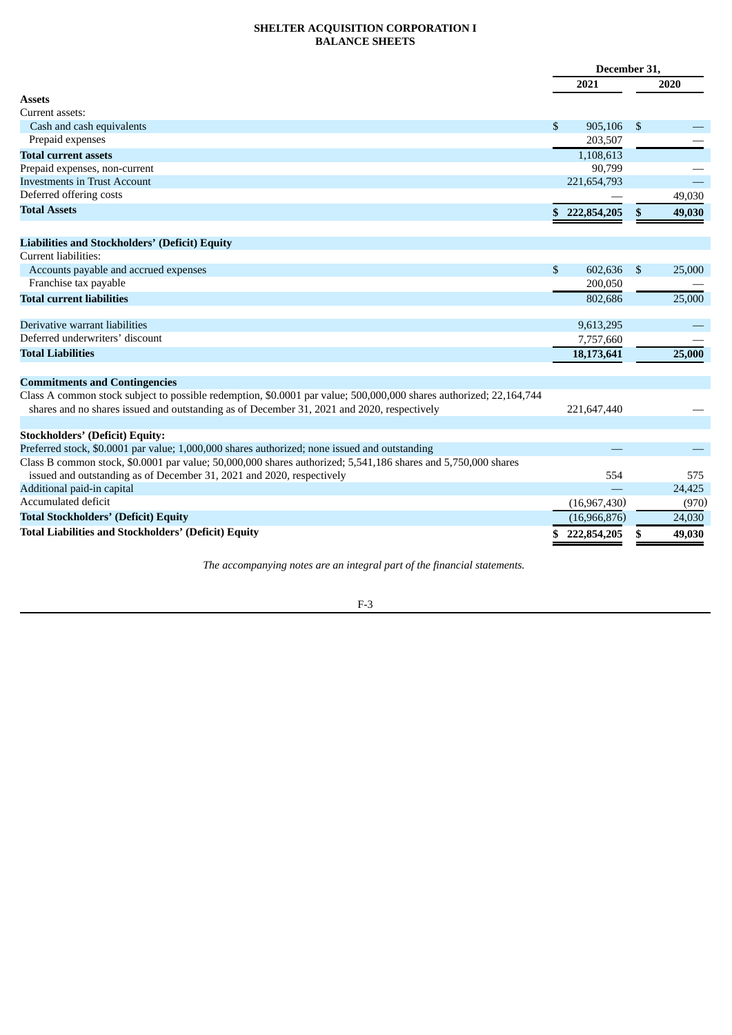# **SHELTER ACQUISITION CORPORATION I BALANCE SHEETS**

<span id="page-82-0"></span>

|                                                                                                                    | December 31, |              |    |        |  |  |
|--------------------------------------------------------------------------------------------------------------------|--------------|--------------|----|--------|--|--|
|                                                                                                                    |              | 2021         |    | 2020   |  |  |
| <b>Assets</b>                                                                                                      |              |              |    |        |  |  |
| Current assets:                                                                                                    |              |              |    |        |  |  |
| Cash and cash equivalents                                                                                          | \$           | 905,106      | \$ |        |  |  |
| Prepaid expenses                                                                                                   |              | 203,507      |    |        |  |  |
| <b>Total current assets</b>                                                                                        |              | 1,108,613    |    |        |  |  |
| Prepaid expenses, non-current                                                                                      |              | 90,799       |    |        |  |  |
| <b>Investments in Trust Account</b>                                                                                |              | 221,654,793  |    |        |  |  |
| Deferred offering costs                                                                                            |              |              |    | 49,030 |  |  |
| <b>Total Assets</b>                                                                                                |              | 222,854,205  | \$ | 49,030 |  |  |
| <b>Liabilities and Stockholders' (Deficit) Equity</b>                                                              |              |              |    |        |  |  |
| Current liabilities:                                                                                               |              |              |    |        |  |  |
| Accounts payable and accrued expenses                                                                              | \$           | 602,636      | \$ | 25,000 |  |  |
| Franchise tax payable                                                                                              |              | 200,050      |    |        |  |  |
| <b>Total current liabilities</b>                                                                                   |              | 802,686      |    | 25,000 |  |  |
|                                                                                                                    |              |              |    |        |  |  |
| Derivative warrant liabilities<br>Deferred underwriters' discount                                                  |              | 9,613,295    |    |        |  |  |
|                                                                                                                    |              | 7,757,660    |    |        |  |  |
| <b>Total Liabilities</b>                                                                                           |              | 18,173,641   |    | 25,000 |  |  |
| <b>Commitments and Contingencies</b>                                                                               |              |              |    |        |  |  |
| Class A common stock subject to possible redemption, \$0.0001 par value; 500,000,000 shares authorized; 22,164,744 |              |              |    |        |  |  |
| shares and no shares issued and outstanding as of December 31, 2021 and 2020, respectively                         |              | 221,647,440  |    |        |  |  |
| <b>Stockholders' (Deficit) Equity:</b>                                                                             |              |              |    |        |  |  |
| Preferred stock, \$0.0001 par value; 1,000,000 shares authorized; none issued and outstanding                      |              |              |    |        |  |  |
| Class B common stock, \$0.0001 par value; 50,000,000 shares authorized; 5,541,186 shares and 5,750,000 shares      |              |              |    |        |  |  |
| issued and outstanding as of December 31, 2021 and 2020, respectively                                              |              | 554          |    | 575    |  |  |
| Additional paid-in capital                                                                                         |              |              |    | 24,425 |  |  |
| <b>Accumulated deficit</b>                                                                                         |              | (16,967,430) |    | (970)  |  |  |
| <b>Total Stockholders' (Deficit) Equity</b>                                                                        |              | (16,966,876) |    | 24,030 |  |  |
| <b>Total Liabilities and Stockholders' (Deficit) Equity</b>                                                        |              | 222,854,205  | S  | 49,030 |  |  |

*The accompanying notes are an integral part of the financial statements.*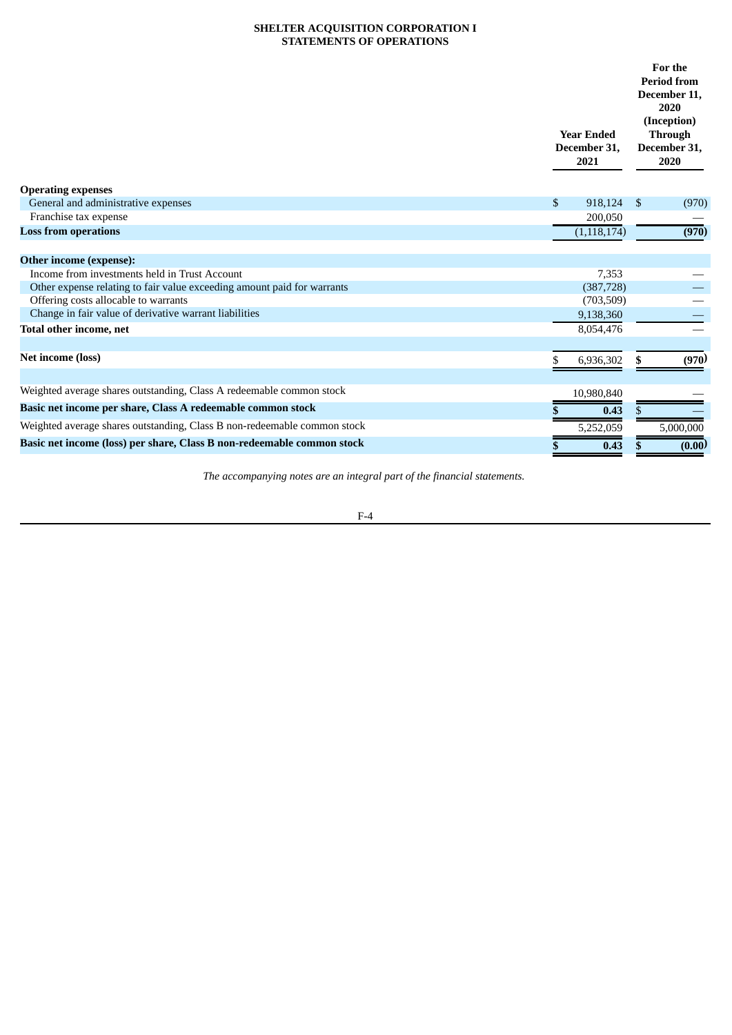# **SHELTER ACQUISITION CORPORATION I STATEMENTS OF OPERATIONS**

<span id="page-83-0"></span>

|                                                                          | <b>Year Ended</b><br>December 31,<br>2021 | For the<br><b>Period from</b><br>December 11,<br>2020<br>(Inception)<br><b>Through</b><br>December 31,<br>2020 |
|--------------------------------------------------------------------------|-------------------------------------------|----------------------------------------------------------------------------------------------------------------|
| <b>Operating expenses</b>                                                |                                           |                                                                                                                |
| General and administrative expenses                                      | \$<br>918,124                             | \$<br>(970)                                                                                                    |
| Franchise tax expense                                                    | 200,050                                   |                                                                                                                |
| <b>Loss from operations</b>                                              | (1, 118, 174)                             | (970)                                                                                                          |
|                                                                          |                                           |                                                                                                                |
| Other income (expense):<br>Income from investments held in Trust Account | 7,353                                     |                                                                                                                |
| Other expense relating to fair value exceeding amount paid for warrants  | (387, 728)                                |                                                                                                                |
| Offering costs allocable to warrants                                     | (703, 509)                                |                                                                                                                |
| Change in fair value of derivative warrant liabilities                   | 9,138,360                                 |                                                                                                                |
| Total other income, net                                                  | 8,054,476                                 |                                                                                                                |
|                                                                          |                                           |                                                                                                                |
| Net income (loss)                                                        | \$<br>6,936,302                           | \$<br>(970)                                                                                                    |
|                                                                          |                                           |                                                                                                                |
| Weighted average shares outstanding, Class A redeemable common stock     | 10,980,840                                |                                                                                                                |
| Basic net income per share, Class A redeemable common stock              | 0.43                                      |                                                                                                                |
| Weighted average shares outstanding, Class B non-redeemable common stock | 5,252,059                                 | 5,000,000                                                                                                      |
| Basic net income (loss) per share, Class B non-redeemable common stock   | \$<br>0.43                                | \$<br>(0.00)                                                                                                   |

*The accompanying notes are an integral part of the financial statements.*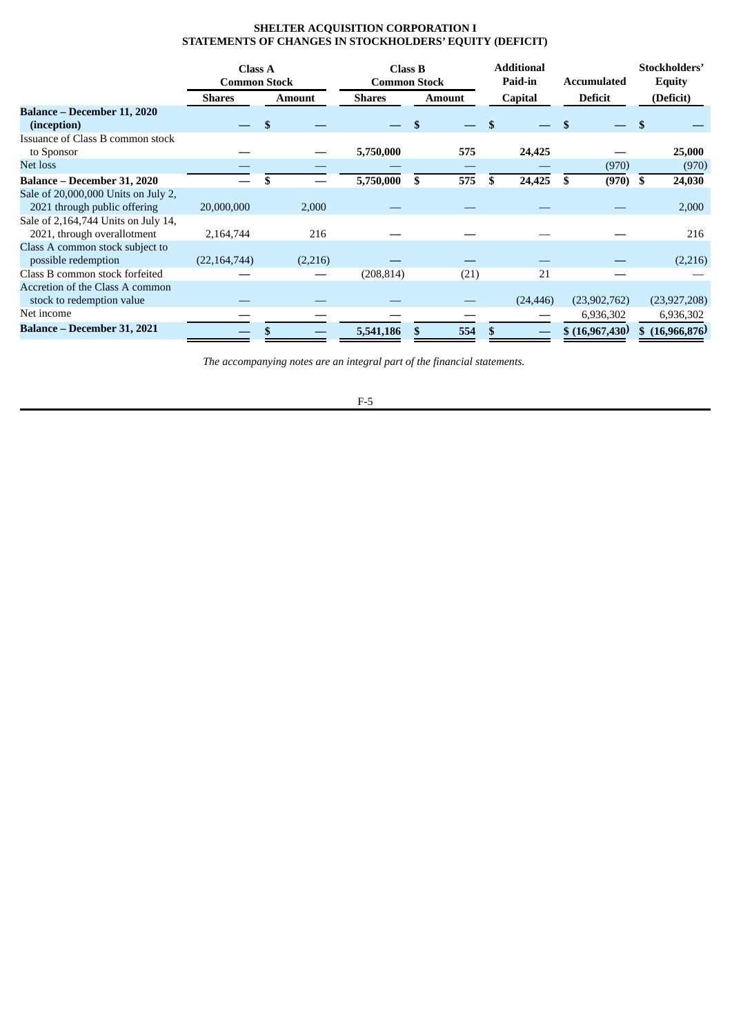# **SHELTER ACQUISITION CORPORATION I STATEMENTS OF CHANGES IN STOCKHOLDERS' EQUITY (DEFICIT)**

<span id="page-84-0"></span>

|                                                                    | <b>Class A</b><br><b>Common Stock</b> |   |               | <b>Common Stock</b> | <b>Class B</b> |               | <b>Additional</b><br>Paid-in | Accumulated    |           |    | Stockholders'<br><b>Equity</b> |
|--------------------------------------------------------------------|---------------------------------------|---|---------------|---------------------|----------------|---------------|------------------------------|----------------|-----------|----|--------------------------------|
|                                                                    | <b>Shares</b>                         |   | <b>Amount</b> | <b>Shares</b>       |                | <b>Amount</b> | Capital                      | <b>Deficit</b> |           |    | (Deficit)                      |
| <b>Balance – December 11, 2020</b><br>(inception)                  |                                       |   |               |                     |                |               |                              |                |           | \$ |                                |
| Issuance of Class B common stock<br>to Sponsor                     |                                       |   |               | 5,750,000           |                | 575           | 24,425                       |                |           |    | 25,000                         |
| Net loss                                                           |                                       |   |               |                     |                |               |                              |                | (970)     |    | (970)                          |
| Balance - December 31, 2020                                        |                                       | S |               | 5,750,000           |                | 575           | 24,425                       |                | (970)     | S  | 24,030                         |
| Sale of 20,000,000 Units on July 2,                                |                                       |   |               |                     |                |               |                              |                |           |    |                                |
| 2021 through public offering                                       | 20,000,000                            |   | 2,000         |                     |                |               |                              |                |           |    | 2,000                          |
| Sale of 2,164,744 Units on July 14,<br>2021, through overallotment | 2,164,744                             |   | 216           |                     |                |               |                              |                |           |    | 216                            |
| Class A common stock subject to<br>possible redemption             | (22, 164, 744)                        |   | (2,216)       |                     |                |               |                              |                |           |    | (2,216)                        |
| Class B common stock forfeited                                     |                                       |   |               | (208, 814)          |                | (21)          | 21                           |                |           |    |                                |
| Accretion of the Class A common<br>stock to redemption value       |                                       |   |               |                     |                |               | (24, 446)                    | (23,902,762)   |           |    | (23, 927, 208)                 |
| Net income                                                         |                                       |   |               |                     |                |               |                              |                | 6,936,302 |    | 6,936,302                      |
| Balance - December 31, 2021                                        |                                       |   |               | 5,541,186           |                | 554           |                              | \$(16,967,430) |           |    | (16,966,876)                   |

*The accompanying notes are an integral part of the financial statements.*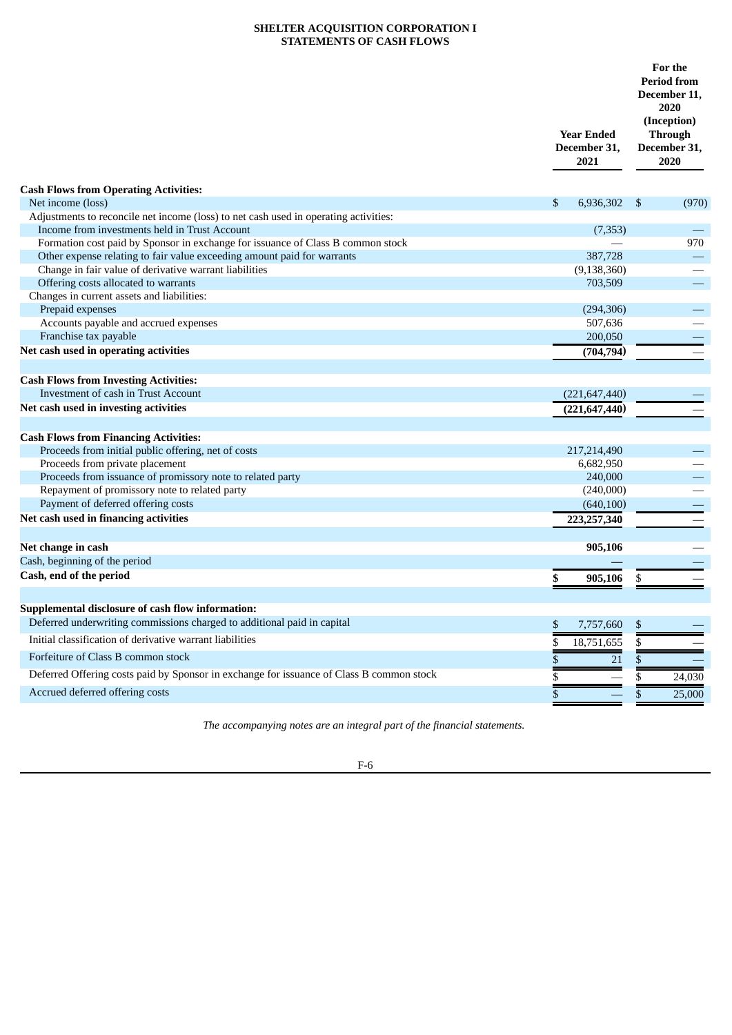# **SHELTER ACQUISITION CORPORATION I STATEMENTS OF CASH FLOWS**

<span id="page-85-0"></span>

|                                                                                          | <b>Year Ended</b><br>December 31,<br>2021 | For the<br><b>Period from</b><br>December 11.<br>2020<br>(Inception)<br><b>Through</b><br>December 31,<br>2020 |
|------------------------------------------------------------------------------------------|-------------------------------------------|----------------------------------------------------------------------------------------------------------------|
| <b>Cash Flows from Operating Activities:</b>                                             |                                           |                                                                                                                |
| Net income (loss)                                                                        | \$<br>6,936,302                           | \$<br>(970)                                                                                                    |
| Adjustments to reconcile net income (loss) to net cash used in operating activities:     |                                           |                                                                                                                |
| Income from investments held in Trust Account                                            | (7, 353)                                  |                                                                                                                |
| Formation cost paid by Sponsor in exchange for issuance of Class B common stock          |                                           | 970                                                                                                            |
| Other expense relating to fair value exceeding amount paid for warrants                  | 387,728                                   |                                                                                                                |
| Change in fair value of derivative warrant liabilities                                   | (9, 138, 360)                             |                                                                                                                |
| Offering costs allocated to warrants                                                     | 703,509                                   |                                                                                                                |
| Changes in current assets and liabilities:                                               |                                           |                                                                                                                |
| Prepaid expenses                                                                         | (294, 306)                                |                                                                                                                |
| Accounts payable and accrued expenses                                                    | 507,636                                   |                                                                                                                |
| Franchise tax payable                                                                    | 200,050                                   |                                                                                                                |
| Net cash used in operating activities                                                    | (704, 794)                                |                                                                                                                |
|                                                                                          |                                           |                                                                                                                |
| <b>Cash Flows from Investing Activities:</b>                                             |                                           |                                                                                                                |
| Investment of cash in Trust Account                                                      | (221, 647, 440)                           |                                                                                                                |
| Net cash used in investing activities                                                    | (221, 647, 440)                           |                                                                                                                |
| <b>Cash Flows from Financing Activities:</b>                                             |                                           |                                                                                                                |
| Proceeds from initial public offering, net of costs                                      | 217,214,490                               |                                                                                                                |
| Proceeds from private placement                                                          | 6,682,950                                 |                                                                                                                |
| Proceeds from issuance of promissory note to related party                               | 240,000                                   |                                                                                                                |
| Repayment of promissory note to related party                                            | (240,000)                                 |                                                                                                                |
| Payment of deferred offering costs                                                       | (640, 100)                                |                                                                                                                |
| Net cash used in financing activities                                                    | 223, 257, 340                             |                                                                                                                |
|                                                                                          |                                           |                                                                                                                |
| Net change in cash                                                                       | 905,106                                   |                                                                                                                |
| Cash, beginning of the period                                                            |                                           |                                                                                                                |
| Cash, end of the period                                                                  | \$<br>905,106                             | \$                                                                                                             |
|                                                                                          |                                           |                                                                                                                |
| Supplemental disclosure of cash flow information:                                        |                                           |                                                                                                                |
| Deferred underwriting commissions charged to additional paid in capital                  | \$<br>7,757,660                           | \$                                                                                                             |
| Initial classification of derivative warrant liabilities                                 | 18,751,655<br>\$                          | \$                                                                                                             |
| Forfeiture of Class B common stock                                                       | \$<br>21                                  | \$                                                                                                             |
| Deferred Offering costs paid by Sponsor in exchange for issuance of Class B common stock | \$                                        | 24,030<br>\$                                                                                                   |
| Accrued deferred offering costs                                                          | \$                                        | 25,000<br>\$                                                                                                   |
|                                                                                          |                                           |                                                                                                                |

*The accompanying notes are an integral part of the financial statements.*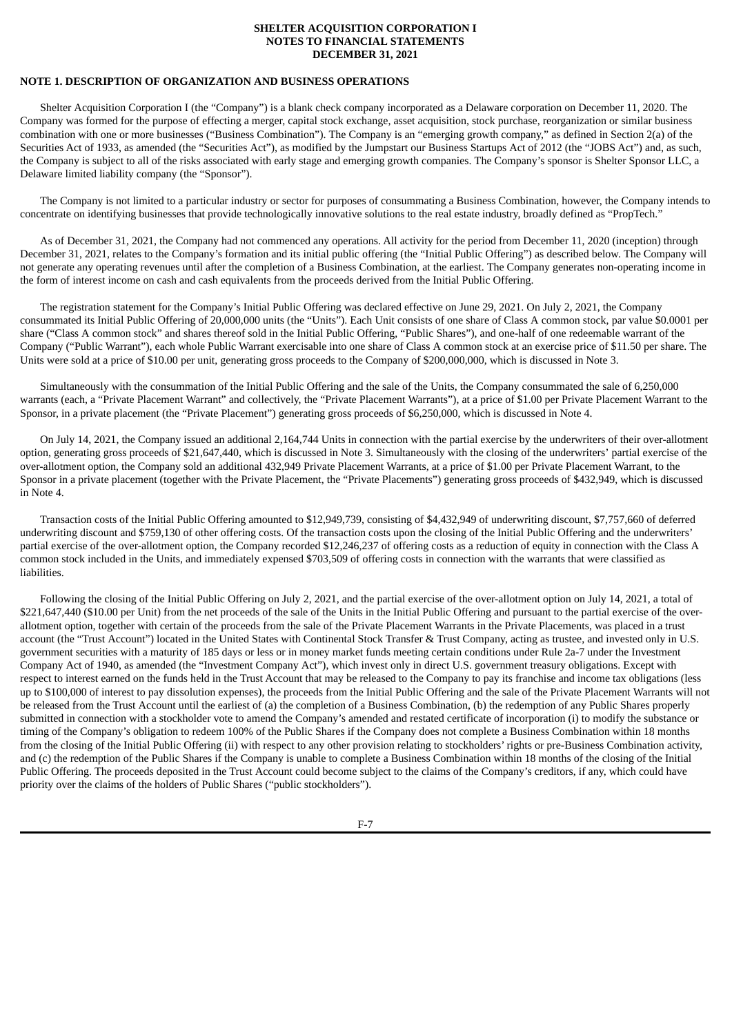# **SHELTER ACQUISITION CORPORATION I NOTES TO FINANCIAL STATEMENTS DECEMBER 31, 2021**

# <span id="page-86-0"></span>**NOTE 1. DESCRIPTION OF ORGANIZATION AND BUSINESS OPERATIONS**

Shelter Acquisition Corporation I (the "Company") is a blank check company incorporated as a Delaware corporation on December 11, 2020. The Company was formed for the purpose of effecting a merger, capital stock exchange, asset acquisition, stock purchase, reorganization or similar business combination with one or more businesses ("Business Combination"). The Company is an "emerging growth company," as defined in Section 2(a) of the Securities Act of 1933, as amended (the "Securities Act"), as modified by the Jumpstart our Business Startups Act of 2012 (the "JOBS Act") and, as such, the Company is subject to all of the risks associated with early stage and emerging growth companies. The Company's sponsor is Shelter Sponsor LLC, a Delaware limited liability company (the "Sponsor").

The Company is not limited to a particular industry or sector for purposes of consummating a Business Combination, however, the Company intends to concentrate on identifying businesses that provide technologically innovative solutions to the real estate industry, broadly defined as "PropTech."

As of December 31, 2021, the Company had not commenced any operations. All activity for the period from December 11, 2020 (inception) through December 31, 2021, relates to the Company's formation and its initial public offering (the "Initial Public Offering") as described below. The Company will not generate any operating revenues until after the completion of a Business Combination, at the earliest. The Company generates non-operating income in the form of interest income on cash and cash equivalents from the proceeds derived from the Initial Public Offering.

The registration statement for the Company's Initial Public Offering was declared effective on June 29, 2021. On July 2, 2021, the Company consummated its Initial Public Offering of 20,000,000 units (the "Units"). Each Unit consists of one share of Class A common stock, par value \$0.0001 per share ("Class A common stock" and shares thereof sold in the Initial Public Offering, "Public Shares"), and one-half of one redeemable warrant of the Company ("Public Warrant"), each whole Public Warrant exercisable into one share of Class A common stock at an exercise price of \$11.50 per share. The Units were sold at a price of \$10.00 per unit, generating gross proceeds to the Company of \$200,000,000, which is discussed in Note 3.

Simultaneously with the consummation of the Initial Public Offering and the sale of the Units, the Company consummated the sale of 6,250,000 warrants (each, a "Private Placement Warrant" and collectively, the "Private Placement Warrants"), at a price of \$1.00 per Private Placement Warrant to the Sponsor, in a private placement (the "Private Placement") generating gross proceeds of \$6,250,000, which is discussed in Note 4.

On July 14, 2021, the Company issued an additional 2,164,744 Units in connection with the partial exercise by the underwriters of their over-allotment option, generating gross proceeds of \$21,647,440, which is discussed in Note 3. Simultaneously with the closing of the underwriters' partial exercise of the over-allotment option, the Company sold an additional 432,949 Private Placement Warrants, at a price of \$1.00 per Private Placement Warrant, to the Sponsor in a private placement (together with the Private Placement, the "Private Placements") generating gross proceeds of \$432,949, which is discussed in Note 4.

Transaction costs of the Initial Public Offering amounted to \$12,949,739, consisting of \$4,432,949 of underwriting discount, \$7,757,660 of deferred underwriting discount and \$759,130 of other offering costs. Of the transaction costs upon the closing of the Initial Public Offering and the underwriters' partial exercise of the over-allotment option, the Company recorded \$12,246,237 of offering costs as a reduction of equity in connection with the Class A common stock included in the Units, and immediately expensed \$703,509 of offering costs in connection with the warrants that were classified as liabilities.

Following the closing of the Initial Public Offering on July 2, 2021, and the partial exercise of the over-allotment option on July 14, 2021, a total of \$221,647,440 (\$10.00 per Unit) from the net proceeds of the sale of the Units in the Initial Public Offering and pursuant to the partial exercise of the overallotment option, together with certain of the proceeds from the sale of the Private Placement Warrants in the Private Placements, was placed in a trust account (the "Trust Account") located in the United States with Continental Stock Transfer & Trust Company, acting as trustee, and invested only in U.S. government securities with a maturity of 185 days or less or in money market funds meeting certain conditions under Rule 2a-7 under the Investment Company Act of 1940, as amended (the "Investment Company Act"), which invest only in direct U.S. government treasury obligations. Except with respect to interest earned on the funds held in the Trust Account that may be released to the Company to pay its franchise and income tax obligations (less up to \$100,000 of interest to pay dissolution expenses), the proceeds from the Initial Public Offering and the sale of the Private Placement Warrants will not be released from the Trust Account until the earliest of (a) the completion of a Business Combination, (b) the redemption of any Public Shares properly submitted in connection with a stockholder vote to amend the Company's amended and restated certificate of incorporation (i) to modify the substance or timing of the Company's obligation to redeem 100% of the Public Shares if the Company does not complete a Business Combination within 18 months from the closing of the Initial Public Offering (ii) with respect to any other provision relating to stockholders' rights or pre-Business Combination activity, and (c) the redemption of the Public Shares if the Company is unable to complete a Business Combination within 18 months of the closing of the Initial Public Offering. The proceeds deposited in the Trust Account could become subject to the claims of the Company's creditors, if any, which could have priority over the claims of the holders of Public Shares ("public stockholders").

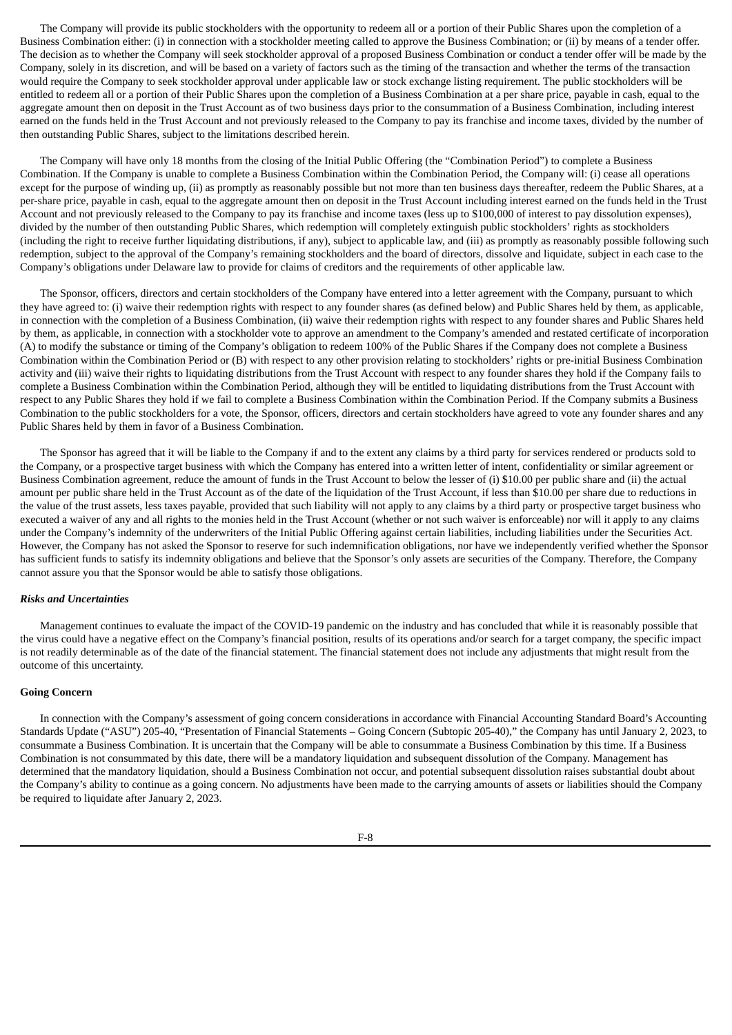The Company will provide its public stockholders with the opportunity to redeem all or a portion of their Public Shares upon the completion of a Business Combination either: (i) in connection with a stockholder meeting called to approve the Business Combination; or (ii) by means of a tender offer. The decision as to whether the Company will seek stockholder approval of a proposed Business Combination or conduct a tender offer will be made by the Company, solely in its discretion, and will be based on a variety of factors such as the timing of the transaction and whether the terms of the transaction would require the Company to seek stockholder approval under applicable law or stock exchange listing requirement. The public stockholders will be entitled to redeem all or a portion of their Public Shares upon the completion of a Business Combination at a per share price, payable in cash, equal to the aggregate amount then on deposit in the Trust Account as of two business days prior to the consummation of a Business Combination, including interest earned on the funds held in the Trust Account and not previously released to the Company to pay its franchise and income taxes, divided by the number of then outstanding Public Shares, subject to the limitations described herein.

The Company will have only 18 months from the closing of the Initial Public Offering (the "Combination Period") to complete a Business Combination. If the Company is unable to complete a Business Combination within the Combination Period, the Company will: (i) cease all operations except for the purpose of winding up, (ii) as promptly as reasonably possible but not more than ten business days thereafter, redeem the Public Shares, at a per-share price, payable in cash, equal to the aggregate amount then on deposit in the Trust Account including interest earned on the funds held in the Trust Account and not previously released to the Company to pay its franchise and income taxes (less up to \$100,000 of interest to pay dissolution expenses), divided by the number of then outstanding Public Shares, which redemption will completely extinguish public stockholders' rights as stockholders (including the right to receive further liquidating distributions, if any), subject to applicable law, and (iii) as promptly as reasonably possible following such redemption, subject to the approval of the Company's remaining stockholders and the board of directors, dissolve and liquidate, subject in each case to the Company's obligations under Delaware law to provide for claims of creditors and the requirements of other applicable law.

The Sponsor, officers, directors and certain stockholders of the Company have entered into a letter agreement with the Company, pursuant to which they have agreed to: (i) waive their redemption rights with respect to any founder shares (as defined below) and Public Shares held by them, as applicable, in connection with the completion of a Business Combination, (ii) waive their redemption rights with respect to any founder shares and Public Shares held by them, as applicable, in connection with a stockholder vote to approve an amendment to the Company's amended and restated certificate of incorporation (A) to modify the substance or timing of the Company's obligation to redeem 100% of the Public Shares if the Company does not complete a Business Combination within the Combination Period or (B) with respect to any other provision relating to stockholders' rights or pre-initial Business Combination activity and (iii) waive their rights to liquidating distributions from the Trust Account with respect to any founder shares they hold if the Company fails to complete a Business Combination within the Combination Period, although they will be entitled to liquidating distributions from the Trust Account with respect to any Public Shares they hold if we fail to complete a Business Combination within the Combination Period. If the Company submits a Business Combination to the public stockholders for a vote, the Sponsor, officers, directors and certain stockholders have agreed to vote any founder shares and any Public Shares held by them in favor of a Business Combination.

The Sponsor has agreed that it will be liable to the Company if and to the extent any claims by a third party for services rendered or products sold to the Company, or a prospective target business with which the Company has entered into a written letter of intent, confidentiality or similar agreement or Business Combination agreement, reduce the amount of funds in the Trust Account to below the lesser of (i) \$10.00 per public share and (ii) the actual amount per public share held in the Trust Account as of the date of the liquidation of the Trust Account, if less than \$10.00 per share due to reductions in the value of the trust assets, less taxes payable, provided that such liability will not apply to any claims by a third party or prospective target business who executed a waiver of any and all rights to the monies held in the Trust Account (whether or not such waiver is enforceable) nor will it apply to any claims under the Company's indemnity of the underwriters of the Initial Public Offering against certain liabilities, including liabilities under the Securities Act. However, the Company has not asked the Sponsor to reserve for such indemnification obligations, nor have we independently verified whether the Sponsor has sufficient funds to satisfy its indemnity obligations and believe that the Sponsor's only assets are securities of the Company. Therefore, the Company cannot assure you that the Sponsor would be able to satisfy those obligations.

#### *Risks and Uncertainties*

Management continues to evaluate the impact of the COVID-19 pandemic on the industry and has concluded that while it is reasonably possible that the virus could have a negative effect on the Company's financial position, results of its operations and/or search for a target company, the specific impact is not readily determinable as of the date of the financial statement. The financial statement does not include any adjustments that might result from the outcome of this uncertainty.

### **Going Concern**

In connection with the Company's assessment of going concern considerations in accordance with Financial Accounting Standard Board's Accounting Standards Update ("ASU") 205-40, "Presentation of Financial Statements – Going Concern (Subtopic 205-40)," the Company has until January 2, 2023, to consummate a Business Combination. It is uncertain that the Company will be able to consummate a Business Combination by this time. If a Business Combination is not consummated by this date, there will be a mandatory liquidation and subsequent dissolution of the Company. Management has determined that the mandatory liquidation, should a Business Combination not occur, and potential subsequent dissolution raises substantial doubt about the Company's ability to continue as a going concern. No adjustments have been made to the carrying amounts of assets or liabilities should the Company be required to liquidate after January 2, 2023.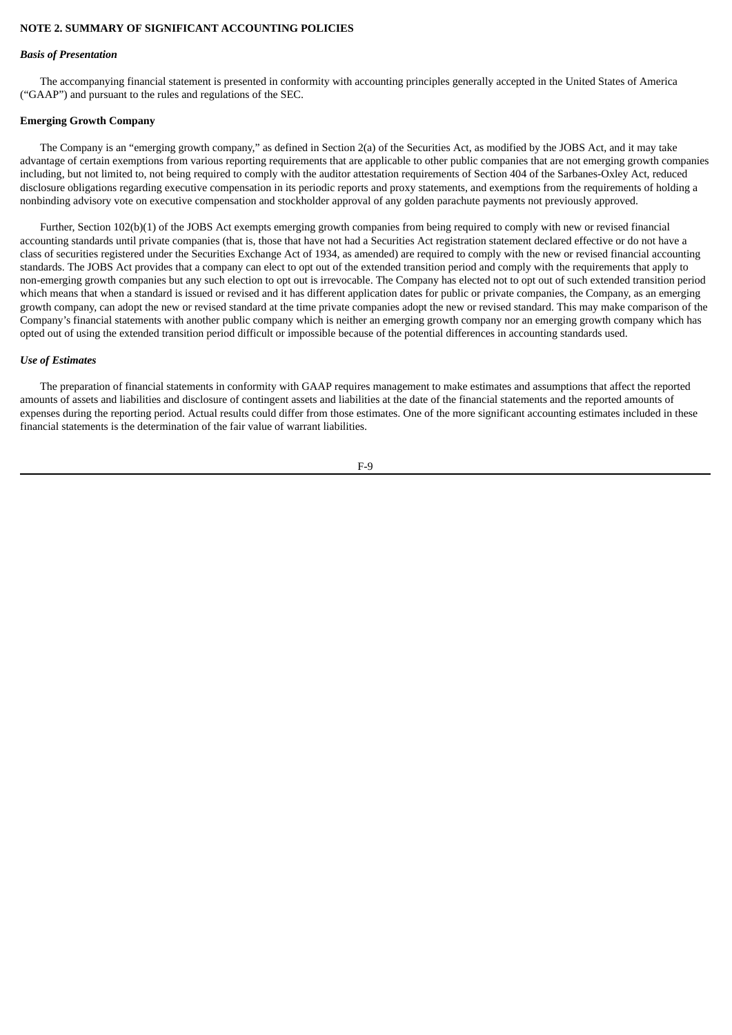# **NOTE 2. SUMMARY OF SIGNIFICANT ACCOUNTING POLICIES**

#### *Basis of Presentation*

The accompanying financial statement is presented in conformity with accounting principles generally accepted in the United States of America ("GAAP") and pursuant to the rules and regulations of the SEC.

### **Emerging Growth Company**

The Company is an "emerging growth company," as defined in Section 2(a) of the Securities Act, as modified by the JOBS Act, and it may take advantage of certain exemptions from various reporting requirements that are applicable to other public companies that are not emerging growth companies including, but not limited to, not being required to comply with the auditor attestation requirements of Section 404 of the Sarbanes-Oxley Act, reduced disclosure obligations regarding executive compensation in its periodic reports and proxy statements, and exemptions from the requirements of holding a nonbinding advisory vote on executive compensation and stockholder approval of any golden parachute payments not previously approved.

Further, Section 102(b)(1) of the JOBS Act exempts emerging growth companies from being required to comply with new or revised financial accounting standards until private companies (that is, those that have not had a Securities Act registration statement declared effective or do not have a class of securities registered under the Securities Exchange Act of 1934, as amended) are required to comply with the new or revised financial accounting standards. The JOBS Act provides that a company can elect to opt out of the extended transition period and comply with the requirements that apply to non-emerging growth companies but any such election to opt out is irrevocable. The Company has elected not to opt out of such extended transition period which means that when a standard is issued or revised and it has different application dates for public or private companies, the Company, as an emerging growth company, can adopt the new or revised standard at the time private companies adopt the new or revised standard. This may make comparison of the Company's financial statements with another public company which is neither an emerging growth company nor an emerging growth company which has opted out of using the extended transition period difficult or impossible because of the potential differences in accounting standards used.

#### *Use of Estimates*

The preparation of financial statements in conformity with GAAP requires management to make estimates and assumptions that affect the reported amounts of assets and liabilities and disclosure of contingent assets and liabilities at the date of the financial statements and the reported amounts of expenses during the reporting period. Actual results could differ from those estimates. One of the more significant accounting estimates included in these financial statements is the determination of the fair value of warrant liabilities.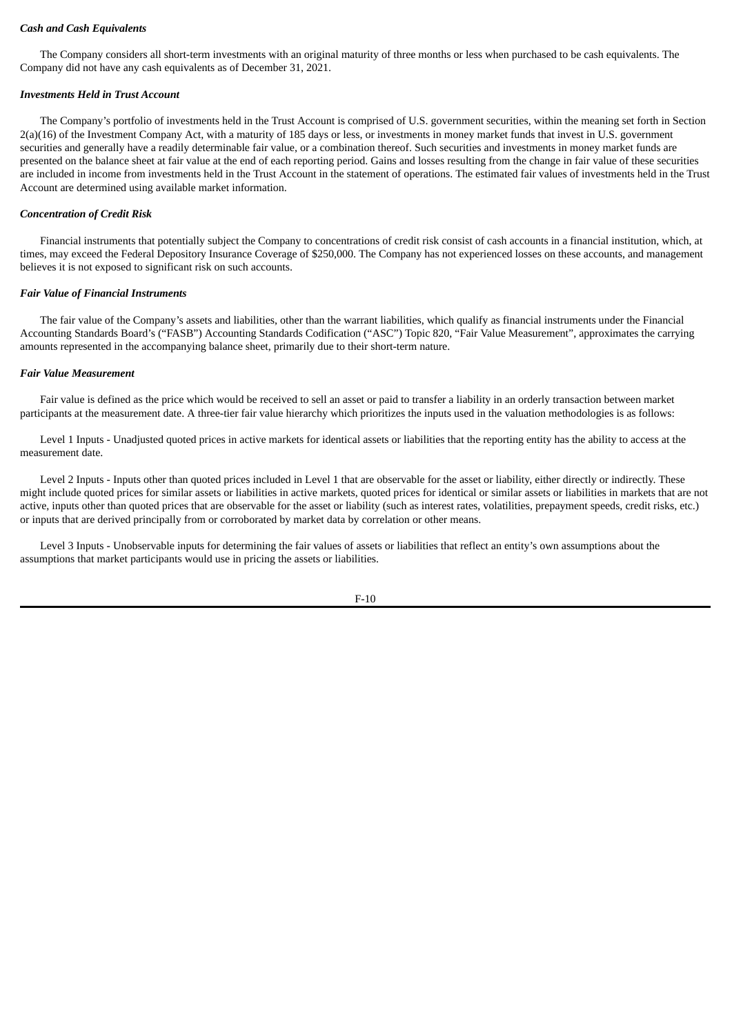## *Cash and Cash Equivalents*

The Company considers all short-term investments with an original maturity of three months or less when purchased to be cash equivalents. The Company did not have any cash equivalents as of December 31, 2021.

#### *Investments Held in Trust Account*

The Company's portfolio of investments held in the Trust Account is comprised of U.S. government securities, within the meaning set forth in Section 2(a)(16) of the Investment Company Act, with a maturity of 185 days or less, or investments in money market funds that invest in U.S. government securities and generally have a readily determinable fair value, or a combination thereof. Such securities and investments in money market funds are presented on the balance sheet at fair value at the end of each reporting period. Gains and losses resulting from the change in fair value of these securities are included in income from investments held in the Trust Account in the statement of operations. The estimated fair values of investments held in the Trust Account are determined using available market information.

# *Concentration of Credit Risk*

Financial instruments that potentially subject the Company to concentrations of credit risk consist of cash accounts in a financial institution, which, at times, may exceed the Federal Depository Insurance Coverage of \$250,000. The Company has not experienced losses on these accounts, and management believes it is not exposed to significant risk on such accounts.

# *Fair Value of Financial Instruments*

The fair value of the Company's assets and liabilities, other than the warrant liabilities, which qualify as financial instruments under the Financial Accounting Standards Board's ("FASB") Accounting Standards Codification ("ASC") Topic 820, "Fair Value Measurement", approximates the carrying amounts represented in the accompanying balance sheet, primarily due to their short-term nature.

### *Fair Value Measurement*

Fair value is defined as the price which would be received to sell an asset or paid to transfer a liability in an orderly transaction between market participants at the measurement date. A three-tier fair value hierarchy which prioritizes the inputs used in the valuation methodologies is as follows:

Level 1 Inputs - Unadjusted quoted prices in active markets for identical assets or liabilities that the reporting entity has the ability to access at the measurement date.

Level 2 Inputs - Inputs other than quoted prices included in Level 1 that are observable for the asset or liability, either directly or indirectly. These might include quoted prices for similar assets or liabilities in active markets, quoted prices for identical or similar assets or liabilities in markets that are not active, inputs other than quoted prices that are observable for the asset or liability (such as interest rates, volatilities, prepayment speeds, credit risks, etc.) or inputs that are derived principally from or corroborated by market data by correlation or other means.

Level 3 Inputs - Unobservable inputs for determining the fair values of assets or liabilities that reflect an entity's own assumptions about the assumptions that market participants would use in pricing the assets or liabilities.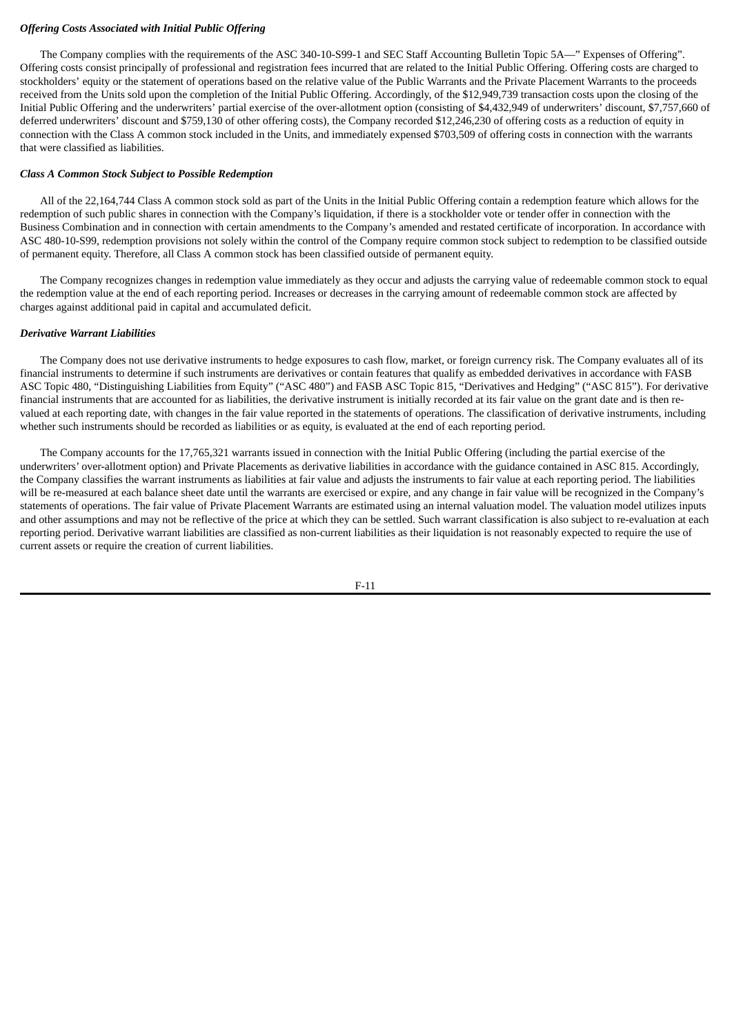# *Offering Costs Associated with Initial Public Offering*

The Company complies with the requirements of the ASC 340-10-S99-1 and SEC Staff Accounting Bulletin Topic 5A—" Expenses of Offering". Offering costs consist principally of professional and registration fees incurred that are related to the Initial Public Offering. Offering costs are charged to stockholders' equity or the statement of operations based on the relative value of the Public Warrants and the Private Placement Warrants to the proceeds received from the Units sold upon the completion of the Initial Public Offering. Accordingly, of the \$12,949,739 transaction costs upon the closing of the Initial Public Offering and the underwriters' partial exercise of the over-allotment option (consisting of \$4,432,949 of underwriters' discount, \$7,757,660 of deferred underwriters' discount and \$759,130 of other offering costs), the Company recorded \$12,246,230 of offering costs as a reduction of equity in connection with the Class A common stock included in the Units, and immediately expensed \$703,509 of offering costs in connection with the warrants that were classified as liabilities.

# *Class A Common Stock Subject to Possible Redemption*

All of the 22,164,744 Class A common stock sold as part of the Units in the Initial Public Offering contain a redemption feature which allows for the redemption of such public shares in connection with the Company's liquidation, if there is a stockholder vote or tender offer in connection with the Business Combination and in connection with certain amendments to the Company's amended and restated certificate of incorporation. In accordance with ASC 480-10-S99, redemption provisions not solely within the control of the Company require common stock subject to redemption to be classified outside of permanent equity. Therefore, all Class A common stock has been classified outside of permanent equity.

The Company recognizes changes in redemption value immediately as they occur and adjusts the carrying value of redeemable common stock to equal the redemption value at the end of each reporting period. Increases or decreases in the carrying amount of redeemable common stock are affected by charges against additional paid in capital and accumulated deficit.

### *Derivative Warrant Liabilities*

The Company does not use derivative instruments to hedge exposures to cash flow, market, or foreign currency risk. The Company evaluates all of its financial instruments to determine if such instruments are derivatives or contain features that qualify as embedded derivatives in accordance with FASB ASC Topic 480, "Distinguishing Liabilities from Equity" ("ASC 480") and FASB ASC Topic 815, "Derivatives and Hedging" ("ASC 815"). For derivative financial instruments that are accounted for as liabilities, the derivative instrument is initially recorded at its fair value on the grant date and is then revalued at each reporting date, with changes in the fair value reported in the statements of operations. The classification of derivative instruments, including whether such instruments should be recorded as liabilities or as equity, is evaluated at the end of each reporting period.

The Company accounts for the 17,765,321 warrants issued in connection with the Initial Public Offering (including the partial exercise of the underwriters' over-allotment option) and Private Placements as derivative liabilities in accordance with the guidance contained in ASC 815. Accordingly, the Company classifies the warrant instruments as liabilities at fair value and adjusts the instruments to fair value at each reporting period. The liabilities will be re-measured at each balance sheet date until the warrants are exercised or expire, and any change in fair value will be recognized in the Company's statements of operations. The fair value of Private Placement Warrants are estimated using an internal valuation model. The valuation model utilizes inputs and other assumptions and may not be reflective of the price at which they can be settled. Such warrant classification is also subject to re-evaluation at each reporting period. Derivative warrant liabilities are classified as non-current liabilities as their liquidation is not reasonably expected to require the use of current assets or require the creation of current liabilities.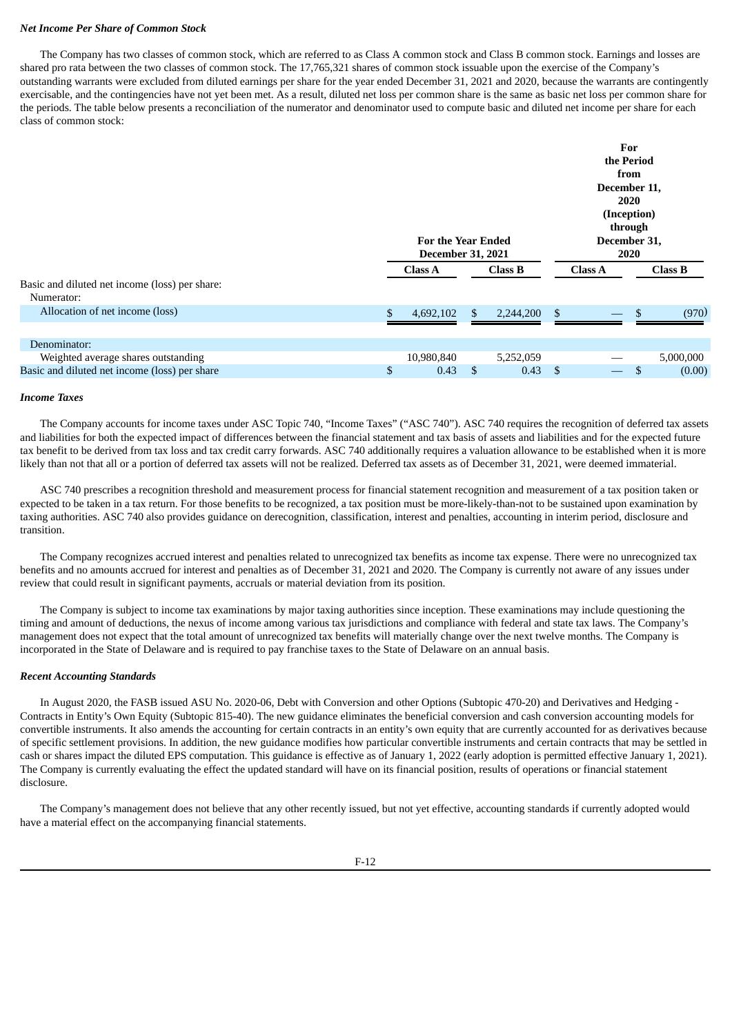# *Net Income Per Share of Common Stock*

The Company has two classes of common stock, which are referred to as Class A common stock and Class B common stock. Earnings and losses are shared pro rata between the two classes of common stock. The 17,765,321 shares of common stock issuable upon the exercise of the Company's outstanding warrants were excluded from diluted earnings per share for the year ended December 31, 2021 and 2020, because the warrants are contingently exercisable, and the contingencies have not yet been met. As a result, diluted net loss per common share is the same as basic net loss per common share for the periods. The table below presents a reconciliation of the numerator and denominator used to compute basic and diluted net income per share for each class of common stock:

|                                                              |                           |    |                |      | For            |    |                |
|--------------------------------------------------------------|---------------------------|----|----------------|------|----------------|----|----------------|
|                                                              |                           |    |                |      | the Period     |    |                |
|                                                              |                           |    |                |      | from           |    |                |
|                                                              |                           |    |                |      | December 11,   |    |                |
|                                                              |                           |    |                |      | 2020           |    |                |
|                                                              |                           |    |                |      | (Inception)    |    |                |
|                                                              |                           |    |                |      | through        |    |                |
|                                                              | <b>For the Year Ended</b> |    |                |      | December 31,   |    |                |
|                                                              | <b>December 31, 2021</b>  |    |                | 2020 |                |    |                |
|                                                              | <b>Class A</b>            |    | <b>Class B</b> |      | <b>Class A</b> |    | <b>Class B</b> |
| Basic and diluted net income (loss) per share:<br>Numerator: |                           |    |                |      |                |    |                |
| Allocation of net income (loss)                              | 4,692,102                 | S. | 2,244,200      | \$.  |                |    | (970)          |
|                                                              |                           |    |                |      |                |    |                |
| Denominator:                                                 |                           |    |                |      |                |    |                |
| Weighted average shares outstanding                          | 10,980,840                |    | 5,252,059      |      |                |    | 5,000,000      |
| Basic and diluted net income (loss) per share                | \$<br>0.43                | \$ | 0.43           | -\$  |                | \$ | (0.00)         |

### *Income Taxes*

The Company accounts for income taxes under ASC Topic 740, "Income Taxes" ("ASC 740"). ASC 740 requires the recognition of deferred tax assets and liabilities for both the expected impact of differences between the financial statement and tax basis of assets and liabilities and for the expected future tax benefit to be derived from tax loss and tax credit carry forwards. ASC 740 additionally requires a valuation allowance to be established when it is more likely than not that all or a portion of deferred tax assets will not be realized. Deferred tax assets as of December 31, 2021, were deemed immaterial.

ASC 740 prescribes a recognition threshold and measurement process for financial statement recognition and measurement of a tax position taken or expected to be taken in a tax return. For those benefits to be recognized, a tax position must be more-likely-than-not to be sustained upon examination by taxing authorities. ASC 740 also provides guidance on derecognition, classification, interest and penalties, accounting in interim period, disclosure and transition.

The Company recognizes accrued interest and penalties related to unrecognized tax benefits as income tax expense. There were no unrecognized tax benefits and no amounts accrued for interest and penalties as of December 31, 2021 and 2020. The Company is currently not aware of any issues under review that could result in significant payments, accruals or material deviation from its position.

The Company is subject to income tax examinations by major taxing authorities since inception. These examinations may include questioning the timing and amount of deductions, the nexus of income among various tax jurisdictions and compliance with federal and state tax laws. The Company's management does not expect that the total amount of unrecognized tax benefits will materially change over the next twelve months. The Company is incorporated in the State of Delaware and is required to pay franchise taxes to the State of Delaware on an annual basis.

### *Recent Accounting Standards*

In August 2020, the FASB issued ASU No. 2020-06, Debt with Conversion and other Options (Subtopic 470-20) and Derivatives and Hedging - Contracts in Entity's Own Equity (Subtopic 815-40). The new guidance eliminates the beneficial conversion and cash conversion accounting models for convertible instruments. It also amends the accounting for certain contracts in an entity's own equity that are currently accounted for as derivatives because of specific settlement provisions. In addition, the new guidance modifies how particular convertible instruments and certain contracts that may be settled in cash or shares impact the diluted EPS computation. This guidance is effective as of January 1, 2022 (early adoption is permitted effective January 1, 2021). The Company is currently evaluating the effect the updated standard will have on its financial position, results of operations or financial statement disclosure.

The Company's management does not believe that any other recently issued, but not yet effective, accounting standards if currently adopted would have a material effect on the accompanying financial statements.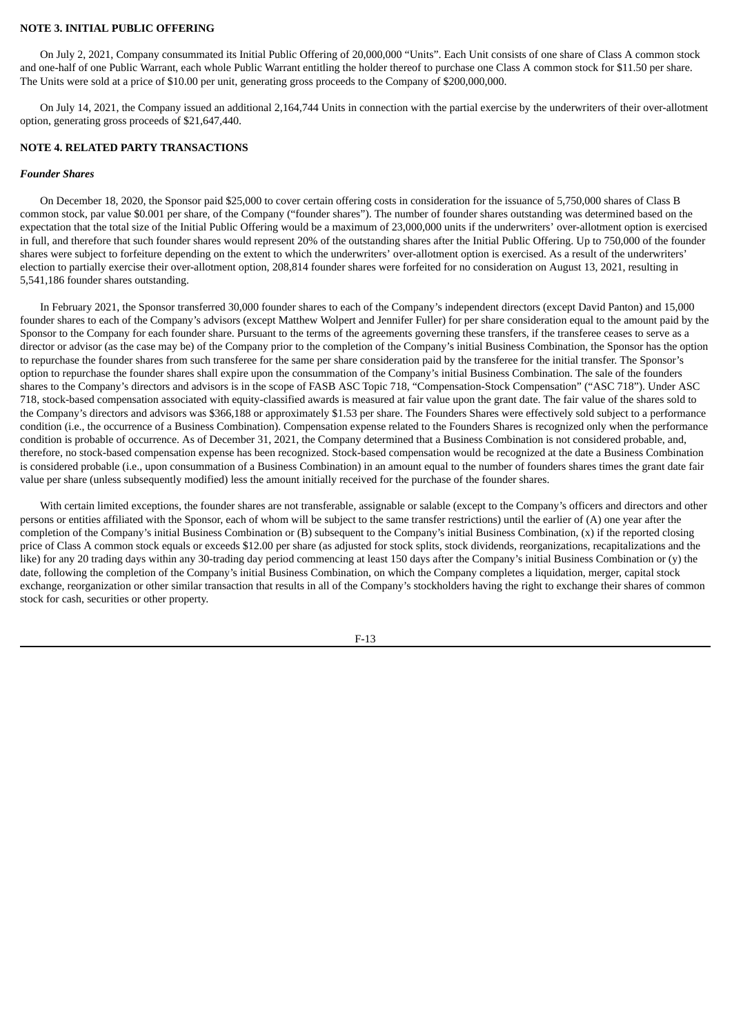### **NOTE 3. INITIAL PUBLIC OFFERING**

On July 2, 2021, Company consummated its Initial Public Offering of 20,000,000 "Units". Each Unit consists of one share of Class A common stock and one-half of one Public Warrant, each whole Public Warrant entitling the holder thereof to purchase one Class A common stock for \$11.50 per share. The Units were sold at a price of \$10.00 per unit, generating gross proceeds to the Company of \$200,000,000.

On July 14, 2021, the Company issued an additional 2,164,744 Units in connection with the partial exercise by the underwriters of their over-allotment option, generating gross proceeds of \$21,647,440.

#### **NOTE 4. RELATED PARTY TRANSACTIONS**

### *Founder Shares*

On December 18, 2020, the Sponsor paid \$25,000 to cover certain offering costs in consideration for the issuance of 5,750,000 shares of Class B common stock, par value \$0.001 per share, of the Company ("founder shares"). The number of founder shares outstanding was determined based on the expectation that the total size of the Initial Public Offering would be a maximum of 23,000,000 units if the underwriters' over-allotment option is exercised in full, and therefore that such founder shares would represent 20% of the outstanding shares after the Initial Public Offering. Up to 750,000 of the founder shares were subject to forfeiture depending on the extent to which the underwriters' over-allotment option is exercised. As a result of the underwriters' election to partially exercise their over-allotment option, 208,814 founder shares were forfeited for no consideration on August 13, 2021, resulting in 5,541,186 founder shares outstanding.

In February 2021, the Sponsor transferred 30,000 founder shares to each of the Company's independent directors (except David Panton) and 15,000 founder shares to each of the Company's advisors (except Matthew Wolpert and Jennifer Fuller) for per share consideration equal to the amount paid by the Sponsor to the Company for each founder share. Pursuant to the terms of the agreements governing these transfers, if the transferee ceases to serve as a director or advisor (as the case may be) of the Company prior to the completion of the Company's initial Business Combination, the Sponsor has the option to repurchase the founder shares from such transferee for the same per share consideration paid by the transferee for the initial transfer. The Sponsor's option to repurchase the founder shares shall expire upon the consummation of the Company's initial Business Combination. The sale of the founders shares to the Company's directors and advisors is in the scope of FASB ASC Topic 718, "Compensation-Stock Compensation" ("ASC 718"). Under ASC 718, stock-based compensation associated with equity-classified awards is measured at fair value upon the grant date. The fair value of the shares sold to the Company's directors and advisors was \$366,188 or approximately \$1.53 per share. The Founders Shares were effectively sold subject to a performance condition (i.e., the occurrence of a Business Combination). Compensation expense related to the Founders Shares is recognized only when the performance condition is probable of occurrence. As of December 31, 2021, the Company determined that a Business Combination is not considered probable, and, therefore, no stock-based compensation expense has been recognized. Stock-based compensation would be recognized at the date a Business Combination is considered probable (i.e., upon consummation of a Business Combination) in an amount equal to the number of founders shares times the grant date fair value per share (unless subsequently modified) less the amount initially received for the purchase of the founder shares.

With certain limited exceptions, the founder shares are not transferable, assignable or salable (except to the Company's officers and directors and other persons or entities affiliated with the Sponsor, each of whom will be subject to the same transfer restrictions) until the earlier of (A) one year after the completion of the Company's initial Business Combination or (B) subsequent to the Company's initial Business Combination, (x) if the reported closing price of Class A common stock equals or exceeds \$12.00 per share (as adjusted for stock splits, stock dividends, reorganizations, recapitalizations and the like) for any 20 trading days within any 30-trading day period commencing at least 150 days after the Company's initial Business Combination or (y) the date, following the completion of the Company's initial Business Combination, on which the Company completes a liquidation, merger, capital stock exchange, reorganization or other similar transaction that results in all of the Company's stockholders having the right to exchange their shares of common stock for cash, securities or other property.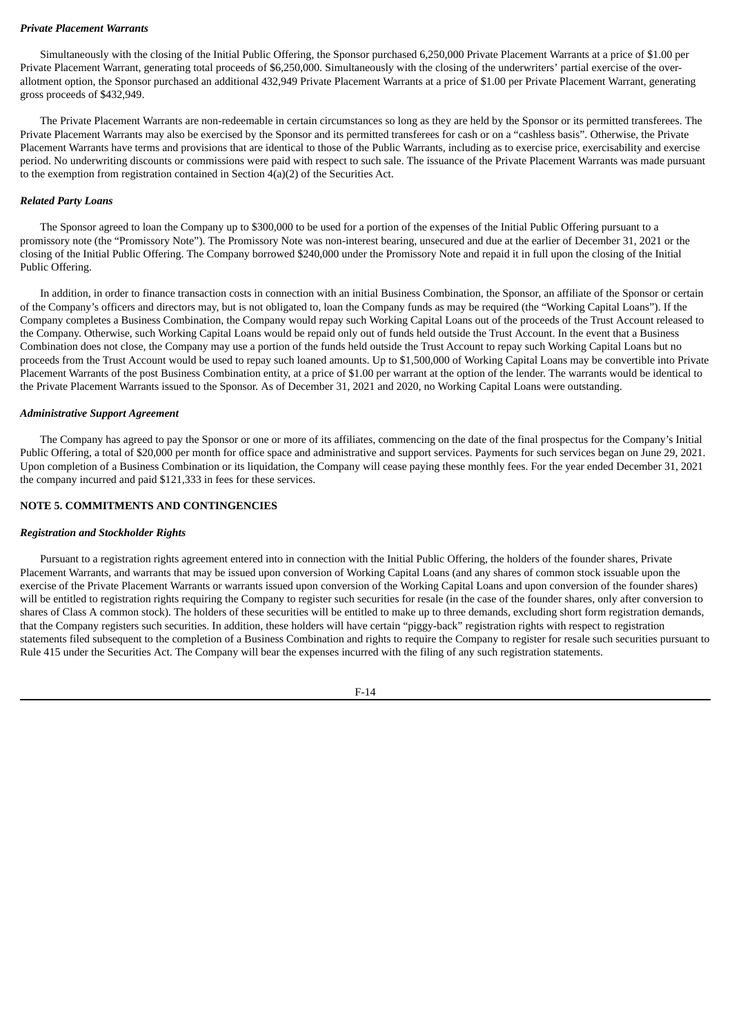# *Private Placement Warrants*

Simultaneously with the closing of the Initial Public Offering, the Sponsor purchased 6,250,000 Private Placement Warrants at a price of \$1.00 per Private Placement Warrant, generating total proceeds of \$6,250,000. Simultaneously with the closing of the underwriters' partial exercise of the overallotment option, the Sponsor purchased an additional 432,949 Private Placement Warrants at a price of \$1.00 per Private Placement Warrant, generating gross proceeds of \$432,949.

The Private Placement Warrants are non-redeemable in certain circumstances so long as they are held by the Sponsor or its permitted transferees. The Private Placement Warrants may also be exercised by the Sponsor and its permitted transferees for cash or on a "cashless basis". Otherwise, the Private Placement Warrants have terms and provisions that are identical to those of the Public Warrants, including as to exercise price, exercisability and exercise period. No underwriting discounts or commissions were paid with respect to such sale. The issuance of the Private Placement Warrants was made pursuant to the exemption from registration contained in Section 4(a)(2) of the Securities Act.

# *Related Party Loans*

The Sponsor agreed to loan the Company up to \$300,000 to be used for a portion of the expenses of the Initial Public Offering pursuant to a promissory note (the "Promissory Note"). The Promissory Note was non-interest bearing, unsecured and due at the earlier of December 31, 2021 or the closing of the Initial Public Offering. The Company borrowed \$240,000 under the Promissory Note and repaid it in full upon the closing of the Initial Public Offering.

In addition, in order to finance transaction costs in connection with an initial Business Combination, the Sponsor, an affiliate of the Sponsor or certain of the Company's officers and directors may, but is not obligated to, loan the Company funds as may be required (the "Working Capital Loans"). If the Company completes a Business Combination, the Company would repay such Working Capital Loans out of the proceeds of the Trust Account released to the Company. Otherwise, such Working Capital Loans would be repaid only out of funds held outside the Trust Account. In the event that a Business Combination does not close, the Company may use a portion of the funds held outside the Trust Account to repay such Working Capital Loans but no proceeds from the Trust Account would be used to repay such loaned amounts. Up to \$1,500,000 of Working Capital Loans may be convertible into Private Placement Warrants of the post Business Combination entity, at a price of \$1.00 per warrant at the option of the lender. The warrants would be identical to the Private Placement Warrants issued to the Sponsor. As of December 31, 2021 and 2020, no Working Capital Loans were outstanding.

### *Administrative Support Agreement*

The Company has agreed to pay the Sponsor or one or more of its affiliates, commencing on the date of the final prospectus for the Company's Initial Public Offering, a total of \$20,000 per month for office space and administrative and support services. Payments for such services began on June 29, 2021. Upon completion of a Business Combination or its liquidation, the Company will cease paying these monthly fees. For the year ended December 31, 2021 the company incurred and paid \$121,333 in fees for these services.

# **NOTE 5. COMMITMENTS AND CONTINGENCIES**

### *Registration and Stockholder Rights*

Pursuant to a registration rights agreement entered into in connection with the Initial Public Offering, the holders of the founder shares, Private Placement Warrants, and warrants that may be issued upon conversion of Working Capital Loans (and any shares of common stock issuable upon the exercise of the Private Placement Warrants or warrants issued upon conversion of the Working Capital Loans and upon conversion of the founder shares) will be entitled to registration rights requiring the Company to register such securities for resale (in the case of the founder shares, only after conversion to shares of Class A common stock). The holders of these securities will be entitled to make up to three demands, excluding short form registration demands, that the Company registers such securities. In addition, these holders will have certain "piggy-back" registration rights with respect to registration statements filed subsequent to the completion of a Business Combination and rights to require the Company to register for resale such securities pursuant to Rule 415 under the Securities Act. The Company will bear the expenses incurred with the filing of any such registration statements.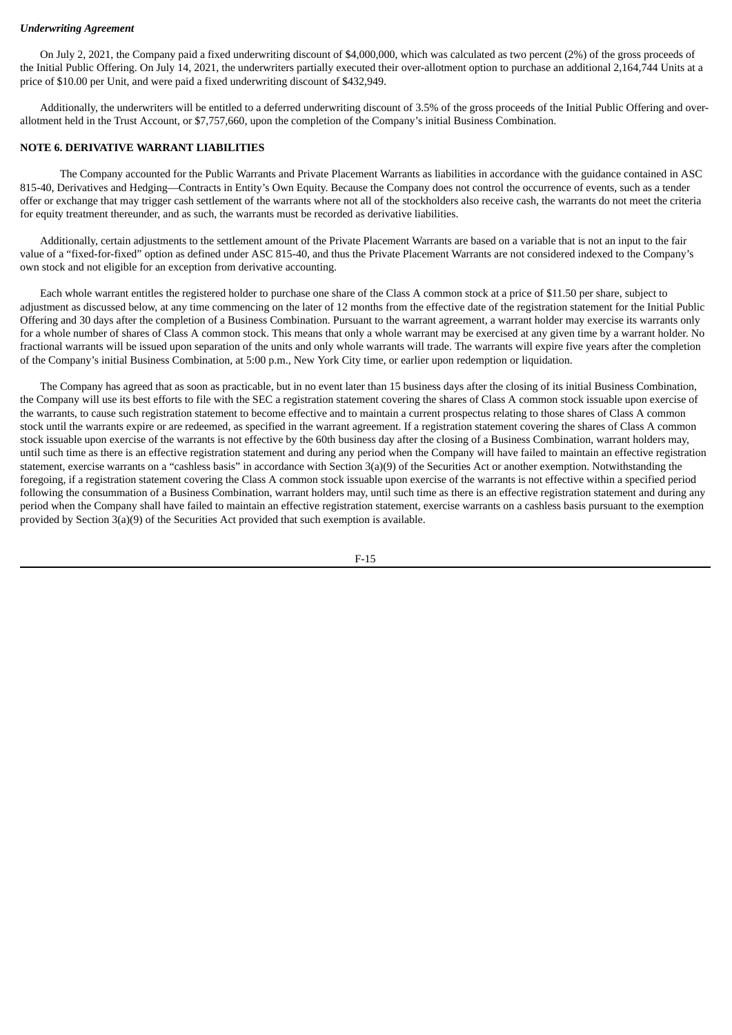### *Underwriting Agreement*

On July 2, 2021, the Company paid a fixed underwriting discount of \$4,000,000, which was calculated as two percent (2%) of the gross proceeds of the Initial Public Offering. On July 14, 2021, the underwriters partially executed their over-allotment option to purchase an additional 2,164,744 Units at a price of \$10.00 per Unit, and were paid a fixed underwriting discount of \$432,949.

Additionally, the underwriters will be entitled to a deferred underwriting discount of 3.5% of the gross proceeds of the Initial Public Offering and overallotment held in the Trust Account, or \$7,757,660, upon the completion of the Company's initial Business Combination.

### **NOTE 6. DERIVATIVE WARRANT LIABILITIES**

The Company accounted for the Public Warrants and Private Placement Warrants as liabilities in accordance with the guidance contained in ASC 815-40, Derivatives and Hedging—Contracts in Entity's Own Equity. Because the Company does not control the occurrence of events, such as a tender offer or exchange that may trigger cash settlement of the warrants where not all of the stockholders also receive cash, the warrants do not meet the criteria for equity treatment thereunder, and as such, the warrants must be recorded as derivative liabilities.

Additionally, certain adjustments to the settlement amount of the Private Placement Warrants are based on a variable that is not an input to the fair value of a "fixed-for-fixed" option as defined under ASC 815-40, and thus the Private Placement Warrants are not considered indexed to the Company's own stock and not eligible for an exception from derivative accounting.

Each whole warrant entitles the registered holder to purchase one share of the Class A common stock at a price of \$11.50 per share, subject to adjustment as discussed below, at any time commencing on the later of 12 months from the effective date of the registration statement for the Initial Public Offering and 30 days after the completion of a Business Combination. Pursuant to the warrant agreement, a warrant holder may exercise its warrants only for a whole number of shares of Class A common stock. This means that only a whole warrant may be exercised at any given time by a warrant holder. No fractional warrants will be issued upon separation of the units and only whole warrants will trade. The warrants will expire five years after the completion of the Company's initial Business Combination, at 5:00 p.m., New York City time, or earlier upon redemption or liquidation.

The Company has agreed that as soon as practicable, but in no event later than 15 business days after the closing of its initial Business Combination, the Company will use its best efforts to file with the SEC a registration statement covering the shares of Class A common stock issuable upon exercise of the warrants, to cause such registration statement to become effective and to maintain a current prospectus relating to those shares of Class A common stock until the warrants expire or are redeemed, as specified in the warrant agreement. If a registration statement covering the shares of Class A common stock issuable upon exercise of the warrants is not effective by the 60th business day after the closing of a Business Combination, warrant holders may, until such time as there is an effective registration statement and during any period when the Company will have failed to maintain an effective registration statement, exercise warrants on a "cashless basis" in accordance with Section 3(a)(9) of the Securities Act or another exemption. Notwithstanding the foregoing, if a registration statement covering the Class A common stock issuable upon exercise of the warrants is not effective within a specified period following the consummation of a Business Combination, warrant holders may, until such time as there is an effective registration statement and during any period when the Company shall have failed to maintain an effective registration statement, exercise warrants on a cashless basis pursuant to the exemption provided by Section 3(a)(9) of the Securities Act provided that such exemption is available.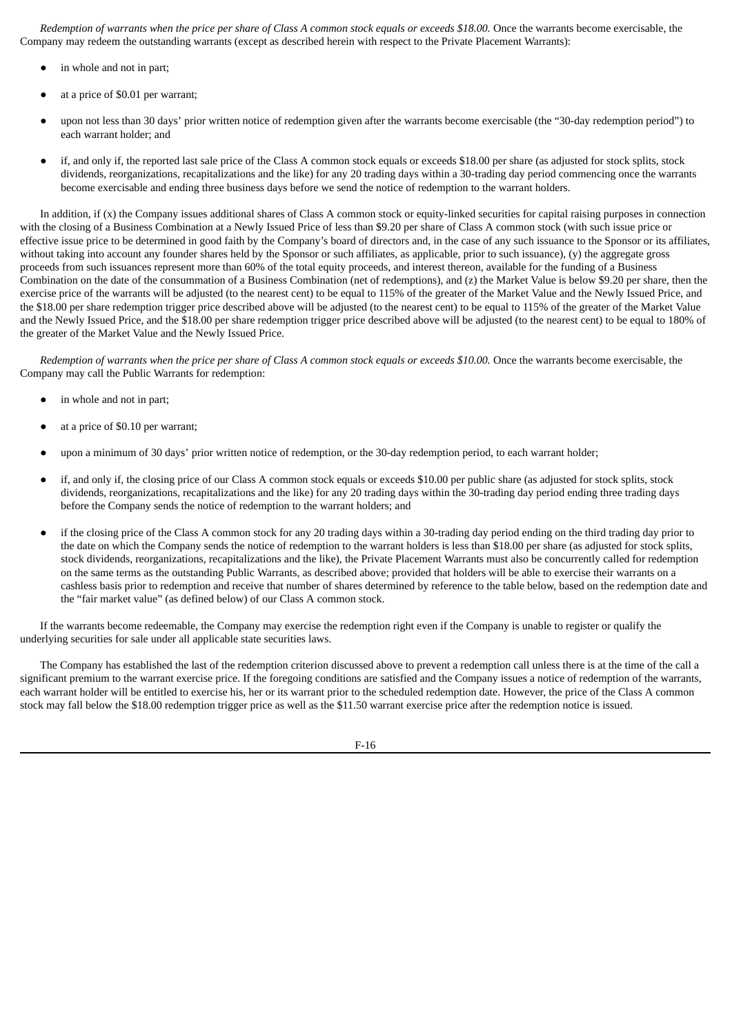Redemption of warrants when the price per share of Class A common stock equals or exceeds \$18.00. Once the warrants become exercisable, the Company may redeem the outstanding warrants (except as described herein with respect to the Private Placement Warrants):

- in whole and not in part;
- at a price of \$0.01 per warrant;
- upon not less than 30 days' prior written notice of redemption given after the warrants become exercisable (the "30-day redemption period") to each warrant holder; and
- if, and only if, the reported last sale price of the Class A common stock equals or exceeds \$18.00 per share (as adjusted for stock splits, stock dividends, reorganizations, recapitalizations and the like) for any 20 trading days within a 30-trading day period commencing once the warrants become exercisable and ending three business days before we send the notice of redemption to the warrant holders.

In addition, if (x) the Company issues additional shares of Class A common stock or equity-linked securities for capital raising purposes in connection with the closing of a Business Combination at a Newly Issued Price of less than \$9.20 per share of Class A common stock (with such issue price or effective issue price to be determined in good faith by the Company's board of directors and, in the case of any such issuance to the Sponsor or its affiliates, without taking into account any founder shares held by the Sponsor or such affiliates, as applicable, prior to such issuance), (y) the aggregate gross proceeds from such issuances represent more than 60% of the total equity proceeds, and interest thereon, available for the funding of a Business Combination on the date of the consummation of a Business Combination (net of redemptions), and (z) the Market Value is below \$9.20 per share, then the exercise price of the warrants will be adjusted (to the nearest cent) to be equal to 115% of the greater of the Market Value and the Newly Issued Price, and the \$18.00 per share redemption trigger price described above will be adjusted (to the nearest cent) to be equal to 115% of the greater of the Market Value and the Newly Issued Price, and the \$18.00 per share redemption trigger price described above will be adjusted (to the nearest cent) to be equal to 180% of the greater of the Market Value and the Newly Issued Price.

Redemption of warrants when the price per share of Class A common stock equals or exceeds \$10.00. Once the warrants become exercisable, the Company may call the Public Warrants for redemption:

- in whole and not in part;
- at a price of \$0.10 per warrant;
- upon a minimum of 30 days' prior written notice of redemption, or the 30-day redemption period, to each warrant holder;
- if, and only if, the closing price of our Class A common stock equals or exceeds \$10.00 per public share (as adjusted for stock splits, stock dividends, reorganizations, recapitalizations and the like) for any 20 trading days within the 30-trading day period ending three trading days before the Company sends the notice of redemption to the warrant holders; and
- if the closing price of the Class A common stock for any 20 trading days within a 30-trading day period ending on the third trading day prior to the date on which the Company sends the notice of redemption to the warrant holders is less than \$18.00 per share (as adjusted for stock splits, stock dividends, reorganizations, recapitalizations and the like), the Private Placement Warrants must also be concurrently called for redemption on the same terms as the outstanding Public Warrants, as described above; provided that holders will be able to exercise their warrants on a cashless basis prior to redemption and receive that number of shares determined by reference to the table below, based on the redemption date and the "fair market value" (as defined below) of our Class A common stock.

If the warrants become redeemable, the Company may exercise the redemption right even if the Company is unable to register or qualify the underlying securities for sale under all applicable state securities laws.

The Company has established the last of the redemption criterion discussed above to prevent a redemption call unless there is at the time of the call a significant premium to the warrant exercise price. If the foregoing conditions are satisfied and the Company issues a notice of redemption of the warrants, each warrant holder will be entitled to exercise his, her or its warrant prior to the scheduled redemption date. However, the price of the Class A common stock may fall below the \$18.00 redemption trigger price as well as the \$11.50 warrant exercise price after the redemption notice is issued.

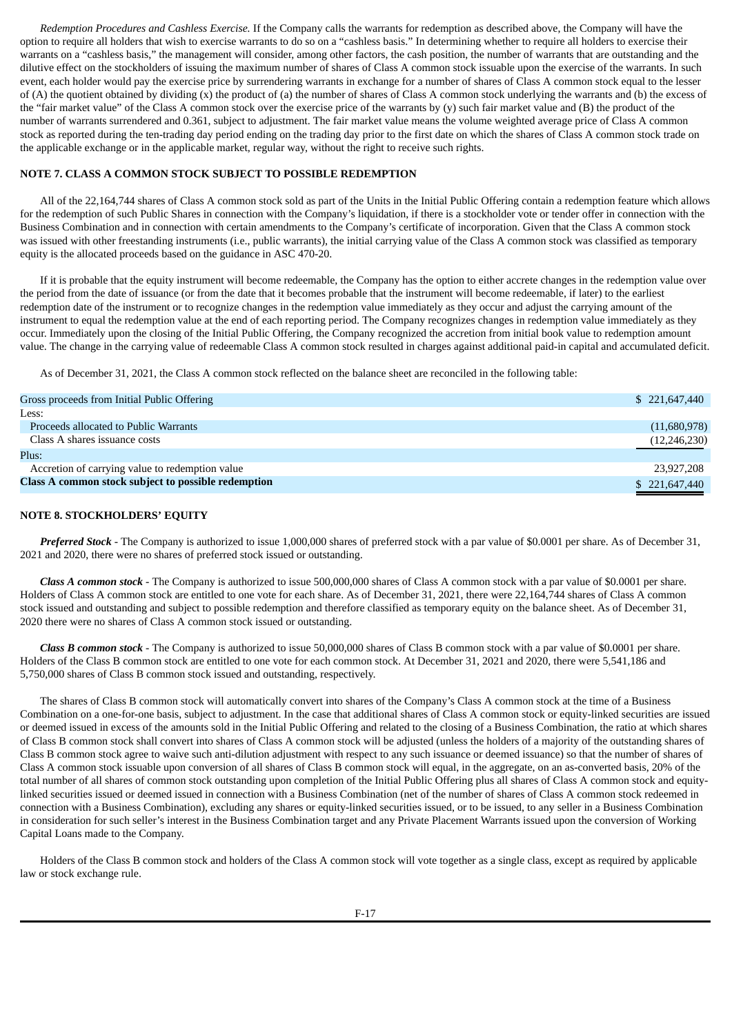*Redemption Procedures and Cashless Exercise.* If the Company calls the warrants for redemption as described above, the Company will have the option to require all holders that wish to exercise warrants to do so on a "cashless basis." In determining whether to require all holders to exercise their warrants on a "cashless basis," the management will consider, among other factors, the cash position, the number of warrants that are outstanding and the dilutive effect on the stockholders of issuing the maximum number of shares of Class A common stock issuable upon the exercise of the warrants. In such event, each holder would pay the exercise price by surrendering warrants in exchange for a number of shares of Class A common stock equal to the lesser of (A) the quotient obtained by dividing (x) the product of (a) the number of shares of Class A common stock underlying the warrants and (b) the excess of the "fair market value" of the Class A common stock over the exercise price of the warrants by (y) such fair market value and  $(B)$  the product of the number of warrants surrendered and 0.361, subject to adjustment. The fair market value means the volume weighted average price of Class A common stock as reported during the ten-trading day period ending on the trading day prior to the first date on which the shares of Class A common stock trade on the applicable exchange or in the applicable market, regular way, without the right to receive such rights.

# **NOTE 7. CLASS A COMMON STOCK SUBJECT TO POSSIBLE REDEMPTION**

All of the 22,164,744 shares of Class A common stock sold as part of the Units in the Initial Public Offering contain a redemption feature which allows for the redemption of such Public Shares in connection with the Company's liquidation, if there is a stockholder vote or tender offer in connection with the Business Combination and in connection with certain amendments to the Company's certificate of incorporation. Given that the Class A common stock was issued with other freestanding instruments (i.e., public warrants), the initial carrying value of the Class A common stock was classified as temporary equity is the allocated proceeds based on the guidance in ASC 470-20.

If it is probable that the equity instrument will become redeemable, the Company has the option to either accrete changes in the redemption value over the period from the date of issuance (or from the date that it becomes probable that the instrument will become redeemable, if later) to the earliest redemption date of the instrument or to recognize changes in the redemption value immediately as they occur and adjust the carrying amount of the instrument to equal the redemption value at the end of each reporting period. The Company recognizes changes in redemption value immediately as they occur. Immediately upon the closing of the Initial Public Offering, the Company recognized the accretion from initial book value to redemption amount value. The change in the carrying value of redeemable Class A common stock resulted in charges against additional paid-in capital and accumulated deficit.

As of December 31, 2021, the Class A common stock reflected on the balance sheet are reconciled in the following table:

| Gross proceeds from Initial Public Offering         | \$221,647,440  |
|-----------------------------------------------------|----------------|
| Less:                                               |                |
| Proceeds allocated to Public Warrants               | (11,680,978)   |
| Class A shares issuance costs                       | (12, 246, 230) |
| Plus:                                               |                |
| Accretion of carrying value to redemption value     | 23,927,208     |
| Class A common stock subject to possible redemption | \$221,647,440  |
|                                                     |                |

# **NOTE 8. STOCKHOLDERS' EQUITY**

*Preferred Stock* - The Company is authorized to issue 1,000,000 shares of preferred stock with a par value of \$0.0001 per share. As of December 31, 2021 and 2020, there were no shares of preferred stock issued or outstanding.

*Class A common stock* - The Company is authorized to issue 500,000,000 shares of Class A common stock with a par value of \$0.0001 per share. Holders of Class A common stock are entitled to one vote for each share. As of December 31, 2021, there were 22,164,744 shares of Class A common stock issued and outstanding and subject to possible redemption and therefore classified as temporary equity on the balance sheet. As of December 31, 2020 there were no shares of Class A common stock issued or outstanding.

*Class B common stock* - The Company is authorized to issue 50,000,000 shares of Class B common stock with a par value of \$0.0001 per share. Holders of the Class B common stock are entitled to one vote for each common stock. At December 31, 2021 and 2020, there were 5,541,186 and 5,750,000 shares of Class B common stock issued and outstanding, respectively.

The shares of Class B common stock will automatically convert into shares of the Company's Class A common stock at the time of a Business Combination on a one-for-one basis, subject to adjustment. In the case that additional shares of Class A common stock or equity-linked securities are issued or deemed issued in excess of the amounts sold in the Initial Public Offering and related to the closing of a Business Combination, the ratio at which shares of Class B common stock shall convert into shares of Class A common stock will be adjusted (unless the holders of a majority of the outstanding shares of Class B common stock agree to waive such anti-dilution adjustment with respect to any such issuance or deemed issuance) so that the number of shares of Class A common stock issuable upon conversion of all shares of Class B common stock will equal, in the aggregate, on an as-converted basis, 20% of the total number of all shares of common stock outstanding upon completion of the Initial Public Offering plus all shares of Class A common stock and equitylinked securities issued or deemed issued in connection with a Business Combination (net of the number of shares of Class A common stock redeemed in connection with a Business Combination), excluding any shares or equity-linked securities issued, or to be issued, to any seller in a Business Combination in consideration for such seller's interest in the Business Combination target and any Private Placement Warrants issued upon the conversion of Working Capital Loans made to the Company.

Holders of the Class B common stock and holders of the Class A common stock will vote together as a single class, except as required by applicable law or stock exchange rule.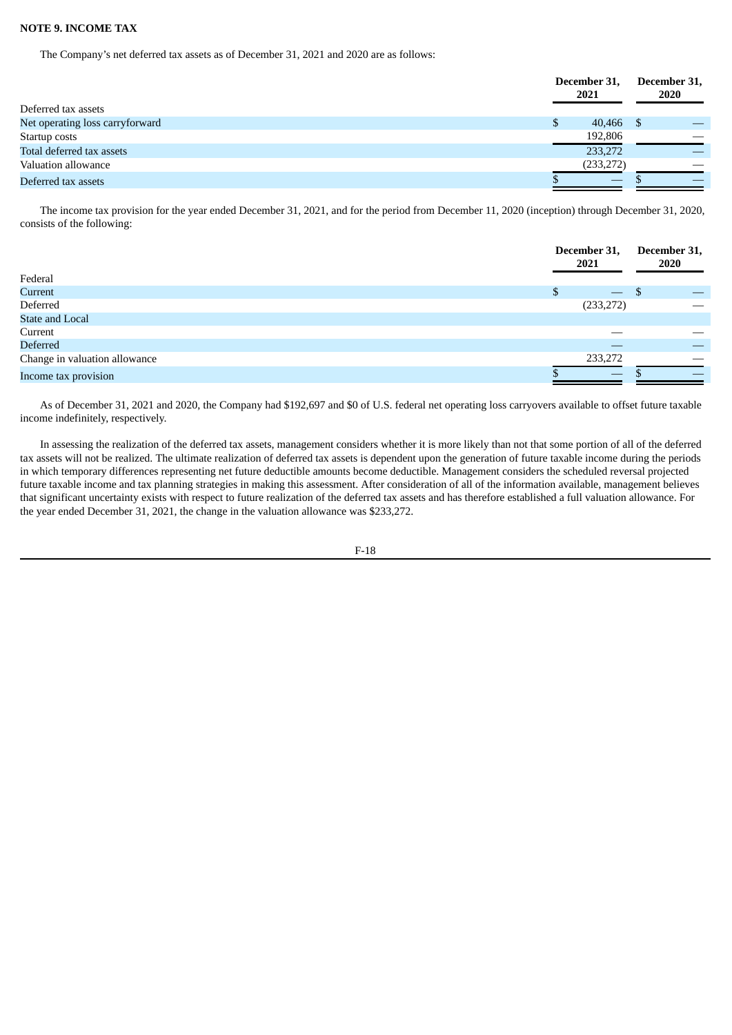# **NOTE 9. INCOME TAX**

The Company's net deferred tax assets as of December 31, 2021 and 2020 are as follows:

|                                 |   | December 31,<br>2021 | December 31,<br>2020 |  |  |
|---------------------------------|---|----------------------|----------------------|--|--|
| Deferred tax assets             |   |                      |                      |  |  |
| Net operating loss carryforward | S | 40,466               |                      |  |  |
| Startup costs                   |   | 192,806              |                      |  |  |
| Total deferred tax assets       |   | 233,272              |                      |  |  |
| Valuation allowance             |   | (233, 272)           |                      |  |  |
| Deferred tax assets             |   |                      |                      |  |  |

The income tax provision for the year ended December 31, 2021, and for the period from December 11, 2020 (inception) through December 31, 2020, consists of the following:

| 2021                            |              | December 31,<br>2020 |
|---------------------------------|--------------|----------------------|
|                                 |              |                      |
| $\hspace{0.1mm}-\hspace{0.1mm}$ | Ð            |                      |
| (233, 272)                      |              |                      |
|                                 |              |                      |
|                                 |              |                      |
|                                 |              |                      |
| 233,272                         |              |                      |
|                                 |              |                      |
|                                 | December 31, |                      |

As of December 31, 2021 and 2020, the Company had \$192,697 and \$0 of U.S. federal net operating loss carryovers available to offset future taxable income indefinitely, respectively.

In assessing the realization of the deferred tax assets, management considers whether it is more likely than not that some portion of all of the deferred tax assets will not be realized. The ultimate realization of deferred tax assets is dependent upon the generation of future taxable income during the periods in which temporary differences representing net future deductible amounts become deductible. Management considers the scheduled reversal projected future taxable income and tax planning strategies in making this assessment. After consideration of all of the information available, management believes that significant uncertainty exists with respect to future realization of the deferred tax assets and has therefore established a full valuation allowance. For the year ended December 31, 2021, the change in the valuation allowance was \$233,272.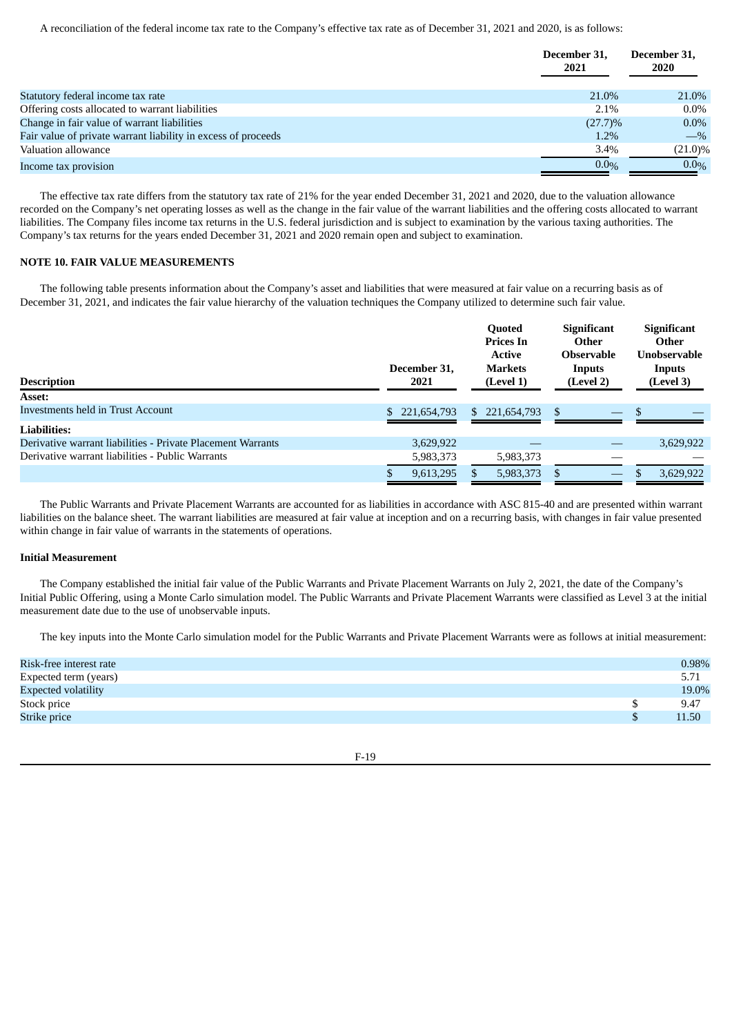A reconciliation of the federal income tax rate to the Company's effective tax rate as of December 31, 2021 and 2020, is as follows:

|                                                               | December 31,<br>2021 | December 31,<br><b>2020</b> |
|---------------------------------------------------------------|----------------------|-----------------------------|
| Statutory federal income tax rate                             | 21.0%                | 21.0%                       |
| Offering costs allocated to warrant liabilities               | $2.1\%$              | $0.0\%$                     |
| Change in fair value of warrant liabilities                   | $(27.7)\%$           | $0.0\%$                     |
| Fair value of private warrant liability in excess of proceeds | 1.2%                 | $-$ %                       |
| Valuation allowance                                           | 3.4%                 | $(21.0)\%$                  |
| Income tax provision                                          | 0.0%                 | $0.0\%$                     |

The effective tax rate differs from the statutory tax rate of 21% for the year ended December 31, 2021 and 2020, due to the valuation allowance recorded on the Company's net operating losses as well as the change in the fair value of the warrant liabilities and the offering costs allocated to warrant liabilities. The Company files income tax returns in the U.S. federal jurisdiction and is subject to examination by the various taxing authorities. The Company's tax returns for the years ended December 31, 2021 and 2020 remain open and subject to examination.

# **NOTE 10. FAIR VALUE MEASUREMENTS**

The following table presents information about the Company's asset and liabilities that were measured at fair value on a recurring basis as of December 31, 2021, and indicates the fair value hierarchy of the valuation techniques the Company utilized to determine such fair value.

| <b>Description</b>                                          | December 31,<br>2021 | <b>Quoted</b><br><b>Prices In</b><br><b>Active</b><br><b>Markets</b><br>(Level 1) | <b>Significant</b><br>Other<br><b>Observable</b><br>Inputs<br>(Level 2) | <b>Significant</b><br>Other<br><b>Unobservable</b><br>Inputs<br>(Level 3) |
|-------------------------------------------------------------|----------------------|-----------------------------------------------------------------------------------|-------------------------------------------------------------------------|---------------------------------------------------------------------------|
| Asset:                                                      |                      |                                                                                   |                                                                         |                                                                           |
| Investments held in Trust Account                           | \$221,654,793        | 221,654,793<br>\$.                                                                | -S<br>$\hspace{0.1mm}-\hspace{0.1mm}$                                   |                                                                           |
| <b>Liabilities:</b>                                         |                      |                                                                                   |                                                                         |                                                                           |
| Derivative warrant liabilities - Private Placement Warrants | 3,629,922            |                                                                                   |                                                                         | 3,629,922                                                                 |
| Derivative warrant liabilities - Public Warrants            | 5,983,373            | 5,983,373                                                                         |                                                                         |                                                                           |
|                                                             | 9,613,295            | 5,983,373                                                                         |                                                                         | 3,629,922                                                                 |

The Public Warrants and Private Placement Warrants are accounted for as liabilities in accordance with ASC 815-40 and are presented within warrant liabilities on the balance sheet. The warrant liabilities are measured at fair value at inception and on a recurring basis, with changes in fair value presented within change in fair value of warrants in the statements of operations.

# **Initial Measurement**

The Company established the initial fair value of the Public Warrants and Private Placement Warrants on July 2, 2021, the date of the Company's Initial Public Offering, using a Monte Carlo simulation model. The Public Warrants and Private Placement Warrants were classified as Level 3 at the initial measurement date due to the use of unobservable inputs.

The key inputs into the Monte Carlo simulation model for the Public Warrants and Private Placement Warrants were as follows at initial measurement:

| Risk-free interest rate    | 0.98% |
|----------------------------|-------|
| Expected term (years)      | 5.71  |
| <b>Expected volatility</b> | 19.0% |
| Stock price                | 9.47  |
| Strike price               | 11.50 |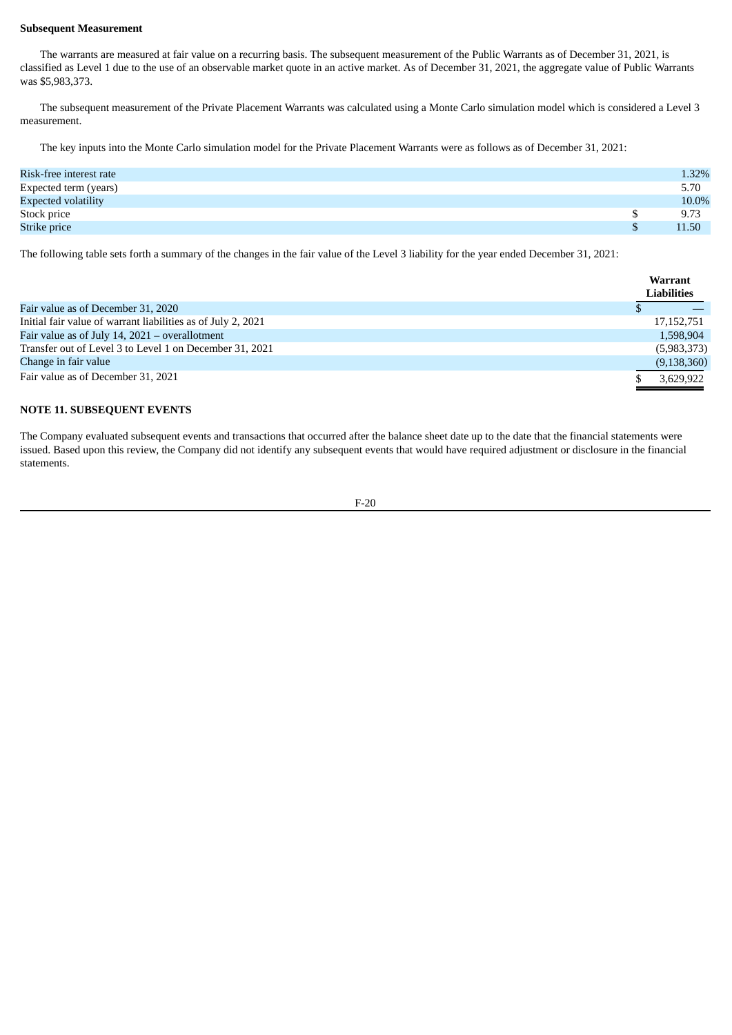## **Subsequent Measurement**

The warrants are measured at fair value on a recurring basis. The subsequent measurement of the Public Warrants as of December 31, 2021, is classified as Level 1 due to the use of an observable market quote in an active market. As of December 31, 2021, the aggregate value of Public Warrants was \$5,983,373.

The subsequent measurement of the Private Placement Warrants was calculated using a Monte Carlo simulation model which is considered a Level 3 measurement.

The key inputs into the Monte Carlo simulation model for the Private Placement Warrants were as follows as of December 31, 2021:

| Risk-free interest rate    | 1.32% |
|----------------------------|-------|
| Expected term (years)      | 5.70  |
| <b>Expected volatility</b> | 10.0% |
| Stock price                | 9.73  |
| Strike price               | 11.50 |
|                            |       |

The following table sets forth a summary of the changes in the fair value of the Level 3 liability for the year ended December 31, 2021:

|                                                              | <b>Warrant</b><br><b>Liabilities</b> |
|--------------------------------------------------------------|--------------------------------------|
| Fair value as of December 31, 2020                           |                                      |
| Initial fair value of warrant liabilities as of July 2, 2021 | 17, 152, 751                         |
| Fair value as of July 14, 2021 - overallotment               | 1,598,904                            |
| Transfer out of Level 3 to Level 1 on December 31, 2021      | (5,983,373)                          |
| Change in fair value                                         | (9, 138, 360)                        |
| Fair value as of December 31, 2021                           | 3,629,922                            |

# **NOTE 11. SUBSEQUENT EVENTS**

The Company evaluated subsequent events and transactions that occurred after the balance sheet date up to the date that the financial statements were issued. Based upon this review, the Company did not identify any subsequent events that would have required adjustment or disclosure in the financial statements.

$$
F-20
$$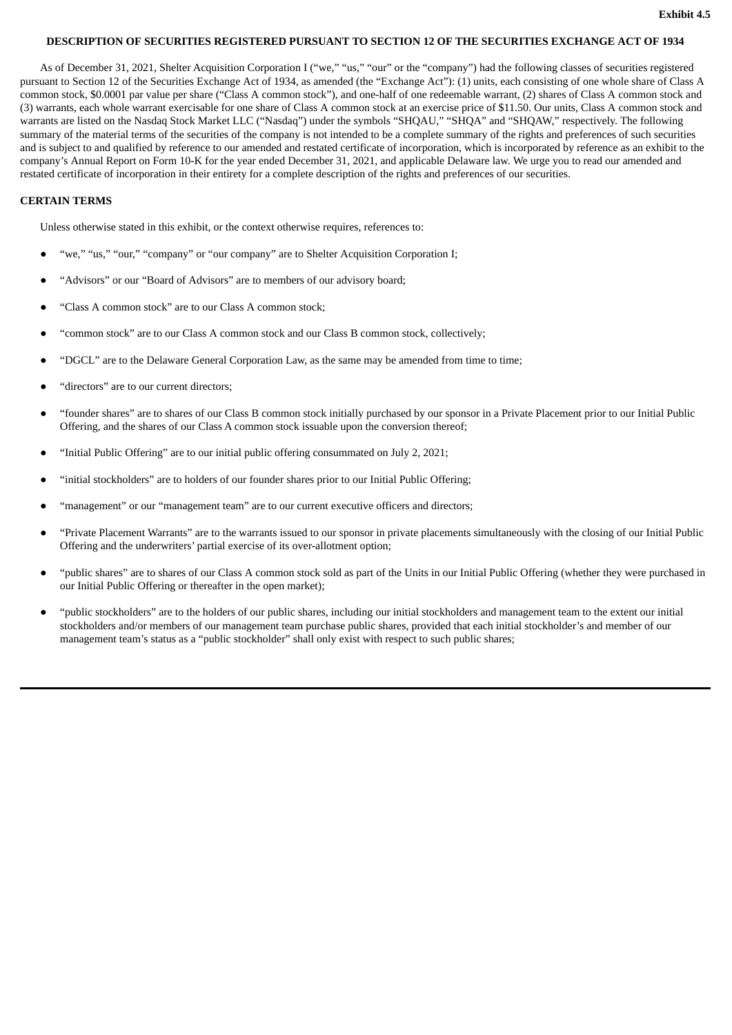# <span id="page-100-0"></span>**DESCRIPTION OF SECURITIES REGISTERED PURSUANT TO SECTION 12 OF THE SECURITIES EXCHANGE ACT OF 1934**

As of December 31, 2021, Shelter Acquisition Corporation I ("we," "us," "our" or the "company") had the following classes of securities registered pursuant to Section 12 of the Securities Exchange Act of 1934, as amended (the "Exchange Act"): (1) units, each consisting of one whole share of Class A common stock, \$0.0001 par value per share ("Class A common stock"), and one-half of one redeemable warrant, (2) shares of Class A common stock and (3) warrants, each whole warrant exercisable for one share of Class A common stock at an exercise price of \$11.50. Our units, Class A common stock and warrants are listed on the Nasdaq Stock Market LLC ("Nasdaq") under the symbols "SHQAU," "SHQA" and "SHQAW," respectively. The following summary of the material terms of the securities of the company is not intended to be a complete summary of the rights and preferences of such securities and is subject to and qualified by reference to our amended and restated certificate of incorporation, which is incorporated by reference as an exhibit to the company's Annual Report on Form 10-K for the year ended December 31, 2021, and applicable Delaware law. We urge you to read our amended and restated certificate of incorporation in their entirety for a complete description of the rights and preferences of our securities.

# **CERTAIN TERMS**

Unless otherwise stated in this exhibit, or the context otherwise requires, references to:

- "we," "us," "our," "company" or "our company" are to Shelter Acquisition Corporation I;
- "Advisors" or our "Board of Advisors" are to members of our advisory board;
- "Class A common stock" are to our Class A common stock;
- "common stock" are to our Class A common stock and our Class B common stock, collectively;
- "DGCL" are to the Delaware General Corporation Law, as the same may be amended from time to time;
- "directors" are to our current directors:
- "founder shares" are to shares of our Class B common stock initially purchased by our sponsor in a Private Placement prior to our Initial Public Offering, and the shares of our Class A common stock issuable upon the conversion thereof;
- "Initial Public Offering" are to our initial public offering consummated on July 2, 2021;
- "initial stockholders" are to holders of our founder shares prior to our Initial Public Offering;
- "management" or our "management team" are to our current executive officers and directors;
- "Private Placement Warrants" are to the warrants issued to our sponsor in private placements simultaneously with the closing of our Initial Public Offering and the underwriters' partial exercise of its over-allotment option;
- "public shares" are to shares of our Class A common stock sold as part of the Units in our Initial Public Offering (whether they were purchased in our Initial Public Offering or thereafter in the open market);
- "public stockholders" are to the holders of our public shares, including our initial stockholders and management team to the extent our initial stockholders and/or members of our management team purchase public shares, provided that each initial stockholder's and member of our management team's status as a "public stockholder" shall only exist with respect to such public shares;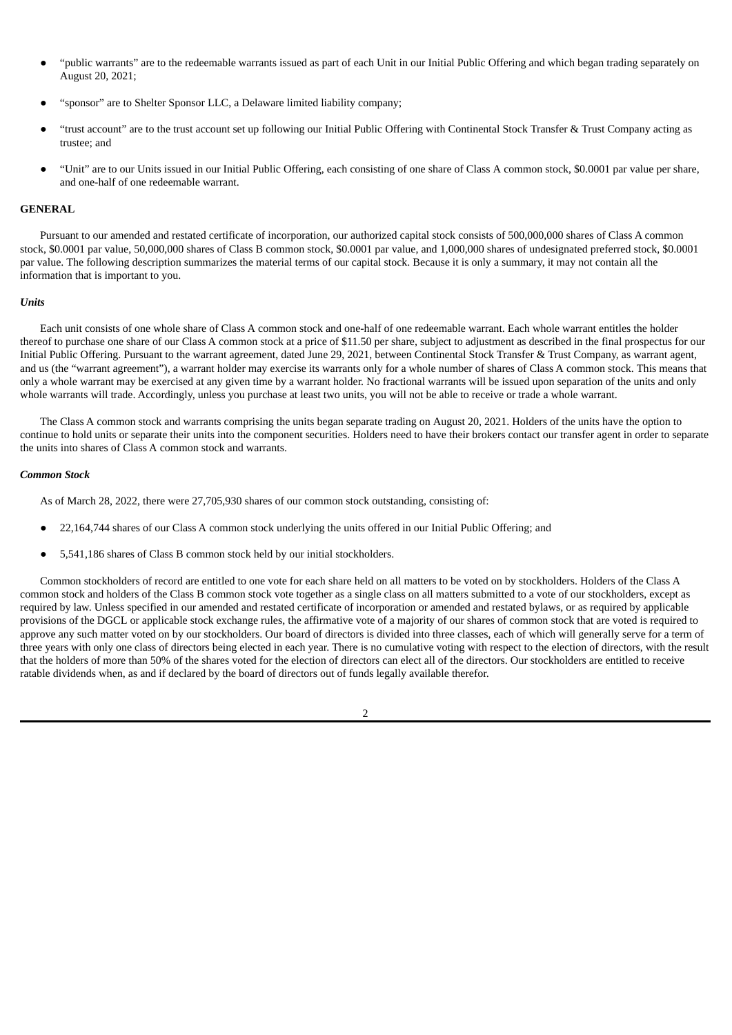- "public warrants" are to the redeemable warrants issued as part of each Unit in our Initial Public Offering and which began trading separately on August 20, 2021;
- "sponsor" are to Shelter Sponsor LLC, a Delaware limited liability company;
- "trust account" are to the trust account set up following our Initial Public Offering with Continental Stock Transfer & Trust Company acting as trustee; and
- "Unit" are to our Units issued in our Initial Public Offering, each consisting of one share of Class A common stock, \$0.0001 par value per share, and one-half of one redeemable warrant.

### **GENERAL**

Pursuant to our amended and restated certificate of incorporation, our authorized capital stock consists of 500,000,000 shares of Class A common stock, \$0.0001 par value, 50,000,000 shares of Class B common stock, \$0.0001 par value, and 1,000,000 shares of undesignated preferred stock, \$0.0001 par value. The following description summarizes the material terms of our capital stock. Because it is only a summary, it may not contain all the information that is important to you.

# *Units*

Each unit consists of one whole share of Class A common stock and one-half of one redeemable warrant. Each whole warrant entitles the holder thereof to purchase one share of our Class A common stock at a price of \$11.50 per share, subject to adjustment as described in the final prospectus for our Initial Public Offering. Pursuant to the warrant agreement, dated June 29, 2021, between Continental Stock Transfer & Trust Company, as warrant agent, and us (the "warrant agreement"), a warrant holder may exercise its warrants only for a whole number of shares of Class A common stock. This means that only a whole warrant may be exercised at any given time by a warrant holder. No fractional warrants will be issued upon separation of the units and only whole warrants will trade. Accordingly, unless you purchase at least two units, you will not be able to receive or trade a whole warrant.

The Class A common stock and warrants comprising the units began separate trading on August 20, 2021. Holders of the units have the option to continue to hold units or separate their units into the component securities. Holders need to have their brokers contact our transfer agent in order to separate the units into shares of Class A common stock and warrants.

### *Common Stock*

As of March 28, 2022, there were 27,705,930 shares of our common stock outstanding, consisting of:

- 22,164,744 shares of our Class A common stock underlying the units offered in our Initial Public Offering; and
- 5,541,186 shares of Class B common stock held by our initial stockholders.

Common stockholders of record are entitled to one vote for each share held on all matters to be voted on by stockholders. Holders of the Class A common stock and holders of the Class B common stock vote together as a single class on all matters submitted to a vote of our stockholders, except as required by law. Unless specified in our amended and restated certificate of incorporation or amended and restated bylaws, or as required by applicable provisions of the DGCL or applicable stock exchange rules, the affirmative vote of a majority of our shares of common stock that are voted is required to approve any such matter voted on by our stockholders. Our board of directors is divided into three classes, each of which will generally serve for a term of three years with only one class of directors being elected in each year. There is no cumulative voting with respect to the election of directors, with the result that the holders of more than 50% of the shares voted for the election of directors can elect all of the directors. Our stockholders are entitled to receive ratable dividends when, as and if declared by the board of directors out of funds legally available therefor.

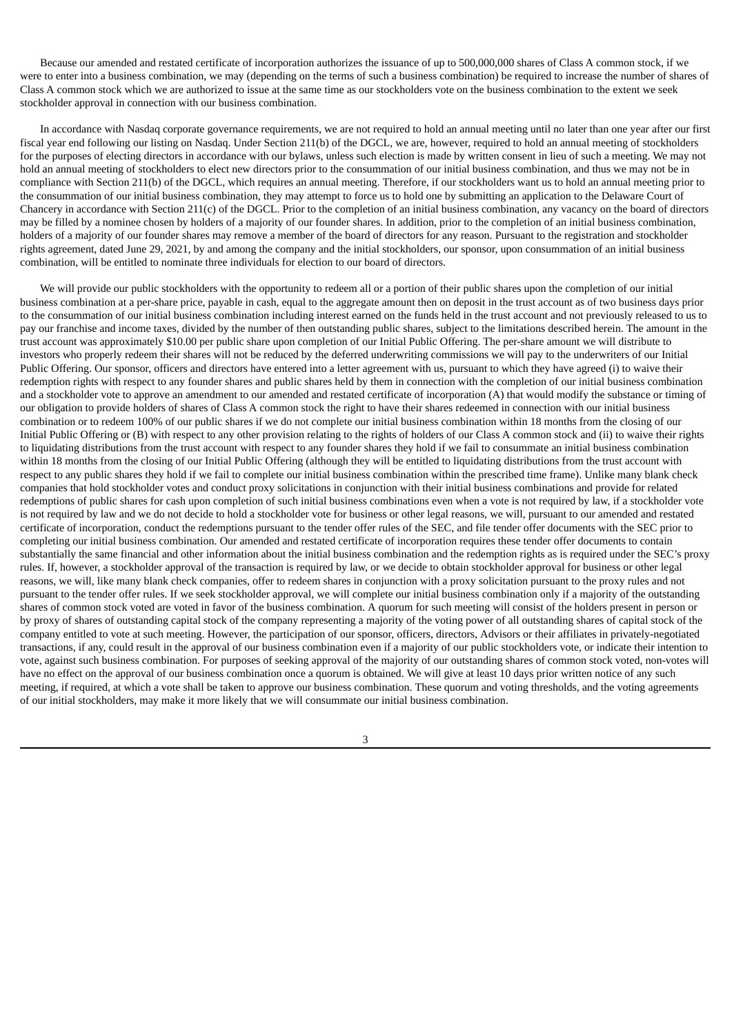Because our amended and restated certificate of incorporation authorizes the issuance of up to 500,000,000 shares of Class A common stock, if we were to enter into a business combination, we may (depending on the terms of such a business combination) be required to increase the number of shares of Class A common stock which we are authorized to issue at the same time as our stockholders vote on the business combination to the extent we seek stockholder approval in connection with our business combination.

In accordance with Nasdaq corporate governance requirements, we are not required to hold an annual meeting until no later than one year after our first fiscal year end following our listing on Nasdaq. Under Section 211(b) of the DGCL, we are, however, required to hold an annual meeting of stockholders for the purposes of electing directors in accordance with our bylaws, unless such election is made by written consent in lieu of such a meeting. We may not hold an annual meeting of stockholders to elect new directors prior to the consummation of our initial business combination, and thus we may not be in compliance with Section 211(b) of the DGCL, which requires an annual meeting. Therefore, if our stockholders want us to hold an annual meeting prior to the consummation of our initial business combination, they may attempt to force us to hold one by submitting an application to the Delaware Court of Chancery in accordance with Section 211(c) of the DGCL. Prior to the completion of an initial business combination, any vacancy on the board of directors may be filled by a nominee chosen by holders of a majority of our founder shares. In addition, prior to the completion of an initial business combination, holders of a majority of our founder shares may remove a member of the board of directors for any reason. Pursuant to the registration and stockholder rights agreement, dated June 29, 2021, by and among the company and the initial stockholders, our sponsor, upon consummation of an initial business combination, will be entitled to nominate three individuals for election to our board of directors.

We will provide our public stockholders with the opportunity to redeem all or a portion of their public shares upon the completion of our initial business combination at a per-share price, payable in cash, equal to the aggregate amount then on deposit in the trust account as of two business days prior to the consummation of our initial business combination including interest earned on the funds held in the trust account and not previously released to us to pay our franchise and income taxes, divided by the number of then outstanding public shares, subject to the limitations described herein. The amount in the trust account was approximately \$10.00 per public share upon completion of our Initial Public Offering. The per-share amount we will distribute to investors who properly redeem their shares will not be reduced by the deferred underwriting commissions we will pay to the underwriters of our Initial Public Offering. Our sponsor, officers and directors have entered into a letter agreement with us, pursuant to which they have agreed (i) to waive their redemption rights with respect to any founder shares and public shares held by them in connection with the completion of our initial business combination and a stockholder vote to approve an amendment to our amended and restated certificate of incorporation (A) that would modify the substance or timing of our obligation to provide holders of shares of Class A common stock the right to have their shares redeemed in connection with our initial business combination or to redeem 100% of our public shares if we do not complete our initial business combination within 18 months from the closing of our Initial Public Offering or (B) with respect to any other provision relating to the rights of holders of our Class A common stock and (ii) to waive their rights to liquidating distributions from the trust account with respect to any founder shares they hold if we fail to consummate an initial business combination within 18 months from the closing of our Initial Public Offering (although they will be entitled to liquidating distributions from the trust account with respect to any public shares they hold if we fail to complete our initial business combination within the prescribed time frame). Unlike many blank check companies that hold stockholder votes and conduct proxy solicitations in conjunction with their initial business combinations and provide for related redemptions of public shares for cash upon completion of such initial business combinations even when a vote is not required by law, if a stockholder vote is not required by law and we do not decide to hold a stockholder vote for business or other legal reasons, we will, pursuant to our amended and restated certificate of incorporation, conduct the redemptions pursuant to the tender offer rules of the SEC, and file tender offer documents with the SEC prior to completing our initial business combination. Our amended and restated certificate of incorporation requires these tender offer documents to contain substantially the same financial and other information about the initial business combination and the redemption rights as is required under the SEC's proxy rules. If, however, a stockholder approval of the transaction is required by law, or we decide to obtain stockholder approval for business or other legal reasons, we will, like many blank check companies, offer to redeem shares in conjunction with a proxy solicitation pursuant to the proxy rules and not pursuant to the tender offer rules. If we seek stockholder approval, we will complete our initial business combination only if a majority of the outstanding shares of common stock voted are voted in favor of the business combination. A quorum for such meeting will consist of the holders present in person or by proxy of shares of outstanding capital stock of the company representing a majority of the voting power of all outstanding shares of capital stock of the company entitled to vote at such meeting. However, the participation of our sponsor, officers, directors, Advisors or their affiliates in privately-negotiated transactions, if any, could result in the approval of our business combination even if a majority of our public stockholders vote, or indicate their intention to vote, against such business combination. For purposes of seeking approval of the majority of our outstanding shares of common stock voted, non-votes will have no effect on the approval of our business combination once a quorum is obtained. We will give at least 10 days prior written notice of any such meeting, if required, at which a vote shall be taken to approve our business combination. These quorum and voting thresholds, and the voting agreements of our initial stockholders, may make it more likely that we will consummate our initial business combination.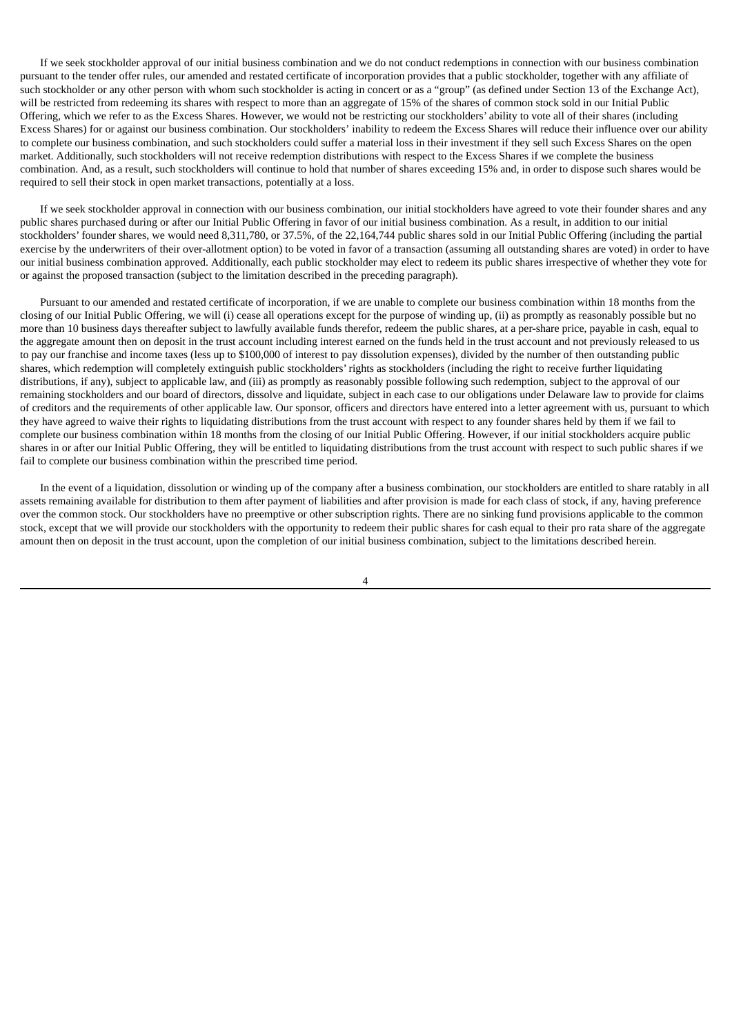If we seek stockholder approval of our initial business combination and we do not conduct redemptions in connection with our business combination pursuant to the tender offer rules, our amended and restated certificate of incorporation provides that a public stockholder, together with any affiliate of such stockholder or any other person with whom such stockholder is acting in concert or as a "group" (as defined under Section 13 of the Exchange Act), will be restricted from redeeming its shares with respect to more than an aggregate of 15% of the shares of common stock sold in our Initial Public Offering, which we refer to as the Excess Shares. However, we would not be restricting our stockholders' ability to vote all of their shares (including Excess Shares) for or against our business combination. Our stockholders' inability to redeem the Excess Shares will reduce their influence over our ability to complete our business combination, and such stockholders could suffer a material loss in their investment if they sell such Excess Shares on the open market. Additionally, such stockholders will not receive redemption distributions with respect to the Excess Shares if we complete the business combination. And, as a result, such stockholders will continue to hold that number of shares exceeding 15% and, in order to dispose such shares would be required to sell their stock in open market transactions, potentially at a loss.

If we seek stockholder approval in connection with our business combination, our initial stockholders have agreed to vote their founder shares and any public shares purchased during or after our Initial Public Offering in favor of our initial business combination. As a result, in addition to our initial stockholders' founder shares, we would need 8,311,780, or 37.5%, of the 22,164,744 public shares sold in our Initial Public Offering (including the partial exercise by the underwriters of their over-allotment option) to be voted in favor of a transaction (assuming all outstanding shares are voted) in order to have our initial business combination approved. Additionally, each public stockholder may elect to redeem its public shares irrespective of whether they vote for or against the proposed transaction (subject to the limitation described in the preceding paragraph).

Pursuant to our amended and restated certificate of incorporation, if we are unable to complete our business combination within 18 months from the closing of our Initial Public Offering, we will (i) cease all operations except for the purpose of winding up, (ii) as promptly as reasonably possible but no more than 10 business days thereafter subject to lawfully available funds therefor, redeem the public shares, at a per-share price, payable in cash, equal to the aggregate amount then on deposit in the trust account including interest earned on the funds held in the trust account and not previously released to us to pay our franchise and income taxes (less up to \$100,000 of interest to pay dissolution expenses), divided by the number of then outstanding public shares, which redemption will completely extinguish public stockholders' rights as stockholders (including the right to receive further liquidating distributions, if any), subject to applicable law, and (iii) as promptly as reasonably possible following such redemption, subject to the approval of our remaining stockholders and our board of directors, dissolve and liquidate, subject in each case to our obligations under Delaware law to provide for claims of creditors and the requirements of other applicable law. Our sponsor, officers and directors have entered into a letter agreement with us, pursuant to which they have agreed to waive their rights to liquidating distributions from the trust account with respect to any founder shares held by them if we fail to complete our business combination within 18 months from the closing of our Initial Public Offering. However, if our initial stockholders acquire public shares in or after our Initial Public Offering, they will be entitled to liquidating distributions from the trust account with respect to such public shares if we fail to complete our business combination within the prescribed time period.

In the event of a liquidation, dissolution or winding up of the company after a business combination, our stockholders are entitled to share ratably in all assets remaining available for distribution to them after payment of liabilities and after provision is made for each class of stock, if any, having preference over the common stock. Our stockholders have no preemptive or other subscription rights. There are no sinking fund provisions applicable to the common stock, except that we will provide our stockholders with the opportunity to redeem their public shares for cash equal to their pro rata share of the aggregate amount then on deposit in the trust account, upon the completion of our initial business combination, subject to the limitations described herein.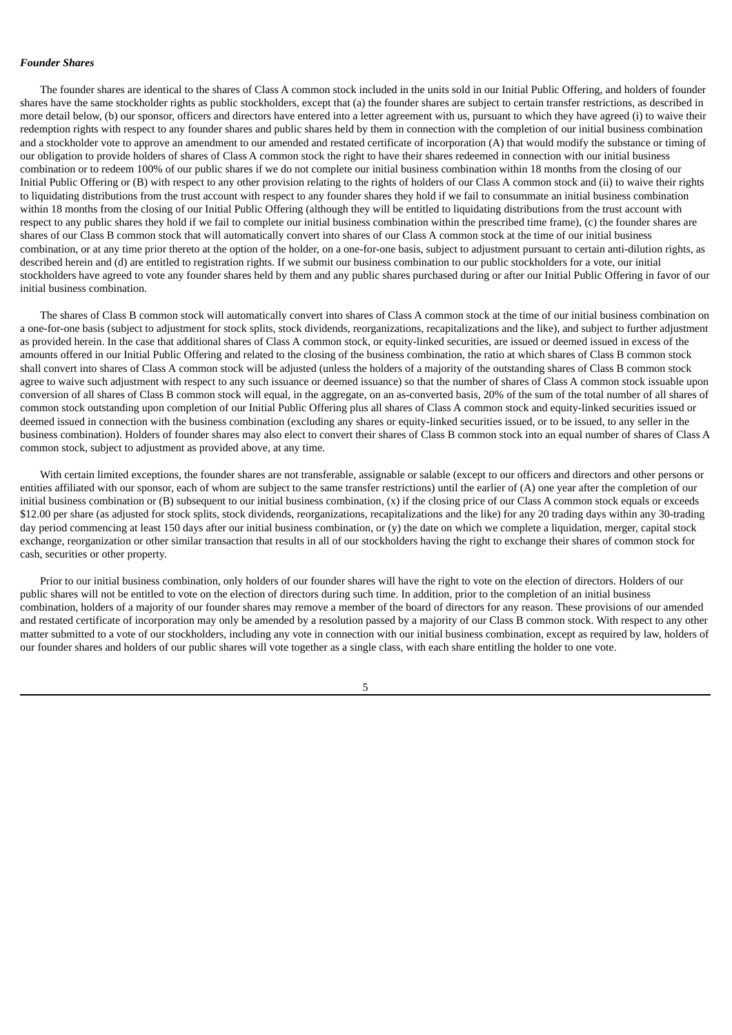## *Founder Shares*

The founder shares are identical to the shares of Class A common stock included in the units sold in our Initial Public Offering, and holders of founder shares have the same stockholder rights as public stockholders, except that (a) the founder shares are subject to certain transfer restrictions, as described in more detail below, (b) our sponsor, officers and directors have entered into a letter agreement with us, pursuant to which they have agreed (i) to waive their redemption rights with respect to any founder shares and public shares held by them in connection with the completion of our initial business combination and a stockholder vote to approve an amendment to our amended and restated certificate of incorporation (A) that would modify the substance or timing of our obligation to provide holders of shares of Class A common stock the right to have their shares redeemed in connection with our initial business combination or to redeem 100% of our public shares if we do not complete our initial business combination within 18 months from the closing of our Initial Public Offering or (B) with respect to any other provision relating to the rights of holders of our Class A common stock and (ii) to waive their rights to liquidating distributions from the trust account with respect to any founder shares they hold if we fail to consummate an initial business combination within 18 months from the closing of our Initial Public Offering (although they will be entitled to liquidating distributions from the trust account with respect to any public shares they hold if we fail to complete our initial business combination within the prescribed time frame), (c) the founder shares are shares of our Class B common stock that will automatically convert into shares of our Class A common stock at the time of our initial business combination, or at any time prior thereto at the option of the holder, on a one-for-one basis, subject to adjustment pursuant to certain anti-dilution rights, as described herein and (d) are entitled to registration rights. If we submit our business combination to our public stockholders for a vote, our initial stockholders have agreed to vote any founder shares held by them and any public shares purchased during or after our Initial Public Offering in favor of our initial business combination.

The shares of Class B common stock will automatically convert into shares of Class A common stock at the time of our initial business combination on a one-for-one basis (subject to adjustment for stock splits, stock dividends, reorganizations, recapitalizations and the like), and subject to further adjustment as provided herein. In the case that additional shares of Class A common stock, or equity-linked securities, are issued or deemed issued in excess of the amounts offered in our Initial Public Offering and related to the closing of the business combination, the ratio at which shares of Class B common stock shall convert into shares of Class A common stock will be adjusted (unless the holders of a majority of the outstanding shares of Class B common stock agree to waive such adjustment with respect to any such issuance or deemed issuance) so that the number of shares of Class A common stock issuable upon conversion of all shares of Class B common stock will equal, in the aggregate, on an as-converted basis, 20% of the sum of the total number of all shares of common stock outstanding upon completion of our Initial Public Offering plus all shares of Class A common stock and equity-linked securities issued or deemed issued in connection with the business combination (excluding any shares or equity-linked securities issued, or to be issued, to any seller in the business combination). Holders of founder shares may also elect to convert their shares of Class B common stock into an equal number of shares of Class A common stock, subject to adjustment as provided above, at any time.

With certain limited exceptions, the founder shares are not transferable, assignable or salable (except to our officers and directors and other persons or entities affiliated with our sponsor, each of whom are subject to the same transfer restrictions) until the earlier of (A) one year after the completion of our initial business combination or (B) subsequent to our initial business combination, (x) if the closing price of our Class A common stock equals or exceeds \$12.00 per share (as adjusted for stock splits, stock dividends, reorganizations, recapitalizations and the like) for any 20 trading days within any 30-trading day period commencing at least 150 days after our initial business combination, or (y) the date on which we complete a liquidation, merger, capital stock exchange, reorganization or other similar transaction that results in all of our stockholders having the right to exchange their shares of common stock for cash, securities or other property.

Prior to our initial business combination, only holders of our founder shares will have the right to vote on the election of directors. Holders of our public shares will not be entitled to vote on the election of directors during such time. In addition, prior to the completion of an initial business combination, holders of a majority of our founder shares may remove a member of the board of directors for any reason. These provisions of our amended and restated certificate of incorporation may only be amended by a resolution passed by a majority of our Class B common stock. With respect to any other matter submitted to a vote of our stockholders, including any vote in connection with our initial business combination, except as required by law, holders of our founder shares and holders of our public shares will vote together as a single class, with each share entitling the holder to one vote.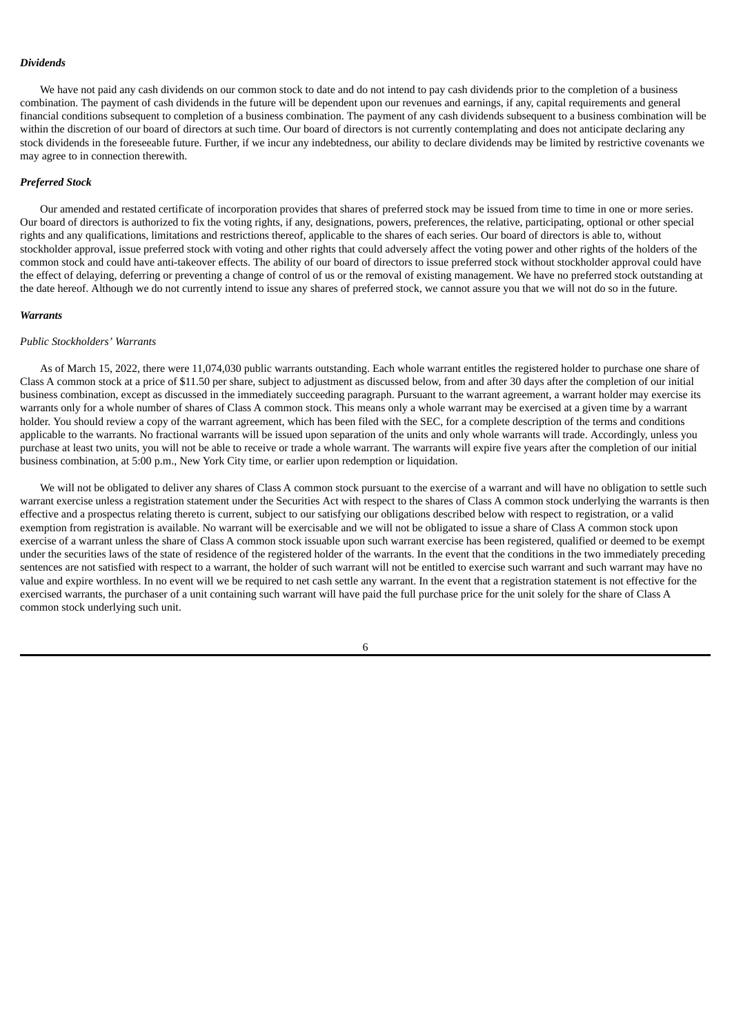# *Dividends*

We have not paid any cash dividends on our common stock to date and do not intend to pay cash dividends prior to the completion of a business combination. The payment of cash dividends in the future will be dependent upon our revenues and earnings, if any, capital requirements and general financial conditions subsequent to completion of a business combination. The payment of any cash dividends subsequent to a business combination will be within the discretion of our board of directors at such time. Our board of directors is not currently contemplating and does not anticipate declaring any stock dividends in the foreseeable future. Further, if we incur any indebtedness, our ability to declare dividends may be limited by restrictive covenants we may agree to in connection therewith.

#### *Preferred Stock*

Our amended and restated certificate of incorporation provides that shares of preferred stock may be issued from time to time in one or more series. Our board of directors is authorized to fix the voting rights, if any, designations, powers, preferences, the relative, participating, optional or other special rights and any qualifications, limitations and restrictions thereof, applicable to the shares of each series. Our board of directors is able to, without stockholder approval, issue preferred stock with voting and other rights that could adversely affect the voting power and other rights of the holders of the common stock and could have anti-takeover effects. The ability of our board of directors to issue preferred stock without stockholder approval could have the effect of delaying, deferring or preventing a change of control of us or the removal of existing management. We have no preferred stock outstanding at the date hereof. Although we do not currently intend to issue any shares of preferred stock, we cannot assure you that we will not do so in the future.

# *Warrants*

# *Public Stockholders' Warrants*

As of March 15, 2022, there were 11,074,030 public warrants outstanding. Each whole warrant entitles the registered holder to purchase one share of Class A common stock at a price of \$11.50 per share, subject to adjustment as discussed below, from and after 30 days after the completion of our initial business combination, except as discussed in the immediately succeeding paragraph. Pursuant to the warrant agreement, a warrant holder may exercise its warrants only for a whole number of shares of Class A common stock. This means only a whole warrant may be exercised at a given time by a warrant holder. You should review a copy of the warrant agreement, which has been filed with the SEC, for a complete description of the terms and conditions applicable to the warrants. No fractional warrants will be issued upon separation of the units and only whole warrants will trade. Accordingly, unless you purchase at least two units, you will not be able to receive or trade a whole warrant. The warrants will expire five years after the completion of our initial business combination, at 5:00 p.m., New York City time, or earlier upon redemption or liquidation.

We will not be obligated to deliver any shares of Class A common stock pursuant to the exercise of a warrant and will have no obligation to settle such warrant exercise unless a registration statement under the Securities Act with respect to the shares of Class A common stock underlying the warrants is then effective and a prospectus relating thereto is current, subject to our satisfying our obligations described below with respect to registration, or a valid exemption from registration is available. No warrant will be exercisable and we will not be obligated to issue a share of Class A common stock upon exercise of a warrant unless the share of Class A common stock issuable upon such warrant exercise has been registered, qualified or deemed to be exempt under the securities laws of the state of residence of the registered holder of the warrants. In the event that the conditions in the two immediately preceding sentences are not satisfied with respect to a warrant, the holder of such warrant will not be entitled to exercise such warrant and such warrant may have no value and expire worthless. In no event will we be required to net cash settle any warrant. In the event that a registration statement is not effective for the exercised warrants, the purchaser of a unit containing such warrant will have paid the full purchase price for the unit solely for the share of Class A common stock underlying such unit.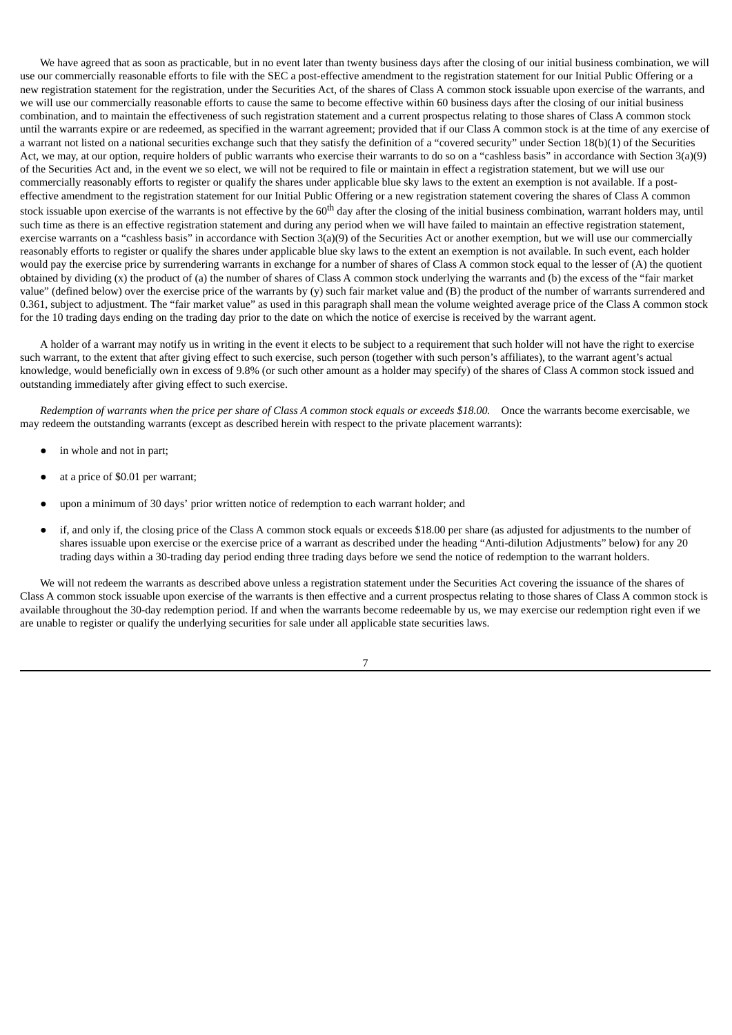We have agreed that as soon as practicable, but in no event later than twenty business days after the closing of our initial business combination, we will use our commercially reasonable efforts to file with the SEC a post-effective amendment to the registration statement for our Initial Public Offering or a new registration statement for the registration, under the Securities Act, of the shares of Class A common stock issuable upon exercise of the warrants, and we will use our commercially reasonable efforts to cause the same to become effective within 60 business days after the closing of our initial business combination, and to maintain the effectiveness of such registration statement and a current prospectus relating to those shares of Class A common stock until the warrants expire or are redeemed, as specified in the warrant agreement; provided that if our Class A common stock is at the time of any exercise of a warrant not listed on a national securities exchange such that they satisfy the definition of a "covered security" under Section 18(b)(1) of the Securities Act, we may, at our option, require holders of public warrants who exercise their warrants to do so on a "cashless basis" in accordance with Section 3(a)(9) of the Securities Act and, in the event we so elect, we will not be required to file or maintain in effect a registration statement, but we will use our commercially reasonably efforts to register or qualify the shares under applicable blue sky laws to the extent an exemption is not available. If a posteffective amendment to the registration statement for our Initial Public Offering or a new registration statement covering the shares of Class A common stock issuable upon exercise of the warrants is not effective by the 60<sup>th</sup> day after the closing of the initial business combination, warrant holders may, until such time as there is an effective registration statement and during any period when we will have failed to maintain an effective registration statement, exercise warrants on a "cashless basis" in accordance with Section 3(a)(9) of the Securities Act or another exemption, but we will use our commercially reasonably efforts to register or qualify the shares under applicable blue sky laws to the extent an exemption is not available. In such event, each holder would pay the exercise price by surrendering warrants in exchange for a number of shares of Class A common stock equal to the lesser of (A) the quotient obtained by dividing (x) the product of (a) the number of shares of Class A common stock underlying the warrants and (b) the excess of the "fair market value" (defined below) over the exercise price of the warrants by (y) such fair market value and (B) the product of the number of warrants surrendered and 0.361, subject to adjustment. The "fair market value" as used in this paragraph shall mean the volume weighted average price of the Class A common stock for the 10 trading days ending on the trading day prior to the date on which the notice of exercise is received by the warrant agent.

A holder of a warrant may notify us in writing in the event it elects to be subject to a requirement that such holder will not have the right to exercise such warrant, to the extent that after giving effect to such exercise, such person (together with such person's affiliates), to the warrant agent's actual knowledge, would beneficially own in excess of 9.8% (or such other amount as a holder may specify) of the shares of Class A common stock issued and outstanding immediately after giving effect to such exercise.

Redemption of warrants when the price per share of Class A common stock equals or exceeds \$18.00. Once the warrants become exercisable, we may redeem the outstanding warrants (except as described herein with respect to the private placement warrants):

- in whole and not in part;
- at a price of \$0.01 per warrant;
- upon a minimum of 30 days' prior written notice of redemption to each warrant holder; and
- if, and only if, the closing price of the Class A common stock equals or exceeds \$18.00 per share (as adjusted for adjustments to the number of shares issuable upon exercise or the exercise price of a warrant as described under the heading "Anti-dilution Adjustments" below) for any 20 trading days within a 30-trading day period ending three trading days before we send the notice of redemption to the warrant holders.

We will not redeem the warrants as described above unless a registration statement under the Securities Act covering the issuance of the shares of Class A common stock issuable upon exercise of the warrants is then effective and a current prospectus relating to those shares of Class A common stock is available throughout the 30-day redemption period. If and when the warrants become redeemable by us, we may exercise our redemption right even if we are unable to register or qualify the underlying securities for sale under all applicable state securities laws.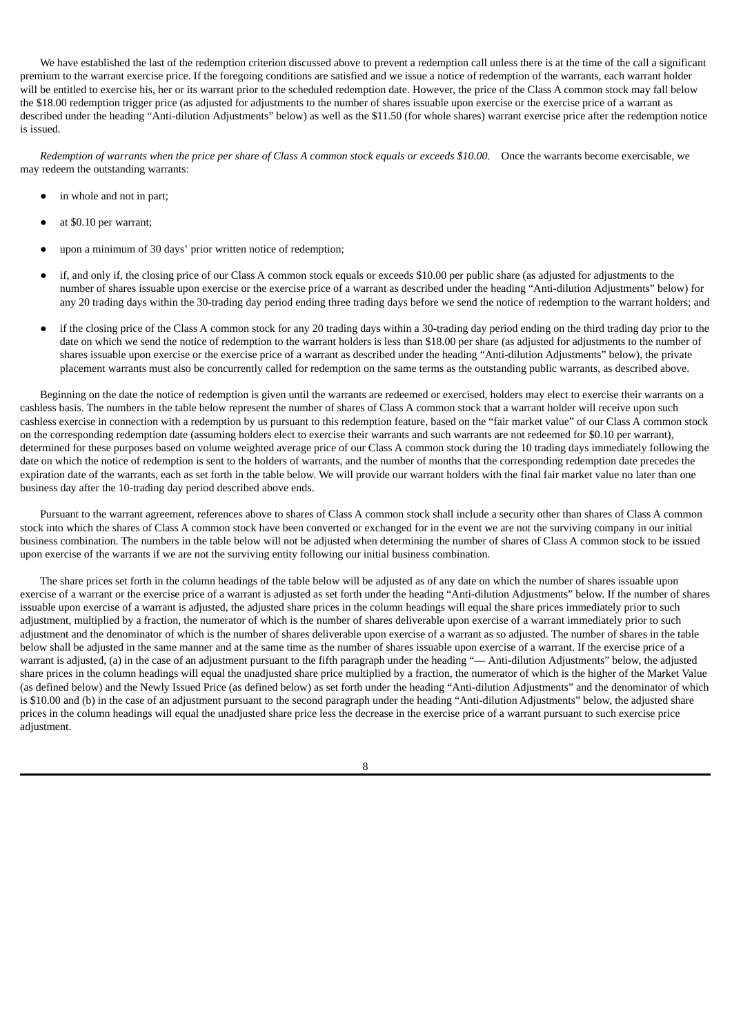We have established the last of the redemption criterion discussed above to prevent a redemption call unless there is at the time of the call a significant premium to the warrant exercise price. If the foregoing conditions are satisfied and we issue a notice of redemption of the warrants, each warrant holder will be entitled to exercise his, her or its warrant prior to the scheduled redemption date. However, the price of the Class A common stock may fall below the \$18.00 redemption trigger price (as adjusted for adjustments to the number of shares issuable upon exercise or the exercise price of a warrant as described under the heading "Anti-dilution Adjustments" below) as well as the \$11.50 (for whole shares) warrant exercise price after the redemption notice is issued.

Redemption of warrants when the price per share of Class A common stock equals or exceeds \$10.00. Once the warrants become exercisable, we may redeem the outstanding warrants:

- in whole and not in part;
- at \$0.10 per warrant;
- upon a minimum of 30 days' prior written notice of redemption;
- if, and only if, the closing price of our Class A common stock equals or exceeds \$10.00 per public share (as adjusted for adjustments to the number of shares issuable upon exercise or the exercise price of a warrant as described under the heading "Anti-dilution Adjustments" below) for any 20 trading days within the 30-trading day period ending three trading days before we send the notice of redemption to the warrant holders; and
- if the closing price of the Class A common stock for any 20 trading days within a 30-trading day period ending on the third trading day prior to the date on which we send the notice of redemption to the warrant holders is less than \$18.00 per share (as adjusted for adjustments to the number of shares issuable upon exercise or the exercise price of a warrant as described under the heading "Anti-dilution Adjustments" below), the private placement warrants must also be concurrently called for redemption on the same terms as the outstanding public warrants, as described above.

Beginning on the date the notice of redemption is given until the warrants are redeemed or exercised, holders may elect to exercise their warrants on a cashless basis. The numbers in the table below represent the number of shares of Class A common stock that a warrant holder will receive upon such cashless exercise in connection with a redemption by us pursuant to this redemption feature, based on the "fair market value" of our Class A common stock on the corresponding redemption date (assuming holders elect to exercise their warrants and such warrants are not redeemed for \$0.10 per warrant), determined for these purposes based on volume weighted average price of our Class A common stock during the 10 trading days immediately following the date on which the notice of redemption is sent to the holders of warrants, and the number of months that the corresponding redemption date precedes the expiration date of the warrants, each as set forth in the table below. We will provide our warrant holders with the final fair market value no later than one business day after the 10-trading day period described above ends.

Pursuant to the warrant agreement, references above to shares of Class A common stock shall include a security other than shares of Class A common stock into which the shares of Class A common stock have been converted or exchanged for in the event we are not the surviving company in our initial business combination. The numbers in the table below will not be adjusted when determining the number of shares of Class A common stock to be issued upon exercise of the warrants if we are not the surviving entity following our initial business combination.

The share prices set forth in the column headings of the table below will be adjusted as of any date on which the number of shares issuable upon exercise of a warrant or the exercise price of a warrant is adjusted as set forth under the heading "Anti-dilution Adjustments" below. If the number of shares issuable upon exercise of a warrant is adjusted, the adjusted share prices in the column headings will equal the share prices immediately prior to such adjustment, multiplied by a fraction, the numerator of which is the number of shares deliverable upon exercise of a warrant immediately prior to such adjustment and the denominator of which is the number of shares deliverable upon exercise of a warrant as so adjusted. The number of shares in the table below shall be adjusted in the same manner and at the same time as the number of shares issuable upon exercise of a warrant. If the exercise price of a warrant is adjusted, (a) in the case of an adjustment pursuant to the fifth paragraph under the heading "— Anti-dilution Adjustments" below, the adjusted share prices in the column headings will equal the unadjusted share price multiplied by a fraction, the numerator of which is the higher of the Market Value (as defined below) and the Newly Issued Price (as defined below) as set forth under the heading "Anti-dilution Adjustments" and the denominator of which is \$10.00 and (b) in the case of an adjustment pursuant to the second paragraph under the heading "Anti-dilution Adjustments" below, the adjusted share prices in the column headings will equal the unadjusted share price less the decrease in the exercise price of a warrant pursuant to such exercise price adjustment.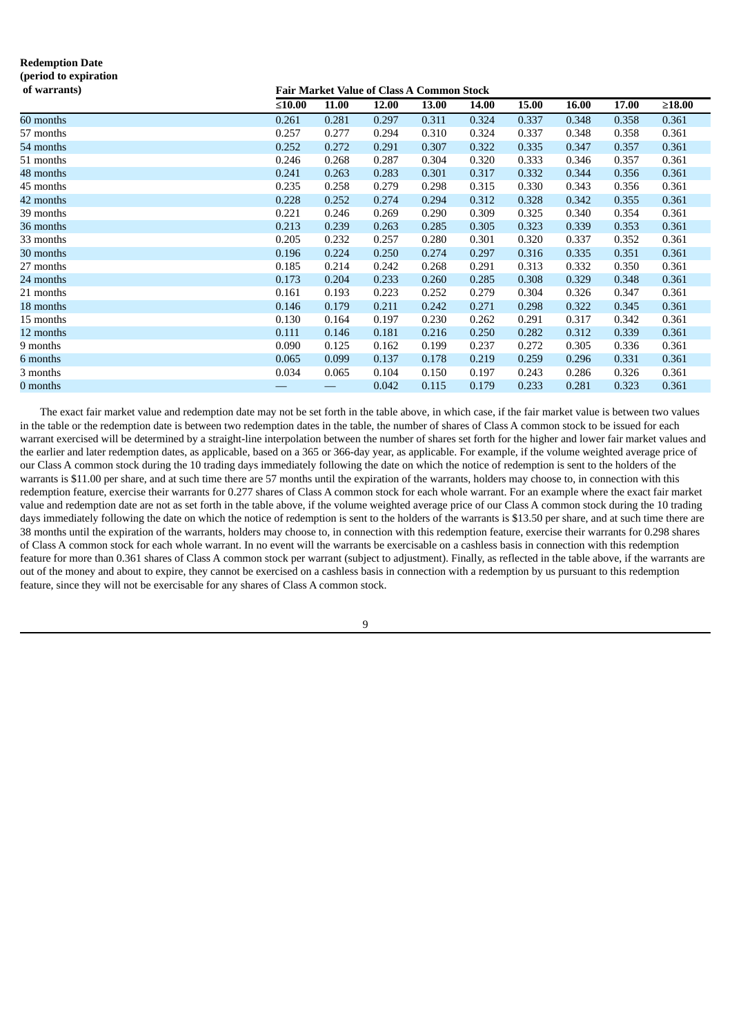## **Redemption Date (period to expiration**

# **of warrants) Fair Market Value of Class A Common Stock**

|           | ≤10.00 | 11.00 | 12.00 | 13.00 | 14.00 | 15.00 | 16.00 | 17.00 | ≥18.00 |  |
|-----------|--------|-------|-------|-------|-------|-------|-------|-------|--------|--|
| 60 months | 0.261  | 0.281 | 0.297 | 0.311 | 0.324 | 0.337 | 0.348 | 0.358 | 0.361  |  |
| 57 months | 0.257  | 0.277 | 0.294 | 0.310 | 0.324 | 0.337 | 0.348 | 0.358 | 0.361  |  |
| 54 months | 0.252  | 0.272 | 0.291 | 0.307 | 0.322 | 0.335 | 0.347 | 0.357 | 0.361  |  |
| 51 months | 0.246  | 0.268 | 0.287 | 0.304 | 0.320 | 0.333 | 0.346 | 0.357 | 0.361  |  |
| 48 months | 0.241  | 0.263 | 0.283 | 0.301 | 0.317 | 0.332 | 0.344 | 0.356 | 0.361  |  |
| 45 months | 0.235  | 0.258 | 0.279 | 0.298 | 0.315 | 0.330 | 0.343 | 0.356 | 0.361  |  |
| 42 months | 0.228  | 0.252 | 0.274 | 0.294 | 0.312 | 0.328 | 0.342 | 0.355 | 0.361  |  |
| 39 months | 0.221  | 0.246 | 0.269 | 0.290 | 0.309 | 0.325 | 0.340 | 0.354 | 0.361  |  |
| 36 months | 0.213  | 0.239 | 0.263 | 0.285 | 0.305 | 0.323 | 0.339 | 0.353 | 0.361  |  |
| 33 months | 0.205  | 0.232 | 0.257 | 0.280 | 0.301 | 0.320 | 0.337 | 0.352 | 0.361  |  |
| 30 months | 0.196  | 0.224 | 0.250 | 0.274 | 0.297 | 0.316 | 0.335 | 0.351 | 0.361  |  |
| 27 months | 0.185  | 0.214 | 0.242 | 0.268 | 0.291 | 0.313 | 0.332 | 0.350 | 0.361  |  |
| 24 months | 0.173  | 0.204 | 0.233 | 0.260 | 0.285 | 0.308 | 0.329 | 0.348 | 0.361  |  |
| 21 months | 0.161  | 0.193 | 0.223 | 0.252 | 0.279 | 0.304 | 0.326 | 0.347 | 0.361  |  |
| 18 months | 0.146  | 0.179 | 0.211 | 0.242 | 0.271 | 0.298 | 0.322 | 0.345 | 0.361  |  |
| 15 months | 0.130  | 0.164 | 0.197 | 0.230 | 0.262 | 0.291 | 0.317 | 0.342 | 0.361  |  |
| 12 months | 0.111  | 0.146 | 0.181 | 0.216 | 0.250 | 0.282 | 0.312 | 0.339 | 0.361  |  |
| 9 months  | 0.090  | 0.125 | 0.162 | 0.199 | 0.237 | 0.272 | 0.305 | 0.336 | 0.361  |  |
| 6 months  | 0.065  | 0.099 | 0.137 | 0.178 | 0.219 | 0.259 | 0.296 | 0.331 | 0.361  |  |
| 3 months  | 0.034  | 0.065 | 0.104 | 0.150 | 0.197 | 0.243 | 0.286 | 0.326 | 0.361  |  |
| 0 months  |        |       | 0.042 | 0.115 | 0.179 | 0.233 | 0.281 | 0.323 | 0.361  |  |

The exact fair market value and redemption date may not be set forth in the table above, in which case, if the fair market value is between two values in the table or the redemption date is between two redemption dates in the table, the number of shares of Class A common stock to be issued for each warrant exercised will be determined by a straight-line interpolation between the number of shares set forth for the higher and lower fair market values and the earlier and later redemption dates, as applicable, based on a 365 or 366-day year, as applicable. For example, if the volume weighted average price of our Class A common stock during the 10 trading days immediately following the date on which the notice of redemption is sent to the holders of the warrants is \$11.00 per share, and at such time there are 57 months until the expiration of the warrants, holders may choose to, in connection with this redemption feature, exercise their warrants for 0.277 shares of Class A common stock for each whole warrant. For an example where the exact fair market value and redemption date are not as set forth in the table above, if the volume weighted average price of our Class A common stock during the 10 trading days immediately following the date on which the notice of redemption is sent to the holders of the warrants is \$13.50 per share, and at such time there are 38 months until the expiration of the warrants, holders may choose to, in connection with this redemption feature, exercise their warrants for 0.298 shares of Class A common stock for each whole warrant. In no event will the warrants be exercisable on a cashless basis in connection with this redemption feature for more than 0.361 shares of Class A common stock per warrant (subject to adjustment). Finally, as reflected in the table above, if the warrants are out of the money and about to expire, they cannot be exercised on a cashless basis in connection with a redemption by us pursuant to this redemption feature, since they will not be exercisable for any shares of Class A common stock.

9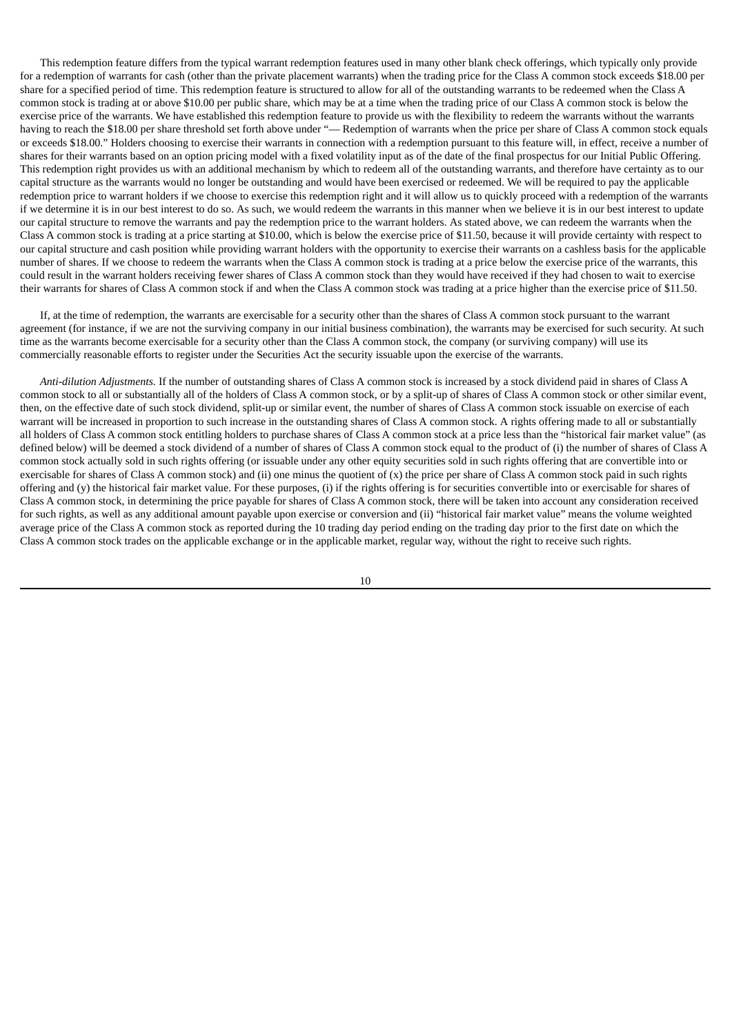This redemption feature differs from the typical warrant redemption features used in many other blank check offerings, which typically only provide for a redemption of warrants for cash (other than the private placement warrants) when the trading price for the Class A common stock exceeds \$18.00 per share for a specified period of time. This redemption feature is structured to allow for all of the outstanding warrants to be redeemed when the Class A common stock is trading at or above \$10.00 per public share, which may be at a time when the trading price of our Class A common stock is below the exercise price of the warrants. We have established this redemption feature to provide us with the flexibility to redeem the warrants without the warrants having to reach the \$18.00 per share threshold set forth above under "— Redemption of warrants when the price per share of Class A common stock equals or exceeds \$18.00." Holders choosing to exercise their warrants in connection with a redemption pursuant to this feature will, in effect, receive a number of shares for their warrants based on an option pricing model with a fixed volatility input as of the date of the final prospectus for our Initial Public Offering. This redemption right provides us with an additional mechanism by which to redeem all of the outstanding warrants, and therefore have certainty as to our capital structure as the warrants would no longer be outstanding and would have been exercised or redeemed. We will be required to pay the applicable redemption price to warrant holders if we choose to exercise this redemption right and it will allow us to quickly proceed with a redemption of the warrants if we determine it is in our best interest to do so. As such, we would redeem the warrants in this manner when we believe it is in our best interest to update our capital structure to remove the warrants and pay the redemption price to the warrant holders. As stated above, we can redeem the warrants when the Class A common stock is trading at a price starting at \$10.00, which is below the exercise price of \$11.50, because it will provide certainty with respect to our capital structure and cash position while providing warrant holders with the opportunity to exercise their warrants on a cashless basis for the applicable number of shares. If we choose to redeem the warrants when the Class A common stock is trading at a price below the exercise price of the warrants, this could result in the warrant holders receiving fewer shares of Class A common stock than they would have received if they had chosen to wait to exercise their warrants for shares of Class A common stock if and when the Class A common stock was trading at a price higher than the exercise price of \$11.50.

If, at the time of redemption, the warrants are exercisable for a security other than the shares of Class A common stock pursuant to the warrant agreement (for instance, if we are not the surviving company in our initial business combination), the warrants may be exercised for such security. At such time as the warrants become exercisable for a security other than the Class A common stock, the company (or surviving company) will use its commercially reasonable efforts to register under the Securities Act the security issuable upon the exercise of the warrants.

*Anti-dilution Adjustments.* If the number of outstanding shares of Class A common stock is increased by a stock dividend paid in shares of Class A common stock to all or substantially all of the holders of Class A common stock, or by a split-up of shares of Class A common stock or other similar event, then, on the effective date of such stock dividend, split-up or similar event, the number of shares of Class A common stock issuable on exercise of each warrant will be increased in proportion to such increase in the outstanding shares of Class A common stock. A rights offering made to all or substantially all holders of Class A common stock entitling holders to purchase shares of Class A common stock at a price less than the "historical fair market value" (as defined below) will be deemed a stock dividend of a number of shares of Class A common stock equal to the product of (i) the number of shares of Class A common stock actually sold in such rights offering (or issuable under any other equity securities sold in such rights offering that are convertible into or exercisable for shares of Class A common stock) and (ii) one minus the quotient of (x) the price per share of Class A common stock paid in such rights offering and (y) the historical fair market value. For these purposes, (i) if the rights offering is for securities convertible into or exercisable for shares of Class A common stock, in determining the price payable for shares of Class A common stock, there will be taken into account any consideration received for such rights, as well as any additional amount payable upon exercise or conversion and (ii) "historical fair market value" means the volume weighted average price of the Class A common stock as reported during the 10 trading day period ending on the trading day prior to the first date on which the Class A common stock trades on the applicable exchange or in the applicable market, regular way, without the right to receive such rights.

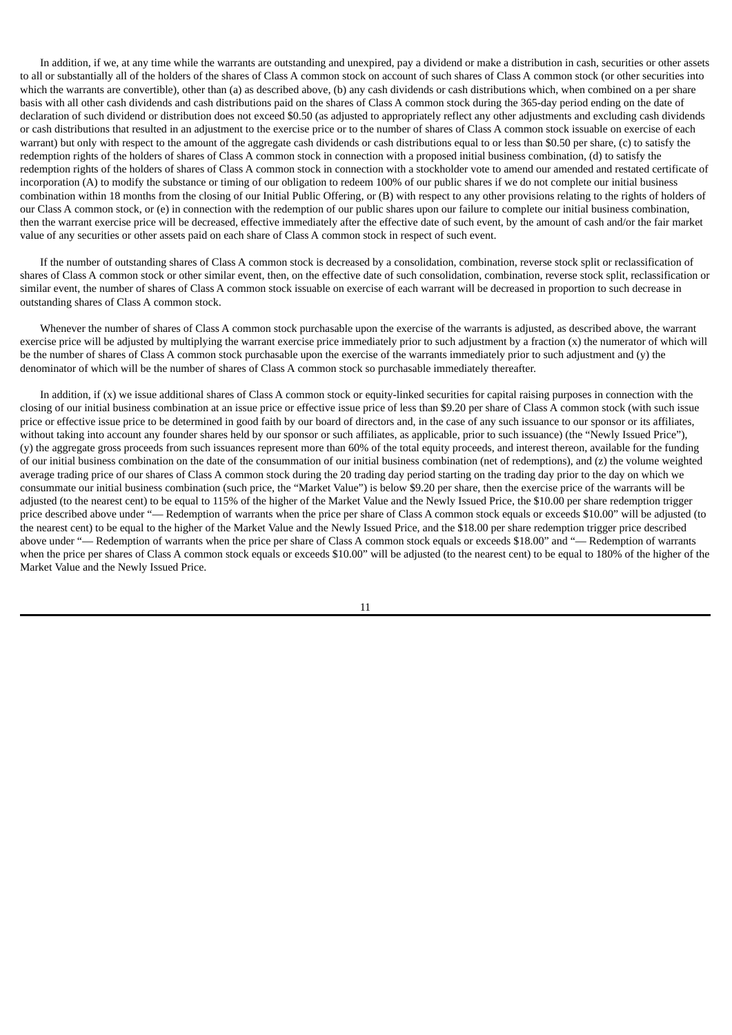In addition, if we, at any time while the warrants are outstanding and unexpired, pay a dividend or make a distribution in cash, securities or other assets to all or substantially all of the holders of the shares of Class A common stock on account of such shares of Class A common stock (or other securities into which the warrants are convertible), other than (a) as described above, (b) any cash dividends or cash distributions which, when combined on a per share basis with all other cash dividends and cash distributions paid on the shares of Class A common stock during the 365-day period ending on the date of declaration of such dividend or distribution does not exceed \$0.50 (as adjusted to appropriately reflect any other adjustments and excluding cash dividends or cash distributions that resulted in an adjustment to the exercise price or to the number of shares of Class A common stock issuable on exercise of each warrant) but only with respect to the amount of the aggregate cash dividends or cash distributions equal to or less than \$0.50 per share, (c) to satisfy the redemption rights of the holders of shares of Class A common stock in connection with a proposed initial business combination, (d) to satisfy the redemption rights of the holders of shares of Class A common stock in connection with a stockholder vote to amend our amended and restated certificate of incorporation (A) to modify the substance or timing of our obligation to redeem 100% of our public shares if we do not complete our initial business combination within 18 months from the closing of our Initial Public Offering, or (B) with respect to any other provisions relating to the rights of holders of our Class A common stock, or (e) in connection with the redemption of our public shares upon our failure to complete our initial business combination, then the warrant exercise price will be decreased, effective immediately after the effective date of such event, by the amount of cash and/or the fair market value of any securities or other assets paid on each share of Class A common stock in respect of such event.

If the number of outstanding shares of Class A common stock is decreased by a consolidation, combination, reverse stock split or reclassification of shares of Class A common stock or other similar event, then, on the effective date of such consolidation, combination, reverse stock split, reclassification or similar event, the number of shares of Class A common stock issuable on exercise of each warrant will be decreased in proportion to such decrease in outstanding shares of Class A common stock.

Whenever the number of shares of Class A common stock purchasable upon the exercise of the warrants is adjusted, as described above, the warrant exercise price will be adjusted by multiplying the warrant exercise price immediately prior to such adjustment by a fraction (x) the numerator of which will be the number of shares of Class A common stock purchasable upon the exercise of the warrants immediately prior to such adjustment and (y) the denominator of which will be the number of shares of Class A common stock so purchasable immediately thereafter.

In addition, if (x) we issue additional shares of Class A common stock or equity-linked securities for capital raising purposes in connection with the closing of our initial business combination at an issue price or effective issue price of less than \$9.20 per share of Class A common stock (with such issue price or effective issue price to be determined in good faith by our board of directors and, in the case of any such issuance to our sponsor or its affiliates, without taking into account any founder shares held by our sponsor or such affiliates, as applicable, prior to such issuance) (the "Newly Issued Price"), (y) the aggregate gross proceeds from such issuances represent more than 60% of the total equity proceeds, and interest thereon, available for the funding of our initial business combination on the date of the consummation of our initial business combination (net of redemptions), and (z) the volume weighted average trading price of our shares of Class A common stock during the 20 trading day period starting on the trading day prior to the day on which we consummate our initial business combination (such price, the "Market Value") is below \$9.20 per share, then the exercise price of the warrants will be adjusted (to the nearest cent) to be equal to 115% of the higher of the Market Value and the Newly Issued Price, the \$10.00 per share redemption trigger price described above under "— Redemption of warrants when the price per share of Class A common stock equals or exceeds \$10.00" will be adjusted (to the nearest cent) to be equal to the higher of the Market Value and the Newly Issued Price, and the \$18.00 per share redemption trigger price described above under "— Redemption of warrants when the price per share of Class A common stock equals or exceeds \$18.00" and "— Redemption of warrants when the price per shares of Class A common stock equals or exceeds \$10.00" will be adjusted (to the nearest cent) to be equal to 180% of the higher of the Market Value and the Newly Issued Price.

11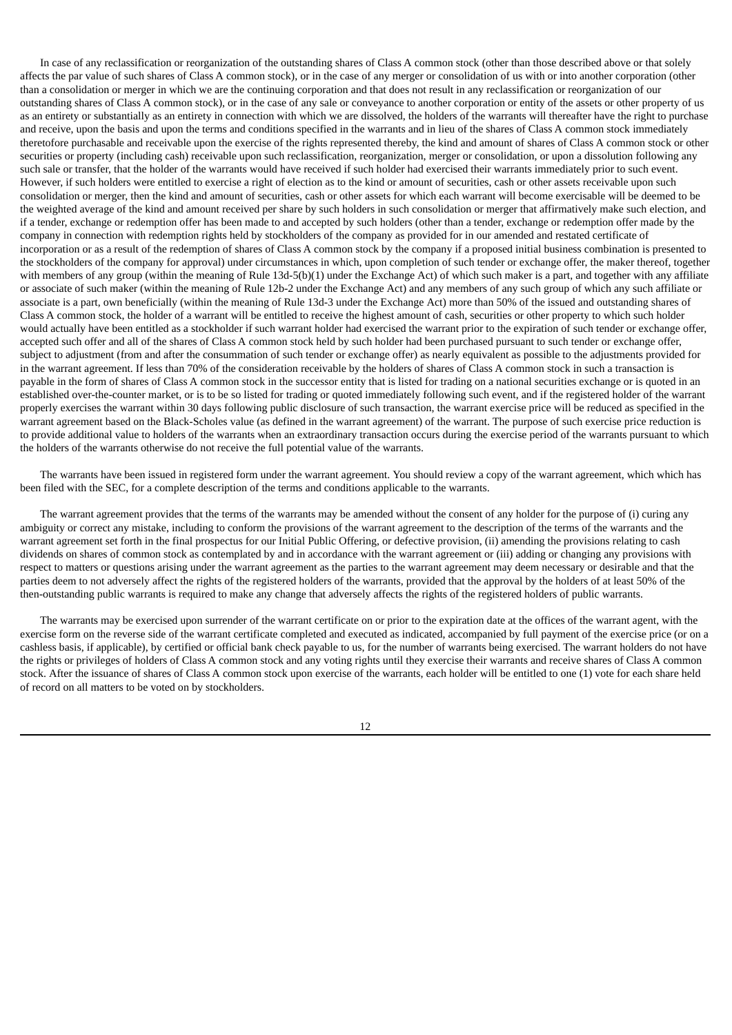In case of any reclassification or reorganization of the outstanding shares of Class A common stock (other than those described above or that solely affects the par value of such shares of Class A common stock), or in the case of any merger or consolidation of us with or into another corporation (other than a consolidation or merger in which we are the continuing corporation and that does not result in any reclassification or reorganization of our outstanding shares of Class A common stock), or in the case of any sale or conveyance to another corporation or entity of the assets or other property of us as an entirety or substantially as an entirety in connection with which we are dissolved, the holders of the warrants will thereafter have the right to purchase and receive, upon the basis and upon the terms and conditions specified in the warrants and in lieu of the shares of Class A common stock immediately theretofore purchasable and receivable upon the exercise of the rights represented thereby, the kind and amount of shares of Class A common stock or other securities or property (including cash) receivable upon such reclassification, reorganization, merger or consolidation, or upon a dissolution following any such sale or transfer, that the holder of the warrants would have received if such holder had exercised their warrants immediately prior to such event. However, if such holders were entitled to exercise a right of election as to the kind or amount of securities, cash or other assets receivable upon such consolidation or merger, then the kind and amount of securities, cash or other assets for which each warrant will become exercisable will be deemed to be the weighted average of the kind and amount received per share by such holders in such consolidation or merger that affirmatively make such election, and if a tender, exchange or redemption offer has been made to and accepted by such holders (other than a tender, exchange or redemption offer made by the company in connection with redemption rights held by stockholders of the company as provided for in our amended and restated certificate of incorporation or as a result of the redemption of shares of Class A common stock by the company if a proposed initial business combination is presented to the stockholders of the company for approval) under circumstances in which, upon completion of such tender or exchange offer, the maker thereof, together with members of any group (within the meaning of Rule 13d-5(b)(1) under the Exchange Act) of which such maker is a part, and together with any affiliate or associate of such maker (within the meaning of Rule 12b-2 under the Exchange Act) and any members of any such group of which any such affiliate or associate is a part, own beneficially (within the meaning of Rule 13d-3 under the Exchange Act) more than 50% of the issued and outstanding shares of Class A common stock, the holder of a warrant will be entitled to receive the highest amount of cash, securities or other property to which such holder would actually have been entitled as a stockholder if such warrant holder had exercised the warrant prior to the expiration of such tender or exchange offer, accepted such offer and all of the shares of Class A common stock held by such holder had been purchased pursuant to such tender or exchange offer, subject to adjustment (from and after the consummation of such tender or exchange offer) as nearly equivalent as possible to the adjustments provided for in the warrant agreement. If less than 70% of the consideration receivable by the holders of shares of Class A common stock in such a transaction is payable in the form of shares of Class A common stock in the successor entity that is listed for trading on a national securities exchange or is quoted in an established over-the-counter market, or is to be so listed for trading or quoted immediately following such event, and if the registered holder of the warrant properly exercises the warrant within 30 days following public disclosure of such transaction, the warrant exercise price will be reduced as specified in the warrant agreement based on the Black-Scholes value (as defined in the warrant agreement) of the warrant. The purpose of such exercise price reduction is to provide additional value to holders of the warrants when an extraordinary transaction occurs during the exercise period of the warrants pursuant to which the holders of the warrants otherwise do not receive the full potential value of the warrants.

The warrants have been issued in registered form under the warrant agreement. You should review a copy of the warrant agreement, which which has been filed with the SEC, for a complete description of the terms and conditions applicable to the warrants.

The warrant agreement provides that the terms of the warrants may be amended without the consent of any holder for the purpose of (i) curing any ambiguity or correct any mistake, including to conform the provisions of the warrant agreement to the description of the terms of the warrants and the warrant agreement set forth in the final prospectus for our Initial Public Offering, or defective provision, (ii) amending the provisions relating to cash dividends on shares of common stock as contemplated by and in accordance with the warrant agreement or (iii) adding or changing any provisions with respect to matters or questions arising under the warrant agreement as the parties to the warrant agreement may deem necessary or desirable and that the parties deem to not adversely affect the rights of the registered holders of the warrants, provided that the approval by the holders of at least 50% of the then-outstanding public warrants is required to make any change that adversely affects the rights of the registered holders of public warrants.

The warrants may be exercised upon surrender of the warrant certificate on or prior to the expiration date at the offices of the warrant agent, with the exercise form on the reverse side of the warrant certificate completed and executed as indicated, accompanied by full payment of the exercise price (or on a cashless basis, if applicable), by certified or official bank check payable to us, for the number of warrants being exercised. The warrant holders do not have the rights or privileges of holders of Class A common stock and any voting rights until they exercise their warrants and receive shares of Class A common stock. After the issuance of shares of Class A common stock upon exercise of the warrants, each holder will be entitled to one (1) vote for each share held of record on all matters to be voted on by stockholders.

12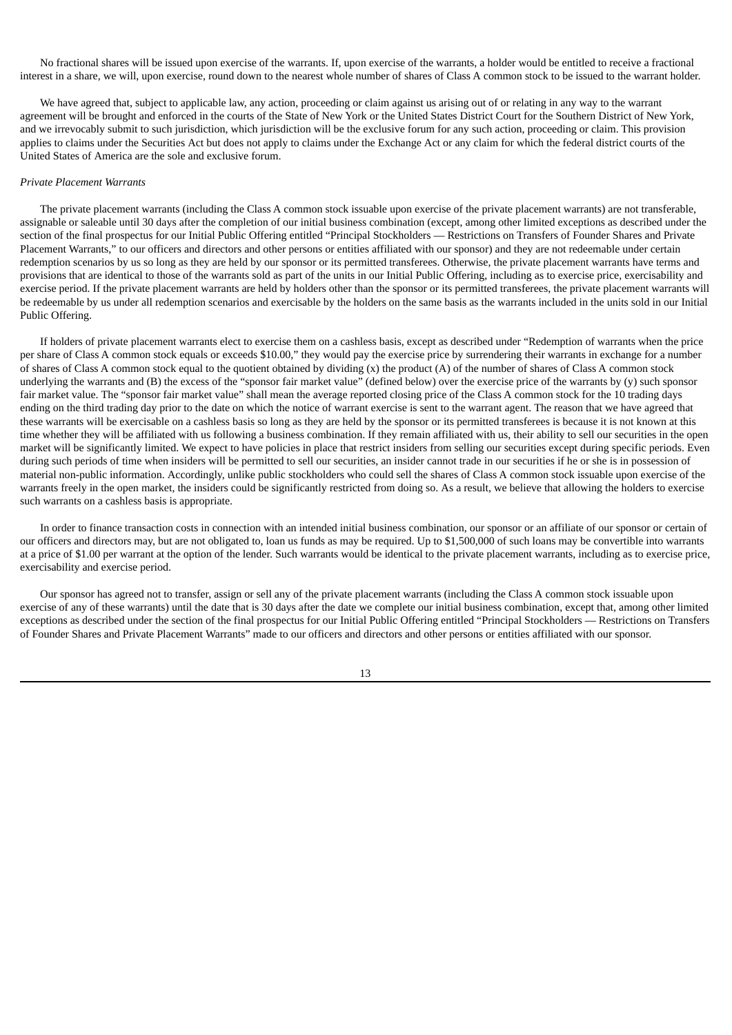No fractional shares will be issued upon exercise of the warrants. If, upon exercise of the warrants, a holder would be entitled to receive a fractional interest in a share, we will, upon exercise, round down to the nearest whole number of shares of Class A common stock to be issued to the warrant holder.

We have agreed that, subject to applicable law, any action, proceeding or claim against us arising out of or relating in any way to the warrant agreement will be brought and enforced in the courts of the State of New York or the United States District Court for the Southern District of New York, and we irrevocably submit to such jurisdiction, which jurisdiction will be the exclusive forum for any such action, proceeding or claim. This provision applies to claims under the Securities Act but does not apply to claims under the Exchange Act or any claim for which the federal district courts of the United States of America are the sole and exclusive forum.

### *Private Placement Warrants*

The private placement warrants (including the Class A common stock issuable upon exercise of the private placement warrants) are not transferable, assignable or saleable until 30 days after the completion of our initial business combination (except, among other limited exceptions as described under the section of the final prospectus for our Initial Public Offering entitled "Principal Stockholders — Restrictions on Transfers of Founder Shares and Private Placement Warrants," to our officers and directors and other persons or entities affiliated with our sponsor) and they are not redeemable under certain redemption scenarios by us so long as they are held by our sponsor or its permitted transferees. Otherwise, the private placement warrants have terms and provisions that are identical to those of the warrants sold as part of the units in our Initial Public Offering, including as to exercise price, exercisability and exercise period. If the private placement warrants are held by holders other than the sponsor or its permitted transferees, the private placement warrants will be redeemable by us under all redemption scenarios and exercisable by the holders on the same basis as the warrants included in the units sold in our Initial Public Offering.

If holders of private placement warrants elect to exercise them on a cashless basis, except as described under "Redemption of warrants when the price per share of Class A common stock equals or exceeds \$10.00," they would pay the exercise price by surrendering their warrants in exchange for a number of shares of Class A common stock equal to the quotient obtained by dividing (x) the product (A) of the number of shares of Class A common stock underlying the warrants and (B) the excess of the "sponsor fair market value" (defined below) over the exercise price of the warrants by (y) such sponsor fair market value. The "sponsor fair market value" shall mean the average reported closing price of the Class A common stock for the 10 trading days ending on the third trading day prior to the date on which the notice of warrant exercise is sent to the warrant agent. The reason that we have agreed that these warrants will be exercisable on a cashless basis so long as they are held by the sponsor or its permitted transferees is because it is not known at this time whether they will be affiliated with us following a business combination. If they remain affiliated with us, their ability to sell our securities in the open market will be significantly limited. We expect to have policies in place that restrict insiders from selling our securities except during specific periods. Even during such periods of time when insiders will be permitted to sell our securities, an insider cannot trade in our securities if he or she is in possession of material non-public information. Accordingly, unlike public stockholders who could sell the shares of Class A common stock issuable upon exercise of the warrants freely in the open market, the insiders could be significantly restricted from doing so. As a result, we believe that allowing the holders to exercise such warrants on a cashless basis is appropriate.

In order to finance transaction costs in connection with an intended initial business combination, our sponsor or an affiliate of our sponsor or certain of our officers and directors may, but are not obligated to, loan us funds as may be required. Up to \$1,500,000 of such loans may be convertible into warrants at a price of \$1.00 per warrant at the option of the lender. Such warrants would be identical to the private placement warrants, including as to exercise price, exercisability and exercise period.

Our sponsor has agreed not to transfer, assign or sell any of the private placement warrants (including the Class A common stock issuable upon exercise of any of these warrants) until the date that is 30 days after the date we complete our initial business combination, except that, among other limited exceptions as described under the section of the final prospectus for our Initial Public Offering entitled "Principal Stockholders — Restrictions on Transfers of Founder Shares and Private Placement Warrants" made to our officers and directors and other persons or entities affiliated with our sponsor.

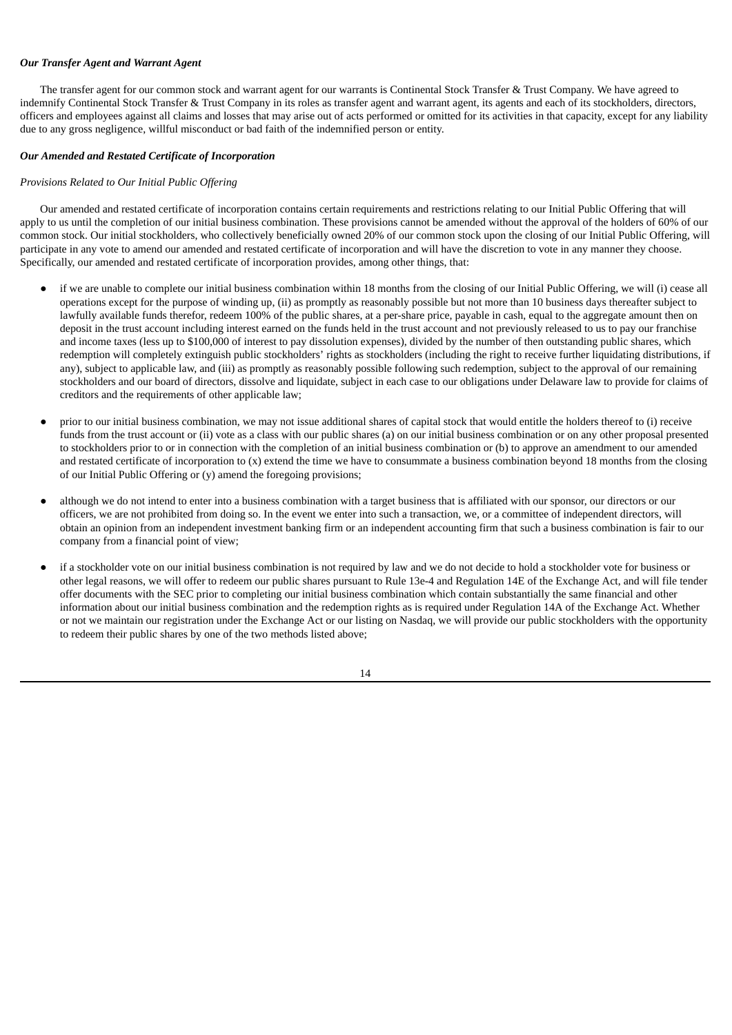## *Our Transfer Agent and Warrant Agent*

The transfer agent for our common stock and warrant agent for our warrants is Continental Stock Transfer & Trust Company. We have agreed to indemnify Continental Stock Transfer & Trust Company in its roles as transfer agent and warrant agent, its agents and each of its stockholders, directors, officers and employees against all claims and losses that may arise out of acts performed or omitted for its activities in that capacity, except for any liability due to any gross negligence, willful misconduct or bad faith of the indemnified person or entity.

## *Our Amended and Restated Certificate of Incorporation*

### *Provisions Related to Our Initial Public Offering*

Our amended and restated certificate of incorporation contains certain requirements and restrictions relating to our Initial Public Offering that will apply to us until the completion of our initial business combination. These provisions cannot be amended without the approval of the holders of 60% of our common stock. Our initial stockholders, who collectively beneficially owned 20% of our common stock upon the closing of our Initial Public Offering, will participate in any vote to amend our amended and restated certificate of incorporation and will have the discretion to vote in any manner they choose. Specifically, our amended and restated certificate of incorporation provides, among other things, that:

- if we are unable to complete our initial business combination within 18 months from the closing of our Initial Public Offering, we will (i) cease all operations except for the purpose of winding up, (ii) as promptly as reasonably possible but not more than 10 business days thereafter subject to lawfully available funds therefor, redeem 100% of the public shares, at a per-share price, payable in cash, equal to the aggregate amount then on deposit in the trust account including interest earned on the funds held in the trust account and not previously released to us to pay our franchise and income taxes (less up to \$100,000 of interest to pay dissolution expenses), divided by the number of then outstanding public shares, which redemption will completely extinguish public stockholders' rights as stockholders (including the right to receive further liquidating distributions, if any), subject to applicable law, and (iii) as promptly as reasonably possible following such redemption, subject to the approval of our remaining stockholders and our board of directors, dissolve and liquidate, subject in each case to our obligations under Delaware law to provide for claims of creditors and the requirements of other applicable law;
- prior to our initial business combination, we may not issue additional shares of capital stock that would entitle the holders thereof to (i) receive funds from the trust account or (ii) vote as a class with our public shares (a) on our initial business combination or on any other proposal presented to stockholders prior to or in connection with the completion of an initial business combination or (b) to approve an amendment to our amended and restated certificate of incorporation to (x) extend the time we have to consummate a business combination beyond 18 months from the closing of our Initial Public Offering or (y) amend the foregoing provisions;
- although we do not intend to enter into a business combination with a target business that is affiliated with our sponsor, our directors or our officers, we are not prohibited from doing so. In the event we enter into such a transaction, we, or a committee of independent directors, will obtain an opinion from an independent investment banking firm or an independent accounting firm that such a business combination is fair to our company from a financial point of view;
- if a stockholder vote on our initial business combination is not required by law and we do not decide to hold a stockholder vote for business or other legal reasons, we will offer to redeem our public shares pursuant to Rule 13e-4 and Regulation 14E of the Exchange Act, and will file tender offer documents with the SEC prior to completing our initial business combination which contain substantially the same financial and other information about our initial business combination and the redemption rights as is required under Regulation 14A of the Exchange Act. Whether or not we maintain our registration under the Exchange Act or our listing on Nasdaq, we will provide our public stockholders with the opportunity to redeem their public shares by one of the two methods listed above;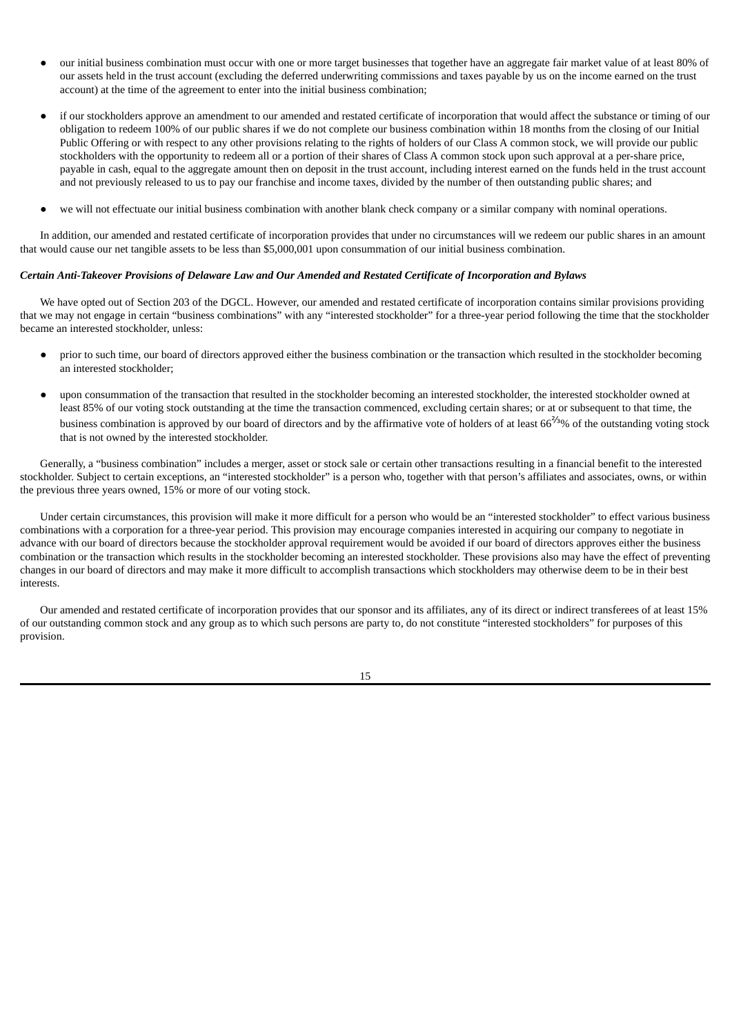- our initial business combination must occur with one or more target businesses that together have an aggregate fair market value of at least 80% of our assets held in the trust account (excluding the deferred underwriting commissions and taxes payable by us on the income earned on the trust account) at the time of the agreement to enter into the initial business combination;
- if our stockholders approve an amendment to our amended and restated certificate of incorporation that would affect the substance or timing of our obligation to redeem 100% of our public shares if we do not complete our business combination within 18 months from the closing of our Initial Public Offering or with respect to any other provisions relating to the rights of holders of our Class A common stock, we will provide our public stockholders with the opportunity to redeem all or a portion of their shares of Class A common stock upon such approval at a per-share price, payable in cash, equal to the aggregate amount then on deposit in the trust account, including interest earned on the funds held in the trust account and not previously released to us to pay our franchise and income taxes, divided by the number of then outstanding public shares; and
- we will not effectuate our initial business combination with another blank check company or a similar company with nominal operations.

In addition, our amended and restated certificate of incorporation provides that under no circumstances will we redeem our public shares in an amount that would cause our net tangible assets to be less than \$5,000,001 upon consummation of our initial business combination.

### Certain Anti-Takeover Provisions of Delaware Law and Our Amended and Restated Certificate of Incorporation and Bylaws

We have opted out of Section 203 of the DGCL. However, our amended and restated certificate of incorporation contains similar provisions providing that we may not engage in certain "business combinations" with any "interested stockholder" for a three-year period following the time that the stockholder became an interested stockholder, unless:

- prior to such time, our board of directors approved either the business combination or the transaction which resulted in the stockholder becoming an interested stockholder;
- upon consummation of the transaction that resulted in the stockholder becoming an interested stockholder, the interested stockholder owned at least 85% of our voting stock outstanding at the time the transaction commenced, excluding certain shares; or at or subsequent to that time, the business combination is approved by our board of directors and by the affirmative vote of holders of at least 66⅔% of the outstanding voting stock that is not owned by the interested stockholder.

Generally, a "business combination" includes a merger, asset or stock sale or certain other transactions resulting in a financial benefit to the interested stockholder. Subject to certain exceptions, an "interested stockholder" is a person who, together with that person's affiliates and associates, owns, or within the previous three years owned, 15% or more of our voting stock.

Under certain circumstances, this provision will make it more difficult for a person who would be an "interested stockholder" to effect various business combinations with a corporation for a three-year period. This provision may encourage companies interested in acquiring our company to negotiate in advance with our board of directors because the stockholder approval requirement would be avoided if our board of directors approves either the business combination or the transaction which results in the stockholder becoming an interested stockholder. These provisions also may have the effect of preventing changes in our board of directors and may make it more difficult to accomplish transactions which stockholders may otherwise deem to be in their best interests.

Our amended and restated certificate of incorporation provides that our sponsor and its affiliates, any of its direct or indirect transferees of at least 15% of our outstanding common stock and any group as to which such persons are party to, do not constitute "interested stockholders" for purposes of this provision.

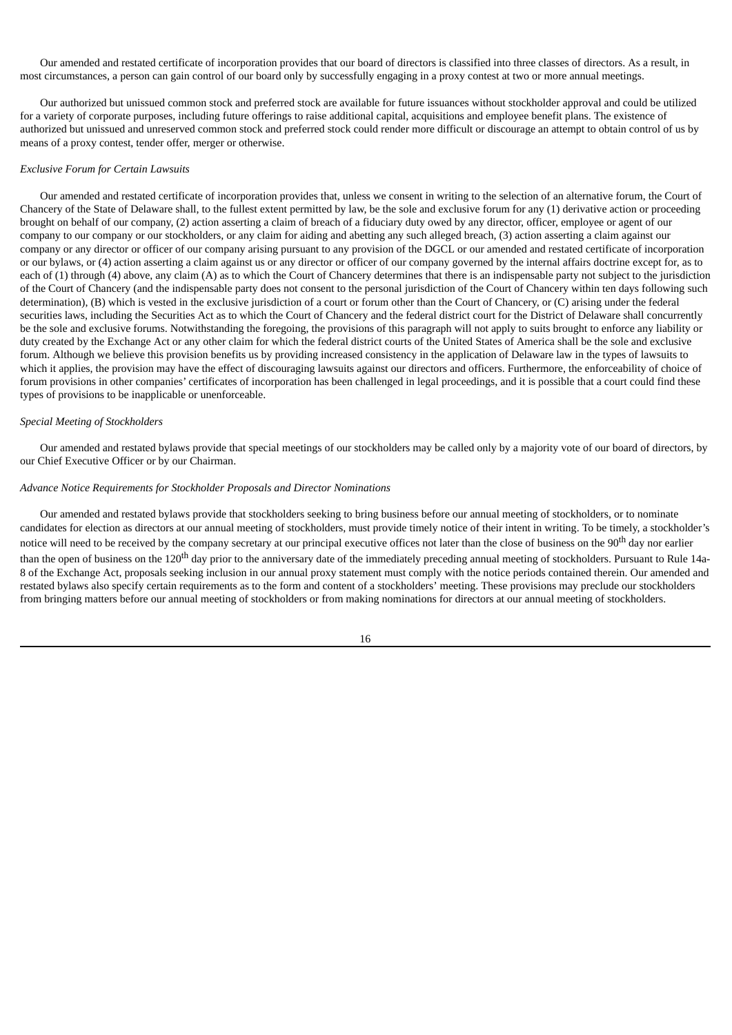Our amended and restated certificate of incorporation provides that our board of directors is classified into three classes of directors. As a result, in most circumstances, a person can gain control of our board only by successfully engaging in a proxy contest at two or more annual meetings.

Our authorized but unissued common stock and preferred stock are available for future issuances without stockholder approval and could be utilized for a variety of corporate purposes, including future offerings to raise additional capital, acquisitions and employee benefit plans. The existence of authorized but unissued and unreserved common stock and preferred stock could render more difficult or discourage an attempt to obtain control of us by means of a proxy contest, tender offer, merger or otherwise.

## *Exclusive Forum for Certain Lawsuits*

Our amended and restated certificate of incorporation provides that, unless we consent in writing to the selection of an alternative forum, the Court of Chancery of the State of Delaware shall, to the fullest extent permitted by law, be the sole and exclusive forum for any (1) derivative action or proceeding brought on behalf of our company, (2) action asserting a claim of breach of a fiduciary duty owed by any director, officer, employee or agent of our company to our company or our stockholders, or any claim for aiding and abetting any such alleged breach, (3) action asserting a claim against our company or any director or officer of our company arising pursuant to any provision of the DGCL or our amended and restated certificate of incorporation or our bylaws, or (4) action asserting a claim against us or any director or officer of our company governed by the internal affairs doctrine except for, as to each of (1) through (4) above, any claim (A) as to which the Court of Chancery determines that there is an indispensable party not subject to the jurisdiction of the Court of Chancery (and the indispensable party does not consent to the personal jurisdiction of the Court of Chancery within ten days following such determination), (B) which is vested in the exclusive jurisdiction of a court or forum other than the Court of Chancery, or (C) arising under the federal securities laws, including the Securities Act as to which the Court of Chancery and the federal district court for the District of Delaware shall concurrently be the sole and exclusive forums. Notwithstanding the foregoing, the provisions of this paragraph will not apply to suits brought to enforce any liability or duty created by the Exchange Act or any other claim for which the federal district courts of the United States of America shall be the sole and exclusive forum. Although we believe this provision benefits us by providing increased consistency in the application of Delaware law in the types of lawsuits to which it applies, the provision may have the effect of discouraging lawsuits against our directors and officers. Furthermore, the enforceability of choice of forum provisions in other companies' certificates of incorporation has been challenged in legal proceedings, and it is possible that a court could find these types of provisions to be inapplicable or unenforceable.

#### *Special Meeting of Stockholders*

Our amended and restated bylaws provide that special meetings of our stockholders may be called only by a majority vote of our board of directors, by our Chief Executive Officer or by our Chairman.

#### *Advance Notice Requirements for Stockholder Proposals and Director Nominations*

Our amended and restated bylaws provide that stockholders seeking to bring business before our annual meeting of stockholders, or to nominate candidates for election as directors at our annual meeting of stockholders, must provide timely notice of their intent in writing. To be timely, a stockholder's notice will need to be received by the company secretary at our principal executive offices not later than the close of business on the 90<sup>th</sup> day nor earlier than the open of business on the 120<sup>th</sup> day prior to the anniversary date of the immediately preceding annual meeting of stockholders. Pursuant to Rule 14a-8 of the Exchange Act, proposals seeking inclusion in our annual proxy statement must comply with the notice periods contained therein. Our amended and restated bylaws also specify certain requirements as to the form and content of a stockholders' meeting. These provisions may preclude our stockholders from bringing matters before our annual meeting of stockholders or from making nominations for directors at our annual meeting of stockholders.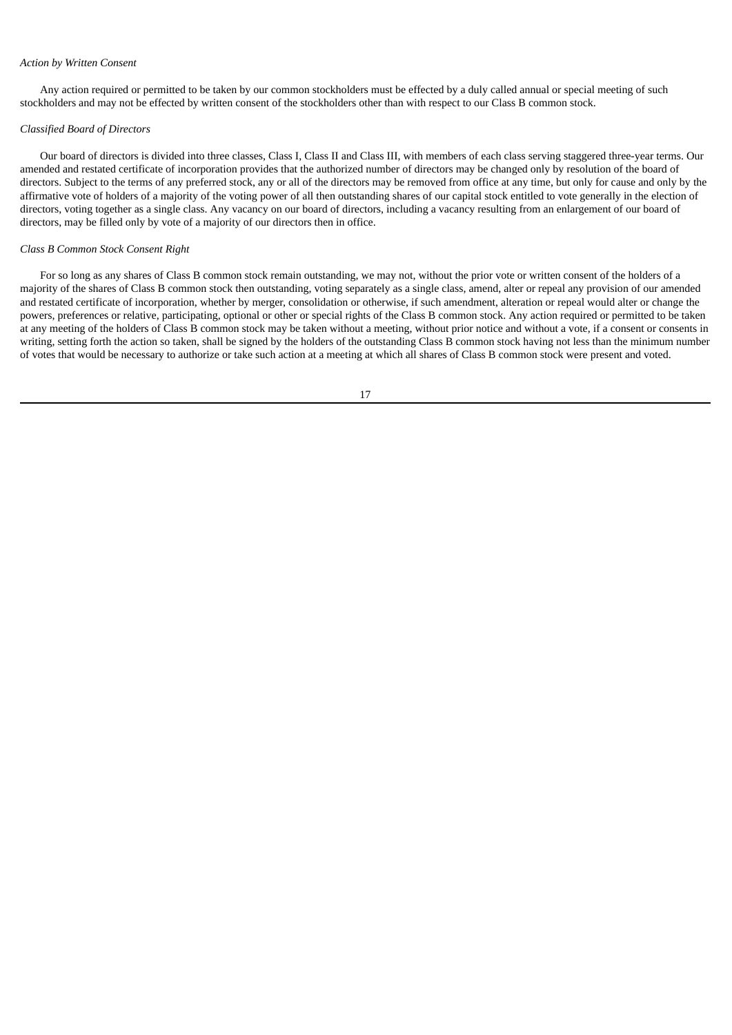## *Action by Written Consent*

Any action required or permitted to be taken by our common stockholders must be effected by a duly called annual or special meeting of such stockholders and may not be effected by written consent of the stockholders other than with respect to our Class B common stock.

### *Classified Board of Directors*

Our board of directors is divided into three classes, Class I, Class II and Class III, with members of each class serving staggered three-year terms. Our amended and restated certificate of incorporation provides that the authorized number of directors may be changed only by resolution of the board of directors. Subject to the terms of any preferred stock, any or all of the directors may be removed from office at any time, but only for cause and only by the affirmative vote of holders of a majority of the voting power of all then outstanding shares of our capital stock entitled to vote generally in the election of directors, voting together as a single class. Any vacancy on our board of directors, including a vacancy resulting from an enlargement of our board of directors, may be filled only by vote of a majority of our directors then in office.

#### *Class B Common Stock Consent Right*

For so long as any shares of Class B common stock remain outstanding, we may not, without the prior vote or written consent of the holders of a majority of the shares of Class B common stock then outstanding, voting separately as a single class, amend, alter or repeal any provision of our amended and restated certificate of incorporation, whether by merger, consolidation or otherwise, if such amendment, alteration or repeal would alter or change the powers, preferences or relative, participating, optional or other or special rights of the Class B common stock. Any action required or permitted to be taken at any meeting of the holders of Class B common stock may be taken without a meeting, without prior notice and without a vote, if a consent or consents in writing, setting forth the action so taken, shall be signed by the holders of the outstanding Class B common stock having not less than the minimum number of votes that would be necessary to authorize or take such action at a meeting at which all shares of Class B common stock were present and voted.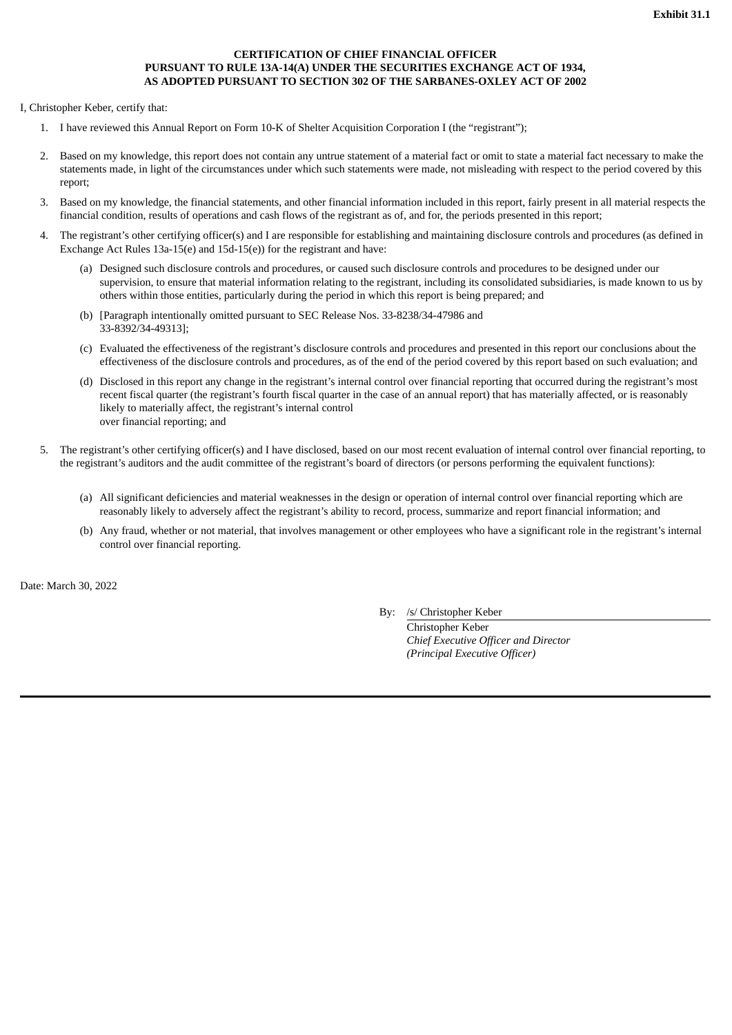# **CERTIFICATION OF CHIEF FINANCIAL OFFICER PURSUANT TO RULE 13A-14(A) UNDER THE SECURITIES EXCHANGE ACT OF 1934, AS ADOPTED PURSUANT TO SECTION 302 OF THE SARBANES-OXLEY ACT OF 2002**

I, Christopher Keber, certify that:

- 1. I have reviewed this Annual Report on Form 10-K of Shelter Acquisition Corporation I (the "registrant");
- 2. Based on my knowledge, this report does not contain any untrue statement of a material fact or omit to state a material fact necessary to make the statements made, in light of the circumstances under which such statements were made, not misleading with respect to the period covered by this report;
- 3. Based on my knowledge, the financial statements, and other financial information included in this report, fairly present in all material respects the financial condition, results of operations and cash flows of the registrant as of, and for, the periods presented in this report;
- 4. The registrant's other certifying officer(s) and I are responsible for establishing and maintaining disclosure controls and procedures (as defined in Exchange Act Rules 13a-15(e) and 15d-15(e)) for the registrant and have:
	- (a) Designed such disclosure controls and procedures, or caused such disclosure controls and procedures to be designed under our supervision, to ensure that material information relating to the registrant, including its consolidated subsidiaries, is made known to us by others within those entities, particularly during the period in which this report is being prepared; and
	- (b) [Paragraph intentionally omitted pursuant to SEC Release Nos. 33-8238/34-47986 and 33-8392/34-49313];
	- (c) Evaluated the effectiveness of the registrant's disclosure controls and procedures and presented in this report our conclusions about the effectiveness of the disclosure controls and procedures, as of the end of the period covered by this report based on such evaluation; and
	- (d) Disclosed in this report any change in the registrant's internal control over financial reporting that occurred during the registrant's most recent fiscal quarter (the registrant's fourth fiscal quarter in the case of an annual report) that has materially affected, or is reasonably likely to materially affect, the registrant's internal control over financial reporting; and
- 5. The registrant's other certifying officer(s) and I have disclosed, based on our most recent evaluation of internal control over financial reporting, to the registrant's auditors and the audit committee of the registrant's board of directors (or persons performing the equivalent functions):
	- (a) All significant deficiencies and material weaknesses in the design or operation of internal control over financial reporting which are reasonably likely to adversely affect the registrant's ability to record, process, summarize and report financial information; and
	- (b) Any fraud, whether or not material, that involves management or other employees who have a significant role in the registrant's internal control over financial reporting.

Date: March 30, 2022

By: /s/ Christopher Keber

Christopher Keber *Chief Executive Officer and Director (Principal Executive Officer)*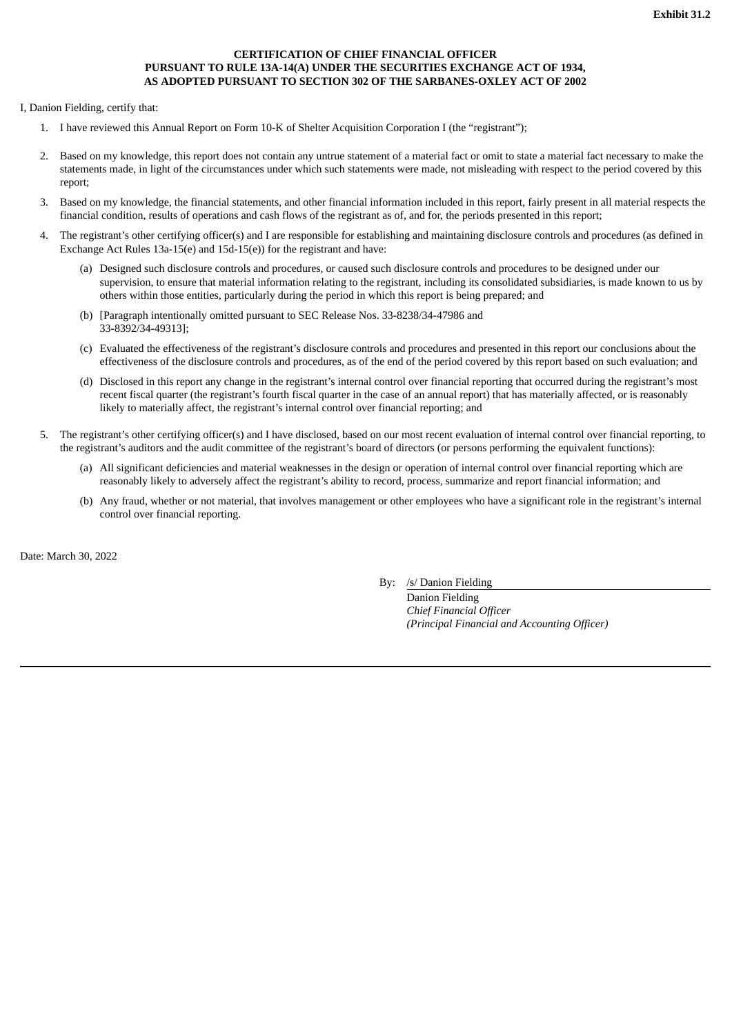# **CERTIFICATION OF CHIEF FINANCIAL OFFICER PURSUANT TO RULE 13A-14(A) UNDER THE SECURITIES EXCHANGE ACT OF 1934, AS ADOPTED PURSUANT TO SECTION 302 OF THE SARBANES-OXLEY ACT OF 2002**

I, Danion Fielding, certify that:

- 1. I have reviewed this Annual Report on Form 10-K of Shelter Acquisition Corporation I (the "registrant");
- 2. Based on my knowledge, this report does not contain any untrue statement of a material fact or omit to state a material fact necessary to make the statements made, in light of the circumstances under which such statements were made, not misleading with respect to the period covered by this report;
- 3. Based on my knowledge, the financial statements, and other financial information included in this report, fairly present in all material respects the financial condition, results of operations and cash flows of the registrant as of, and for, the periods presented in this report;
- 4. The registrant's other certifying officer(s) and I are responsible for establishing and maintaining disclosure controls and procedures (as defined in Exchange Act Rules 13a-15(e) and 15d-15(e)) for the registrant and have:
	- (a) Designed such disclosure controls and procedures, or caused such disclosure controls and procedures to be designed under our supervision, to ensure that material information relating to the registrant, including its consolidated subsidiaries, is made known to us by others within those entities, particularly during the period in which this report is being prepared; and
	- (b) [Paragraph intentionally omitted pursuant to SEC Release Nos. 33-8238/34-47986 and 33-8392/34-49313];
	- (c) Evaluated the effectiveness of the registrant's disclosure controls and procedures and presented in this report our conclusions about the effectiveness of the disclosure controls and procedures, as of the end of the period covered by this report based on such evaluation; and
	- (d) Disclosed in this report any change in the registrant's internal control over financial reporting that occurred during the registrant's most recent fiscal quarter (the registrant's fourth fiscal quarter in the case of an annual report) that has materially affected, or is reasonably likely to materially affect, the registrant's internal control over financial reporting; and
- 5. The registrant's other certifying officer(s) and I have disclosed, based on our most recent evaluation of internal control over financial reporting, to the registrant's auditors and the audit committee of the registrant's board of directors (or persons performing the equivalent functions):
	- (a) All significant deficiencies and material weaknesses in the design or operation of internal control over financial reporting which are reasonably likely to adversely affect the registrant's ability to record, process, summarize and report financial information; and
	- (b) Any fraud, whether or not material, that involves management or other employees who have a significant role in the registrant's internal control over financial reporting.

Date: March 30, 2022

By: /s/ Danion Fielding Danion Fielding *Chief Financial Officer (Principal Financial and Accounting Officer)*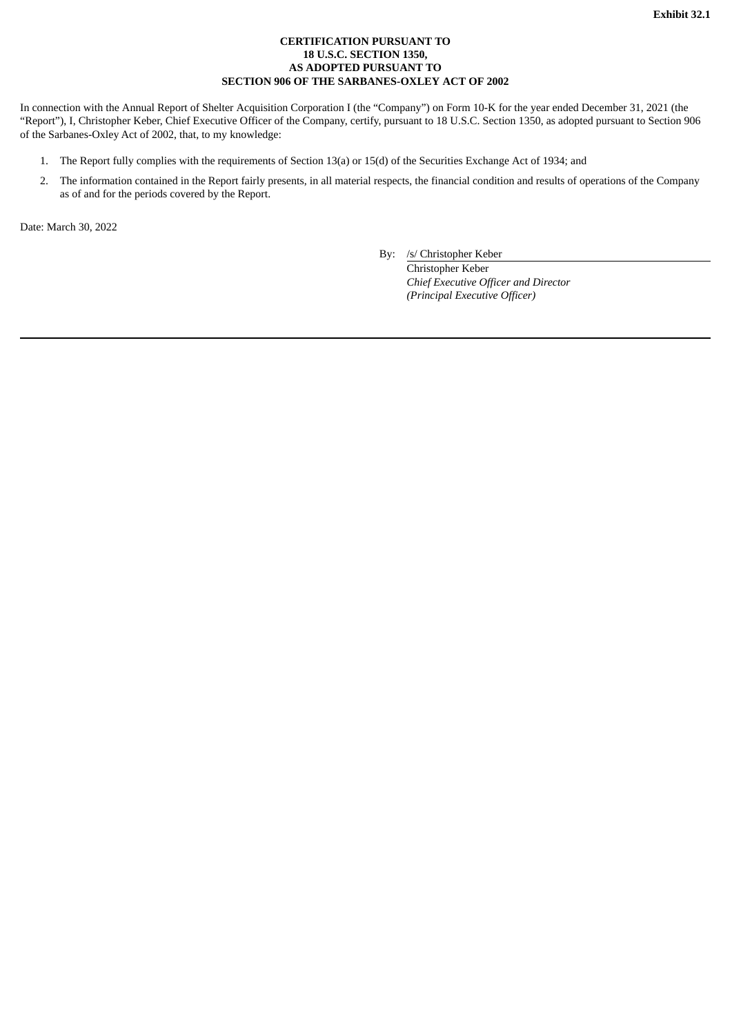# **CERTIFICATION PURSUANT TO 18 U.S.C. SECTION 1350, AS ADOPTED PURSUANT TO SECTION 906 OF THE SARBANES-OXLEY ACT OF 2002**

In connection with the Annual Report of Shelter Acquisition Corporation I (the "Company") on Form 10-K for the year ended December 31, 2021 (the "Report"), I, Christopher Keber, Chief Executive Officer of the Company, certify, pursuant to 18 U.S.C. Section 1350, as adopted pursuant to Section 906 of the Sarbanes-Oxley Act of 2002, that, to my knowledge:

- 1. The Report fully complies with the requirements of Section 13(a) or 15(d) of the Securities Exchange Act of 1934; and
- 2. The information contained in the Report fairly presents, in all material respects, the financial condition and results of operations of the Company as of and for the periods covered by the Report.

Date: March 30, 2022

By: /s/ Christopher Keber

Christopher Keber *Chief Executive Officer and Director (Principal Executive Officer)*